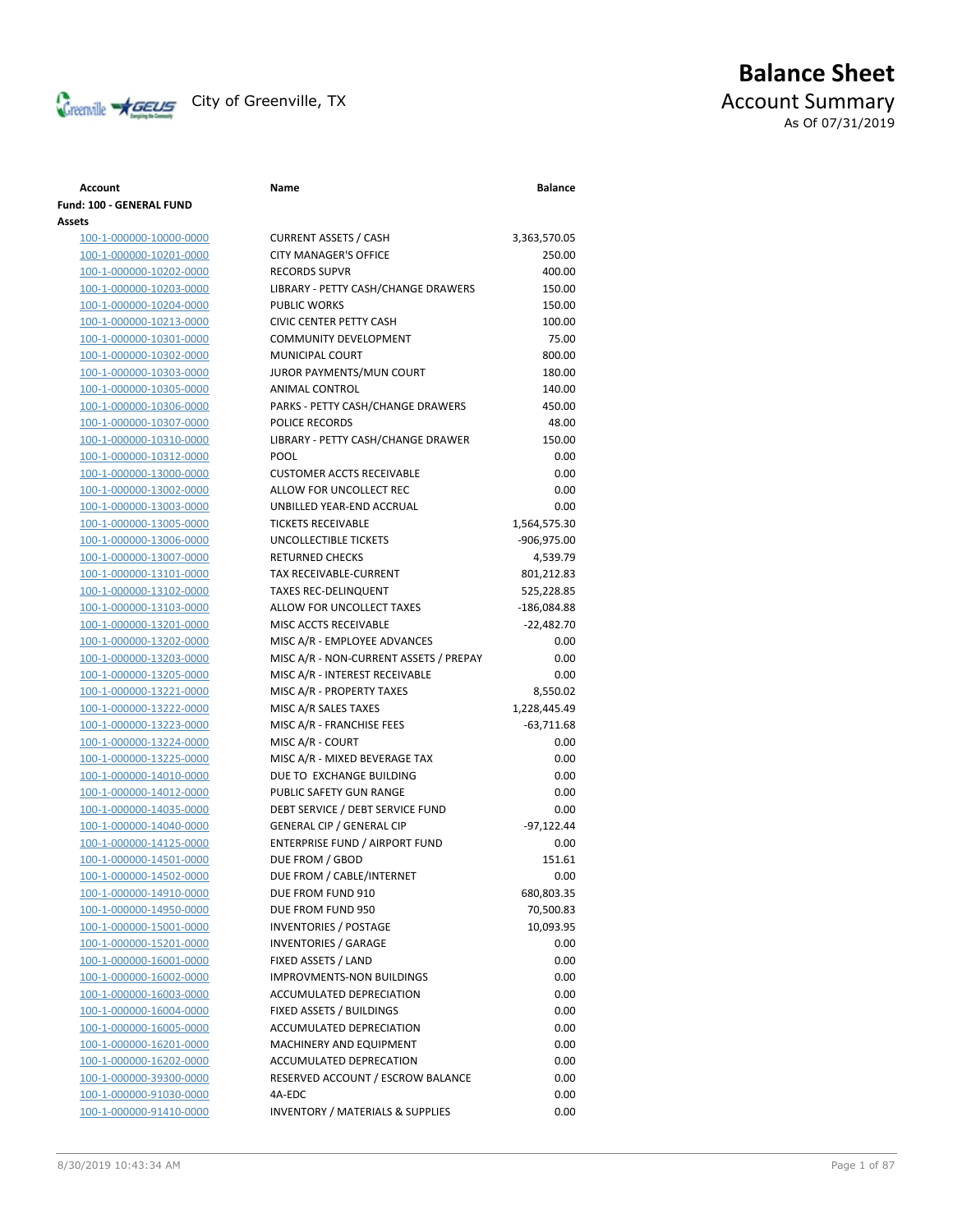

# **Balance Sheet** City of Greenville, TX and TX Account Summary As Of 07/31/2019

### **Fund: 100 - GENERAL FUND Assets** 100-1-000000-10000-0000 CURRE 100-1-000000-10201-0000 CITY M 100-1-000000-10202-0000 RECOR 100-1-000000-10203-0000 LIBRAF 100-1-000000-10204-0000 PUBLIC 100-1-000000-10213-0000 CIVIC C 100-1-000000-10301-0000 COMM 100-1-000000-10302-0000 MUNIC 100-1-000000-10303-0000 JUROR 100-1-000000-10305-0000 ANIMA 100-1-000000-10306-0000 PARKS 100-1-000000-10307-0000 POLICE 100-1-000000-10310-0000 LIBRAF 100-1-000000-10312-0000 POOL 100-1-000000-13000-0000 CUSTO 100-1-000000-13002-0000 ALLOW 100-1-000000-13003-0000 UNBIL 100-1-000000-13005-0000 TICKET 100-1-000000-13006-0000 UNCOL 100-1-000000-13007-0000 RETUR 100-1-000000-13101-0000 TAX RE 100-1-000000-13102-0000 TAXES 100-1-000000-13103-0000 ALLOW 100-1-000000-13201-0000 MISC A 100-1-000000-13202-0000 MISC A 100-1-000000-13203-0000 MISC A 100-1-000000-13205-0000 MISC A 100-1-000000-13221-0000 MISC A 100-1-000000-13222-0000 MISC A 100-1-000000-13223-0000 MISC A 100-1-000000-13224-0000 MISC A 100-1-000000-13225-0000 MISC A 100-1-000000-14010-0000 DUE TO 100-1-000000-14012-0000 PUBLIC 100-1-000000-14035-0000 DEBT S 100-1-000000-14040-0000 GENER 100-1-000000-14125-0000 ENTER 100-1-000000-14501-0000 DUE FR 100-1-000000-14502-0000 DUE FR 100-1-000000-14910-0000 DUE FR 100-1-000000-14950-0000 DUE FR 100-1-000000-15001-0000 INVEN 100-1-000000-15201-0000 INVEN 100-1-000000-16001-0000 FIXED 100-1-000000-16002-0000 IMPRO 100-1-000000-16003-0000 ACCUM 100-1-000000-16004-0000 FIXED 100-1-000000-16005-0000 ACCUM 100-1-000000-16201-0000 MACH 100-1-000000-16202-0000 ACCUM 100-1-000000-39300-0000 RESERV 100-1-000000-91030-0000 4A-EDC 0.00

100-1-000000-91410-0000 INVENTORY / MATERIALS & SUPPLIES 0.00

| Account                 | Name                                   | <b>Balance</b> |
|-------------------------|----------------------------------------|----------------|
| I: 100 - GENERAL FUND   |                                        |                |
| ts                      |                                        |                |
| 100-1-000000-10000-0000 | <b>CURRENT ASSETS / CASH</b>           | 3,363,570.05   |
| 100-1-000000-10201-0000 | <b>CITY MANAGER'S OFFICE</b>           | 250.00         |
| 100-1-000000-10202-0000 | <b>RECORDS SUPVR</b>                   | 400.00         |
| 100-1-000000-10203-0000 | LIBRARY - PETTY CASH/CHANGE DRAWERS    | 150.00         |
| 100-1-000000-10204-0000 | <b>PUBLIC WORKS</b>                    | 150.00         |
| 100-1-000000-10213-0000 | <b>CIVIC CENTER PETTY CASH</b>         | 100.00         |
| 100-1-000000-10301-0000 | <b>COMMUNITY DEVELOPMENT</b>           | 75.00          |
| 100-1-000000-10302-0000 | <b>MUNICIPAL COURT</b>                 | 800.00         |
| 100-1-000000-10303-0000 | JUROR PAYMENTS/MUN COURT               | 180.00         |
| 100-1-000000-10305-0000 | ANIMAL CONTROL                         | 140.00         |
| 100-1-000000-10306-0000 | PARKS - PETTY CASH/CHANGE DRAWERS      | 450.00         |
| 100-1-000000-10307-0000 | POLICE RECORDS                         | 48.00          |
| 100-1-000000-10310-0000 | LIBRARY - PETTY CASH/CHANGE DRAWER     | 150.00         |
| 100-1-000000-10312-0000 | <b>POOL</b>                            | 0.00           |
| 100-1-000000-13000-0000 | <b>CUSTOMER ACCTS RECEIVABLE</b>       | 0.00           |
| 100-1-000000-13002-0000 | ALLOW FOR UNCOLLECT REC                | 0.00           |
| 100-1-000000-13003-0000 | UNBILLED YEAR-END ACCRUAL              | 0.00           |
| 100-1-000000-13005-0000 | <b>TICKETS RECEIVABLE</b>              | 1,564,575.30   |
| 100-1-000000-13006-0000 | UNCOLLECTIBLE TICKETS                  | $-906,975.00$  |
| 100-1-000000-13007-0000 | <b>RETURNED CHECKS</b>                 | 4,539.79       |
| 100-1-000000-13101-0000 | TAX RECEIVABLE-CURRENT                 | 801,212.83     |
| 100-1-000000-13102-0000 | <b>TAXES REC-DELINQUENT</b>            | 525,228.85     |
| 100-1-000000-13103-0000 | ALLOW FOR UNCOLLECT TAXES              | $-186,084.88$  |
| 100-1-000000-13201-0000 | MISC ACCTS RECEIVABLE                  | $-22,482.70$   |
| 100-1-000000-13202-0000 | MISC A/R - EMPLOYEE ADVANCES           | 0.00           |
| 100-1-000000-13203-0000 | MISC A/R - NON-CURRENT ASSETS / PREPAY | 0.00           |
| 100-1-000000-13205-0000 | MISC A/R - INTEREST RECEIVABLE         | 0.00           |
| 100-1-000000-13221-0000 | MISC A/R - PROPERTY TAXES              | 8,550.02       |
| 100-1-000000-13222-0000 | MISC A/R SALES TAXES                   | 1,228,445.49   |
| 100-1-000000-13223-0000 | MISC A/R - FRANCHISE FEES              | $-63,711.68$   |
| 100-1-000000-13224-0000 | MISC A/R - COURT                       | 0.00           |
| 100-1-000000-13225-0000 | MISC A/R - MIXED BEVERAGE TAX          | 0.00           |
| 100-1-000000-14010-0000 | DUE TO EXCHANGE BUILDING               | 0.00           |
| 100-1-000000-14012-0000 | PUBLIC SAFETY GUN RANGE                | 0.00           |
| 100-1-000000-14035-0000 | DEBT SERVICE / DEBT SERVICE FUND       | 0.00           |
| 100-1-000000-14040-0000 | <b>GENERAL CIP / GENERAL CIP</b>       | $-97,122.44$   |
| 100-1-000000-14125-0000 | ENTERPRISE FUND / AIRPORT FUND         | 0.00           |
| 100-1-000000-14501-0000 | DUE FROM / GBOD                        | 151.61         |
| 100-1-000000-14502-0000 | DUE FROM / CABLE/INTERNET              | 0.00           |
| 100-1-000000-14910-0000 | DUE FROM FUND 910                      | 680,803.35     |
| 100-1-000000-14950-0000 | DUE FROM FUND 950                      | 70,500.83      |
| 100-1-000000-15001-0000 | <b>INVENTORIES / POSTAGE</b>           | 10,093.95      |
| 100-1-000000-15201-0000 | <b>INVENTORIES / GARAGE</b>            | 0.00           |
| 100-1-000000-16001-0000 | FIXED ASSETS / LAND                    | 0.00           |
| 100-1-000000-16002-0000 | <b>IMPROVMENTS-NON BUILDINGS</b>       | 0.00           |
| 100-1-000000-16003-0000 | ACCUMULATED DEPRECIATION               | 0.00           |
| 100-1-000000-16004-0000 | FIXED ASSETS / BUILDINGS               | 0.00           |
| 100-1-000000-16005-0000 | ACCUMULATED DEPRECIATION               | 0.00           |
| 100-1-000000-16201-0000 | MACHINERY AND EQUIPMENT                | 0.00           |
| 100-1-000000-16202-0000 | ACCUMULATED DEPRECATION                | 0.00           |
| 100-1-000000-39300-0000 | RESERVED ACCOUNT / ESCROW BALANCE      | 0.00           |
| 100-1-000000-91030-0000 | 4A-EDC                                 | 0.00           |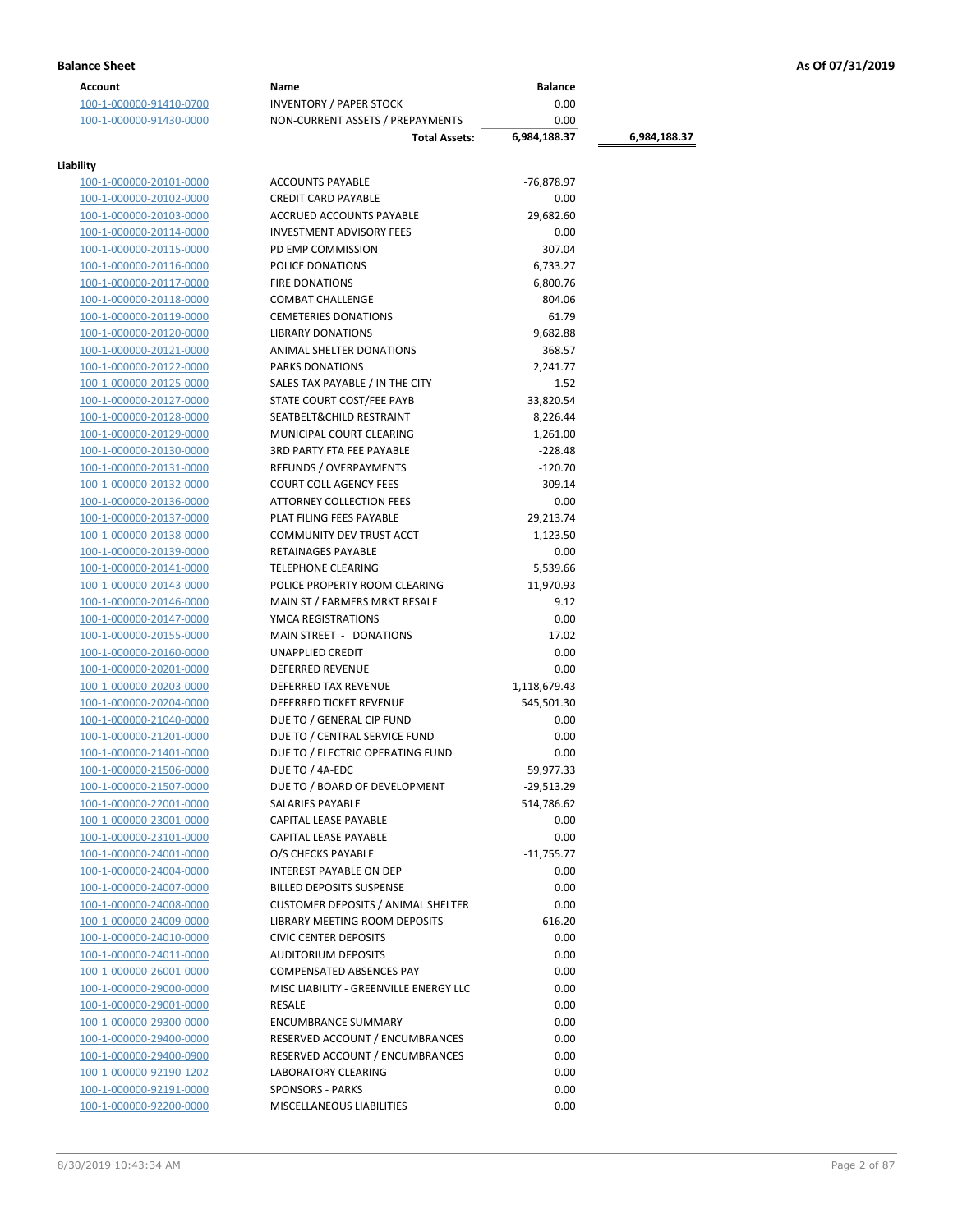| <b>Account</b>          | Name                                      | <b>Balance</b> |              |
|-------------------------|-------------------------------------------|----------------|--------------|
| 100-1-000000-91410-0700 | <b>INVENTORY / PAPER STOCK</b>            | 0.00           |              |
| 100-1-000000-91430-0000 | NON-CURRENT ASSETS / PREPAYMENTS          | 0.00           |              |
|                         | <b>Total Assets:</b>                      | 6,984,188.37   | 6,984,188.37 |
|                         |                                           |                |              |
| Liability               |                                           |                |              |
| 100-1-000000-20101-0000 | <b>ACCOUNTS PAYABLE</b>                   | -76,878.97     |              |
| 100-1-000000-20102-0000 | <b>CREDIT CARD PAYABLE</b>                | 0.00           |              |
| 100-1-000000-20103-0000 | ACCRUED ACCOUNTS PAYABLE                  | 29,682.60      |              |
| 100-1-000000-20114-0000 | <b>INVESTMENT ADVISORY FEES</b>           | 0.00           |              |
| 100-1-000000-20115-0000 | PD EMP COMMISSION                         | 307.04         |              |
| 100-1-000000-20116-0000 | POLICE DONATIONS                          | 6,733.27       |              |
| 100-1-000000-20117-0000 | <b>FIRE DONATIONS</b>                     | 6,800.76       |              |
| 100-1-000000-20118-0000 | <b>COMBAT CHALLENGE</b>                   | 804.06         |              |
| 100-1-000000-20119-0000 | <b>CEMETERIES DONATIONS</b>               | 61.79          |              |
| 100-1-000000-20120-0000 | <b>LIBRARY DONATIONS</b>                  | 9,682.88       |              |
| 100-1-000000-20121-0000 | ANIMAL SHELTER DONATIONS                  | 368.57         |              |
| 100-1-000000-20122-0000 | PARKS DONATIONS                           | 2,241.77       |              |
| 100-1-000000-20125-0000 | SALES TAX PAYABLE / IN THE CITY           | $-1.52$        |              |
| 100-1-000000-20127-0000 | STATE COURT COST/FEE PAYB                 | 33,820.54      |              |
| 100-1-000000-20128-0000 | SEATBELT& CHILD RESTRAINT                 | 8,226.44       |              |
| 100-1-000000-20129-0000 | MUNICIPAL COURT CLEARING                  | 1,261.00       |              |
| 100-1-000000-20130-0000 | <b>3RD PARTY FTA FEE PAYABLE</b>          | $-228.48$      |              |
| 100-1-000000-20131-0000 | <b>REFUNDS / OVERPAYMENTS</b>             | $-120.70$      |              |
| 100-1-000000-20132-0000 | <b>COURT COLL AGENCY FEES</b>             | 309.14         |              |
| 100-1-000000-20136-0000 | <b>ATTORNEY COLLECTION FEES</b>           | 0.00           |              |
| 100-1-000000-20137-0000 | PLAT FILING FEES PAYABLE                  | 29,213.74      |              |
| 100-1-000000-20138-0000 | COMMUNITY DEV TRUST ACCT                  | 1,123.50       |              |
|                         | RETAINAGES PAYABLE                        | 0.00           |              |
| 100-1-000000-20139-0000 | <b>TELEPHONE CLEARING</b>                 | 5,539.66       |              |
| 100-1-000000-20141-0000 | POLICE PROPERTY ROOM CLEARING             |                |              |
| 100-1-000000-20143-0000 |                                           | 11,970.93      |              |
| 100-1-000000-20146-0000 | MAIN ST / FARMERS MRKT RESALE             | 9.12           |              |
| 100-1-000000-20147-0000 | YMCA REGISTRATIONS                        | 0.00           |              |
| 100-1-000000-20155-0000 | MAIN STREET - DONATIONS                   | 17.02          |              |
| 100-1-000000-20160-0000 | UNAPPLIED CREDIT                          | 0.00           |              |
| 100-1-000000-20201-0000 | <b>DEFERRED REVENUE</b>                   | 0.00           |              |
| 100-1-000000-20203-0000 | <b>DEFERRED TAX REVENUE</b>               | 1,118,679.43   |              |
| 100-1-000000-20204-0000 | DEFERRED TICKET REVENUE                   | 545,501.30     |              |
| 100-1-000000-21040-0000 | DUE TO / GENERAL CIP FUND                 | 0.00           |              |
| 100-1-000000-21201-0000 | DUE TO / CENTRAL SERVICE FUND             | 0.00           |              |
| 100-1-000000-21401-0000 | DUE TO / ELECTRIC OPERATING FUND          | 0.00           |              |
| 100-1-000000-21506-0000 | DUE TO / 4A-EDC                           | 59,977.33      |              |
| 100-1-000000-21507-0000 | DUE TO / BOARD OF DEVELOPMENT             | -29,513.29     |              |
| 100-1-000000-22001-0000 | SALARIES PAYABLE                          | 514,786.62     |              |
| 100-1-000000-23001-0000 | CAPITAL LEASE PAYABLE                     | 0.00           |              |
| 100-1-000000-23101-0000 | CAPITAL LEASE PAYABLE                     | 0.00           |              |
| 100-1-000000-24001-0000 | O/S CHECKS PAYABLE                        | $-11,755.77$   |              |
| 100-1-000000-24004-0000 | <b>INTEREST PAYABLE ON DEP</b>            | 0.00           |              |
| 100-1-000000-24007-0000 | <b>BILLED DEPOSITS SUSPENSE</b>           | 0.00           |              |
| 100-1-000000-24008-0000 | <b>CUSTOMER DEPOSITS / ANIMAL SHELTER</b> | 0.00           |              |
| 100-1-000000-24009-0000 | LIBRARY MEETING ROOM DEPOSITS             | 616.20         |              |
| 100-1-000000-24010-0000 | <b>CIVIC CENTER DEPOSITS</b>              | 0.00           |              |
| 100-1-000000-24011-0000 | <b>AUDITORIUM DEPOSITS</b>                | 0.00           |              |
| 100-1-000000-26001-0000 | COMPENSATED ABSENCES PAY                  | 0.00           |              |
| 100-1-000000-29000-0000 | MISC LIABILITY - GREENVILLE ENERGY LLC    | 0.00           |              |
| 100-1-000000-29001-0000 | RESALE                                    | 0.00           |              |
| 100-1-000000-29300-0000 | <b>ENCUMBRANCE SUMMARY</b>                | 0.00           |              |
| 100-1-000000-29400-0000 | RESERVED ACCOUNT / ENCUMBRANCES           | 0.00           |              |
| 100-1-000000-29400-0900 | RESERVED ACCOUNT / ENCUMBRANCES           | 0.00           |              |
| 100-1-000000-92190-1202 | <b>LABORATORY CLEARING</b>                | 0.00           |              |
| 100-1-000000-92191-0000 | <b>SPONSORS - PARKS</b>                   | 0.00           |              |
| 100-1-000000-92200-0000 | MISCELLANEOUS LIABILITIES                 | 0.00           |              |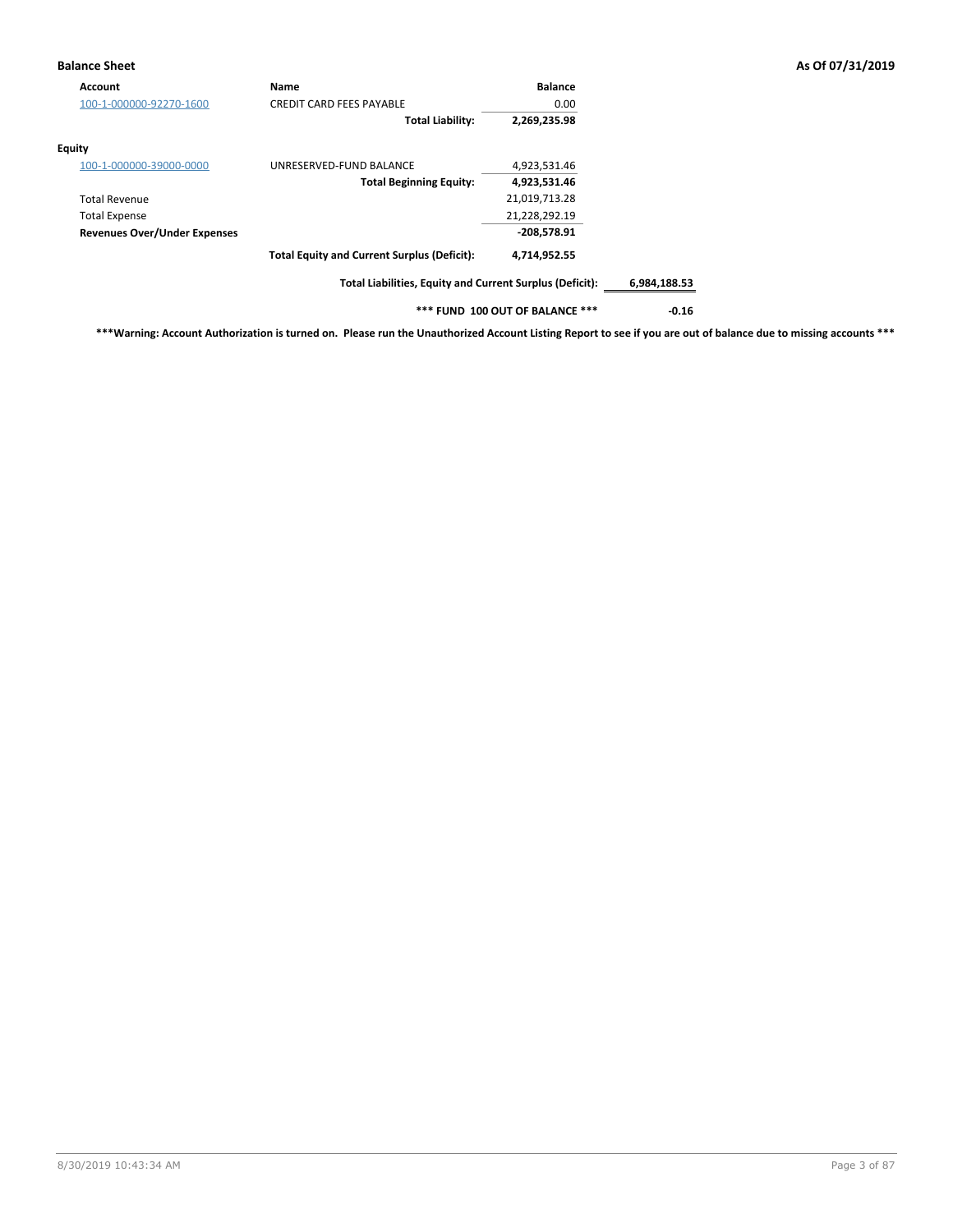### **Balance Sheet As Of 07/31/2019**

| Account                             | Name                                                     | <b>Balance</b>                  |              |
|-------------------------------------|----------------------------------------------------------|---------------------------------|--------------|
| 100-1-000000-92270-1600             | <b>CREDIT CARD FEES PAYABLE</b>                          | 0.00                            |              |
|                                     | <b>Total Liability:</b>                                  | 2,269,235.98                    |              |
| Equity                              |                                                          |                                 |              |
| 100-1-000000-39000-0000             | UNRESERVED-FUND BALANCE                                  | 4,923,531.46                    |              |
|                                     | <b>Total Beginning Equity:</b>                           | 4,923,531.46                    |              |
| <b>Total Revenue</b>                |                                                          | 21,019,713.28                   |              |
| <b>Total Expense</b>                |                                                          | 21,228,292.19                   |              |
| <b>Revenues Over/Under Expenses</b> |                                                          | $-208,578.91$                   |              |
|                                     | <b>Total Equity and Current Surplus (Deficit):</b>       | 4,714,952.55                    |              |
|                                     | Total Liabilities, Equity and Current Surplus (Deficit): |                                 | 6,984,188.53 |
|                                     |                                                          | *** FUND 100 OUT OF BALANCE *** | $-0.16$      |

**\*\*\*Warning: Account Authorization is turned on. Please run the Unauthorized Account Listing Report to see if you are out of balance due to missing accounts \*\*\***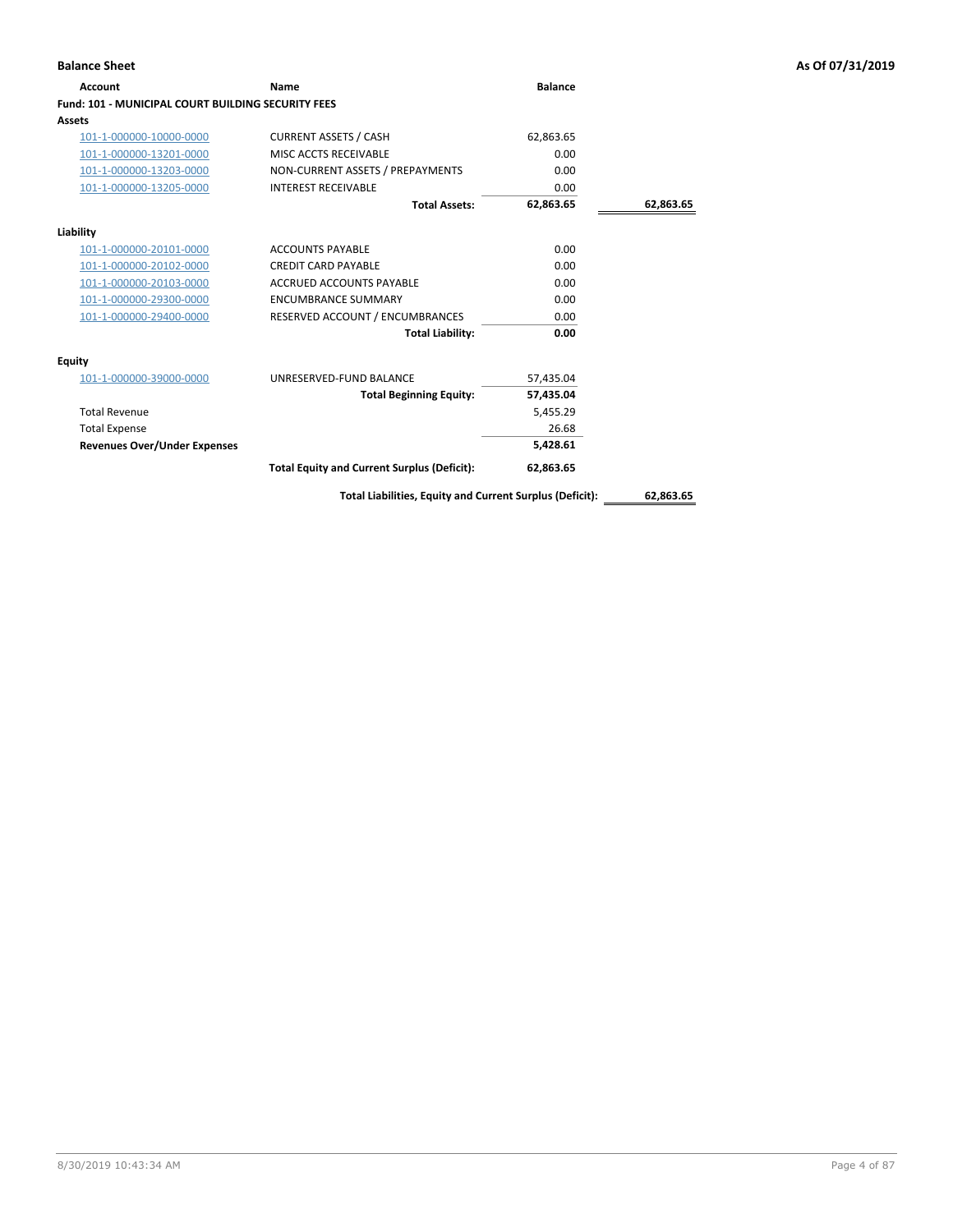## **Account Name Balance Fund: 101 - MUNICIPAL COURT BUILDING SECURITY FEES Assets** 101-1-000000-10000-0000 CURRENT ASSETS / CASH 62,863.65 101-1-000000-13201-0000 MISC ACCTS RECEIVABLE 0.00 101-1-000000-13203-0000 NON-CURRENT ASSETS / PREPAYMENTS 0.00 101-1-000000-13205-0000 INTEREST RECEIVABLE 0.00 **Total Assets: 62,863.65 62,863.65 Liability** 101-1-000000-20101-0000 ACCOUNTS PAYABLE 0.00 101-1-000000-20102-0000 CREDIT CARD PAYABLE 0.00 101-1-000000-20103-0000 ACCRUED ACCOUNTS PAYABLE 0.00 101-1-000000-29300-0000 ENCUMBRANCE SUMMARY 0.00 101-1-000000-29400-0000 RESERVED ACCOUNT / ENCUMBRANCES 0.00 **Total Liability: 0.00 Equity** 101-1-000000-39000-0000 UNRESERVED-FUND BALANCE 57,435.04 **Total Beginning Equity: 57,435.04** Total Revenue 5,455.29 Total Expense 26.68 **Revenues Over/Under Expenses 5,428.61 Total Equity and Current Surplus (Deficit): 62,863.65**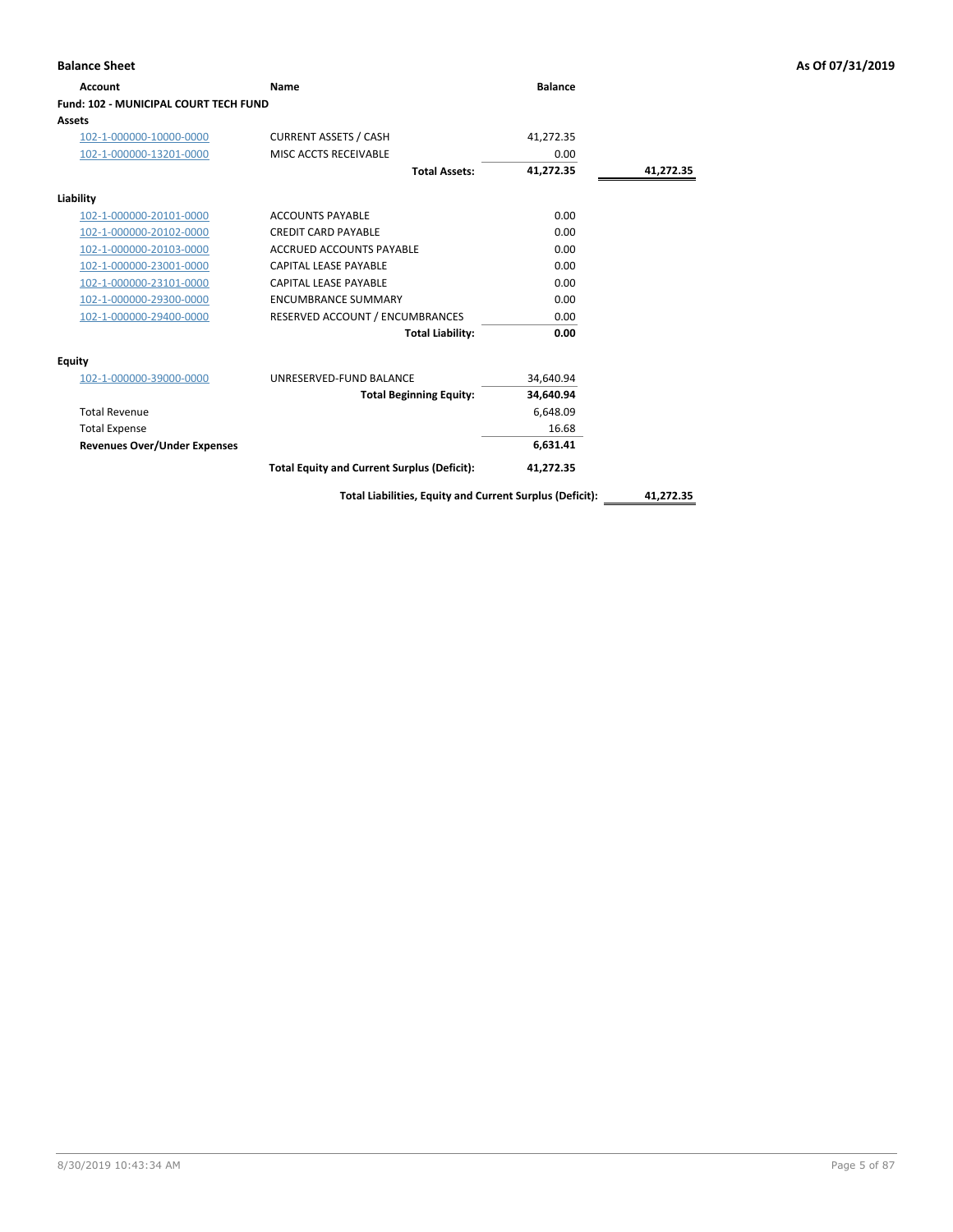| <b>Account</b>                        | Name                                               | <b>Balance</b> |           |
|---------------------------------------|----------------------------------------------------|----------------|-----------|
| Fund: 102 - MUNICIPAL COURT TECH FUND |                                                    |                |           |
| Assets                                |                                                    |                |           |
| 102-1-000000-10000-0000               | <b>CURRENT ASSETS / CASH</b>                       | 41,272.35      |           |
| 102-1-000000-13201-0000               | MISC ACCTS RECEIVABLE                              | 0.00           |           |
|                                       | <b>Total Assets:</b>                               | 41.272.35      | 41,272.35 |
| Liability                             |                                                    |                |           |
| 102-1-000000-20101-0000               | <b>ACCOUNTS PAYABLE</b>                            | 0.00           |           |
| 102-1-000000-20102-0000               | <b>CREDIT CARD PAYABLE</b>                         | 0.00           |           |
| 102-1-000000-20103-0000               | ACCRUED ACCOUNTS PAYABLE                           | 0.00           |           |
| 102-1-000000-23001-0000               | <b>CAPITAL LEASE PAYABLE</b>                       | 0.00           |           |
| 102-1-000000-23101-0000               | CAPITAL LEASE PAYABLE                              | 0.00           |           |
| 102-1-000000-29300-0000               | <b>ENCUMBRANCE SUMMARY</b>                         | 0.00           |           |
| 102-1-000000-29400-0000               | RESERVED ACCOUNT / ENCUMBRANCES                    | 0.00           |           |
|                                       | <b>Total Liability:</b>                            | 0.00           |           |
| <b>Equity</b>                         |                                                    |                |           |
| 102-1-000000-39000-0000               | UNRESERVED-FUND BALANCE                            | 34,640.94      |           |
|                                       | <b>Total Beginning Equity:</b>                     | 34.640.94      |           |
| <b>Total Revenue</b>                  |                                                    | 6,648.09       |           |
| <b>Total Expense</b>                  |                                                    | 16.68          |           |
| <b>Revenues Over/Under Expenses</b>   |                                                    | 6,631.41       |           |
|                                       | <b>Total Equity and Current Surplus (Deficit):</b> | 41,272.35      |           |

**Balance Sheet As Of 07/31/2019**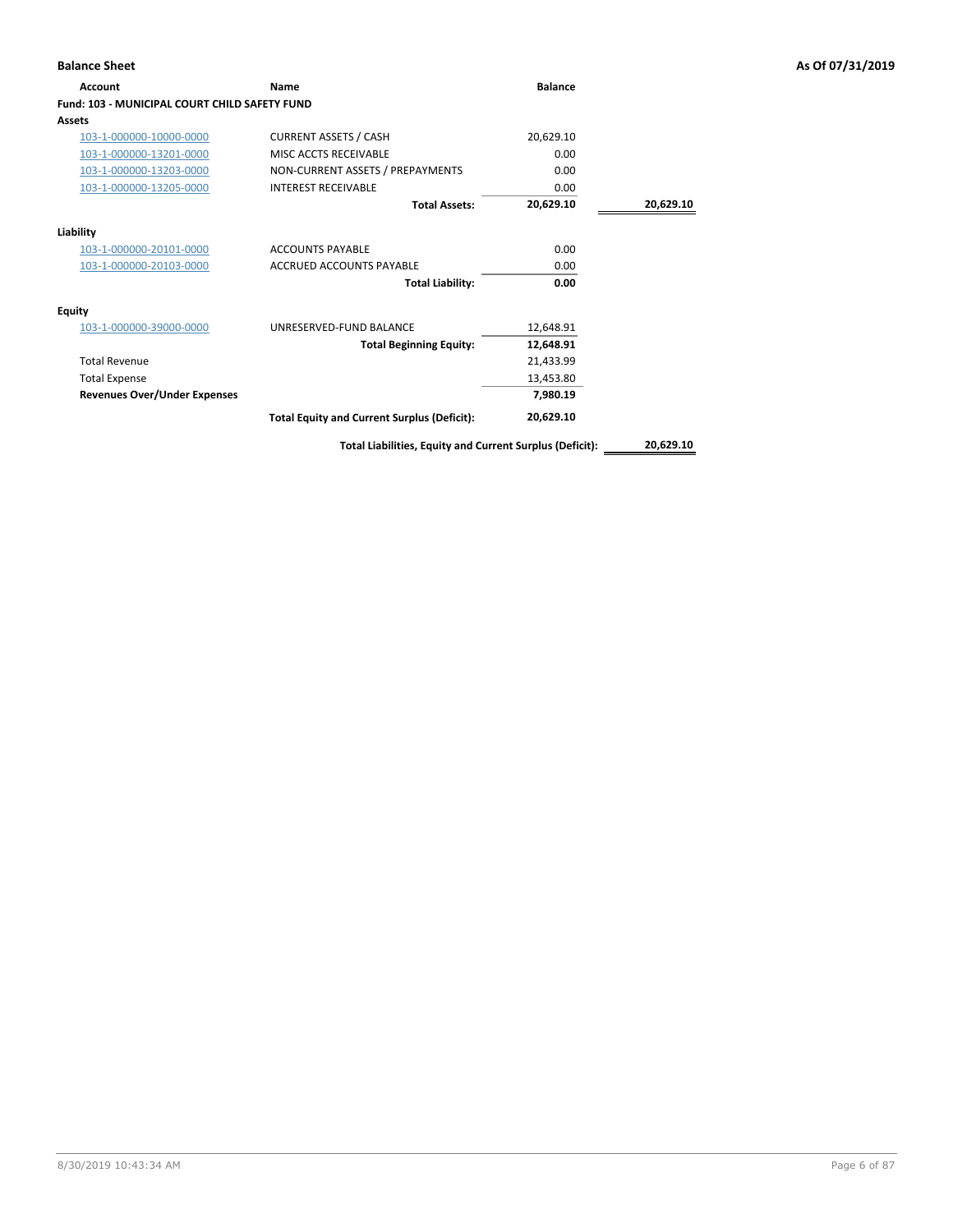| <b>Account</b>                                       | <b>Name</b>                                              | <b>Balance</b> |           |
|------------------------------------------------------|----------------------------------------------------------|----------------|-----------|
| <b>Fund: 103 - MUNICIPAL COURT CHILD SAFETY FUND</b> |                                                          |                |           |
| Assets                                               |                                                          |                |           |
| 103-1-000000-10000-0000                              | <b>CURRENT ASSETS / CASH</b>                             | 20,629.10      |           |
| 103-1-000000-13201-0000                              | MISC ACCTS RECEIVABLE                                    | 0.00           |           |
| 103-1-000000-13203-0000                              | NON-CURRENT ASSETS / PREPAYMENTS                         | 0.00           |           |
| 103-1-000000-13205-0000                              | <b>INTEREST RECEIVABLE</b>                               | 0.00           |           |
|                                                      | <b>Total Assets:</b>                                     | 20,629.10      | 20,629.10 |
| Liability                                            |                                                          |                |           |
| 103-1-000000-20101-0000                              | <b>ACCOUNTS PAYABLE</b>                                  | 0.00           |           |
| 103-1-000000-20103-0000                              | <b>ACCRUED ACCOUNTS PAYABLE</b>                          | 0.00           |           |
|                                                      | <b>Total Liability:</b>                                  | 0.00           |           |
| <b>Equity</b>                                        |                                                          |                |           |
| 103-1-000000-39000-0000                              | UNRESERVED-FUND BALANCE                                  | 12,648.91      |           |
|                                                      | <b>Total Beginning Equity:</b>                           | 12,648.91      |           |
| <b>Total Revenue</b>                                 |                                                          | 21,433.99      |           |
| <b>Total Expense</b>                                 |                                                          | 13,453.80      |           |
| <b>Revenues Over/Under Expenses</b>                  |                                                          | 7,980.19       |           |
|                                                      | <b>Total Equity and Current Surplus (Deficit):</b>       | 20,629.10      |           |
|                                                      | Total Liabilities, Equity and Current Surplus (Deficit): |                | 20,629.10 |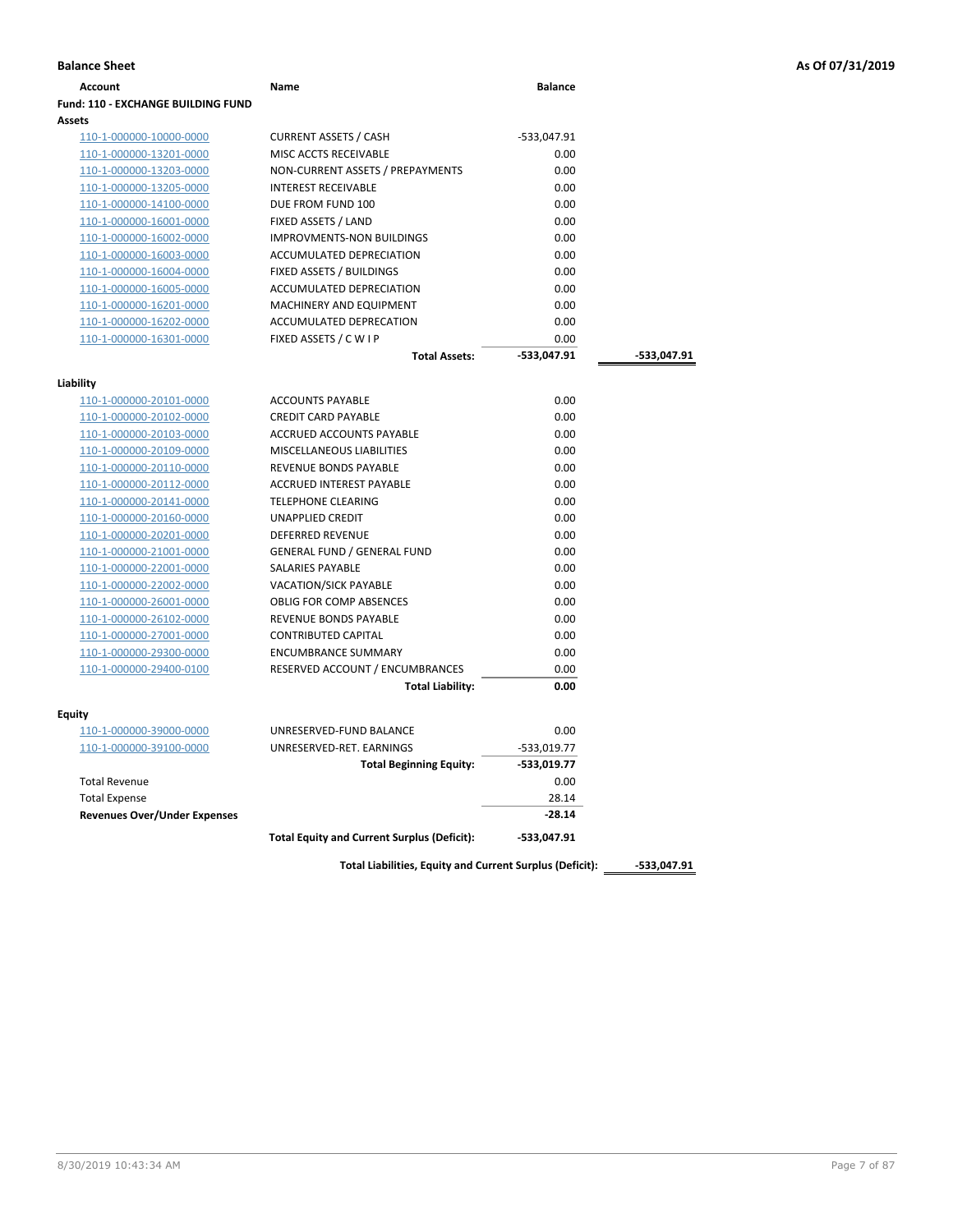| <b>Fund: 110 - EXCHANGE BUILDING FUND</b><br>Assets<br>110-1-000000-10000-0000<br>110-1-000000-13201-0000<br>110-1-000000-13203-0000 | <b>CURRENT ASSETS / CASH</b><br>MISC ACCTS RECEIVABLE<br>NON-CURRENT ASSETS / PREPAYMENTS | -533,047.91<br>0.00 |             |
|--------------------------------------------------------------------------------------------------------------------------------------|-------------------------------------------------------------------------------------------|---------------------|-------------|
|                                                                                                                                      |                                                                                           |                     |             |
|                                                                                                                                      |                                                                                           |                     |             |
|                                                                                                                                      |                                                                                           |                     |             |
|                                                                                                                                      |                                                                                           |                     |             |
|                                                                                                                                      |                                                                                           | 0.00                |             |
| 110-1-000000-13205-0000                                                                                                              | <b>INTEREST RECEIVABLE</b>                                                                | 0.00                |             |
| 110-1-000000-14100-0000                                                                                                              | DUE FROM FUND 100                                                                         | 0.00                |             |
| 110-1-000000-16001-0000                                                                                                              | FIXED ASSETS / LAND                                                                       | 0.00                |             |
| 110-1-000000-16002-0000                                                                                                              | <b>IMPROVMENTS-NON BUILDINGS</b>                                                          | 0.00                |             |
| 110-1-000000-16003-0000                                                                                                              | ACCUMULATED DEPRECIATION                                                                  | 0.00                |             |
| 110-1-000000-16004-0000                                                                                                              | FIXED ASSETS / BUILDINGS                                                                  | 0.00                |             |
| 110-1-000000-16005-0000                                                                                                              | ACCUMULATED DEPRECIATION                                                                  | 0.00                |             |
| 110-1-000000-16201-0000                                                                                                              | MACHINERY AND EQUIPMENT                                                                   | 0.00                |             |
| 110-1-000000-16202-0000                                                                                                              | ACCUMULATED DEPRECATION                                                                   | 0.00                |             |
| 110-1-000000-16301-0000                                                                                                              | FIXED ASSETS / C W I P                                                                    | 0.00                |             |
|                                                                                                                                      | <b>Total Assets:</b>                                                                      | -533,047.91         | -533,047.91 |
| Liability                                                                                                                            |                                                                                           |                     |             |
| 110-1-000000-20101-0000                                                                                                              | <b>ACCOUNTS PAYABLE</b>                                                                   | 0.00                |             |
| 110-1-000000-20102-0000                                                                                                              | <b>CREDIT CARD PAYABLE</b>                                                                | 0.00                |             |
| 110-1-000000-20103-0000                                                                                                              | <b>ACCRUED ACCOUNTS PAYABLE</b>                                                           | 0.00                |             |
| 110-1-000000-20109-0000                                                                                                              | <b>MISCELLANEOUS LIABILITIES</b>                                                          | 0.00                |             |
| 110-1-000000-20110-0000                                                                                                              | <b>REVENUE BONDS PAYABLE</b>                                                              | 0.00                |             |
| 110-1-000000-20112-0000                                                                                                              | <b>ACCRUED INTEREST PAYABLE</b>                                                           | 0.00                |             |
| 110-1-000000-20141-0000                                                                                                              | <b>TELEPHONE CLEARING</b>                                                                 | 0.00                |             |
| 110-1-000000-20160-0000                                                                                                              | UNAPPLIED CREDIT                                                                          | 0.00                |             |
| 110-1-000000-20201-0000                                                                                                              | <b>DEFERRED REVENUE</b>                                                                   | 0.00                |             |
| 110-1-000000-21001-0000                                                                                                              | <b>GENERAL FUND / GENERAL FUND</b>                                                        | 0.00                |             |
| 110-1-000000-22001-0000                                                                                                              | SALARIES PAYABLE                                                                          | 0.00                |             |
| 110-1-000000-22002-0000                                                                                                              | <b>VACATION/SICK PAYABLE</b>                                                              | 0.00                |             |
| 110-1-000000-26001-0000                                                                                                              | <b>OBLIG FOR COMP ABSENCES</b>                                                            | 0.00                |             |
| 110-1-000000-26102-0000                                                                                                              | REVENUE BONDS PAYABLE                                                                     | 0.00                |             |
| 110-1-000000-27001-0000                                                                                                              | <b>CONTRIBUTED CAPITAL</b>                                                                | 0.00                |             |
| 110-1-000000-29300-0000                                                                                                              | <b>ENCUMBRANCE SUMMARY</b>                                                                | 0.00                |             |
| 110-1-000000-29400-0100                                                                                                              | RESERVED ACCOUNT / ENCUMBRANCES                                                           | 0.00                |             |
|                                                                                                                                      | <b>Total Liability:</b>                                                                   | 0.00                |             |
| Equity                                                                                                                               |                                                                                           |                     |             |
| 110-1-000000-39000-0000                                                                                                              | UNRESERVED-FUND BALANCE                                                                   | 0.00                |             |
| 110-1-000000-39100-0000                                                                                                              | UNRESERVED-RET. EARNINGS                                                                  | -533,019.77         |             |
|                                                                                                                                      | <b>Total Beginning Equity:</b>                                                            | -533,019.77         |             |
| <b>Total Revenue</b>                                                                                                                 |                                                                                           | 0.00                |             |
| <b>Total Expense</b>                                                                                                                 |                                                                                           | 28.14               |             |
| <b>Revenues Over/Under Expenses</b>                                                                                                  |                                                                                           | -28.14              |             |
|                                                                                                                                      | <b>Total Equity and Current Surplus (Deficit):</b>                                        | $-533,047.91$       |             |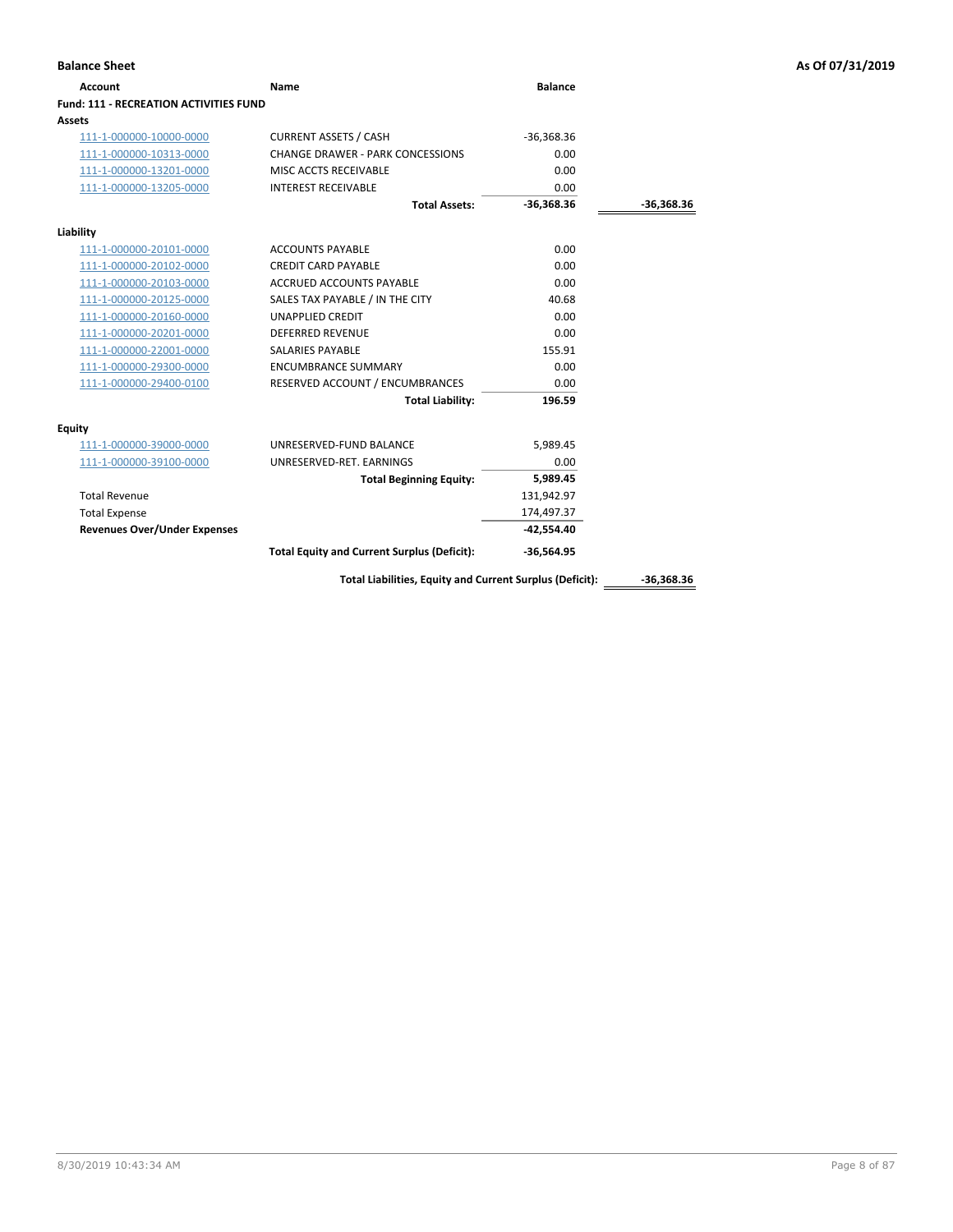| <b>Account</b>                                | Name                                                     | <b>Balance</b> |              |
|-----------------------------------------------|----------------------------------------------------------|----------------|--------------|
| <b>Fund: 111 - RECREATION ACTIVITIES FUND</b> |                                                          |                |              |
| Assets                                        |                                                          |                |              |
| 111-1-000000-10000-0000                       | <b>CURRENT ASSETS / CASH</b>                             | $-36,368.36$   |              |
| 111-1-000000-10313-0000                       | <b>CHANGE DRAWER - PARK CONCESSIONS</b>                  | 0.00           |              |
| 111-1-000000-13201-0000                       | MISC ACCTS RECEIVABLE                                    | 0.00           |              |
| 111-1-000000-13205-0000                       | <b>INTEREST RECEIVABLE</b>                               | 0.00           |              |
|                                               | <b>Total Assets:</b>                                     | $-36,368.36$   | -36,368.36   |
| Liability                                     |                                                          |                |              |
| 111-1-000000-20101-0000                       | <b>ACCOUNTS PAYABLE</b>                                  | 0.00           |              |
| 111-1-000000-20102-0000                       | <b>CREDIT CARD PAYABLE</b>                               | 0.00           |              |
| 111-1-000000-20103-0000                       | <b>ACCRUED ACCOUNTS PAYABLE</b>                          | 0.00           |              |
| 111-1-000000-20125-0000                       | SALES TAX PAYABLE / IN THE CITY                          | 40.68          |              |
| 111-1-000000-20160-0000                       | <b>UNAPPLIED CREDIT</b>                                  | 0.00           |              |
| 111-1-000000-20201-0000                       | <b>DEFERRED REVENUE</b>                                  | 0.00           |              |
| 111-1-000000-22001-0000                       | <b>SALARIES PAYABLE</b>                                  | 155.91         |              |
| 111-1-000000-29300-0000                       | <b>ENCUMBRANCE SUMMARY</b>                               | 0.00           |              |
| 111-1-000000-29400-0100                       | RESERVED ACCOUNT / ENCUMBRANCES                          | 0.00           |              |
|                                               | <b>Total Liability:</b>                                  | 196.59         |              |
| <b>Equity</b>                                 |                                                          |                |              |
| 111-1-000000-39000-0000                       | UNRESERVED-FUND BALANCE                                  | 5,989.45       |              |
| 111-1-000000-39100-0000                       | UNRESERVED-RET. EARNINGS                                 | 0.00           |              |
|                                               | <b>Total Beginning Equity:</b>                           | 5,989.45       |              |
| <b>Total Revenue</b>                          |                                                          | 131,942.97     |              |
| <b>Total Expense</b>                          |                                                          | 174,497.37     |              |
| <b>Revenues Over/Under Expenses</b>           |                                                          | $-42,554.40$   |              |
|                                               | <b>Total Equity and Current Surplus (Deficit):</b>       | $-36,564.95$   |              |
|                                               | Total Liabilities, Equity and Current Surplus (Deficit): |                | $-36.368.36$ |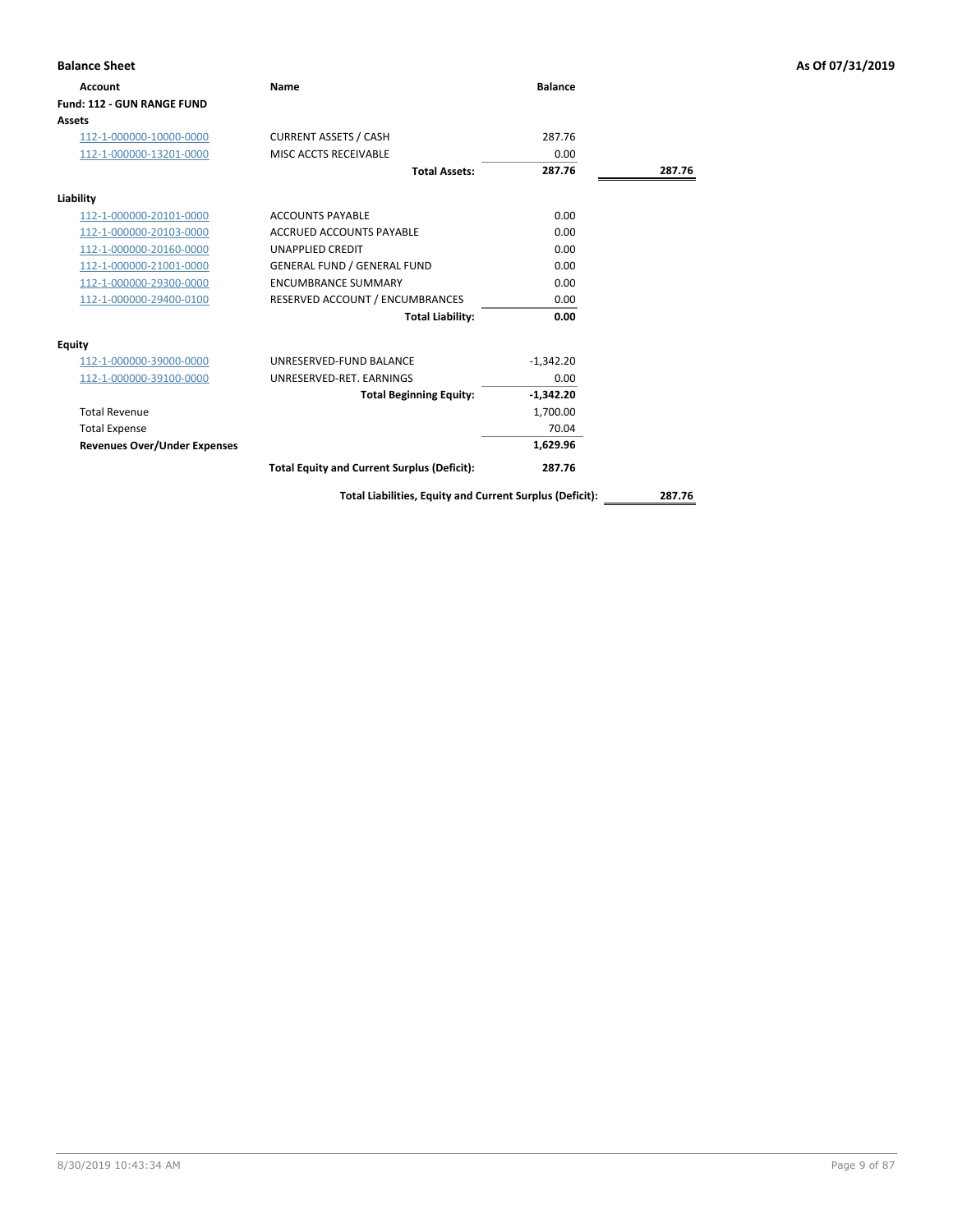| <b>Balance Sheet</b>                |                                                    |                |        | As Of 07/31/2019 |
|-------------------------------------|----------------------------------------------------|----------------|--------|------------------|
| Account                             | <b>Name</b>                                        | <b>Balance</b> |        |                  |
| Fund: 112 - GUN RANGE FUND          |                                                    |                |        |                  |
| Assets                              |                                                    |                |        |                  |
| 112-1-000000-10000-0000             | <b>CURRENT ASSETS / CASH</b>                       | 287.76         |        |                  |
| 112-1-000000-13201-0000             | MISC ACCTS RECEIVABLE                              | 0.00           |        |                  |
|                                     | <b>Total Assets:</b>                               | 287.76         | 287.76 |                  |
| Liability                           |                                                    |                |        |                  |
| 112-1-000000-20101-0000             | <b>ACCOUNTS PAYABLE</b>                            | 0.00           |        |                  |
| 112-1-000000-20103-0000             | ACCRUED ACCOUNTS PAYABLE                           | 0.00           |        |                  |
| 112-1-000000-20160-0000             | <b>UNAPPLIED CREDIT</b>                            | 0.00           |        |                  |
| 112-1-000000-21001-0000             | <b>GENERAL FUND / GENERAL FUND</b>                 | 0.00           |        |                  |
| 112-1-000000-29300-0000             | <b>ENCUMBRANCE SUMMARY</b>                         | 0.00           |        |                  |
| 112-1-000000-29400-0100             | RESERVED ACCOUNT / ENCUMBRANCES                    | 0.00           |        |                  |
|                                     | <b>Total Liability:</b>                            | 0.00           |        |                  |
| Equity                              |                                                    |                |        |                  |
| 112-1-000000-39000-0000             | UNRESERVED-FUND BALANCE                            | $-1,342.20$    |        |                  |
| 112-1-000000-39100-0000             | UNRESERVED-RET. EARNINGS                           | 0.00           |        |                  |
|                                     | <b>Total Beginning Equity:</b>                     | $-1,342.20$    |        |                  |
| <b>Total Revenue</b>                |                                                    | 1,700.00       |        |                  |
| <b>Total Expense</b>                |                                                    | 70.04          |        |                  |
| <b>Revenues Over/Under Expenses</b> |                                                    | 1,629.96       |        |                  |
|                                     | <b>Total Equity and Current Surplus (Deficit):</b> | 287.76         |        |                  |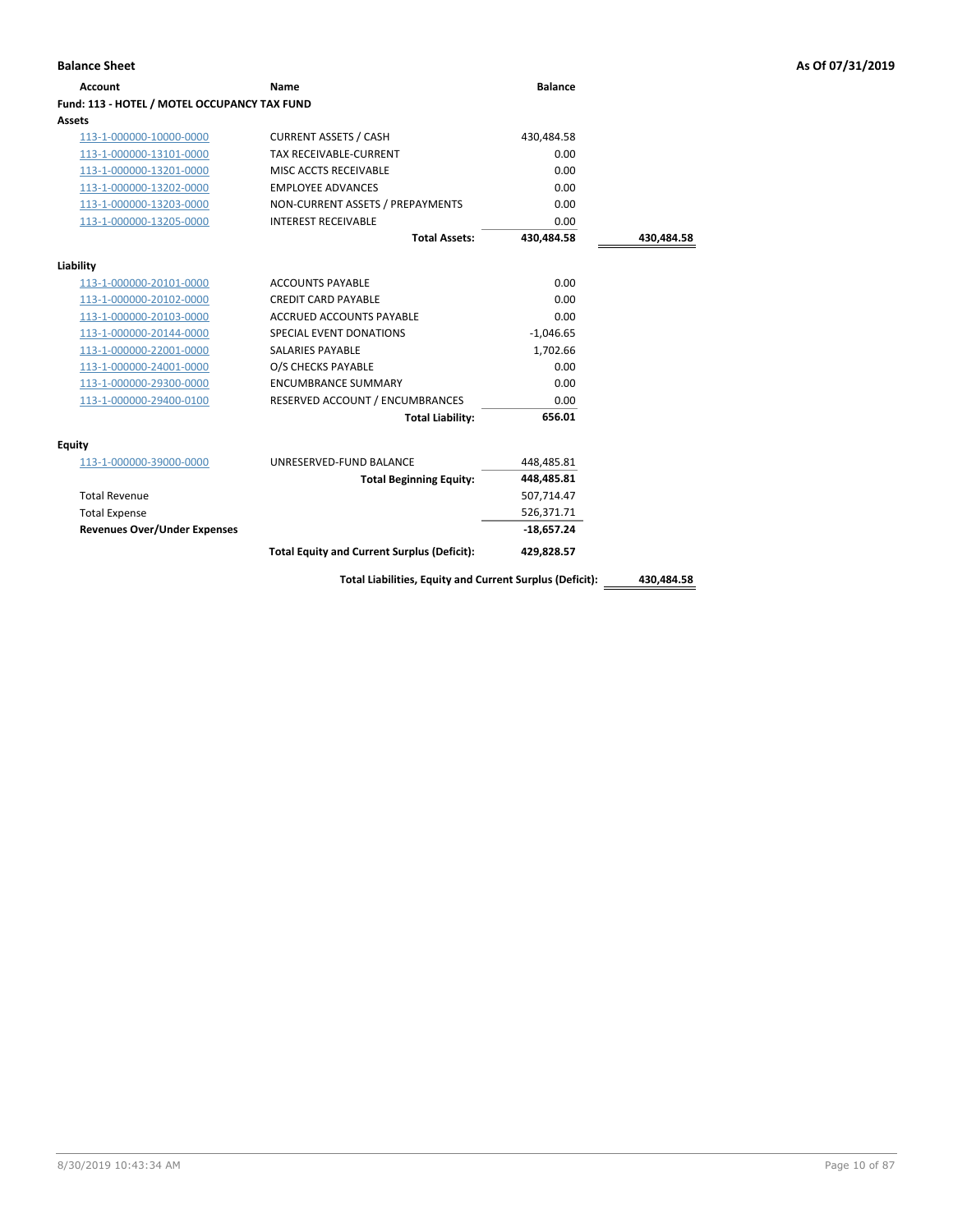| <b>Account</b>                               | Name                                                     | <b>Balance</b> |            |
|----------------------------------------------|----------------------------------------------------------|----------------|------------|
| Fund: 113 - HOTEL / MOTEL OCCUPANCY TAX FUND |                                                          |                |            |
| Assets                                       |                                                          |                |            |
| 113-1-000000-10000-0000                      | <b>CURRENT ASSETS / CASH</b>                             | 430,484.58     |            |
| 113-1-000000-13101-0000                      | <b>TAX RECEIVABLE-CURRENT</b>                            | 0.00           |            |
| 113-1-000000-13201-0000                      | MISC ACCTS RECEIVABLE                                    | 0.00           |            |
| 113-1-000000-13202-0000                      | <b>EMPLOYEE ADVANCES</b>                                 | 0.00           |            |
| 113-1-000000-13203-0000                      | NON-CURRENT ASSETS / PREPAYMENTS                         | 0.00           |            |
| 113-1-000000-13205-0000                      | <b>INTEREST RECEIVABLE</b>                               | 0.00           |            |
|                                              | <b>Total Assets:</b>                                     | 430.484.58     | 430,484.58 |
| Liability                                    |                                                          |                |            |
| 113-1-000000-20101-0000                      | <b>ACCOUNTS PAYABLE</b>                                  | 0.00           |            |
| 113-1-000000-20102-0000                      | <b>CREDIT CARD PAYABLE</b>                               | 0.00           |            |
| 113-1-000000-20103-0000                      | <b>ACCRUED ACCOUNTS PAYABLE</b>                          | 0.00           |            |
| 113-1-000000-20144-0000                      | SPECIAL EVENT DONATIONS                                  | $-1,046.65$    |            |
| 113-1-000000-22001-0000                      | <b>SALARIES PAYABLE</b>                                  | 1,702.66       |            |
| 113-1-000000-24001-0000                      | O/S CHECKS PAYABLE                                       | 0.00           |            |
| 113-1-000000-29300-0000                      | <b>ENCUMBRANCE SUMMARY</b>                               | 0.00           |            |
| 113-1-000000-29400-0100                      | RESERVED ACCOUNT / ENCUMBRANCES                          | 0.00           |            |
|                                              | <b>Total Liability:</b>                                  | 656.01         |            |
| Equity                                       |                                                          |                |            |
| 113-1-000000-39000-0000                      | UNRESERVED-FUND BALANCE                                  | 448,485.81     |            |
|                                              | <b>Total Beginning Equity:</b>                           | 448,485.81     |            |
| <b>Total Revenue</b>                         |                                                          | 507,714.47     |            |
| <b>Total Expense</b>                         |                                                          | 526,371.71     |            |
| <b>Revenues Over/Under Expenses</b>          |                                                          | $-18,657.24$   |            |
|                                              | <b>Total Equity and Current Surplus (Deficit):</b>       | 429,828.57     |            |
|                                              | Total Liabilities, Equity and Current Surplus (Deficit): |                | 430,484.58 |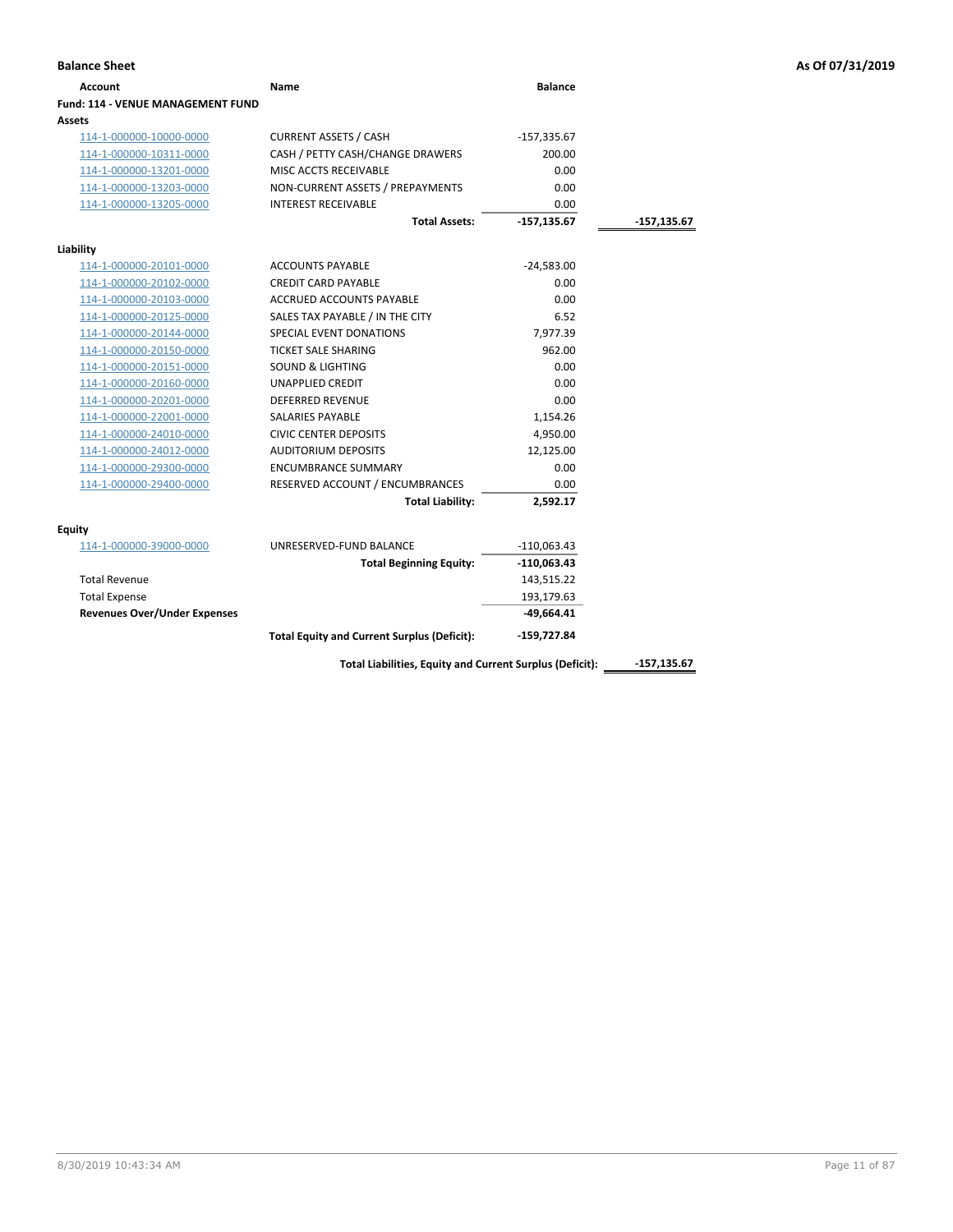| Account                                  | Name                                               | <b>Balance</b> |               |
|------------------------------------------|----------------------------------------------------|----------------|---------------|
| <b>Fund: 114 - VENUE MANAGEMENT FUND</b> |                                                    |                |               |
| Assets                                   |                                                    |                |               |
| 114-1-000000-10000-0000                  | <b>CURRENT ASSETS / CASH</b>                       | $-157,335.67$  |               |
| 114-1-000000-10311-0000                  | CASH / PETTY CASH/CHANGE DRAWERS                   | 200.00         |               |
| 114-1-000000-13201-0000                  | MISC ACCTS RECEIVABLE                              | 0.00           |               |
| 114-1-000000-13203-0000                  | NON-CURRENT ASSETS / PREPAYMENTS                   | 0.00           |               |
| 114-1-000000-13205-0000                  | <b>INTEREST RECEIVABLE</b>                         | 0.00           |               |
|                                          | <b>Total Assets:</b>                               | $-157,135.67$  | $-157,135.67$ |
| Liability                                |                                                    |                |               |
| 114-1-000000-20101-0000                  | <b>ACCOUNTS PAYABLE</b>                            | $-24,583.00$   |               |
| 114-1-000000-20102-0000                  | <b>CREDIT CARD PAYABLE</b>                         | 0.00           |               |
| 114-1-000000-20103-0000                  | <b>ACCRUED ACCOUNTS PAYABLE</b>                    | 0.00           |               |
| 114-1-000000-20125-0000                  | SALES TAX PAYABLE / IN THE CITY                    | 6.52           |               |
| 114-1-000000-20144-0000                  | <b>SPECIAL EVENT DONATIONS</b>                     | 7,977.39       |               |
| 114-1-000000-20150-0000                  | <b>TICKET SALE SHARING</b>                         | 962.00         |               |
| 114-1-000000-20151-0000                  | <b>SOUND &amp; LIGHTING</b>                        | 0.00           |               |
| 114-1-000000-20160-0000                  | <b>UNAPPLIED CREDIT</b>                            | 0.00           |               |
| 114-1-000000-20201-0000                  | <b>DEFERRED REVENUE</b>                            | 0.00           |               |
| 114-1-000000-22001-0000                  | <b>SALARIES PAYABLE</b>                            | 1,154.26       |               |
| 114-1-000000-24010-0000                  | <b>CIVIC CENTER DEPOSITS</b>                       | 4,950.00       |               |
| 114-1-000000-24012-0000                  | <b>AUDITORIUM DEPOSITS</b>                         | 12,125.00      |               |
| 114-1-000000-29300-0000                  | <b>ENCUMBRANCE SUMMARY</b>                         | 0.00           |               |
| 114-1-000000-29400-0000                  | RESERVED ACCOUNT / ENCUMBRANCES                    | 0.00           |               |
|                                          | <b>Total Liability:</b>                            | 2,592.17       |               |
| <b>Equity</b>                            |                                                    |                |               |
| 114-1-000000-39000-0000                  | UNRESERVED-FUND BALANCE                            | $-110,063.43$  |               |
|                                          | <b>Total Beginning Equity:</b>                     | $-110,063.43$  |               |
| <b>Total Revenue</b>                     |                                                    | 143,515.22     |               |
| <b>Total Expense</b>                     |                                                    | 193,179.63     |               |
| <b>Revenues Over/Under Expenses</b>      |                                                    | $-49,664.41$   |               |
|                                          | <b>Total Equity and Current Surplus (Deficit):</b> | -159,727.84    |               |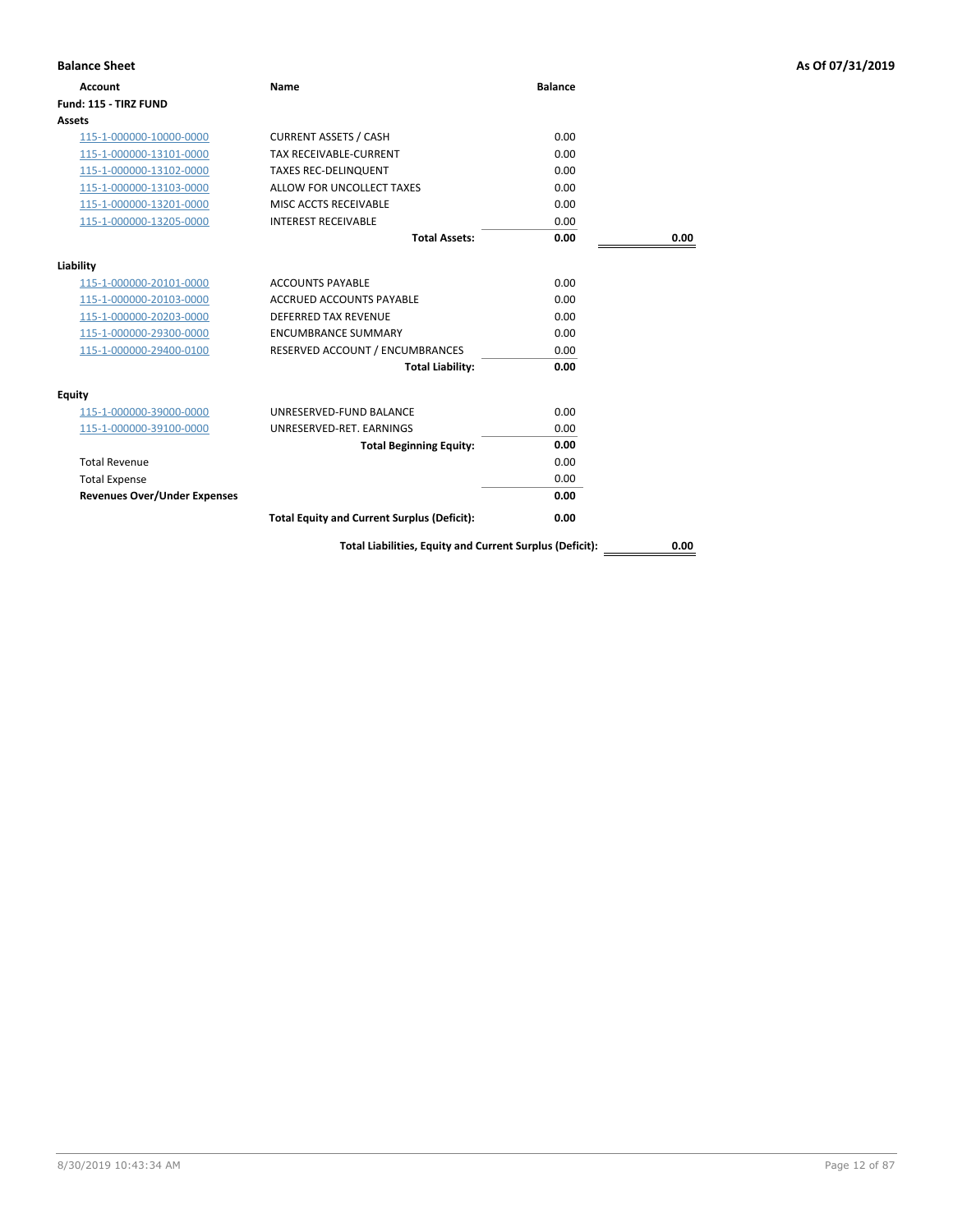| <b>Balance Sheet</b>                |                                                          |                |      | As Of 07/31/2019 |
|-------------------------------------|----------------------------------------------------------|----------------|------|------------------|
| <b>Account</b>                      | <b>Name</b>                                              | <b>Balance</b> |      |                  |
| Fund: 115 - TIRZ FUND               |                                                          |                |      |                  |
| Assets                              |                                                          |                |      |                  |
| 115-1-000000-10000-0000             | <b>CURRENT ASSETS / CASH</b>                             | 0.00           |      |                  |
| 115-1-000000-13101-0000             | <b>TAX RECEIVABLE-CURRENT</b>                            | 0.00           |      |                  |
| 115-1-000000-13102-0000             | <b>TAXES REC-DELINQUENT</b>                              | 0.00           |      |                  |
| 115-1-000000-13103-0000             | ALLOW FOR UNCOLLECT TAXES                                | 0.00           |      |                  |
| 115-1-000000-13201-0000             | MISC ACCTS RECEIVABLE                                    | 0.00           |      |                  |
| 115-1-000000-13205-0000             | <b>INTEREST RECEIVABLE</b>                               | 0.00           |      |                  |
|                                     | <b>Total Assets:</b>                                     | 0.00           | 0.00 |                  |
| Liability                           |                                                          |                |      |                  |
| 115-1-000000-20101-0000             | <b>ACCOUNTS PAYABLE</b>                                  | 0.00           |      |                  |
| 115-1-000000-20103-0000             | ACCRUED ACCOUNTS PAYABLE                                 | 0.00           |      |                  |
| 115-1-000000-20203-0000             | DEFERRED TAX REVENUE                                     | 0.00           |      |                  |
| 115-1-000000-29300-0000             | <b>ENCUMBRANCE SUMMARY</b>                               | 0.00           |      |                  |
| 115-1-000000-29400-0100             | RESERVED ACCOUNT / ENCUMBRANCES                          | 0.00           |      |                  |
|                                     | <b>Total Liability:</b>                                  | 0.00           |      |                  |
| <b>Equity</b>                       |                                                          |                |      |                  |
| 115-1-000000-39000-0000             | UNRESERVED-FUND BALANCE                                  | 0.00           |      |                  |
| 115-1-000000-39100-0000             | UNRESERVED-RET. EARNINGS                                 | 0.00           |      |                  |
|                                     | <b>Total Beginning Equity:</b>                           | 0.00           |      |                  |
| <b>Total Revenue</b>                |                                                          | 0.00           |      |                  |
| <b>Total Expense</b>                |                                                          | 0.00           |      |                  |
| <b>Revenues Over/Under Expenses</b> |                                                          | 0.00           |      |                  |
|                                     | <b>Total Equity and Current Surplus (Deficit):</b>       | 0.00           |      |                  |
|                                     | Total Liabilities, Equity and Current Surplus (Deficit): |                | 0.00 |                  |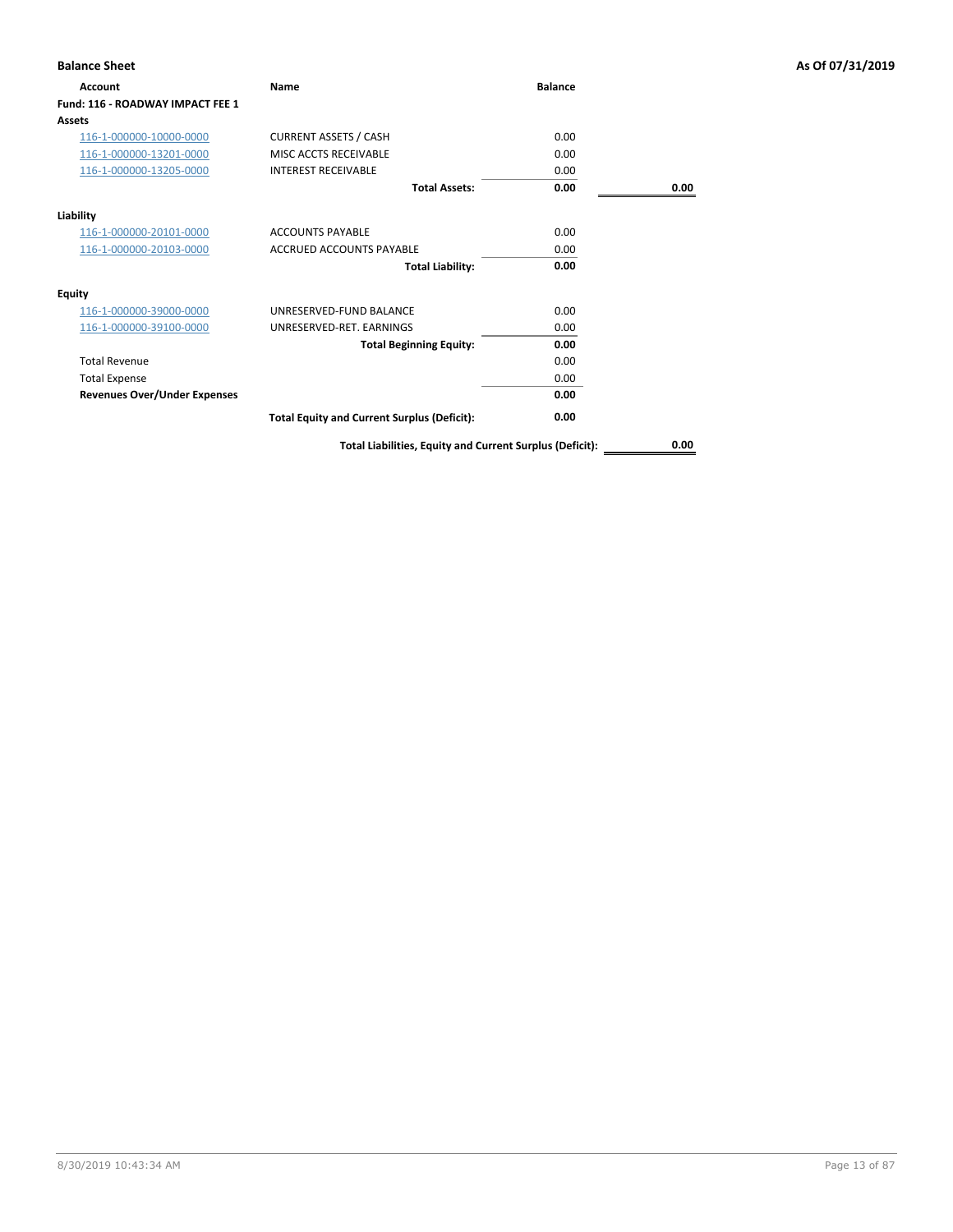| <b>Balance Sheet</b>                |                                                          |                |      | As Of 07/31/2019 |
|-------------------------------------|----------------------------------------------------------|----------------|------|------------------|
| Account                             | Name                                                     | <b>Balance</b> |      |                  |
| Fund: 116 - ROADWAY IMPACT FEE 1    |                                                          |                |      |                  |
| Assets                              |                                                          |                |      |                  |
| 116-1-000000-10000-0000             | <b>CURRENT ASSETS / CASH</b>                             | 0.00           |      |                  |
| 116-1-000000-13201-0000             | MISC ACCTS RECEIVABLE                                    | 0.00           |      |                  |
| 116-1-000000-13205-0000             | <b>INTEREST RECEIVABLE</b>                               | 0.00           |      |                  |
|                                     | <b>Total Assets:</b>                                     | 0.00           | 0.00 |                  |
| Liability                           |                                                          |                |      |                  |
| 116-1-000000-20101-0000             | <b>ACCOUNTS PAYABLE</b>                                  | 0.00           |      |                  |
| 116-1-000000-20103-0000             | <b>ACCRUED ACCOUNTS PAYABLE</b>                          | 0.00           |      |                  |
|                                     | <b>Total Liability:</b>                                  | 0.00           |      |                  |
| <b>Equity</b>                       |                                                          |                |      |                  |
| 116-1-000000-39000-0000             | UNRESERVED-FUND BALANCE                                  | 0.00           |      |                  |
| 116-1-000000-39100-0000             | UNRESERVED-RET. EARNINGS                                 | 0.00           |      |                  |
|                                     | <b>Total Beginning Equity:</b>                           | 0.00           |      |                  |
| <b>Total Revenue</b>                |                                                          | 0.00           |      |                  |
| <b>Total Expense</b>                |                                                          | 0.00           |      |                  |
| <b>Revenues Over/Under Expenses</b> |                                                          | 0.00           |      |                  |
|                                     | <b>Total Equity and Current Surplus (Deficit):</b>       | 0.00           |      |                  |
|                                     | Total Liabilities, Equity and Current Surplus (Deficit): |                | 0.00 |                  |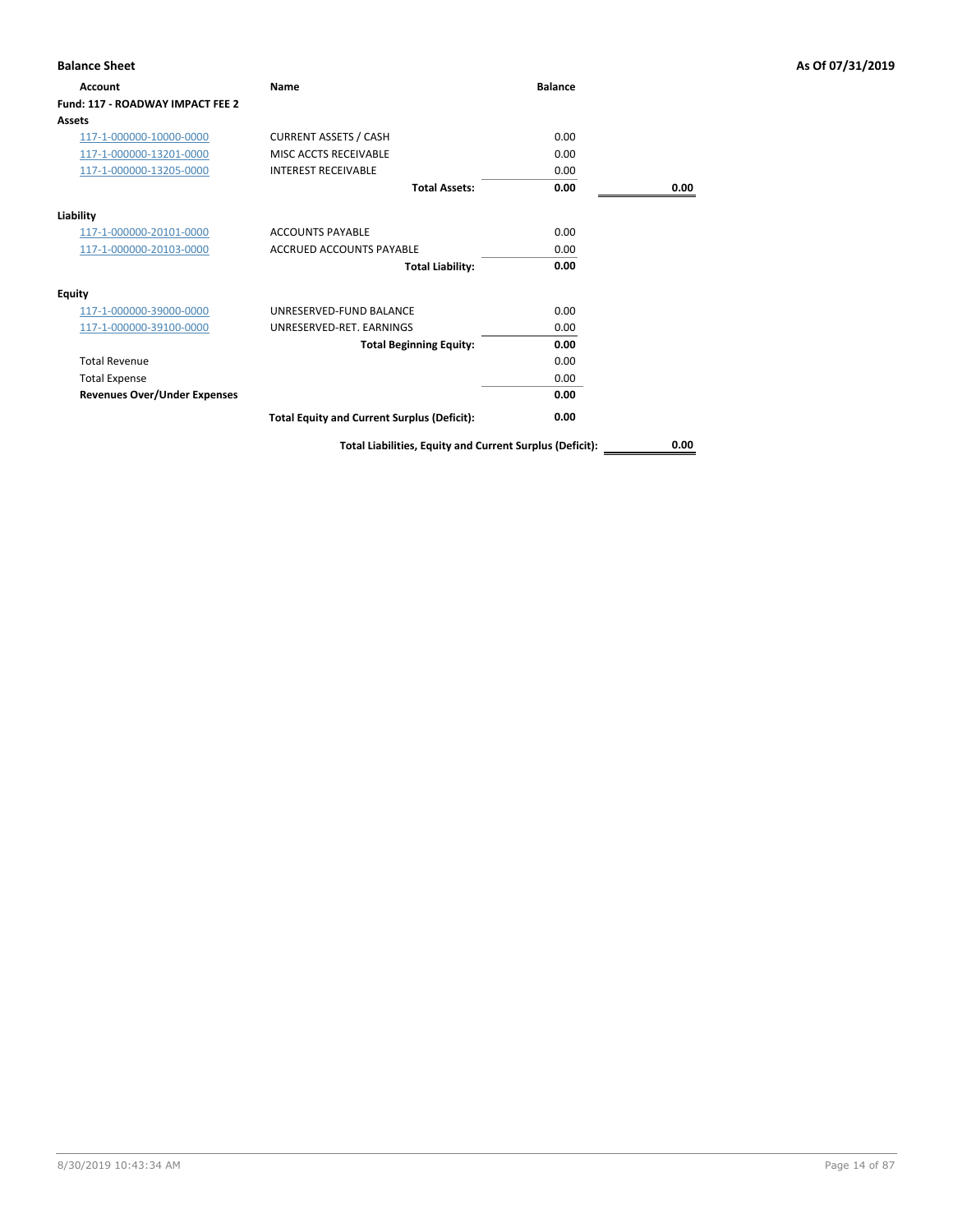| <b>Balance Sheet</b>                |                                                          |                |      | As Of 07/31/2019 |
|-------------------------------------|----------------------------------------------------------|----------------|------|------------------|
| Account                             | Name                                                     | <b>Balance</b> |      |                  |
| Fund: 117 - ROADWAY IMPACT FEE 2    |                                                          |                |      |                  |
| <b>Assets</b>                       |                                                          |                |      |                  |
| 117-1-000000-10000-0000             | <b>CURRENT ASSETS / CASH</b>                             | 0.00           |      |                  |
| 117-1-000000-13201-0000             | MISC ACCTS RECEIVABLE                                    | 0.00           |      |                  |
| 117-1-000000-13205-0000             | <b>INTEREST RECEIVABLE</b>                               | 0.00           |      |                  |
|                                     | <b>Total Assets:</b>                                     | 0.00           | 0.00 |                  |
| Liability                           |                                                          |                |      |                  |
| 117-1-000000-20101-0000             | <b>ACCOUNTS PAYABLE</b>                                  | 0.00           |      |                  |
| 117-1-000000-20103-0000             | <b>ACCRUED ACCOUNTS PAYABLE</b>                          | 0.00           |      |                  |
|                                     | <b>Total Liability:</b>                                  | 0.00           |      |                  |
| <b>Equity</b>                       |                                                          |                |      |                  |
| 117-1-000000-39000-0000             | UNRESERVED-FUND BALANCE                                  | 0.00           |      |                  |
| 117-1-000000-39100-0000             | UNRESERVED-RET. EARNINGS                                 | 0.00           |      |                  |
|                                     | <b>Total Beginning Equity:</b>                           | 0.00           |      |                  |
| <b>Total Revenue</b>                |                                                          | 0.00           |      |                  |
| <b>Total Expense</b>                |                                                          | 0.00           |      |                  |
| <b>Revenues Over/Under Expenses</b> |                                                          | 0.00           |      |                  |
|                                     | <b>Total Equity and Current Surplus (Deficit):</b>       | 0.00           |      |                  |
|                                     | Total Liabilities, Equity and Current Surplus (Deficit): |                | 0.00 |                  |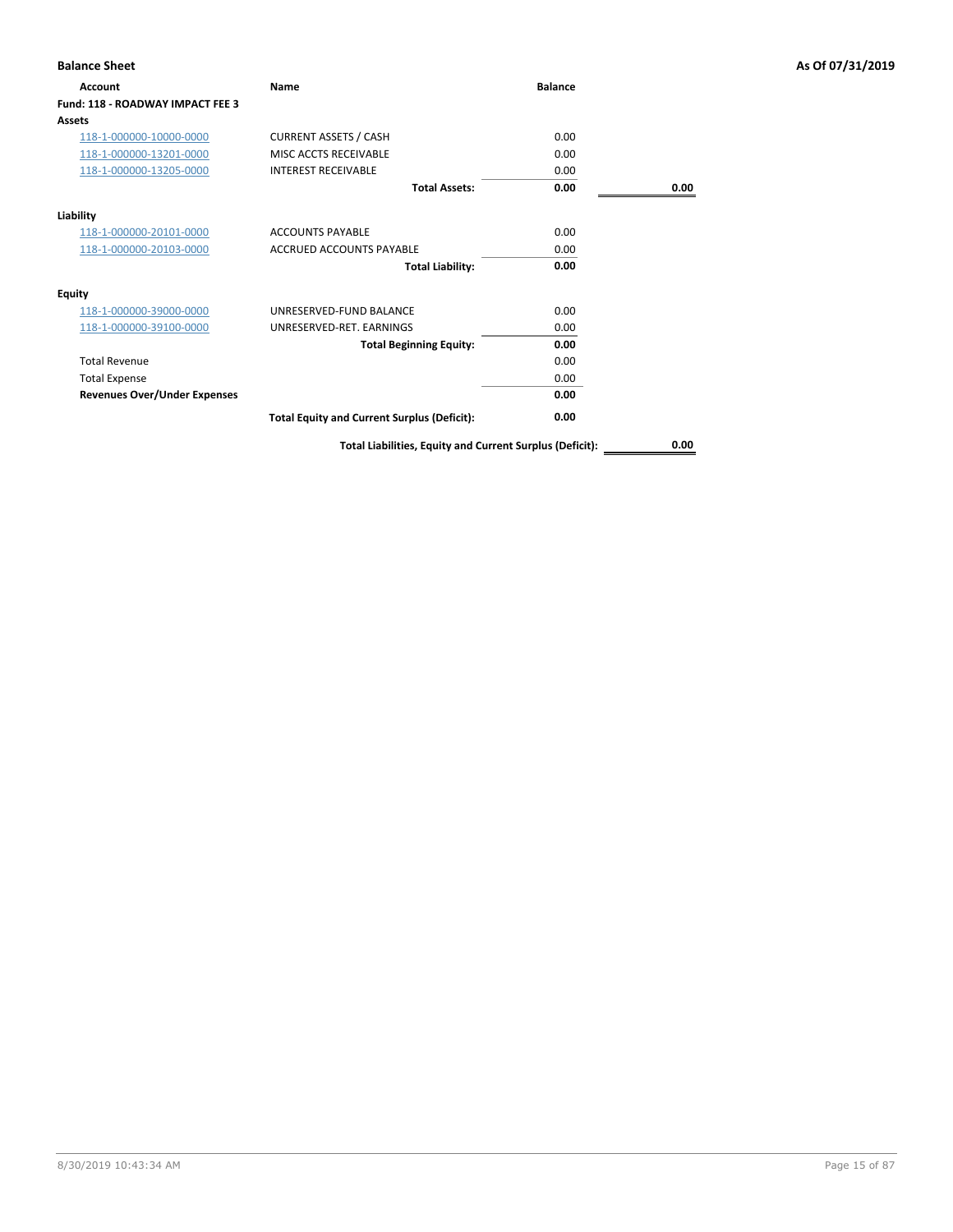| <b>Balance Sheet</b>                |                                                          |                |      | As Of 07/31/2019 |
|-------------------------------------|----------------------------------------------------------|----------------|------|------------------|
| Account                             | Name                                                     | <b>Balance</b> |      |                  |
| Fund: 118 - ROADWAY IMPACT FEE 3    |                                                          |                |      |                  |
| Assets                              |                                                          |                |      |                  |
| 118-1-000000-10000-0000             | <b>CURRENT ASSETS / CASH</b>                             | 0.00           |      |                  |
| 118-1-000000-13201-0000             | MISC ACCTS RECEIVABLE                                    | 0.00           |      |                  |
| 118-1-000000-13205-0000             | <b>INTEREST RECEIVABLE</b>                               | 0.00           |      |                  |
|                                     | <b>Total Assets:</b>                                     | 0.00           | 0.00 |                  |
| Liability                           |                                                          |                |      |                  |
| 118-1-000000-20101-0000             | <b>ACCOUNTS PAYABLE</b>                                  | 0.00           |      |                  |
| 118-1-000000-20103-0000             | <b>ACCRUED ACCOUNTS PAYABLE</b>                          | 0.00           |      |                  |
|                                     | <b>Total Liability:</b>                                  | 0.00           |      |                  |
| <b>Equity</b>                       |                                                          |                |      |                  |
| 118-1-000000-39000-0000             | UNRESERVED-FUND BALANCE                                  | 0.00           |      |                  |
| 118-1-000000-39100-0000             | UNRESERVED-RET. EARNINGS                                 | 0.00           |      |                  |
|                                     | <b>Total Beginning Equity:</b>                           | 0.00           |      |                  |
| <b>Total Revenue</b>                |                                                          | 0.00           |      |                  |
| <b>Total Expense</b>                |                                                          | 0.00           |      |                  |
| <b>Revenues Over/Under Expenses</b> |                                                          | 0.00           |      |                  |
|                                     | <b>Total Equity and Current Surplus (Deficit):</b>       | 0.00           |      |                  |
|                                     | Total Liabilities, Equity and Current Surplus (Deficit): |                | 0.00 |                  |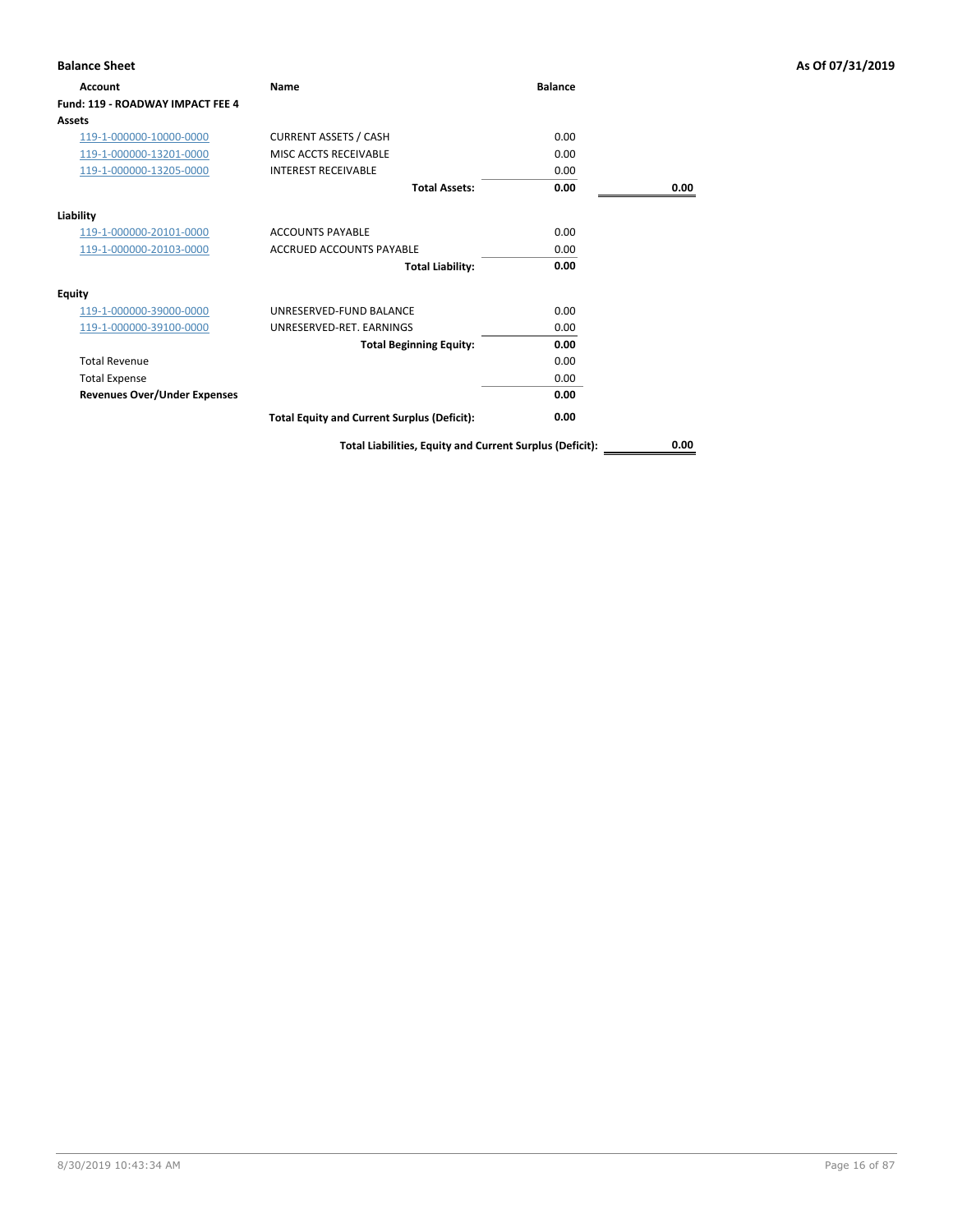| <b>Balance Sheet</b>                |                                                          |                |      | As Of 07/31/2019 |
|-------------------------------------|----------------------------------------------------------|----------------|------|------------------|
| Account                             | Name                                                     | <b>Balance</b> |      |                  |
| Fund: 119 - ROADWAY IMPACT FEE 4    |                                                          |                |      |                  |
| Assets                              |                                                          |                |      |                  |
| 119-1-000000-10000-0000             | <b>CURRENT ASSETS / CASH</b>                             | 0.00           |      |                  |
| 119-1-000000-13201-0000             | MISC ACCTS RECEIVABLE                                    | 0.00           |      |                  |
| 119-1-000000-13205-0000             | <b>INTEREST RECEIVABLE</b>                               | 0.00           |      |                  |
|                                     | <b>Total Assets:</b>                                     | 0.00           | 0.00 |                  |
| Liability                           |                                                          |                |      |                  |
| 119-1-000000-20101-0000             | <b>ACCOUNTS PAYABLE</b>                                  | 0.00           |      |                  |
| 119-1-000000-20103-0000             | <b>ACCRUED ACCOUNTS PAYABLE</b>                          | 0.00           |      |                  |
|                                     | <b>Total Liability:</b>                                  | 0.00           |      |                  |
| <b>Equity</b>                       |                                                          |                |      |                  |
| 119-1-000000-39000-0000             | UNRESERVED-FUND BALANCE                                  | 0.00           |      |                  |
| 119-1-000000-39100-0000             | UNRESERVED-RET. EARNINGS                                 | 0.00           |      |                  |
|                                     | <b>Total Beginning Equity:</b>                           | 0.00           |      |                  |
| <b>Total Revenue</b>                |                                                          | 0.00           |      |                  |
| <b>Total Expense</b>                |                                                          | 0.00           |      |                  |
| <b>Revenues Over/Under Expenses</b> |                                                          | 0.00           |      |                  |
|                                     | <b>Total Equity and Current Surplus (Deficit):</b>       | 0.00           |      |                  |
|                                     | Total Liabilities, Equity and Current Surplus (Deficit): |                | 0.00 |                  |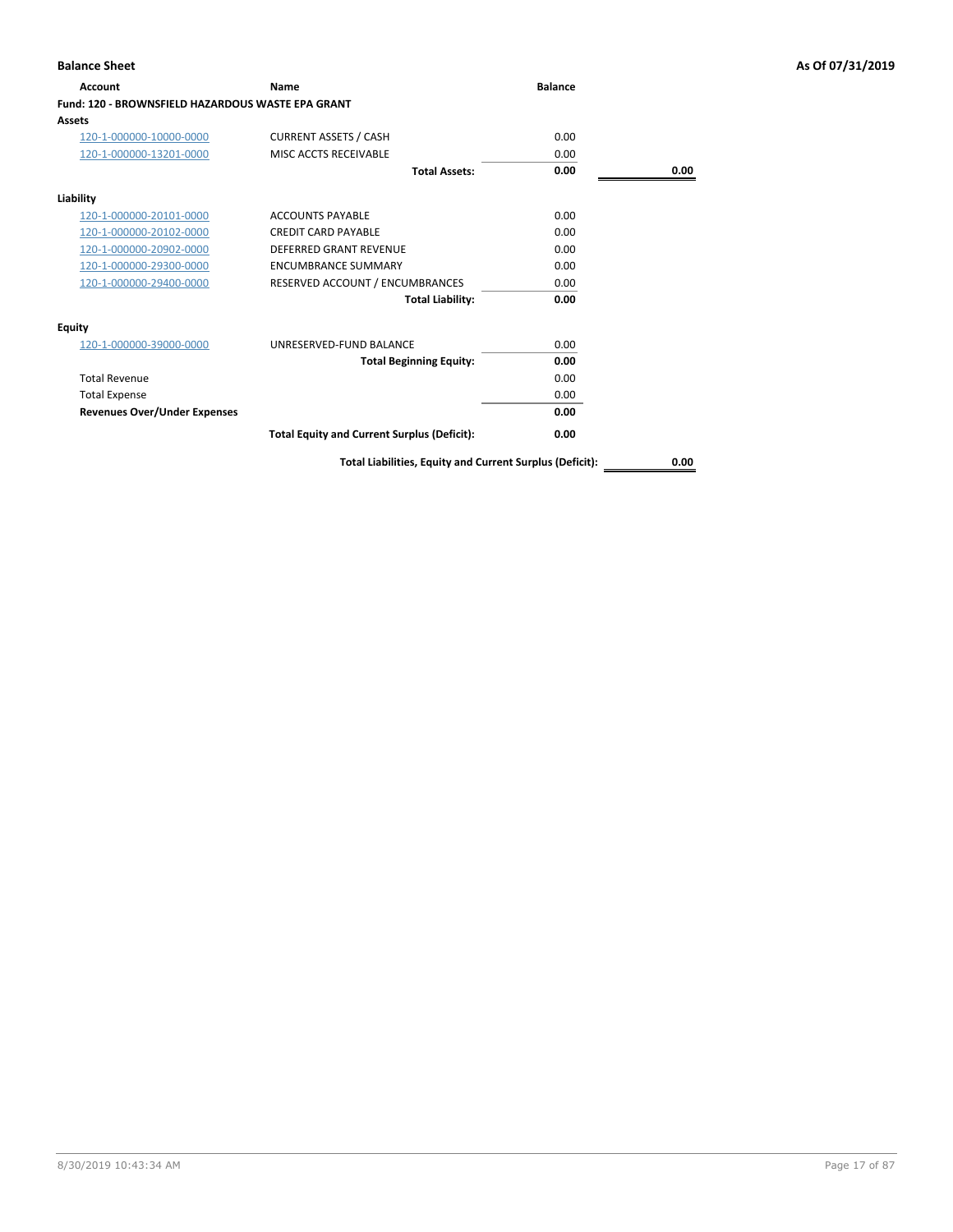| Account                                                  | <b>Name</b>                                        | <b>Balance</b> |      |
|----------------------------------------------------------|----------------------------------------------------|----------------|------|
| <b>Fund: 120 - BROWNSFIELD HAZARDOUS WASTE EPA GRANT</b> |                                                    |                |      |
| Assets                                                   |                                                    |                |      |
| 120-1-000000-10000-0000                                  | <b>CURRENT ASSETS / CASH</b>                       | 0.00           |      |
| 120-1-000000-13201-0000                                  | MISC ACCTS RECEIVABLE                              | 0.00           |      |
|                                                          | <b>Total Assets:</b>                               | 0.00           | 0.00 |
| Liability                                                |                                                    |                |      |
| 120-1-000000-20101-0000                                  | <b>ACCOUNTS PAYABLE</b>                            | 0.00           |      |
| 120-1-000000-20102-0000                                  | <b>CREDIT CARD PAYABLE</b>                         | 0.00           |      |
| 120-1-000000-20902-0000                                  | <b>DEFERRED GRANT REVENUE</b>                      | 0.00           |      |
| 120-1-000000-29300-0000                                  | <b>ENCUMBRANCE SUMMARY</b>                         | 0.00           |      |
| 120-1-000000-29400-0000                                  | RESERVED ACCOUNT / ENCUMBRANCES                    | 0.00           |      |
|                                                          | <b>Total Liability:</b>                            | 0.00           |      |
| <b>Equity</b>                                            |                                                    |                |      |
| 120-1-000000-39000-0000                                  | UNRESERVED-FUND BALANCE                            | 0.00           |      |
|                                                          | <b>Total Beginning Equity:</b>                     | 0.00           |      |
| <b>Total Revenue</b>                                     |                                                    | 0.00           |      |
| <b>Total Expense</b>                                     |                                                    | 0.00           |      |
| <b>Revenues Over/Under Expenses</b>                      |                                                    | 0.00           |      |
|                                                          | <b>Total Equity and Current Surplus (Deficit):</b> | 0.00           |      |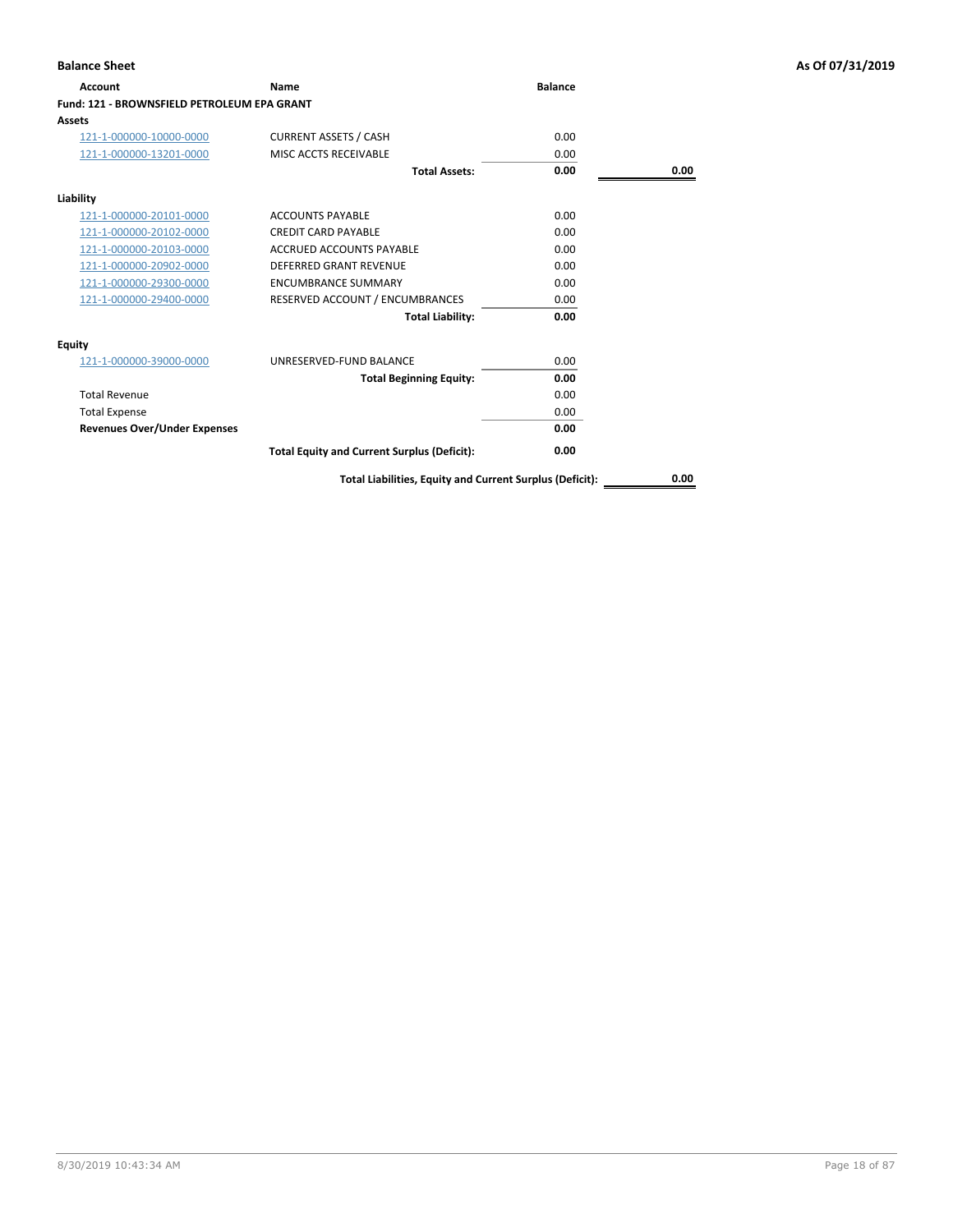| Account                                            | Name                                               | <b>Balance</b> |      |
|----------------------------------------------------|----------------------------------------------------|----------------|------|
| <b>Fund: 121 - BROWNSFIELD PETROLEUM EPA GRANT</b> |                                                    |                |      |
| Assets                                             |                                                    |                |      |
| 121-1-000000-10000-0000                            | <b>CURRENT ASSETS / CASH</b>                       | 0.00           |      |
| 121-1-000000-13201-0000                            | MISC ACCTS RECEIVABLE                              | 0.00           |      |
|                                                    | <b>Total Assets:</b>                               | 0.00           | 0.00 |
| Liability                                          |                                                    |                |      |
| 121-1-000000-20101-0000                            | <b>ACCOUNTS PAYABLE</b>                            | 0.00           |      |
| 121-1-000000-20102-0000                            | <b>CREDIT CARD PAYABLE</b>                         | 0.00           |      |
| 121-1-000000-20103-0000                            | <b>ACCRUED ACCOUNTS PAYABLE</b>                    | 0.00           |      |
| 121-1-000000-20902-0000                            | <b>DEFERRED GRANT REVENUE</b>                      | 0.00           |      |
| 121-1-000000-29300-0000                            | <b>ENCUMBRANCE SUMMARY</b>                         | 0.00           |      |
| 121-1-000000-29400-0000                            | RESERVED ACCOUNT / ENCUMBRANCES                    | 0.00           |      |
|                                                    | <b>Total Liability:</b>                            | 0.00           |      |
| Equity                                             |                                                    |                |      |
| 121-1-000000-39000-0000                            | UNRESERVED-FUND BALANCE                            | 0.00           |      |
|                                                    | <b>Total Beginning Equity:</b>                     | 0.00           |      |
| <b>Total Revenue</b>                               |                                                    | 0.00           |      |
| <b>Total Expense</b>                               |                                                    | 0.00           |      |
| <b>Revenues Over/Under Expenses</b>                |                                                    | 0.00           |      |
|                                                    | <b>Total Equity and Current Surplus (Deficit):</b> | 0.00           |      |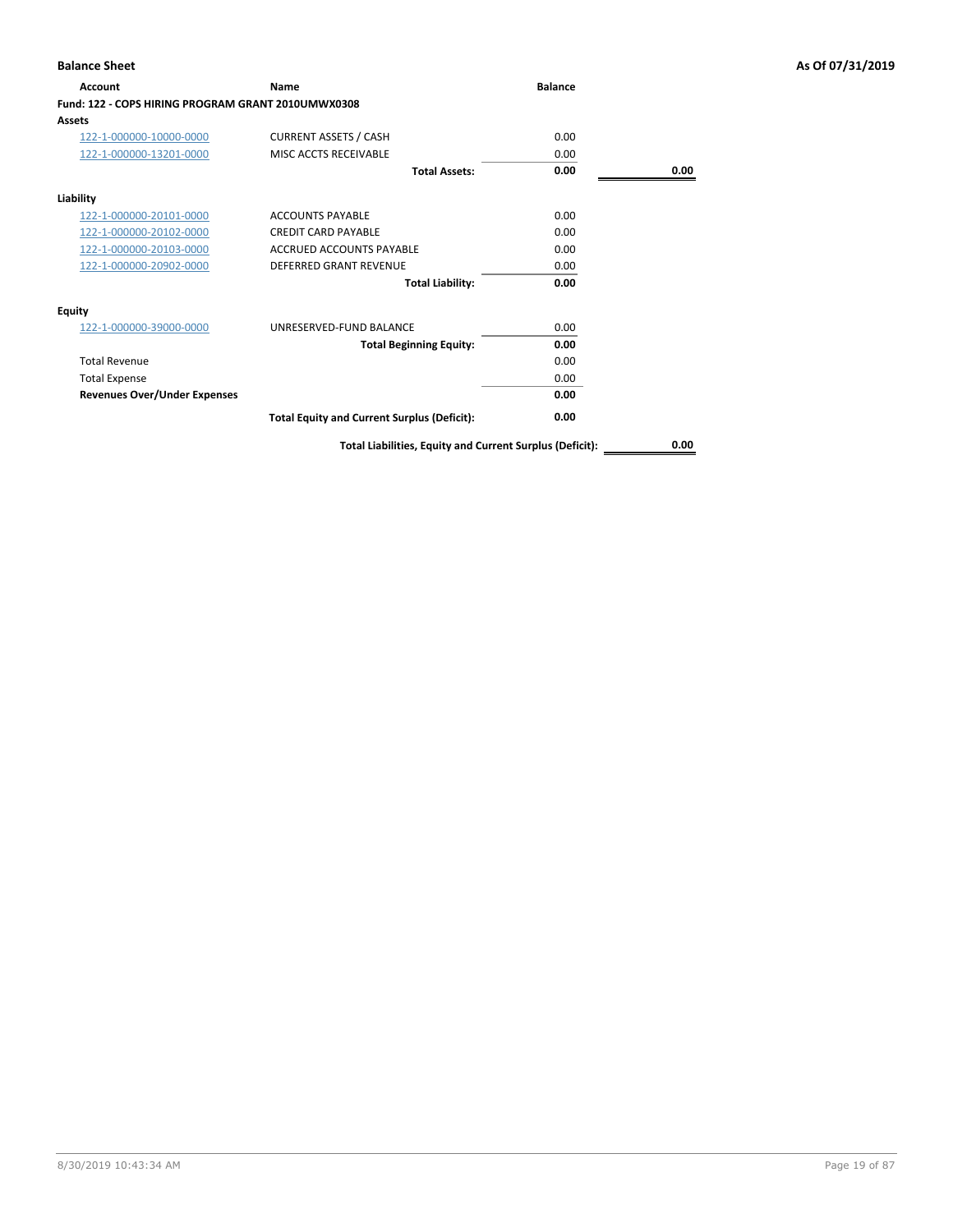| Account                                            | Name                                                     | <b>Balance</b> |      |
|----------------------------------------------------|----------------------------------------------------------|----------------|------|
| Fund: 122 - COPS HIRING PROGRAM GRANT 2010UMWX0308 |                                                          |                |      |
| Assets                                             |                                                          |                |      |
| 122-1-000000-10000-0000                            | <b>CURRENT ASSETS / CASH</b>                             | 0.00           |      |
| 122-1-000000-13201-0000                            | MISC ACCTS RECEIVABLE                                    | 0.00           |      |
|                                                    | <b>Total Assets:</b>                                     | 0.00           | 0.00 |
| Liability                                          |                                                          |                |      |
| 122-1-000000-20101-0000                            | <b>ACCOUNTS PAYABLE</b>                                  | 0.00           |      |
| 122-1-000000-20102-0000                            | <b>CREDIT CARD PAYABLE</b>                               | 0.00           |      |
| 122-1-000000-20103-0000                            | <b>ACCRUED ACCOUNTS PAYABLE</b>                          | 0.00           |      |
| 122-1-000000-20902-0000                            | <b>DEFERRED GRANT REVENUE</b>                            | 0.00           |      |
|                                                    | <b>Total Liability:</b>                                  | 0.00           |      |
| Equity                                             |                                                          |                |      |
| 122-1-000000-39000-0000                            | UNRESERVED-FUND BALANCE                                  | 0.00           |      |
|                                                    | <b>Total Beginning Equity:</b>                           | 0.00           |      |
| <b>Total Revenue</b>                               |                                                          | 0.00           |      |
| <b>Total Expense</b>                               |                                                          | 0.00           |      |
| <b>Revenues Over/Under Expenses</b>                |                                                          | 0.00           |      |
|                                                    | <b>Total Equity and Current Surplus (Deficit):</b>       | 0.00           |      |
|                                                    | Total Liabilities, Equity and Current Surplus (Deficit): |                | 0.00 |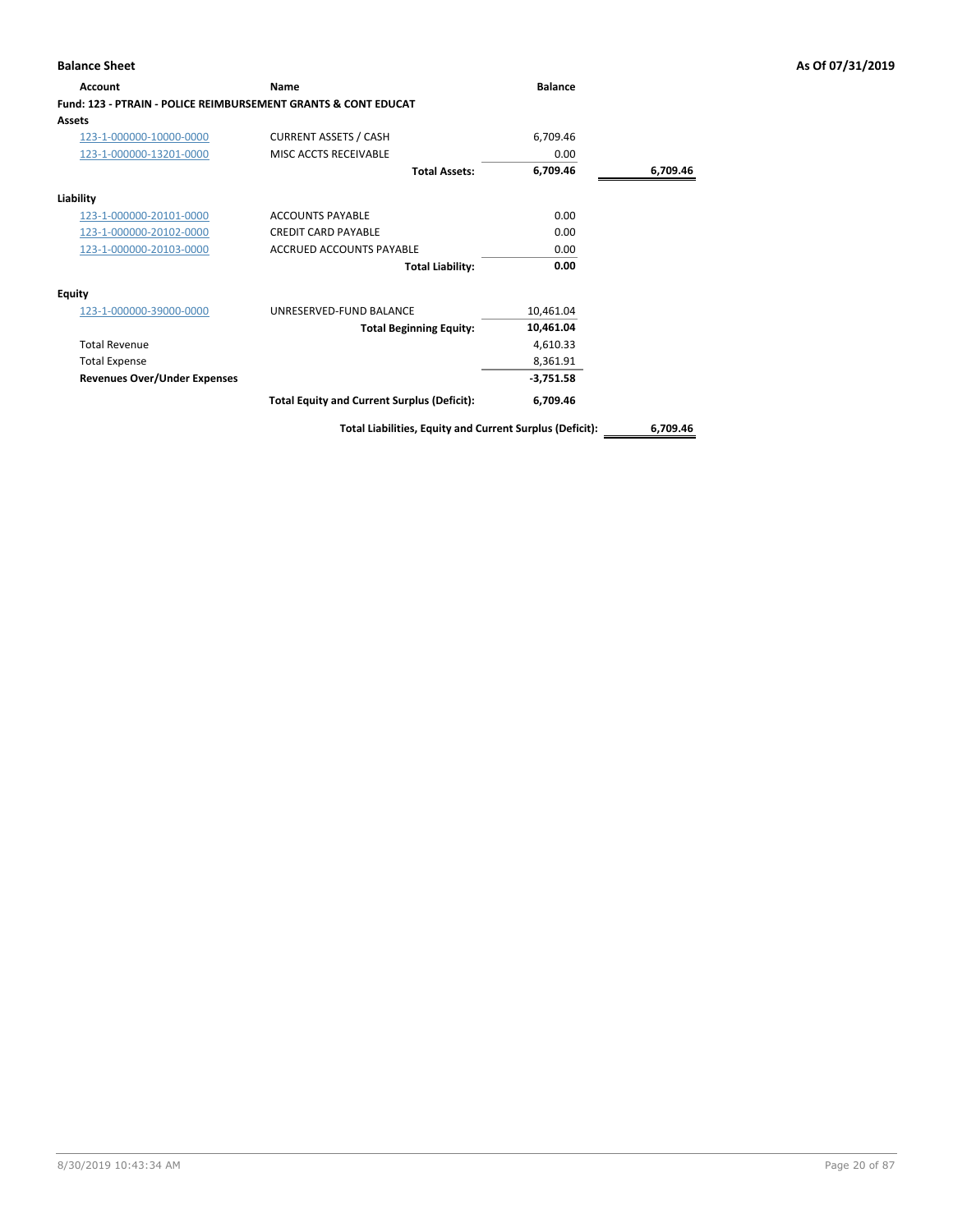| Account                                                                   | Name                                                     | <b>Balance</b> |          |
|---------------------------------------------------------------------------|----------------------------------------------------------|----------------|----------|
| <b>Fund: 123 - PTRAIN - POLICE REIMBURSEMENT GRANTS &amp; CONT EDUCAT</b> |                                                          |                |          |
| Assets                                                                    |                                                          |                |          |
| 123-1-000000-10000-0000                                                   | <b>CURRENT ASSETS / CASH</b>                             | 6,709.46       |          |
| 123-1-000000-13201-0000                                                   | MISC ACCTS RECEIVABLE                                    | 0.00           |          |
|                                                                           | <b>Total Assets:</b>                                     | 6,709.46       | 6,709.46 |
| Liability                                                                 |                                                          |                |          |
| 123-1-000000-20101-0000                                                   | <b>ACCOUNTS PAYABLE</b>                                  | 0.00           |          |
| 123-1-000000-20102-0000                                                   | <b>CREDIT CARD PAYABLE</b>                               | 0.00           |          |
| 123-1-000000-20103-0000                                                   | <b>ACCRUED ACCOUNTS PAYABLE</b>                          | 0.00           |          |
|                                                                           | <b>Total Liability:</b>                                  | 0.00           |          |
| <b>Equity</b>                                                             |                                                          |                |          |
| 123-1-000000-39000-0000                                                   | UNRESERVED-FUND BALANCE                                  | 10,461.04      |          |
|                                                                           | <b>Total Beginning Equity:</b>                           | 10,461.04      |          |
| <b>Total Revenue</b>                                                      |                                                          | 4,610.33       |          |
| <b>Total Expense</b>                                                      |                                                          | 8,361.91       |          |
| <b>Revenues Over/Under Expenses</b>                                       |                                                          | $-3,751.58$    |          |
|                                                                           | <b>Total Equity and Current Surplus (Deficit):</b>       | 6,709.46       |          |
|                                                                           | Total Liabilities, Equity and Current Surplus (Deficit): |                | 6,709.46 |

8/30/2019 10:43:34 AM Page 20 of 87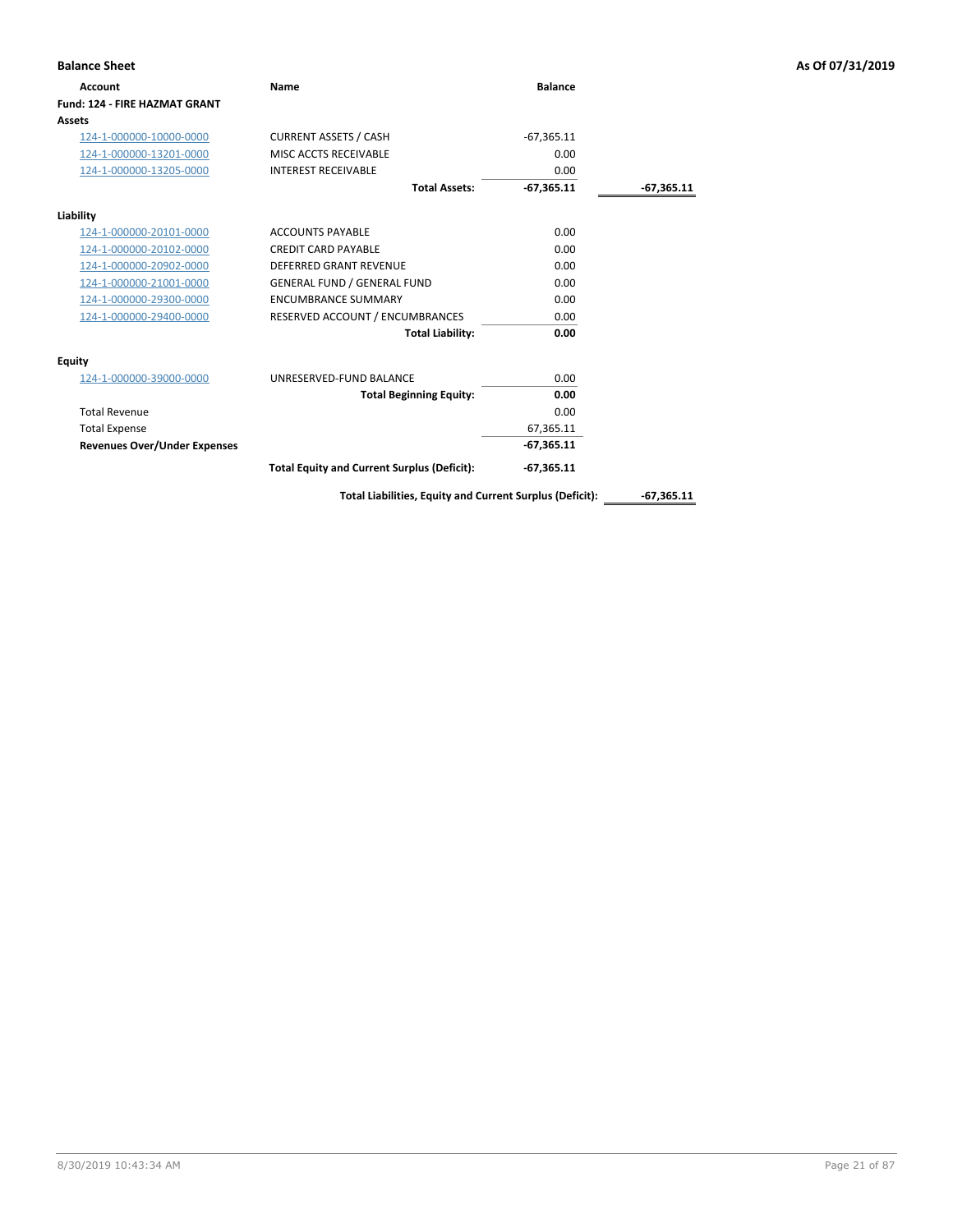| <b>Balance Sheet</b>                 |                                                    |                |              | As Of 07/31/2019 |
|--------------------------------------|----------------------------------------------------|----------------|--------------|------------------|
| <b>Account</b>                       | Name                                               | <b>Balance</b> |              |                  |
| <b>Fund: 124 - FIRE HAZMAT GRANT</b> |                                                    |                |              |                  |
| Assets                               |                                                    |                |              |                  |
| 124-1-000000-10000-0000              | <b>CURRENT ASSETS / CASH</b>                       | $-67,365.11$   |              |                  |
| 124-1-000000-13201-0000              | MISC ACCTS RECEIVABLE                              | 0.00           |              |                  |
| 124-1-000000-13205-0000              | <b>INTEREST RECEIVABLE</b>                         | 0.00           |              |                  |
|                                      | <b>Total Assets:</b>                               | $-67,365.11$   | $-67,365.11$ |                  |
| Liability                            |                                                    |                |              |                  |
| 124-1-000000-20101-0000              | <b>ACCOUNTS PAYABLE</b>                            | 0.00           |              |                  |
| 124-1-000000-20102-0000              | <b>CREDIT CARD PAYABLE</b>                         | 0.00           |              |                  |
| 124-1-000000-20902-0000              | <b>DEFERRED GRANT REVENUE</b>                      | 0.00           |              |                  |
| 124-1-000000-21001-0000              | <b>GENERAL FUND / GENERAL FUND</b>                 | 0.00           |              |                  |
| 124-1-000000-29300-0000              | <b>ENCUMBRANCE SUMMARY</b>                         | 0.00           |              |                  |
| 124-1-000000-29400-0000              | RESERVED ACCOUNT / ENCUMBRANCES                    | 0.00           |              |                  |
|                                      | <b>Total Liability:</b>                            | 0.00           |              |                  |
| <b>Equity</b>                        |                                                    |                |              |                  |
| 124-1-000000-39000-0000              | UNRESERVED-FUND BALANCE                            | 0.00           |              |                  |
|                                      | <b>Total Beginning Equity:</b>                     | 0.00           |              |                  |
| <b>Total Revenue</b>                 |                                                    | 0.00           |              |                  |
| <b>Total Expense</b>                 |                                                    | 67,365.11      |              |                  |
| <b>Revenues Over/Under Expenses</b>  |                                                    | $-67,365.11$   |              |                  |
|                                      | <b>Total Equity and Current Surplus (Deficit):</b> | $-67,365.11$   |              |                  |

Total Liabilities, Equity and Current Surplus (Deficit): \_\_\_\_\_\_\_-67,365.11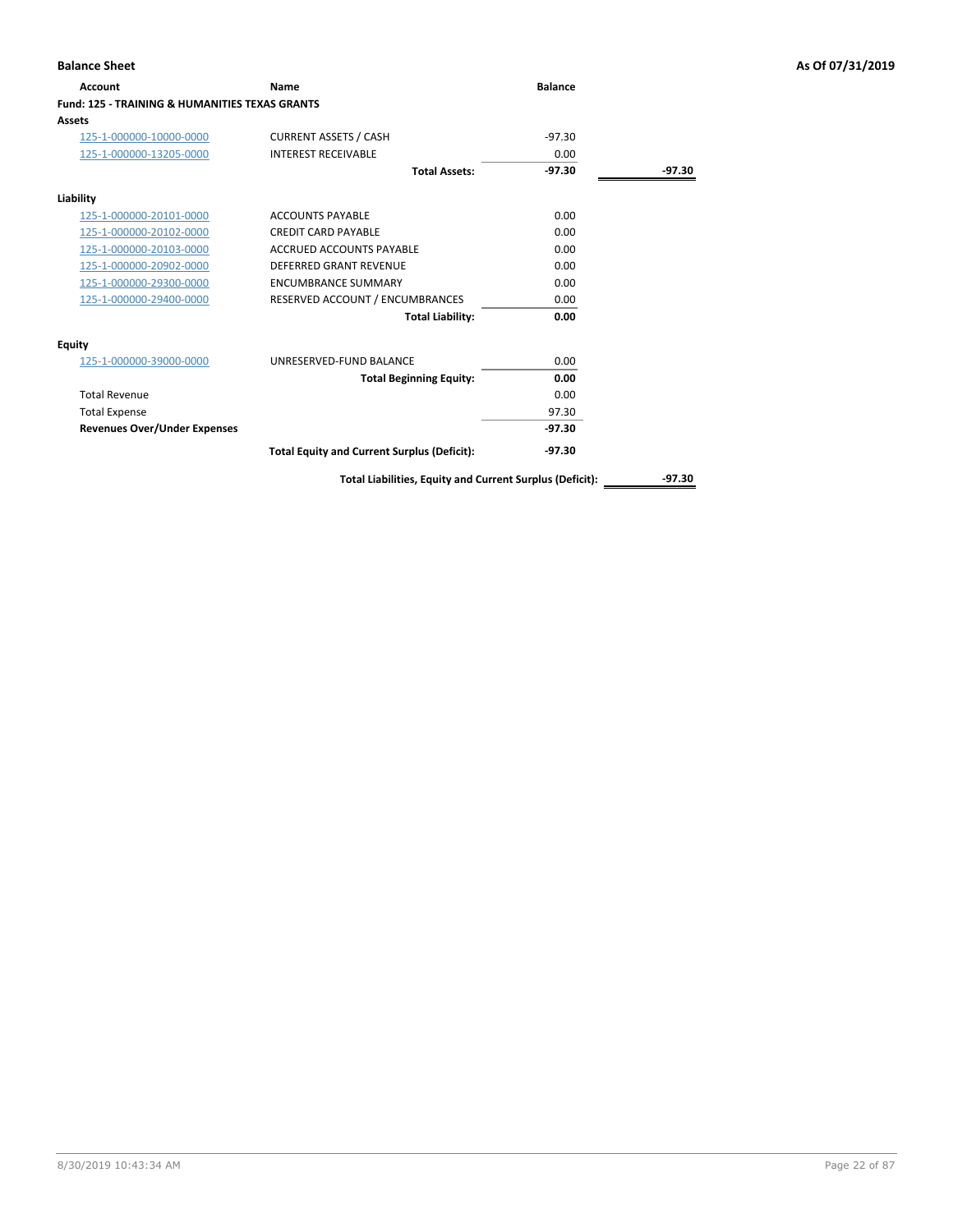| Account                                                   | Name                                               | <b>Balance</b> |        |
|-----------------------------------------------------------|----------------------------------------------------|----------------|--------|
| <b>Fund: 125 - TRAINING &amp; HUMANITIES TEXAS GRANTS</b> |                                                    |                |        |
| Assets                                                    |                                                    |                |        |
| 125-1-000000-10000-0000                                   | <b>CURRENT ASSETS / CASH</b>                       | $-97.30$       |        |
| 125-1-000000-13205-0000                                   | <b>INTEREST RECEIVABLE</b>                         | 0.00           |        |
|                                                           | <b>Total Assets:</b>                               | $-97.30$       | -97.30 |
| Liability                                                 |                                                    |                |        |
| 125-1-000000-20101-0000                                   | <b>ACCOUNTS PAYABLE</b>                            | 0.00           |        |
| 125-1-000000-20102-0000                                   | <b>CREDIT CARD PAYABLE</b>                         | 0.00           |        |
| 125-1-000000-20103-0000                                   | ACCRUED ACCOUNTS PAYABLE                           | 0.00           |        |
| 125-1-000000-20902-0000                                   | DEFERRED GRANT REVENUE                             | 0.00           |        |
| 125-1-000000-29300-0000                                   | <b>ENCUMBRANCE SUMMARY</b>                         | 0.00           |        |
| 125-1-000000-29400-0000                                   | RESERVED ACCOUNT / ENCUMBRANCES                    | 0.00           |        |
|                                                           | <b>Total Liability:</b>                            | 0.00           |        |
| Equity                                                    |                                                    |                |        |
| 125-1-000000-39000-0000                                   | UNRESERVED-FUND BALANCE                            | 0.00           |        |
|                                                           | <b>Total Beginning Equity:</b>                     | 0.00           |        |
| <b>Total Revenue</b>                                      |                                                    | 0.00           |        |
| <b>Total Expense</b>                                      |                                                    | 97.30          |        |
| <b>Revenues Over/Under Expenses</b>                       |                                                    | $-97.30$       |        |
|                                                           | <b>Total Equity and Current Surplus (Deficit):</b> | -97.30         |        |

**Total Liabilities, Equity and Current Surplus (Deficit):** \_\_\_\_\_\_\_\_\_\_\_\_\_-97.30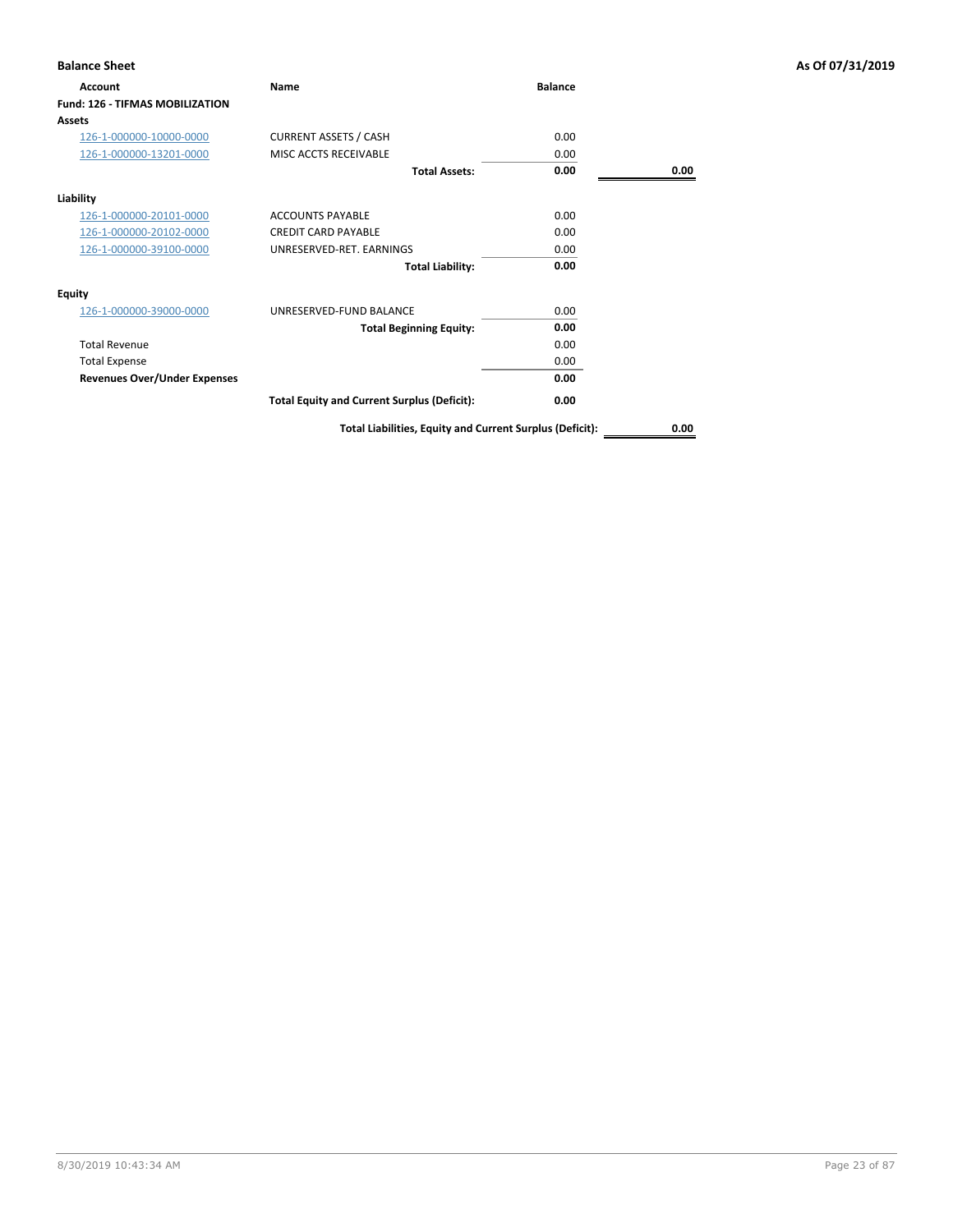| <b>Balance Sheet</b>                   |                                                          |                |      | As Of 07/31/2019 |
|----------------------------------------|----------------------------------------------------------|----------------|------|------------------|
| <b>Account</b>                         | Name                                                     | <b>Balance</b> |      |                  |
| <b>Fund: 126 - TIFMAS MOBILIZATION</b> |                                                          |                |      |                  |
| <b>Assets</b>                          |                                                          |                |      |                  |
| 126-1-000000-10000-0000                | <b>CURRENT ASSETS / CASH</b>                             | 0.00           |      |                  |
| 126-1-000000-13201-0000                | MISC ACCTS RECEIVABLE                                    | 0.00           |      |                  |
|                                        | <b>Total Assets:</b>                                     | 0.00           | 0.00 |                  |
| Liability                              |                                                          |                |      |                  |
| 126-1-000000-20101-0000                | <b>ACCOUNTS PAYABLE</b>                                  | 0.00           |      |                  |
| 126-1-000000-20102-0000                | <b>CREDIT CARD PAYABLE</b>                               | 0.00           |      |                  |
| 126-1-000000-39100-0000                | UNRESERVED-RET. EARNINGS                                 | 0.00           |      |                  |
|                                        | <b>Total Liability:</b>                                  | 0.00           |      |                  |
| Equity                                 |                                                          |                |      |                  |
| 126-1-000000-39000-0000                | UNRESERVED-FUND BALANCE                                  | 0.00           |      |                  |
|                                        | <b>Total Beginning Equity:</b>                           | 0.00           |      |                  |
| <b>Total Revenue</b>                   |                                                          | 0.00           |      |                  |
| <b>Total Expense</b>                   |                                                          | 0.00           |      |                  |
| <b>Revenues Over/Under Expenses</b>    |                                                          | 0.00           |      |                  |
|                                        | <b>Total Equity and Current Surplus (Deficit):</b>       | 0.00           |      |                  |
|                                        | Total Liabilities, Equity and Current Surplus (Deficit): |                | 0.00 |                  |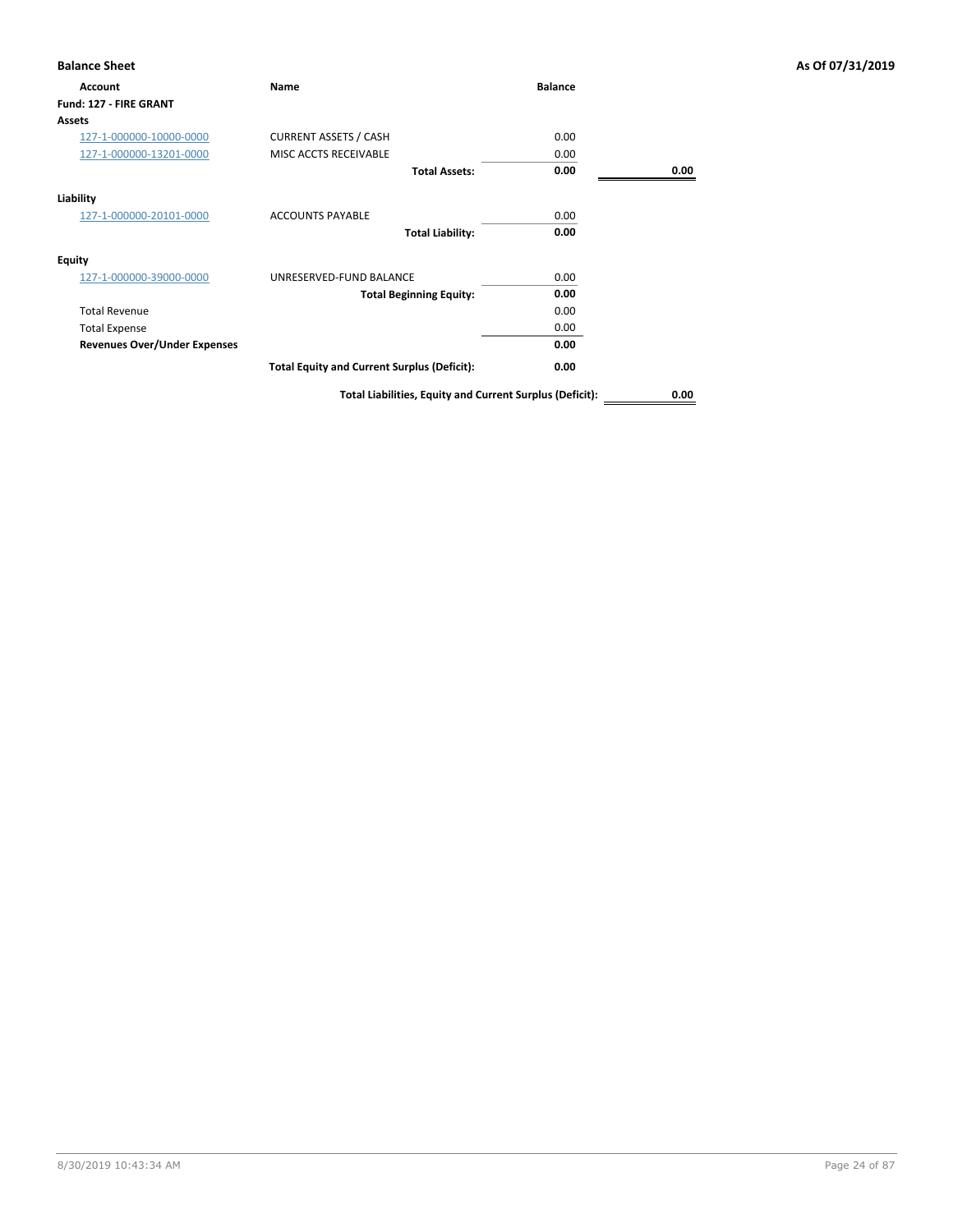| <b>Account</b>                      | <b>Name</b>                                        | <b>Balance</b> |      |
|-------------------------------------|----------------------------------------------------|----------------|------|
| Fund: 127 - FIRE GRANT              |                                                    |                |      |
| <b>Assets</b>                       |                                                    |                |      |
| 127-1-000000-10000-0000             | <b>CURRENT ASSETS / CASH</b>                       | 0.00           |      |
| 127-1-000000-13201-0000             | MISC ACCTS RECEIVABLE                              | 0.00           |      |
|                                     | <b>Total Assets:</b>                               | 0.00           | 0.00 |
| Liability                           |                                                    |                |      |
| 127-1-000000-20101-0000             | <b>ACCOUNTS PAYABLE</b>                            | 0.00           |      |
|                                     | <b>Total Liability:</b>                            | 0.00           |      |
| <b>Equity</b>                       |                                                    |                |      |
| 127-1-000000-39000-0000             | UNRESERVED-FUND BALANCE                            | 0.00           |      |
|                                     | <b>Total Beginning Equity:</b>                     | 0.00           |      |
| <b>Total Revenue</b>                |                                                    | 0.00           |      |
| <b>Total Expense</b>                |                                                    | 0.00           |      |
| <b>Revenues Over/Under Expenses</b> |                                                    | 0.00           |      |
|                                     | <b>Total Equity and Current Surplus (Deficit):</b> | 0.00           |      |
|                                     |                                                    |                |      |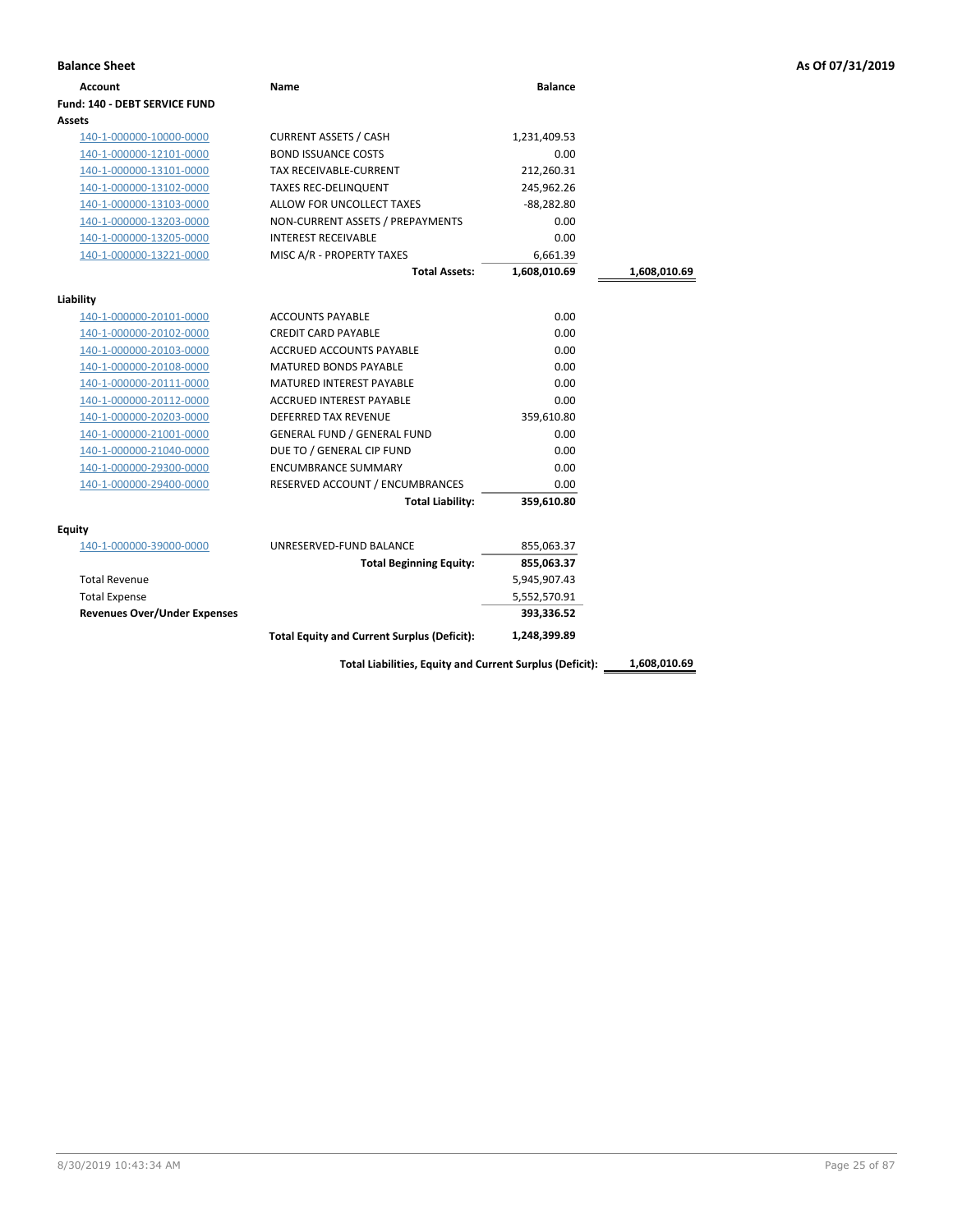| <b>Balance Sheet</b>                |                                                    |                |              | As Of 07/31/2019 |
|-------------------------------------|----------------------------------------------------|----------------|--------------|------------------|
| <b>Account</b>                      | Name                                               | <b>Balance</b> |              |                  |
| Fund: 140 - DEBT SERVICE FUND       |                                                    |                |              |                  |
| Assets                              |                                                    |                |              |                  |
| 140-1-000000-10000-0000             | <b>CURRENT ASSETS / CASH</b>                       | 1,231,409.53   |              |                  |
| 140-1-000000-12101-0000             | <b>BOND ISSUANCE COSTS</b>                         | 0.00           |              |                  |
| 140-1-000000-13101-0000             | TAX RECEIVABLE-CURRENT                             | 212,260.31     |              |                  |
| 140-1-000000-13102-0000             | <b>TAXES REC-DELINQUENT</b>                        | 245,962.26     |              |                  |
| 140-1-000000-13103-0000             | ALLOW FOR UNCOLLECT TAXES                          | $-88,282.80$   |              |                  |
| 140-1-000000-13203-0000             | NON-CURRENT ASSETS / PREPAYMENTS                   | 0.00           |              |                  |
| 140-1-000000-13205-0000             | <b>INTEREST RECEIVABLE</b>                         | 0.00           |              |                  |
| 140-1-000000-13221-0000             | MISC A/R - PROPERTY TAXES                          | 6,661.39       |              |                  |
|                                     | <b>Total Assets:</b>                               | 1,608,010.69   | 1,608,010.69 |                  |
| Liability                           |                                                    |                |              |                  |
| 140-1-000000-20101-0000             | <b>ACCOUNTS PAYABLE</b>                            | 0.00           |              |                  |
| 140-1-000000-20102-0000             | <b>CREDIT CARD PAYABLE</b>                         | 0.00           |              |                  |
| 140-1-000000-20103-0000             | ACCRUED ACCOUNTS PAYABLE                           | 0.00           |              |                  |
| 140-1-000000-20108-0000             | <b>MATURED BONDS PAYABLE</b>                       | 0.00           |              |                  |
| 140-1-000000-20111-0000             | <b>MATURED INTEREST PAYABLE</b>                    | 0.00           |              |                  |
| 140-1-000000-20112-0000             | ACCRUED INTEREST PAYABLE                           | 0.00           |              |                  |
| 140-1-000000-20203-0000             | <b>DEFERRED TAX REVENUE</b>                        | 359,610.80     |              |                  |
| 140-1-000000-21001-0000             | <b>GENERAL FUND / GENERAL FUND</b>                 | 0.00           |              |                  |
| 140-1-000000-21040-0000             | DUE TO / GENERAL CIP FUND                          | 0.00           |              |                  |
| 140-1-000000-29300-0000             | <b>ENCUMBRANCE SUMMARY</b>                         | 0.00           |              |                  |
| 140-1-000000-29400-0000             | RESERVED ACCOUNT / ENCUMBRANCES                    | 0.00           |              |                  |
|                                     | <b>Total Liability:</b>                            | 359,610.80     |              |                  |
| <b>Equity</b>                       |                                                    |                |              |                  |
| 140-1-000000-39000-0000             | UNRESERVED-FUND BALANCE                            | 855,063.37     |              |                  |
|                                     | <b>Total Beginning Equity:</b>                     | 855,063.37     |              |                  |
| <b>Total Revenue</b>                |                                                    | 5,945,907.43   |              |                  |
| <b>Total Expense</b>                |                                                    | 5,552,570.91   |              |                  |
| <b>Revenues Over/Under Expenses</b> |                                                    | 393,336.52     |              |                  |
|                                     | <b>Total Equity and Current Surplus (Deficit):</b> | 1,248,399.89   |              |                  |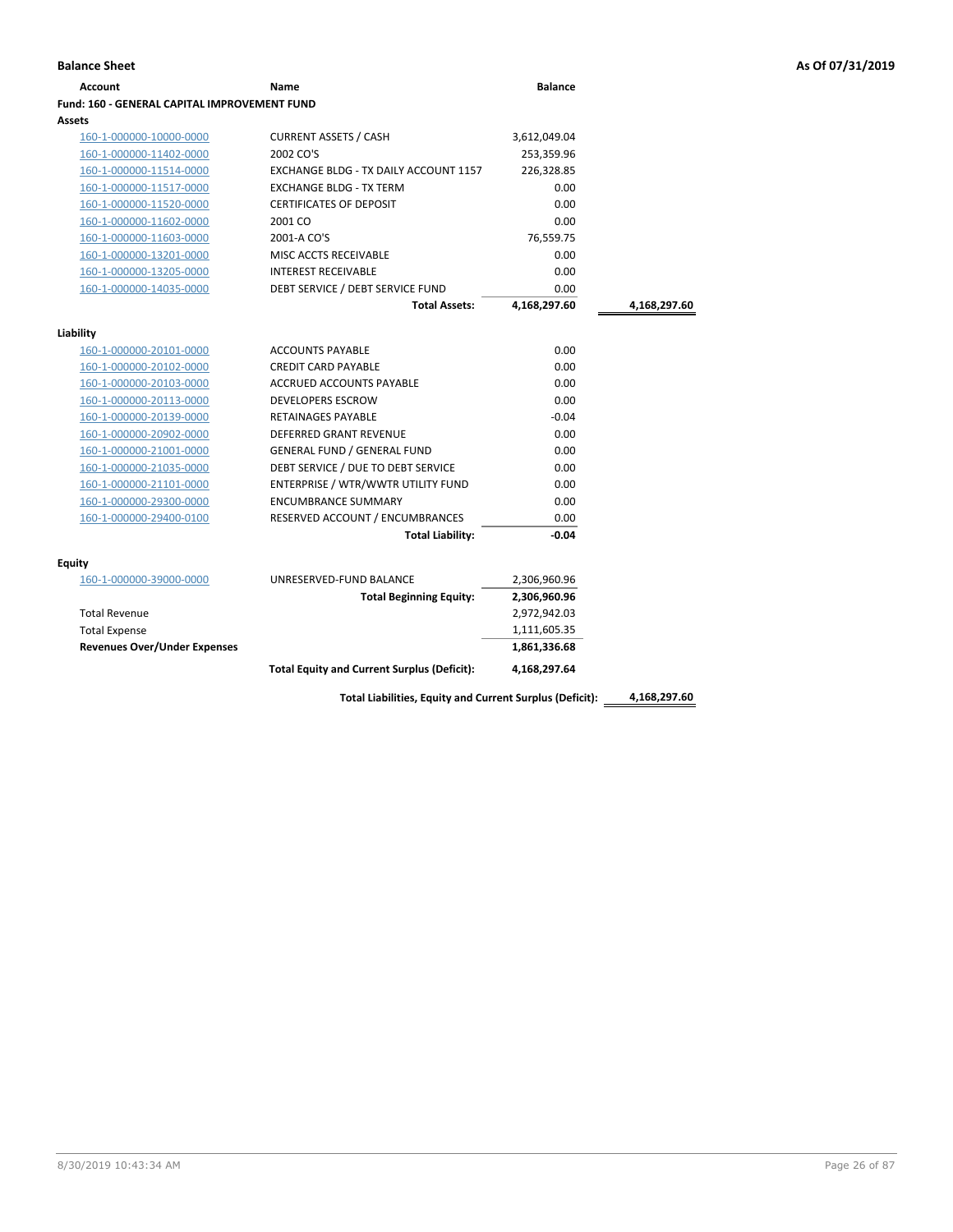| <b>Account</b>                               | Name                                               | <b>Balance</b> |              |
|----------------------------------------------|----------------------------------------------------|----------------|--------------|
| Fund: 160 - GENERAL CAPITAL IMPROVEMENT FUND |                                                    |                |              |
| Assets                                       |                                                    |                |              |
| 160-1-000000-10000-0000                      | <b>CURRENT ASSETS / CASH</b>                       | 3,612,049.04   |              |
| 160-1-000000-11402-0000                      | 2002 CO'S                                          | 253,359.96     |              |
| 160-1-000000-11514-0000                      | EXCHANGE BLDG - TX DAILY ACCOUNT 1157              | 226,328.85     |              |
| 160-1-000000-11517-0000                      | <b>EXCHANGE BLDG - TX TERM</b>                     | 0.00           |              |
| 160-1-000000-11520-0000                      | <b>CERTIFICATES OF DEPOSIT</b>                     | 0.00           |              |
| 160-1-000000-11602-0000                      | 2001 CO                                            | 0.00           |              |
| 160-1-000000-11603-0000                      | 2001-A CO'S                                        | 76,559.75      |              |
| 160-1-000000-13201-0000                      | MISC ACCTS RECEIVABLE                              | 0.00           |              |
| 160-1-000000-13205-0000                      | <b>INTEREST RECEIVABLE</b>                         | 0.00           |              |
| 160-1-000000-14035-0000                      | DEBT SERVICE / DEBT SERVICE FUND                   | 0.00           |              |
|                                              | <b>Total Assets:</b>                               | 4,168,297.60   | 4,168,297.60 |
| Liability                                    |                                                    |                |              |
| 160-1-000000-20101-0000                      | <b>ACCOUNTS PAYABLE</b>                            | 0.00           |              |
| 160-1-000000-20102-0000                      | <b>CREDIT CARD PAYABLE</b>                         | 0.00           |              |
| 160-1-000000-20103-0000                      | <b>ACCRUED ACCOUNTS PAYABLE</b>                    | 0.00           |              |
| 160-1-000000-20113-0000                      | <b>DEVELOPERS ESCROW</b>                           | 0.00           |              |
| 160-1-000000-20139-0000                      | <b>RETAINAGES PAYABLE</b>                          | $-0.04$        |              |
| 160-1-000000-20902-0000                      | <b>DEFERRED GRANT REVENUE</b>                      | 0.00           |              |
| 160-1-000000-21001-0000                      | <b>GENERAL FUND / GENERAL FUND</b>                 | 0.00           |              |
| 160-1-000000-21035-0000                      | DEBT SERVICE / DUE TO DEBT SERVICE                 | 0.00           |              |
| 160-1-000000-21101-0000                      | ENTERPRISE / WTR/WWTR UTILITY FUND                 | 0.00           |              |
| 160-1-000000-29300-0000                      | <b>ENCUMBRANCE SUMMARY</b>                         | 0.00           |              |
| 160-1-000000-29400-0100                      | RESERVED ACCOUNT / ENCUMBRANCES                    | 0.00           |              |
|                                              | <b>Total Liability:</b>                            | $-0.04$        |              |
| Equity                                       |                                                    |                |              |
| 160-1-000000-39000-0000                      | UNRESERVED-FUND BALANCE                            | 2,306,960.96   |              |
|                                              | <b>Total Beginning Equity:</b>                     | 2,306,960.96   |              |
| <b>Total Revenue</b>                         |                                                    | 2,972,942.03   |              |
| <b>Total Expense</b>                         |                                                    | 1,111,605.35   |              |
| <b>Revenues Over/Under Expenses</b>          |                                                    | 1,861,336.68   |              |
|                                              | <b>Total Equity and Current Surplus (Deficit):</b> | 4,168,297.64   |              |

8/30/2019 10:43:34 AM Page 26 of 87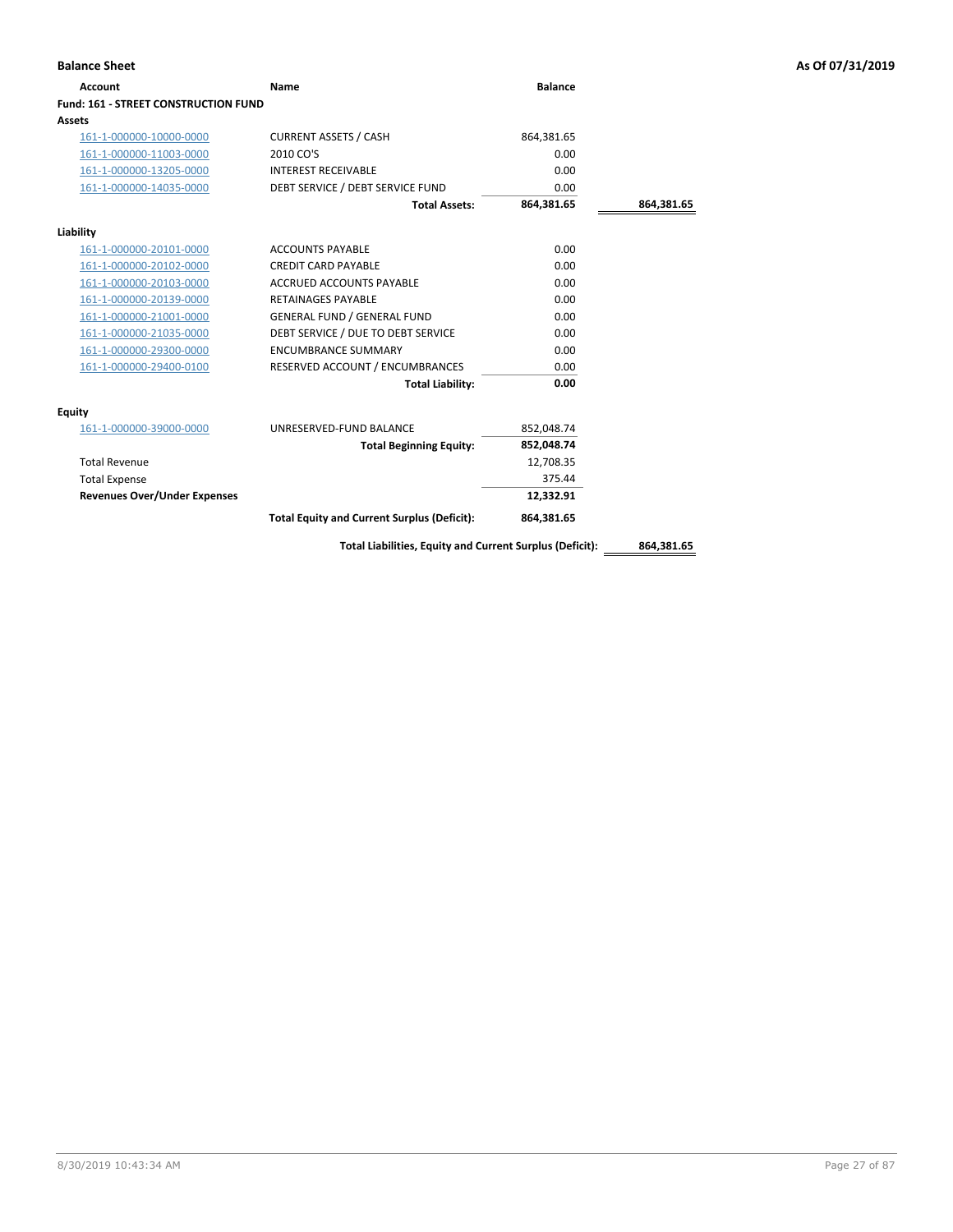| <b>Balance Sheet</b>                        |                                                          |                |            | As Of 07/31/2019 |
|---------------------------------------------|----------------------------------------------------------|----------------|------------|------------------|
| <b>Account</b>                              | <b>Name</b>                                              | <b>Balance</b> |            |                  |
| <b>Fund: 161 - STREET CONSTRUCTION FUND</b> |                                                          |                |            |                  |
| Assets                                      |                                                          |                |            |                  |
| 161-1-000000-10000-0000                     | <b>CURRENT ASSETS / CASH</b>                             | 864,381.65     |            |                  |
| 161-1-000000-11003-0000                     | 2010 CO'S                                                | 0.00           |            |                  |
| 161-1-000000-13205-0000                     | <b>INTEREST RECEIVABLE</b>                               | 0.00           |            |                  |
| 161-1-000000-14035-0000                     | DEBT SERVICE / DEBT SERVICE FUND                         | 0.00           |            |                  |
|                                             | <b>Total Assets:</b>                                     | 864,381.65     | 864,381.65 |                  |
| Liability                                   |                                                          |                |            |                  |
| 161-1-000000-20101-0000                     | <b>ACCOUNTS PAYABLE</b>                                  | 0.00           |            |                  |
| 161-1-000000-20102-0000                     | <b>CREDIT CARD PAYABLE</b>                               | 0.00           |            |                  |
| 161-1-000000-20103-0000                     | ACCRUED ACCOUNTS PAYABLE                                 | 0.00           |            |                  |
| 161-1-000000-20139-0000                     | <b>RETAINAGES PAYABLE</b>                                | 0.00           |            |                  |
| 161-1-000000-21001-0000                     | <b>GENERAL FUND / GENERAL FUND</b>                       | 0.00           |            |                  |
| 161-1-000000-21035-0000                     | DEBT SERVICE / DUE TO DEBT SERVICE                       | 0.00           |            |                  |
| 161-1-000000-29300-0000                     | <b>ENCUMBRANCE SUMMARY</b>                               | 0.00           |            |                  |
| 161-1-000000-29400-0100                     | RESERVED ACCOUNT / ENCUMBRANCES                          | 0.00           |            |                  |
|                                             | <b>Total Liability:</b>                                  | 0.00           |            |                  |
| <b>Equity</b>                               |                                                          |                |            |                  |
| 161-1-000000-39000-0000                     | UNRESERVED-FUND BALANCE                                  | 852,048.74     |            |                  |
|                                             | <b>Total Beginning Equity:</b>                           | 852,048.74     |            |                  |
| <b>Total Revenue</b>                        |                                                          | 12,708.35      |            |                  |
| <b>Total Expense</b>                        |                                                          | 375.44         |            |                  |
| <b>Revenues Over/Under Expenses</b>         |                                                          | 12,332.91      |            |                  |
|                                             | <b>Total Equity and Current Surplus (Deficit):</b>       | 864,381.65     |            |                  |
|                                             | Total Liabilities, Equity and Current Surplus (Deficit): |                | 864,381.65 |                  |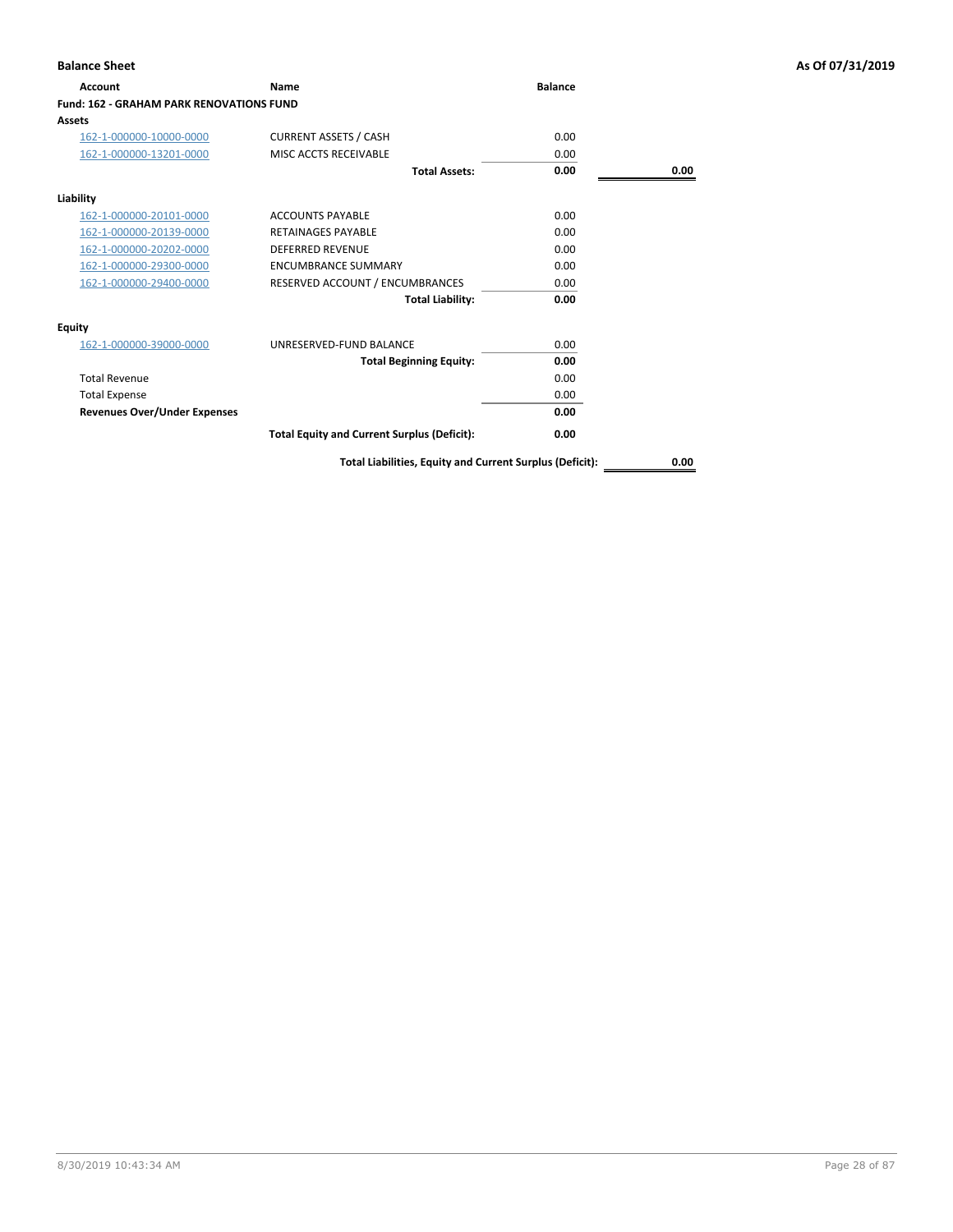| <b>Account</b>                                  | <b>Name</b>                                        | <b>Balance</b> |      |
|-------------------------------------------------|----------------------------------------------------|----------------|------|
| <b>Fund: 162 - GRAHAM PARK RENOVATIONS FUND</b> |                                                    |                |      |
| Assets                                          |                                                    |                |      |
| 162-1-000000-10000-0000                         | <b>CURRENT ASSETS / CASH</b>                       | 0.00           |      |
| 162-1-000000-13201-0000                         | MISC ACCTS RECEIVABLE                              | 0.00           |      |
|                                                 | <b>Total Assets:</b>                               | 0.00           | 0.00 |
| Liability                                       |                                                    |                |      |
| 162-1-000000-20101-0000                         | <b>ACCOUNTS PAYABLE</b>                            | 0.00           |      |
| 162-1-000000-20139-0000                         | <b>RETAINAGES PAYARLE</b>                          | 0.00           |      |
| 162-1-000000-20202-0000                         | <b>DEFERRED REVENUE</b>                            | 0.00           |      |
| 162-1-000000-29300-0000                         | <b>ENCUMBRANCE SUMMARY</b>                         | 0.00           |      |
| 162-1-000000-29400-0000                         | RESERVED ACCOUNT / ENCUMBRANCES                    | 0.00           |      |
|                                                 | <b>Total Liability:</b>                            | 0.00           |      |
| <b>Equity</b>                                   |                                                    |                |      |
| 162-1-000000-39000-0000                         | UNRESERVED-FUND BALANCE                            | 0.00           |      |
|                                                 | <b>Total Beginning Equity:</b>                     | 0.00           |      |
| <b>Total Revenue</b>                            |                                                    | 0.00           |      |
| <b>Total Expense</b>                            |                                                    | 0.00           |      |
| <b>Revenues Over/Under Expenses</b>             |                                                    | 0.00           |      |
|                                                 | <b>Total Equity and Current Surplus (Deficit):</b> | 0.00           |      |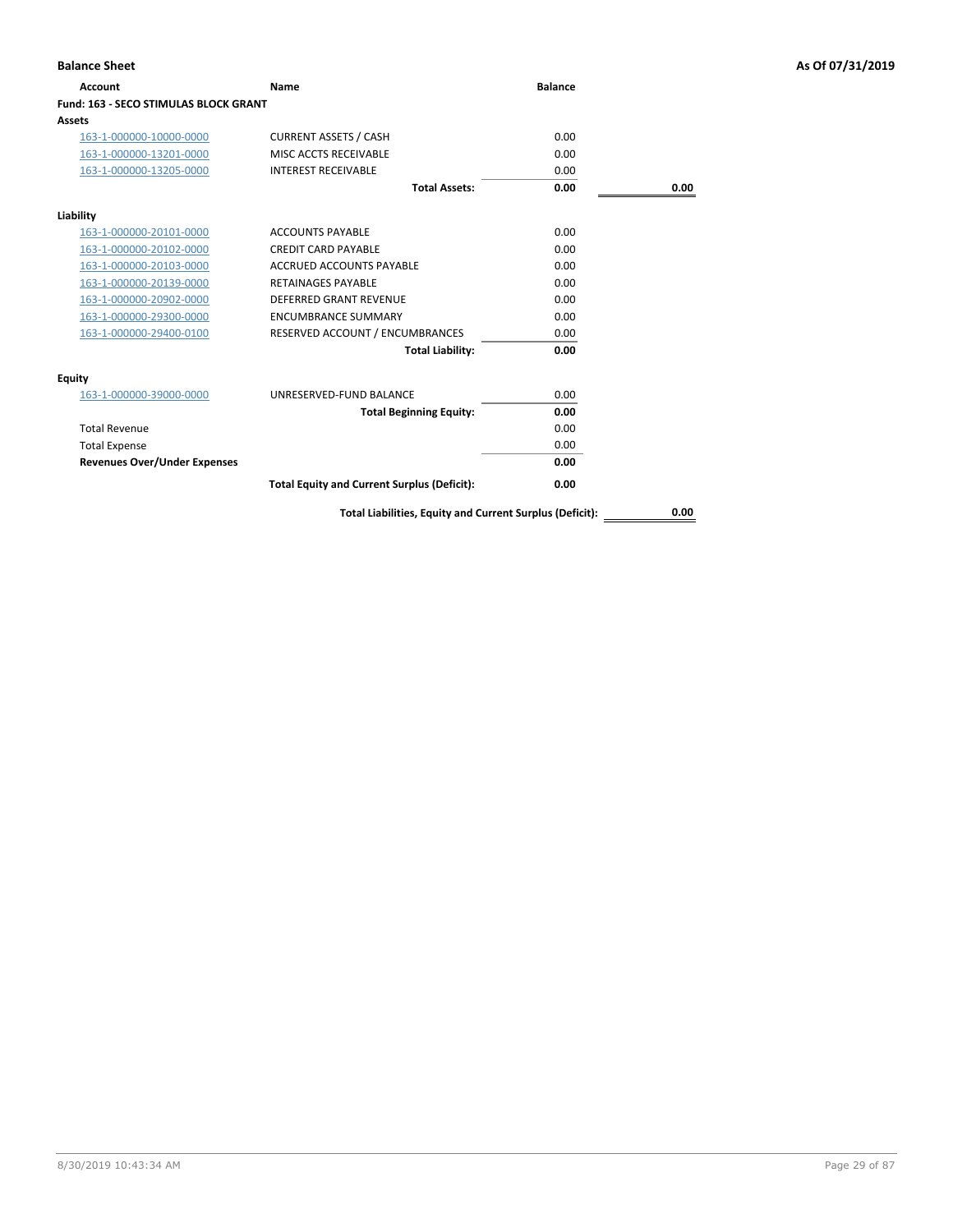| Account                                      | Name                                                     | <b>Balance</b> |      |
|----------------------------------------------|----------------------------------------------------------|----------------|------|
| <b>Fund: 163 - SECO STIMULAS BLOCK GRANT</b> |                                                          |                |      |
| Assets                                       |                                                          |                |      |
| 163-1-000000-10000-0000                      | <b>CURRENT ASSETS / CASH</b>                             | 0.00           |      |
| 163-1-000000-13201-0000                      | MISC ACCTS RECEIVABLE                                    | 0.00           |      |
| 163-1-000000-13205-0000                      | <b>INTEREST RECEIVABLE</b>                               | 0.00           |      |
|                                              | <b>Total Assets:</b>                                     | 0.00           | 0.00 |
| Liability                                    |                                                          |                |      |
| 163-1-000000-20101-0000                      | <b>ACCOUNTS PAYABLE</b>                                  | 0.00           |      |
| 163-1-000000-20102-0000                      | <b>CREDIT CARD PAYABLE</b>                               | 0.00           |      |
| 163-1-000000-20103-0000                      | ACCRUED ACCOUNTS PAYABLE                                 | 0.00           |      |
| 163-1-000000-20139-0000                      | <b>RETAINAGES PAYABLE</b>                                | 0.00           |      |
| 163-1-000000-20902-0000                      | <b>DEFERRED GRANT REVENUE</b>                            | 0.00           |      |
| 163-1-000000-29300-0000                      | <b>ENCUMBRANCE SUMMARY</b>                               | 0.00           |      |
| 163-1-000000-29400-0100                      | RESERVED ACCOUNT / ENCUMBRANCES                          | 0.00           |      |
|                                              | <b>Total Liability:</b>                                  | 0.00           |      |
| Equity                                       |                                                          |                |      |
| 163-1-000000-39000-0000                      | UNRESERVED-FUND BALANCE                                  | 0.00           |      |
|                                              | <b>Total Beginning Equity:</b>                           | 0.00           |      |
| <b>Total Revenue</b>                         |                                                          | 0.00           |      |
| <b>Total Expense</b>                         |                                                          | 0.00           |      |
| <b>Revenues Over/Under Expenses</b>          |                                                          | 0.00           |      |
|                                              | <b>Total Equity and Current Surplus (Deficit):</b>       | 0.00           |      |
|                                              | Total Liabilities, Equity and Current Surplus (Deficit): |                | 0.00 |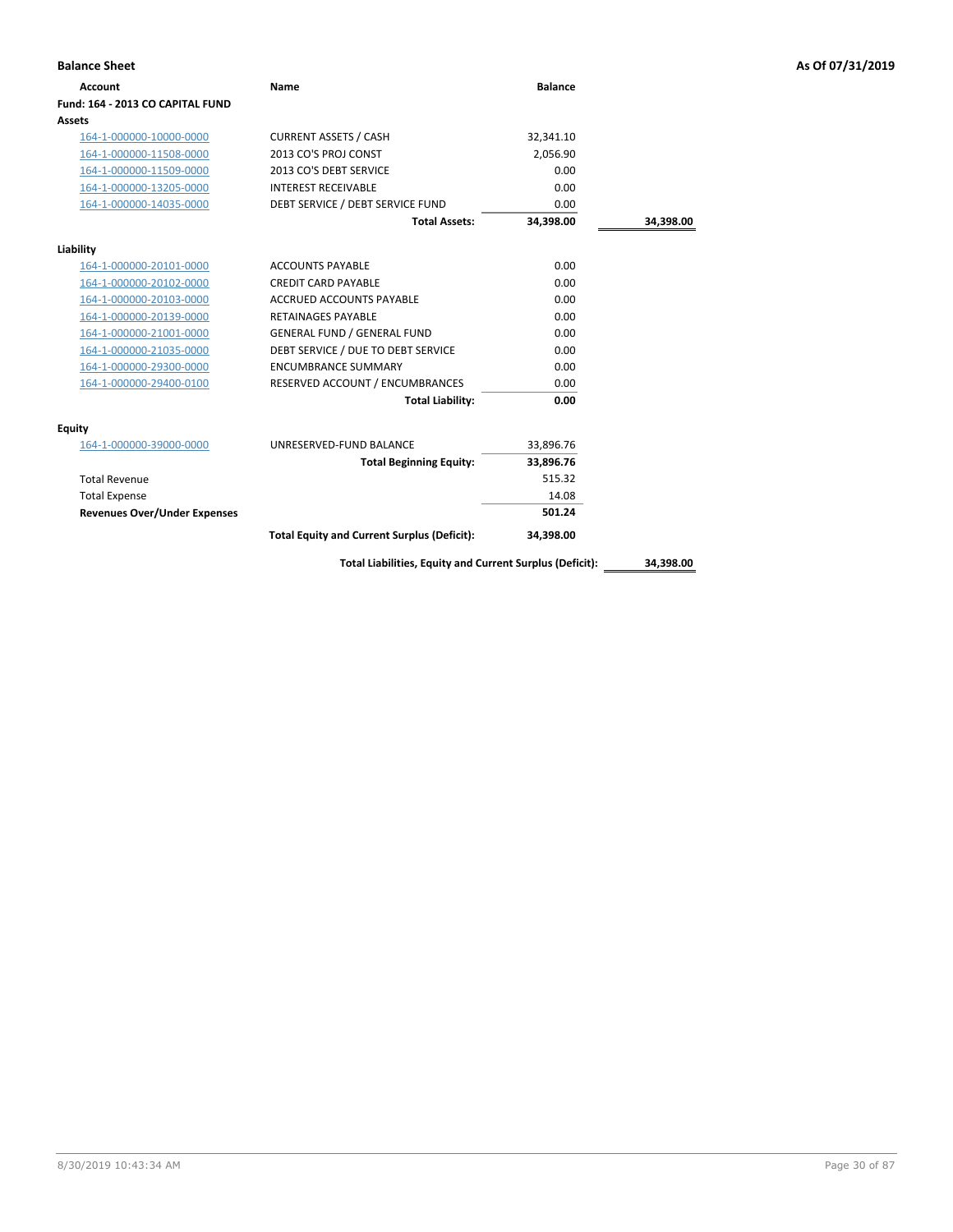| <b>Balance Sheet</b>                |                                                          |                |           | As Of 07/31/2019 |
|-------------------------------------|----------------------------------------------------------|----------------|-----------|------------------|
| <b>Account</b>                      | Name                                                     | <b>Balance</b> |           |                  |
| Fund: 164 - 2013 CO CAPITAL FUND    |                                                          |                |           |                  |
| Assets                              |                                                          |                |           |                  |
| 164-1-000000-10000-0000             | <b>CURRENT ASSETS / CASH</b>                             | 32,341.10      |           |                  |
| 164-1-000000-11508-0000             | 2013 CO'S PROJ CONST                                     | 2,056.90       |           |                  |
| 164-1-000000-11509-0000             | 2013 CO'S DEBT SERVICE                                   | 0.00           |           |                  |
| 164-1-000000-13205-0000             | <b>INTEREST RECEIVABLE</b>                               | 0.00           |           |                  |
| 164-1-000000-14035-0000             | DEBT SERVICE / DEBT SERVICE FUND                         | 0.00           |           |                  |
|                                     | <b>Total Assets:</b>                                     | 34,398.00      | 34,398.00 |                  |
| Liability                           |                                                          |                |           |                  |
| 164-1-000000-20101-0000             | <b>ACCOUNTS PAYABLE</b>                                  | 0.00           |           |                  |
| 164-1-000000-20102-0000             | <b>CREDIT CARD PAYABLE</b>                               | 0.00           |           |                  |
| 164-1-000000-20103-0000             | ACCRUED ACCOUNTS PAYABLE                                 | 0.00           |           |                  |
| 164-1-000000-20139-0000             | <b>RETAINAGES PAYABLE</b>                                | 0.00           |           |                  |
| 164-1-000000-21001-0000             | <b>GENERAL FUND / GENERAL FUND</b>                       | 0.00           |           |                  |
| 164-1-000000-21035-0000             | DEBT SERVICE / DUE TO DEBT SERVICE                       | 0.00           |           |                  |
| 164-1-000000-29300-0000             | <b>ENCUMBRANCE SUMMARY</b>                               | 0.00           |           |                  |
| 164-1-000000-29400-0100             | RESERVED ACCOUNT / ENCUMBRANCES                          | 0.00           |           |                  |
|                                     | <b>Total Liability:</b>                                  | 0.00           |           |                  |
| <b>Equity</b>                       |                                                          |                |           |                  |
| 164-1-000000-39000-0000             | UNRESERVED-FUND BALANCE                                  | 33,896.76      |           |                  |
|                                     | <b>Total Beginning Equity:</b>                           | 33,896.76      |           |                  |
| <b>Total Revenue</b>                |                                                          | 515.32         |           |                  |
| <b>Total Expense</b>                |                                                          | 14.08          |           |                  |
| <b>Revenues Over/Under Expenses</b> |                                                          | 501.24         |           |                  |
|                                     | <b>Total Equity and Current Surplus (Deficit):</b>       | 34,398.00      |           |                  |
|                                     | Total Liabilities, Equity and Current Surplus (Deficit): |                | 34,398.00 |                  |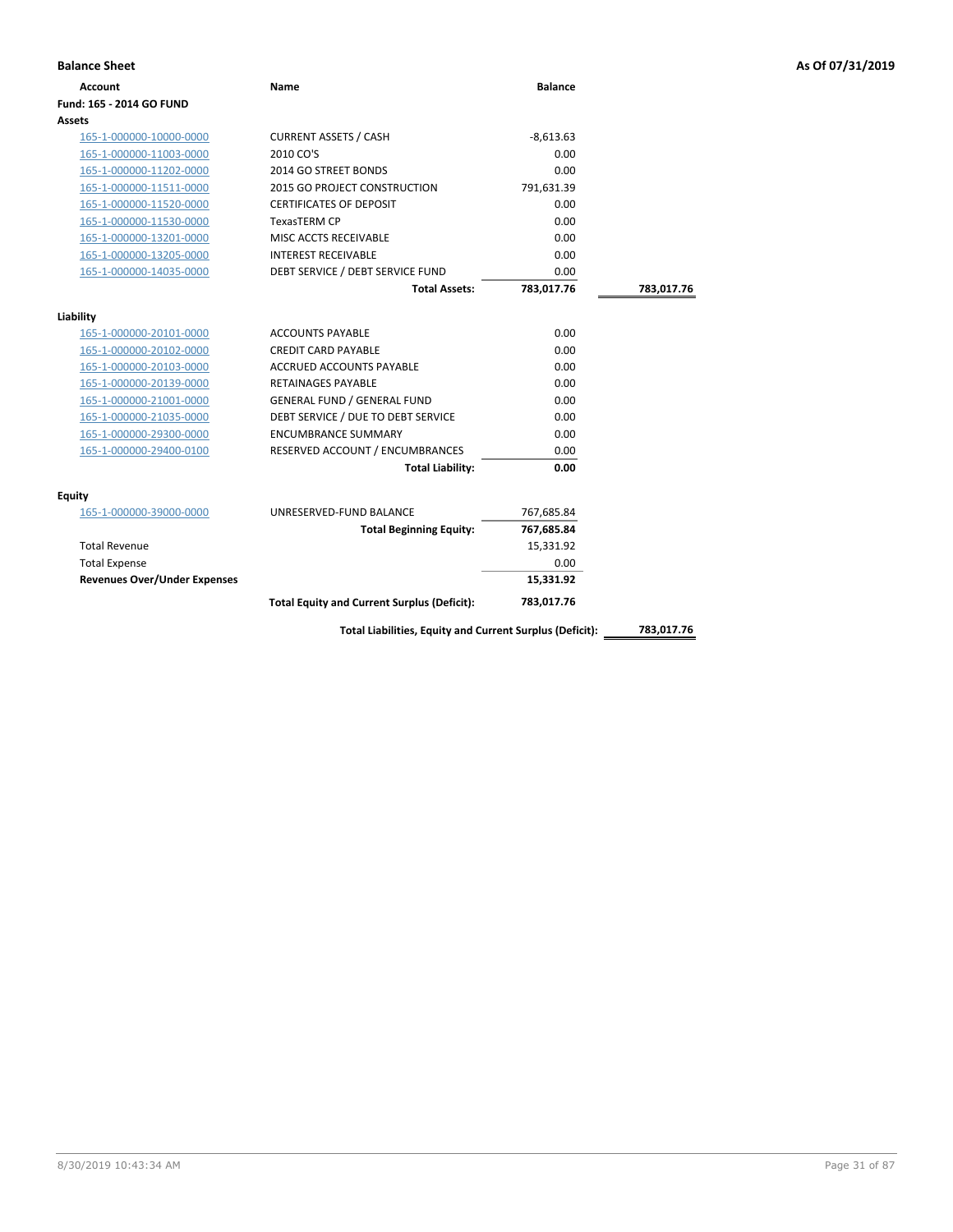| <b>Account</b>                      | Name                                                     | <b>Balance</b> |            |
|-------------------------------------|----------------------------------------------------------|----------------|------------|
| Fund: 165 - 2014 GO FUND            |                                                          |                |            |
| Assets                              |                                                          |                |            |
| 165-1-000000-10000-0000             | <b>CURRENT ASSETS / CASH</b>                             | $-8,613.63$    |            |
| 165-1-000000-11003-0000             | 2010 CO'S                                                | 0.00           |            |
| 165-1-000000-11202-0000             | 2014 GO STREET BONDS                                     | 0.00           |            |
| 165-1-000000-11511-0000             | 2015 GO PROJECT CONSTRUCTION                             | 791,631.39     |            |
| 165-1-000000-11520-0000             | <b>CERTIFICATES OF DEPOSIT</b>                           | 0.00           |            |
| 165-1-000000-11530-0000             | <b>TexasTERM CP</b>                                      | 0.00           |            |
| 165-1-000000-13201-0000             | MISC ACCTS RECEIVABLE                                    | 0.00           |            |
| 165-1-000000-13205-0000             | <b>INTEREST RECEIVABLE</b>                               | 0.00           |            |
| 165-1-000000-14035-0000             | DEBT SERVICE / DEBT SERVICE FUND                         | 0.00           |            |
|                                     | <b>Total Assets:</b>                                     | 783,017.76     | 783,017.76 |
| Liability                           |                                                          |                |            |
| 165-1-000000-20101-0000             | <b>ACCOUNTS PAYABLE</b>                                  | 0.00           |            |
| 165-1-000000-20102-0000             | <b>CREDIT CARD PAYABLE</b>                               | 0.00           |            |
| 165-1-000000-20103-0000             | ACCRUED ACCOUNTS PAYABLE                                 | 0.00           |            |
| 165-1-000000-20139-0000             | <b>RETAINAGES PAYABLE</b>                                | 0.00           |            |
| 165-1-000000-21001-0000             | <b>GENERAL FUND / GENERAL FUND</b>                       | 0.00           |            |
| 165-1-000000-21035-0000             | DEBT SERVICE / DUE TO DEBT SERVICE                       | 0.00           |            |
| 165-1-000000-29300-0000             | <b>ENCUMBRANCE SUMMARY</b>                               | 0.00           |            |
| 165-1-000000-29400-0100             | RESERVED ACCOUNT / ENCUMBRANCES                          | 0.00           |            |
|                                     | <b>Total Liability:</b>                                  | 0.00           |            |
| Equity                              |                                                          |                |            |
| 165-1-000000-39000-0000             | UNRESERVED-FUND BALANCE                                  | 767,685.84     |            |
|                                     | <b>Total Beginning Equity:</b>                           | 767,685.84     |            |
| <b>Total Revenue</b>                |                                                          | 15,331.92      |            |
| <b>Total Expense</b>                |                                                          | 0.00           |            |
| <b>Revenues Over/Under Expenses</b> |                                                          | 15,331.92      |            |
|                                     | <b>Total Equity and Current Surplus (Deficit):</b>       | 783,017.76     |            |
|                                     | Total Liabilities, Equity and Current Surplus (Deficit): |                | 783,017.76 |
|                                     |                                                          |                |            |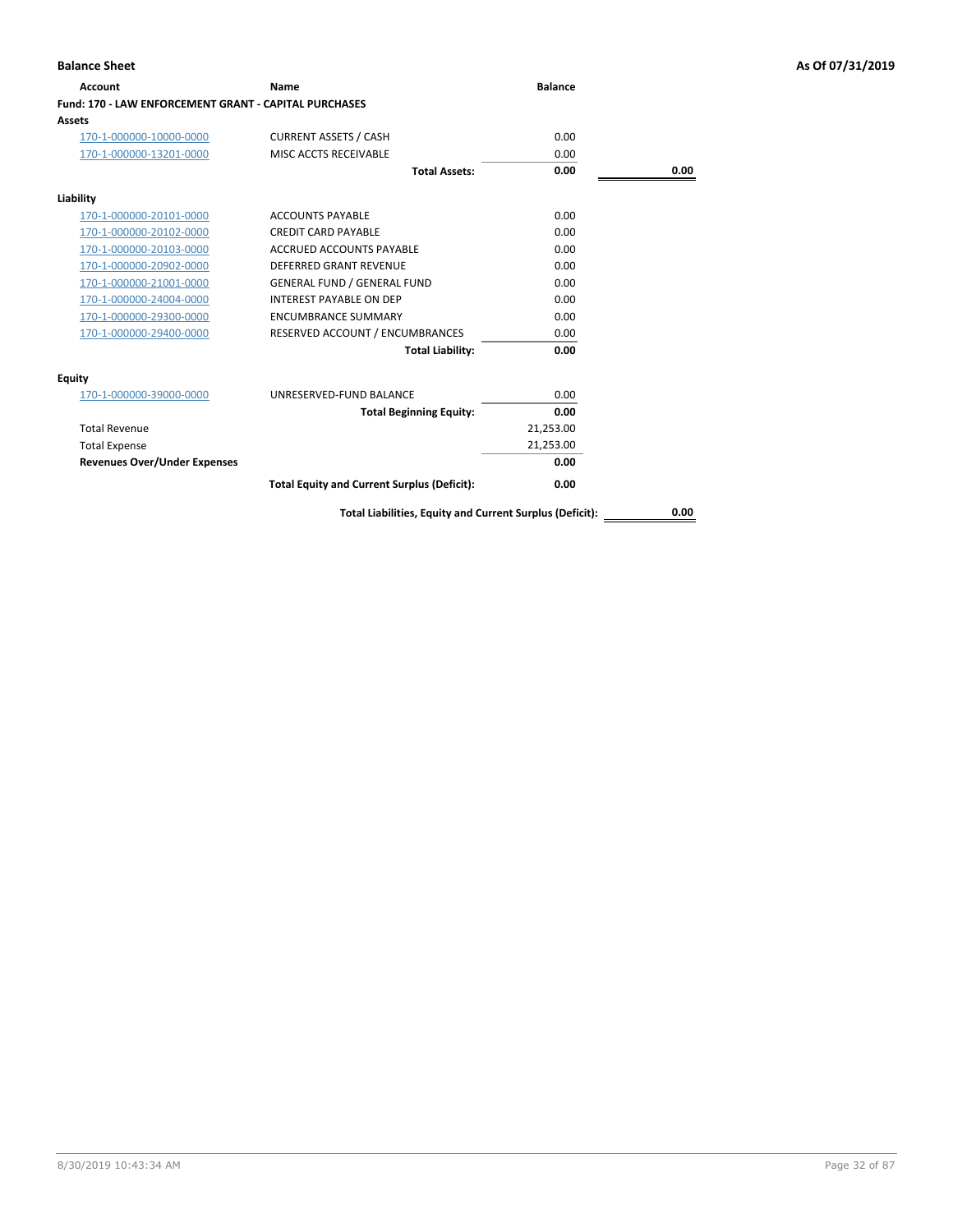| <b>Account</b>                                               | Name                                                     | <b>Balance</b> |      |
|--------------------------------------------------------------|----------------------------------------------------------|----------------|------|
| <b>Fund: 170 - LAW ENFORCEMENT GRANT - CAPITAL PURCHASES</b> |                                                          |                |      |
| <b>Assets</b>                                                |                                                          |                |      |
| 170-1-000000-10000-0000                                      | <b>CURRENT ASSETS / CASH</b>                             | 0.00           |      |
| 170-1-000000-13201-0000                                      | MISC ACCTS RECEIVABLE                                    | 0.00           |      |
|                                                              | <b>Total Assets:</b>                                     | 0.00           | 0.00 |
| Liability                                                    |                                                          |                |      |
| 170-1-000000-20101-0000                                      | <b>ACCOUNTS PAYABLE</b>                                  | 0.00           |      |
| 170-1-000000-20102-0000                                      | <b>CREDIT CARD PAYABLE</b>                               | 0.00           |      |
| 170-1-000000-20103-0000                                      | <b>ACCRUED ACCOUNTS PAYABLE</b>                          | 0.00           |      |
| 170-1-000000-20902-0000                                      | <b>DEFERRED GRANT REVENUE</b>                            | 0.00           |      |
| 170-1-000000-21001-0000                                      | <b>GENERAL FUND / GENERAL FUND</b>                       | 0.00           |      |
| 170-1-000000-24004-0000                                      | <b>INTEREST PAYABLE ON DEP</b>                           | 0.00           |      |
| 170-1-000000-29300-0000                                      | <b>ENCUMBRANCE SUMMARY</b>                               | 0.00           |      |
| 170-1-000000-29400-0000                                      | RESERVED ACCOUNT / ENCUMBRANCES                          | 0.00           |      |
|                                                              | <b>Total Liability:</b>                                  | 0.00           |      |
| Equity                                                       |                                                          |                |      |
| 170-1-000000-39000-0000                                      | UNRESERVED-FUND BALANCE                                  | 0.00           |      |
|                                                              | <b>Total Beginning Equity:</b>                           | 0.00           |      |
| <b>Total Revenue</b>                                         |                                                          | 21,253.00      |      |
| <b>Total Expense</b>                                         |                                                          | 21,253.00      |      |
| <b>Revenues Over/Under Expenses</b>                          |                                                          | 0.00           |      |
|                                                              | <b>Total Equity and Current Surplus (Deficit):</b>       | 0.00           |      |
|                                                              | Total Liabilities, Equity and Current Surplus (Deficit): |                | 0.00 |

**Balance Sheet As Of 07/31/2019**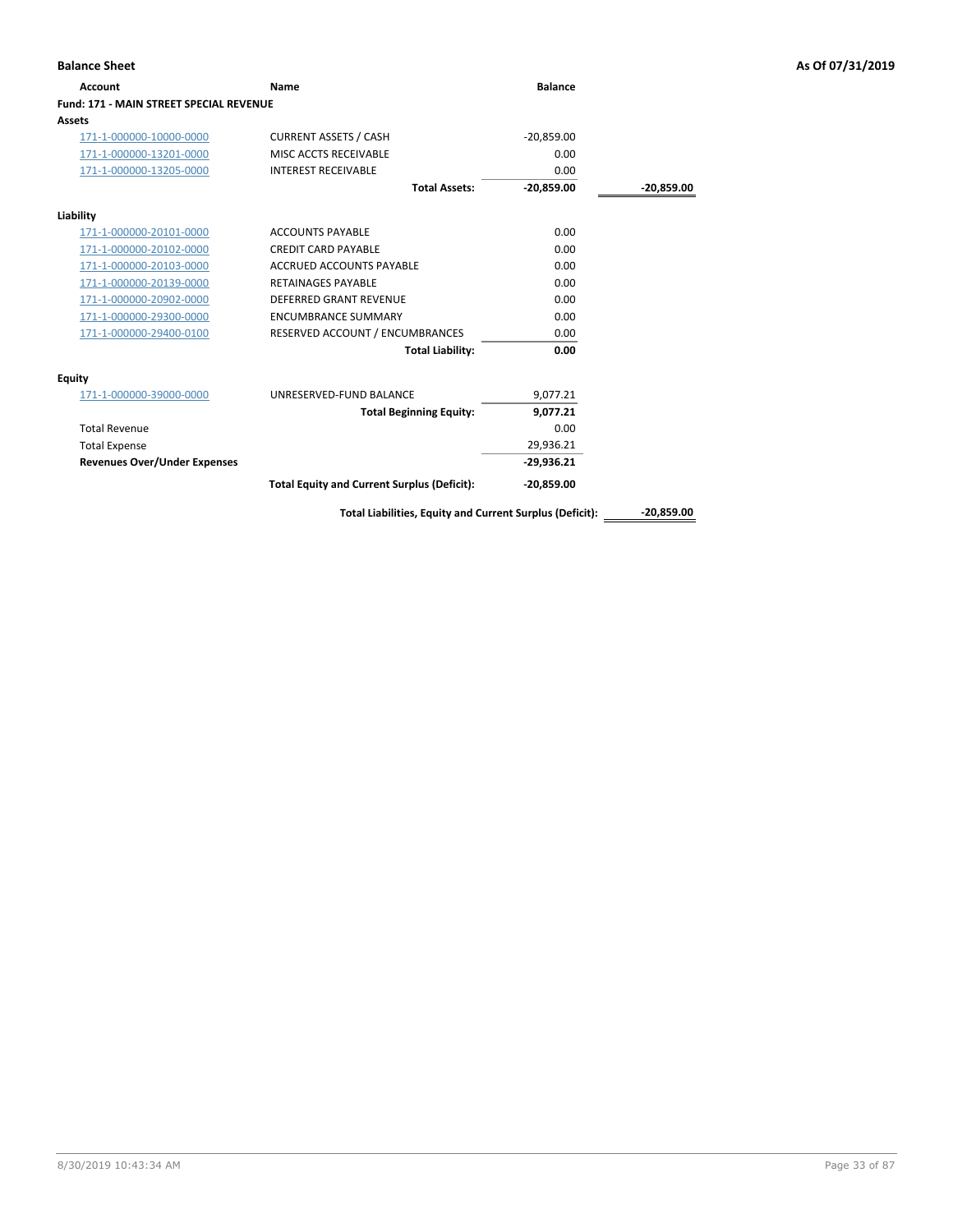| <b>Balance Sheet</b>                    |                                                          |                |              | As Of 07/31/2019 |
|-----------------------------------------|----------------------------------------------------------|----------------|--------------|------------------|
| <b>Account</b>                          | Name                                                     | <b>Balance</b> |              |                  |
| Fund: 171 - MAIN STREET SPECIAL REVENUE |                                                          |                |              |                  |
| <b>Assets</b>                           |                                                          |                |              |                  |
| 171-1-000000-10000-0000                 | <b>CURRENT ASSETS / CASH</b>                             | $-20,859.00$   |              |                  |
| 171-1-000000-13201-0000                 | MISC ACCTS RECEIVABLE                                    | 0.00           |              |                  |
| 171-1-000000-13205-0000                 | <b>INTEREST RECEIVABLE</b>                               | 0.00           |              |                  |
|                                         | <b>Total Assets:</b>                                     | $-20,859.00$   | $-20,859.00$ |                  |
| Liability                               |                                                          |                |              |                  |
| 171-1-000000-20101-0000                 | <b>ACCOUNTS PAYABLE</b>                                  | 0.00           |              |                  |
| 171-1-000000-20102-0000                 | <b>CREDIT CARD PAYABLE</b>                               | 0.00           |              |                  |
| 171-1-000000-20103-0000                 | <b>ACCRUED ACCOUNTS PAYABLE</b>                          | 0.00           |              |                  |
| 171-1-000000-20139-0000                 | <b>RETAINAGES PAYABLE</b>                                | 0.00           |              |                  |
| 171-1-000000-20902-0000                 | DEFERRED GRANT REVENUE                                   | 0.00           |              |                  |
| 171-1-000000-29300-0000                 | <b>ENCUMBRANCE SUMMARY</b>                               | 0.00           |              |                  |
| 171-1-000000-29400-0100                 | RESERVED ACCOUNT / ENCUMBRANCES                          | 0.00           |              |                  |
|                                         | <b>Total Liability:</b>                                  | 0.00           |              |                  |
| <b>Equity</b>                           |                                                          |                |              |                  |
| 171-1-000000-39000-0000                 | UNRESERVED-FUND BALANCE                                  | 9,077.21       |              |                  |
|                                         | <b>Total Beginning Equity:</b>                           | 9,077.21       |              |                  |
| <b>Total Revenue</b>                    |                                                          | 0.00           |              |                  |
| <b>Total Expense</b>                    |                                                          | 29,936.21      |              |                  |
| <b>Revenues Over/Under Expenses</b>     |                                                          | $-29,936.21$   |              |                  |
|                                         | <b>Total Equity and Current Surplus (Deficit):</b>       | $-20,859.00$   |              |                  |
|                                         | Total Liabilities, Equity and Current Surplus (Deficit): |                | $-20,859.00$ |                  |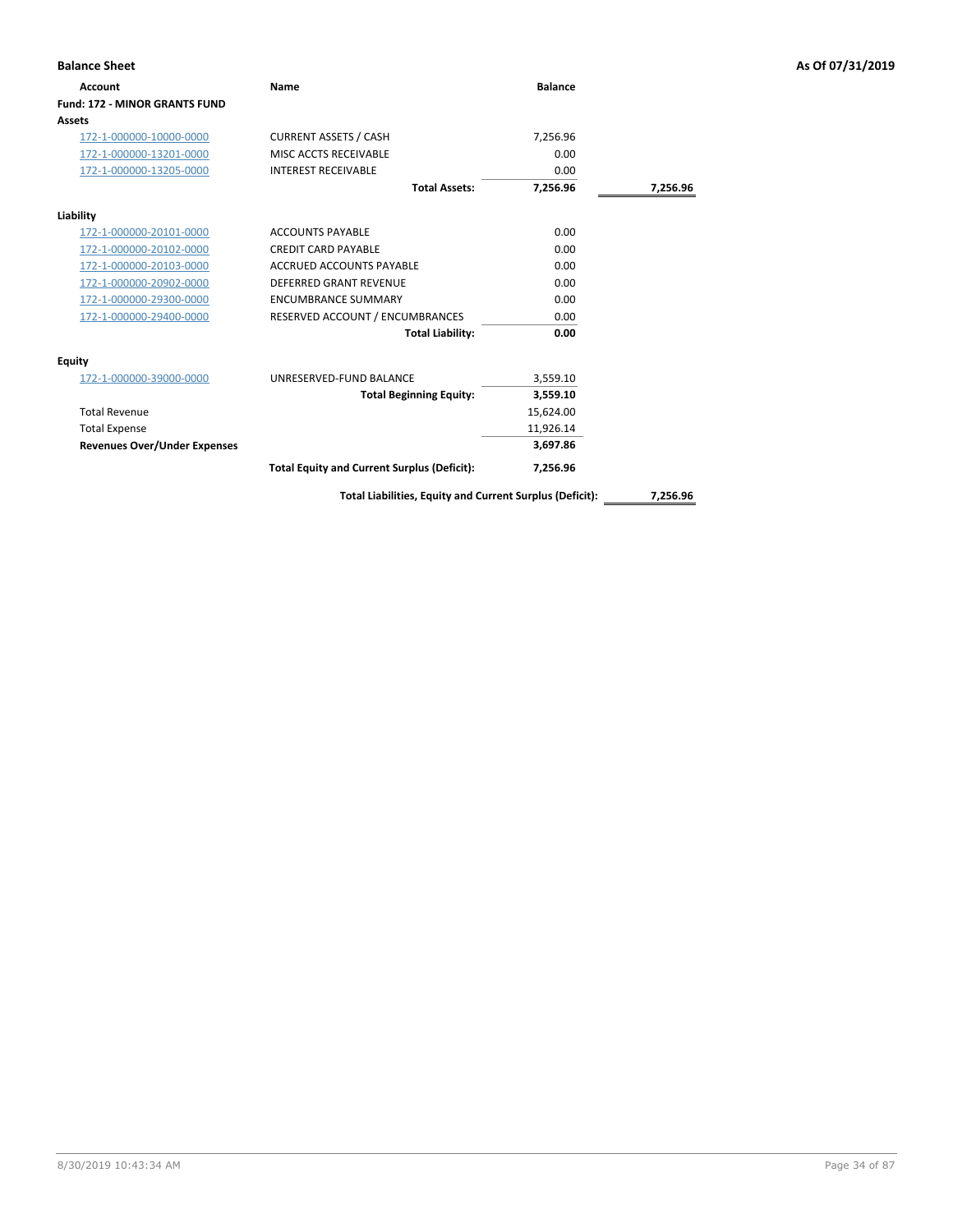| <b>Balance Sheet</b>                 |                                                    |                |          | As Of 07/31/2019 |
|--------------------------------------|----------------------------------------------------|----------------|----------|------------------|
| <b>Account</b>                       | Name                                               | <b>Balance</b> |          |                  |
| <b>Fund: 172 - MINOR GRANTS FUND</b> |                                                    |                |          |                  |
| Assets                               |                                                    |                |          |                  |
| 172-1-000000-10000-0000              | <b>CURRENT ASSETS / CASH</b>                       | 7,256.96       |          |                  |
| 172-1-000000-13201-0000              | MISC ACCTS RECEIVABLE                              | 0.00           |          |                  |
| 172-1-000000-13205-0000              | <b>INTEREST RECEIVABLE</b>                         | 0.00           |          |                  |
|                                      | <b>Total Assets:</b>                               | 7,256.96       | 7,256.96 |                  |
| Liability                            |                                                    |                |          |                  |
| 172-1-000000-20101-0000              | <b>ACCOUNTS PAYABLE</b>                            | 0.00           |          |                  |
| 172-1-000000-20102-0000              | <b>CREDIT CARD PAYABLE</b>                         | 0.00           |          |                  |
| 172-1-000000-20103-0000              | ACCRUED ACCOUNTS PAYABLE                           | 0.00           |          |                  |
| 172-1-000000-20902-0000              | <b>DEFERRED GRANT REVENUE</b>                      | 0.00           |          |                  |
| 172-1-000000-29300-0000              | <b>ENCUMBRANCE SUMMARY</b>                         | 0.00           |          |                  |
| 172-1-000000-29400-0000              | RESERVED ACCOUNT / ENCUMBRANCES                    | 0.00           |          |                  |
|                                      | <b>Total Liability:</b>                            | 0.00           |          |                  |
| <b>Equity</b>                        |                                                    |                |          |                  |
| 172-1-000000-39000-0000              | UNRESERVED-FUND BALANCE                            | 3,559.10       |          |                  |
|                                      | <b>Total Beginning Equity:</b>                     | 3,559.10       |          |                  |
| <b>Total Revenue</b>                 |                                                    | 15,624.00      |          |                  |
| <b>Total Expense</b>                 |                                                    | 11,926.14      |          |                  |
| <b>Revenues Over/Under Expenses</b>  |                                                    | 3,697.86       |          |                  |
|                                      | <b>Total Equity and Current Surplus (Deficit):</b> | 7,256.96       |          |                  |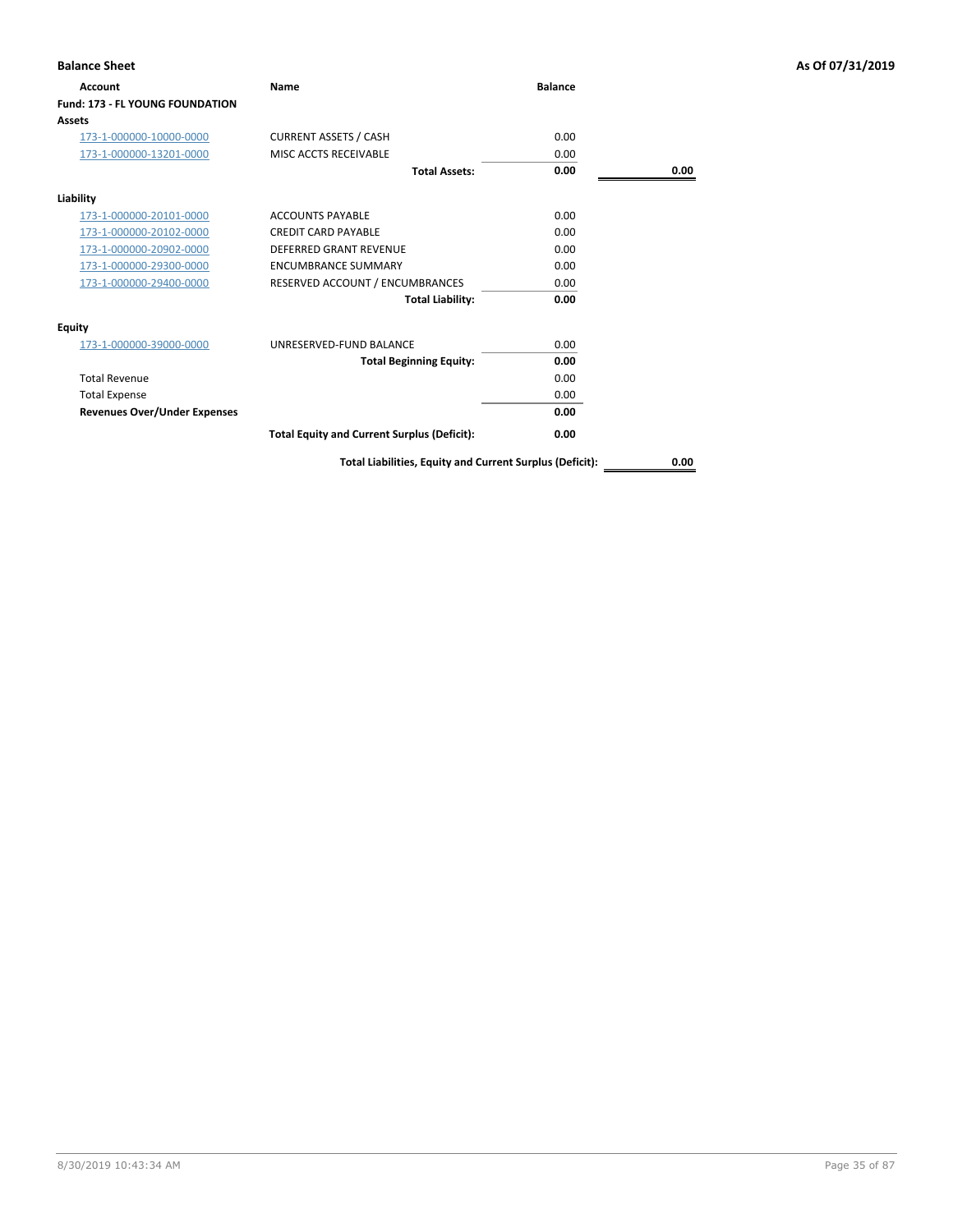| <b>Balance Sheet</b>                   |                                                          |                |      | As Of 07/31/2019 |
|----------------------------------------|----------------------------------------------------------|----------------|------|------------------|
| Account                                | Name                                                     | <b>Balance</b> |      |                  |
| <b>Fund: 173 - FL YOUNG FOUNDATION</b> |                                                          |                |      |                  |
| Assets                                 |                                                          |                |      |                  |
| 173-1-000000-10000-0000                | <b>CURRENT ASSETS / CASH</b>                             | 0.00           |      |                  |
| 173-1-000000-13201-0000                | MISC ACCTS RECEIVABLE                                    | 0.00           |      |                  |
|                                        | <b>Total Assets:</b>                                     | 0.00           | 0.00 |                  |
| Liability                              |                                                          |                |      |                  |
| 173-1-000000-20101-0000                | <b>ACCOUNTS PAYABLE</b>                                  | 0.00           |      |                  |
| 173-1-000000-20102-0000                | <b>CREDIT CARD PAYABLE</b>                               | 0.00           |      |                  |
| 173-1-000000-20902-0000                | <b>DEFERRED GRANT REVENUE</b>                            | 0.00           |      |                  |
| 173-1-000000-29300-0000                | <b>ENCUMBRANCE SUMMARY</b>                               | 0.00           |      |                  |
| 173-1-000000-29400-0000                | RESERVED ACCOUNT / ENCUMBRANCES                          | 0.00           |      |                  |
|                                        | <b>Total Liability:</b>                                  | 0.00           |      |                  |
| <b>Equity</b>                          |                                                          |                |      |                  |
| 173-1-000000-39000-0000                | UNRESERVED-FUND BALANCE                                  | 0.00           |      |                  |
|                                        | <b>Total Beginning Equity:</b>                           | 0.00           |      |                  |
| <b>Total Revenue</b>                   |                                                          | 0.00           |      |                  |
| <b>Total Expense</b>                   |                                                          | 0.00           |      |                  |
| <b>Revenues Over/Under Expenses</b>    |                                                          | 0.00           |      |                  |
|                                        | <b>Total Equity and Current Surplus (Deficit):</b>       | 0.00           |      |                  |
|                                        | Total Liabilities, Equity and Current Surplus (Deficit): |                | 0.00 |                  |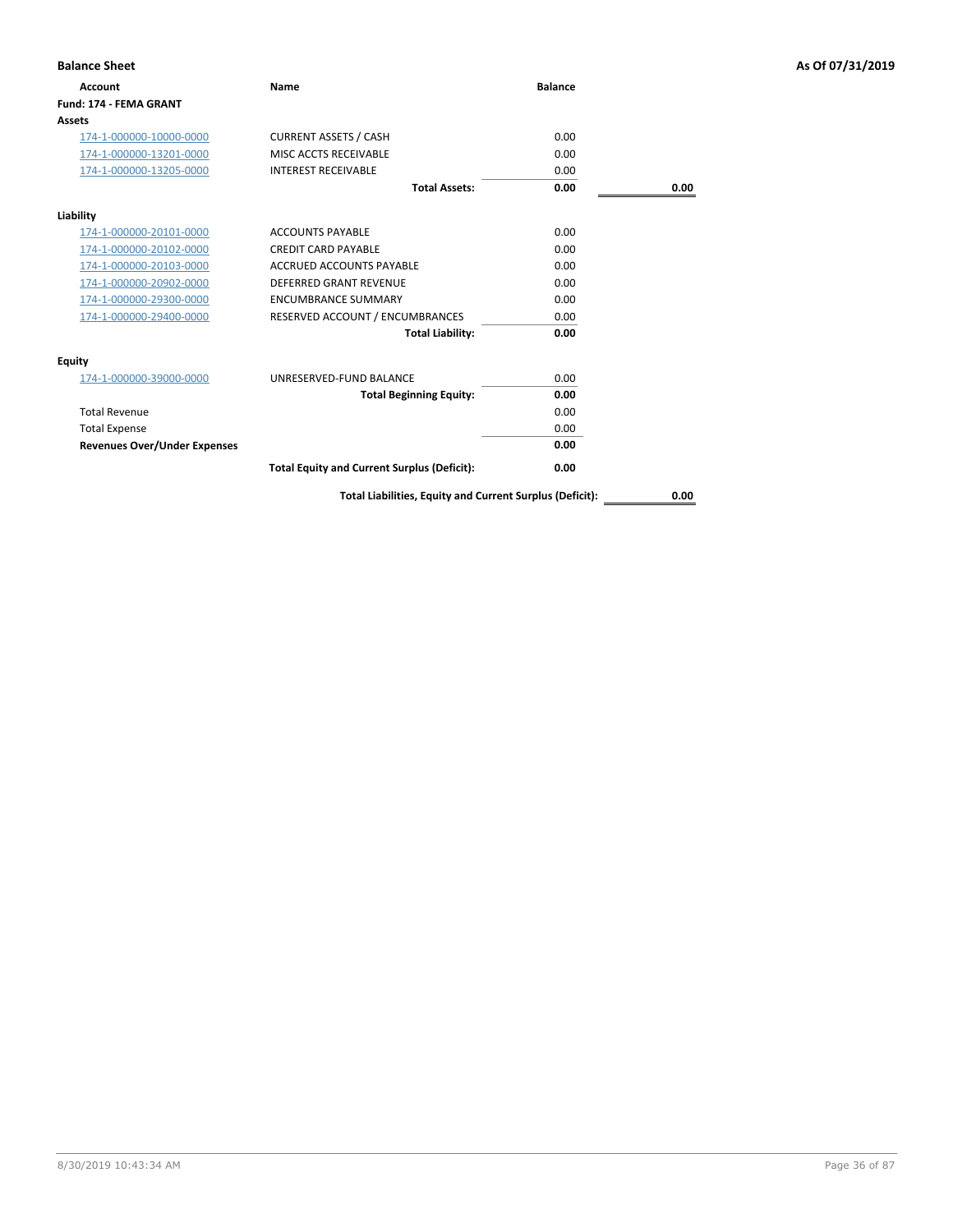| <b>Balance Sheet</b>                |                                                    |                |      | As Of 07/31/2019 |
|-------------------------------------|----------------------------------------------------|----------------|------|------------------|
| <b>Account</b>                      | Name                                               | <b>Balance</b> |      |                  |
| Fund: 174 - FEMA GRANT              |                                                    |                |      |                  |
| <b>Assets</b>                       |                                                    |                |      |                  |
| 174-1-000000-10000-0000             | <b>CURRENT ASSETS / CASH</b>                       | 0.00           |      |                  |
| 174-1-000000-13201-0000             | MISC ACCTS RECEIVABLE                              | 0.00           |      |                  |
| 174-1-000000-13205-0000             | <b>INTEREST RECEIVABLE</b>                         | 0.00           |      |                  |
|                                     | <b>Total Assets:</b>                               | 0.00           | 0.00 |                  |
| Liability                           |                                                    |                |      |                  |
| 174-1-000000-20101-0000             | <b>ACCOUNTS PAYABLE</b>                            | 0.00           |      |                  |
| 174-1-000000-20102-0000             | <b>CREDIT CARD PAYABLE</b>                         | 0.00           |      |                  |
| 174-1-000000-20103-0000             | <b>ACCRUED ACCOUNTS PAYABLE</b>                    | 0.00           |      |                  |
| 174-1-000000-20902-0000             | DEFERRED GRANT REVENUE                             | 0.00           |      |                  |
| 174-1-000000-29300-0000             | <b>ENCUMBRANCE SUMMARY</b>                         | 0.00           |      |                  |
| 174-1-000000-29400-0000             | RESERVED ACCOUNT / ENCUMBRANCES                    | 0.00           |      |                  |
|                                     | <b>Total Liability:</b>                            | 0.00           |      |                  |
| <b>Equity</b>                       |                                                    |                |      |                  |
| 174-1-000000-39000-0000             | UNRESERVED-FUND BALANCE                            | 0.00           |      |                  |
|                                     | <b>Total Beginning Equity:</b>                     | 0.00           |      |                  |
| <b>Total Revenue</b>                |                                                    | 0.00           |      |                  |
| <b>Total Expense</b>                |                                                    | 0.00           |      |                  |
| <b>Revenues Over/Under Expenses</b> |                                                    | 0.00           |      |                  |
|                                     | <b>Total Equity and Current Surplus (Deficit):</b> | 0.00           |      |                  |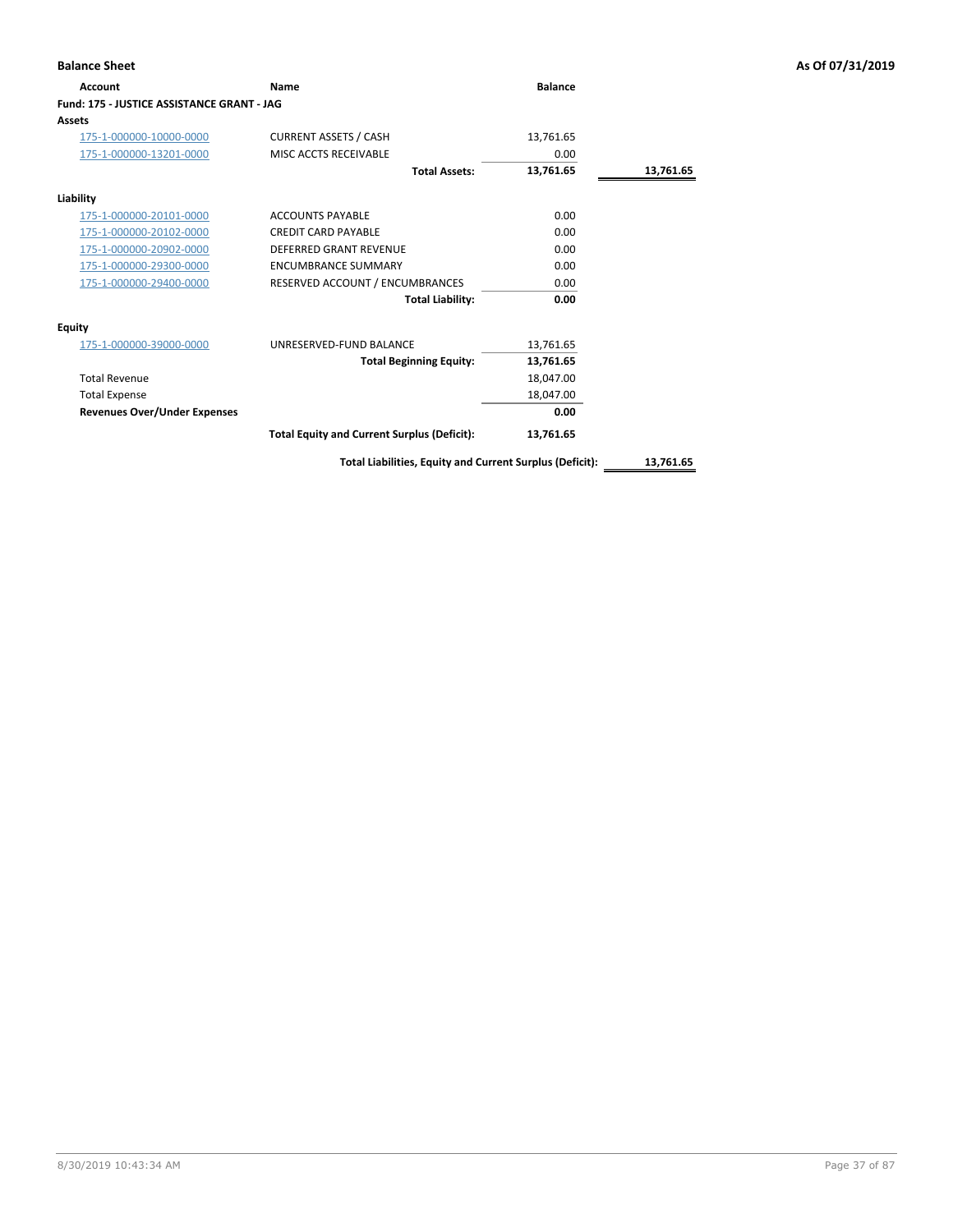| <b>Balance Sheet</b>                       |                                                          |                |           | As Of 07/31/2019 |
|--------------------------------------------|----------------------------------------------------------|----------------|-----------|------------------|
| Account                                    | Name                                                     | <b>Balance</b> |           |                  |
| Fund: 175 - JUSTICE ASSISTANCE GRANT - JAG |                                                          |                |           |                  |
| Assets                                     |                                                          |                |           |                  |
| 175-1-000000-10000-0000                    | <b>CURRENT ASSETS / CASH</b>                             | 13,761.65      |           |                  |
| 175-1-000000-13201-0000                    | MISC ACCTS RECEIVABLE                                    | 0.00           |           |                  |
|                                            | <b>Total Assets:</b>                                     | 13,761.65      | 13,761.65 |                  |
| Liability                                  |                                                          |                |           |                  |
| 175-1-000000-20101-0000                    | <b>ACCOUNTS PAYABLE</b>                                  | 0.00           |           |                  |
| 175-1-000000-20102-0000                    | <b>CREDIT CARD PAYABLE</b>                               | 0.00           |           |                  |
| 175-1-000000-20902-0000                    | <b>DEFERRED GRANT REVENUE</b>                            | 0.00           |           |                  |
| 175-1-000000-29300-0000                    | <b>ENCUMBRANCE SUMMARY</b>                               | 0.00           |           |                  |
| 175-1-000000-29400-0000                    | RESERVED ACCOUNT / ENCUMBRANCES                          | 0.00           |           |                  |
|                                            | <b>Total Liability:</b>                                  | 0.00           |           |                  |
| <b>Equity</b>                              |                                                          |                |           |                  |
| 175-1-000000-39000-0000                    | UNRESERVED-FUND BALANCE                                  | 13,761.65      |           |                  |
|                                            | <b>Total Beginning Equity:</b>                           | 13,761.65      |           |                  |
| <b>Total Revenue</b>                       |                                                          | 18,047.00      |           |                  |
| <b>Total Expense</b>                       |                                                          | 18,047.00      |           |                  |
| <b>Revenues Over/Under Expenses</b>        |                                                          | 0.00           |           |                  |
|                                            | <b>Total Equity and Current Surplus (Deficit):</b>       | 13,761.65      |           |                  |
|                                            | Total Liabilities, Equity and Current Surplus (Deficit): |                | 13,761.65 |                  |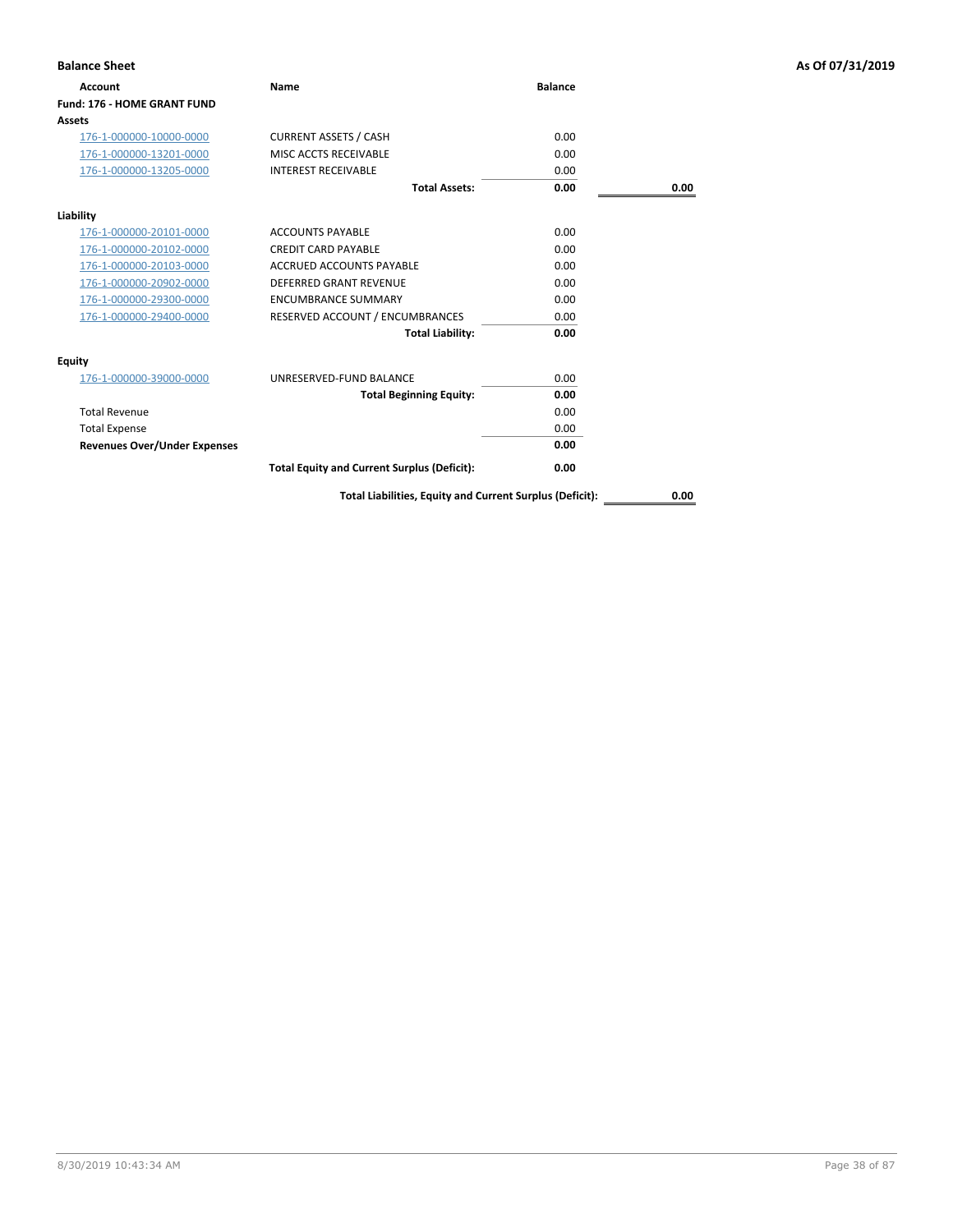| <b>Balance Sheet</b>                |                                                    |                |      | As Of 07/31/2019 |
|-------------------------------------|----------------------------------------------------|----------------|------|------------------|
| <b>Account</b>                      | Name                                               | <b>Balance</b> |      |                  |
| <b>Fund: 176 - HOME GRANT FUND</b>  |                                                    |                |      |                  |
| <b>Assets</b>                       |                                                    |                |      |                  |
| 176-1-000000-10000-0000             | <b>CURRENT ASSETS / CASH</b>                       | 0.00           |      |                  |
| 176-1-000000-13201-0000             | MISC ACCTS RECEIVABLE                              | 0.00           |      |                  |
| 176-1-000000-13205-0000             | <b>INTEREST RECEIVABLE</b>                         | 0.00           |      |                  |
|                                     | <b>Total Assets:</b>                               | 0.00           | 0.00 |                  |
| Liability                           |                                                    |                |      |                  |
| 176-1-000000-20101-0000             | <b>ACCOUNTS PAYABLE</b>                            | 0.00           |      |                  |
| 176-1-000000-20102-0000             | <b>CREDIT CARD PAYABLE</b>                         | 0.00           |      |                  |
| 176-1-000000-20103-0000             | ACCRUED ACCOUNTS PAYABLE                           | 0.00           |      |                  |
| 176-1-000000-20902-0000             | <b>DEFERRED GRANT REVENUE</b>                      | 0.00           |      |                  |
| 176-1-000000-29300-0000             | <b>ENCUMBRANCE SUMMARY</b>                         | 0.00           |      |                  |
| 176-1-000000-29400-0000             | RESERVED ACCOUNT / ENCUMBRANCES                    | 0.00           |      |                  |
|                                     | <b>Total Liability:</b>                            | 0.00           |      |                  |
| Equity                              |                                                    |                |      |                  |
| 176-1-000000-39000-0000             | UNRESERVED-FUND BALANCE                            | 0.00           |      |                  |
|                                     | <b>Total Beginning Equity:</b>                     | 0.00           |      |                  |
| <b>Total Revenue</b>                |                                                    | 0.00           |      |                  |
| <b>Total Expense</b>                |                                                    | 0.00           |      |                  |
| <b>Revenues Over/Under Expenses</b> |                                                    | 0.00           |      |                  |
|                                     | <b>Total Equity and Current Surplus (Deficit):</b> | 0.00           |      |                  |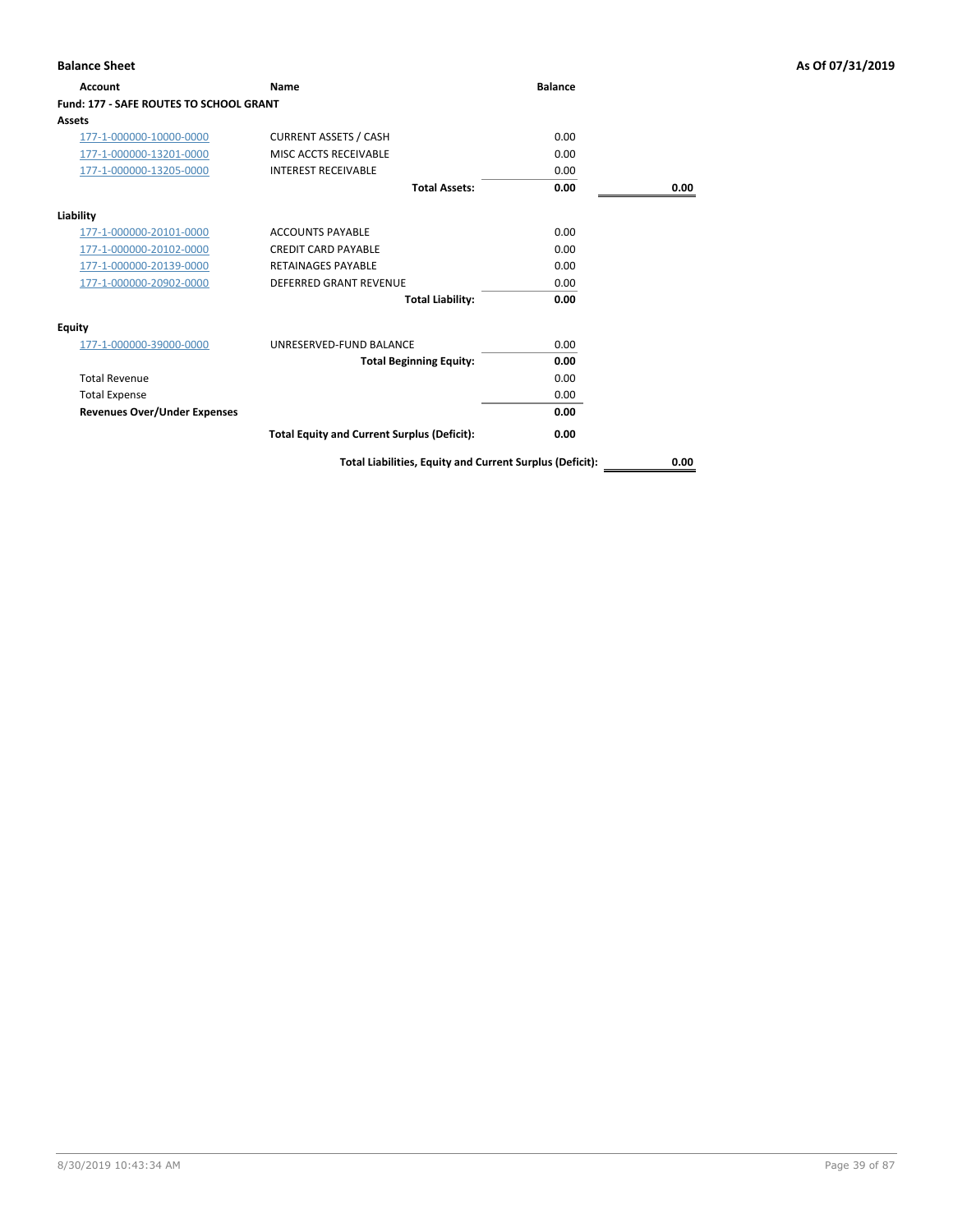| Account                                        | <b>Name</b>                                        | <b>Balance</b> |      |
|------------------------------------------------|----------------------------------------------------|----------------|------|
| <b>Fund: 177 - SAFE ROUTES TO SCHOOL GRANT</b> |                                                    |                |      |
| Assets                                         |                                                    |                |      |
| 177-1-000000-10000-0000                        | <b>CURRENT ASSETS / CASH</b>                       | 0.00           |      |
| 177-1-000000-13201-0000                        | MISC ACCTS RECEIVABLE                              | 0.00           |      |
| 177-1-000000-13205-0000                        | <b>INTEREST RECEIVABLE</b>                         | 0.00           |      |
|                                                | <b>Total Assets:</b>                               | 0.00           | 0.00 |
| Liability                                      |                                                    |                |      |
| 177-1-000000-20101-0000                        | <b>ACCOUNTS PAYABLE</b>                            | 0.00           |      |
| 177-1-000000-20102-0000                        | <b>CREDIT CARD PAYABLE</b>                         | 0.00           |      |
| 177-1-000000-20139-0000                        | <b>RETAINAGES PAYABLE</b>                          | 0.00           |      |
| 177-1-000000-20902-0000                        | <b>DEFERRED GRANT REVENUE</b>                      | 0.00           |      |
|                                                | <b>Total Liability:</b>                            | 0.00           |      |
| Equity                                         |                                                    |                |      |
| 177-1-000000-39000-0000                        | UNRESERVED-FUND BALANCE                            | 0.00           |      |
|                                                | <b>Total Beginning Equity:</b>                     | 0.00           |      |
| <b>Total Revenue</b>                           |                                                    | 0.00           |      |
| <b>Total Expense</b>                           |                                                    | 0.00           |      |
| <b>Revenues Over/Under Expenses</b>            |                                                    | 0.00           |      |
|                                                | <b>Total Equity and Current Surplus (Deficit):</b> | 0.00           |      |

## **Balance Sheet As Of 07/31/2019**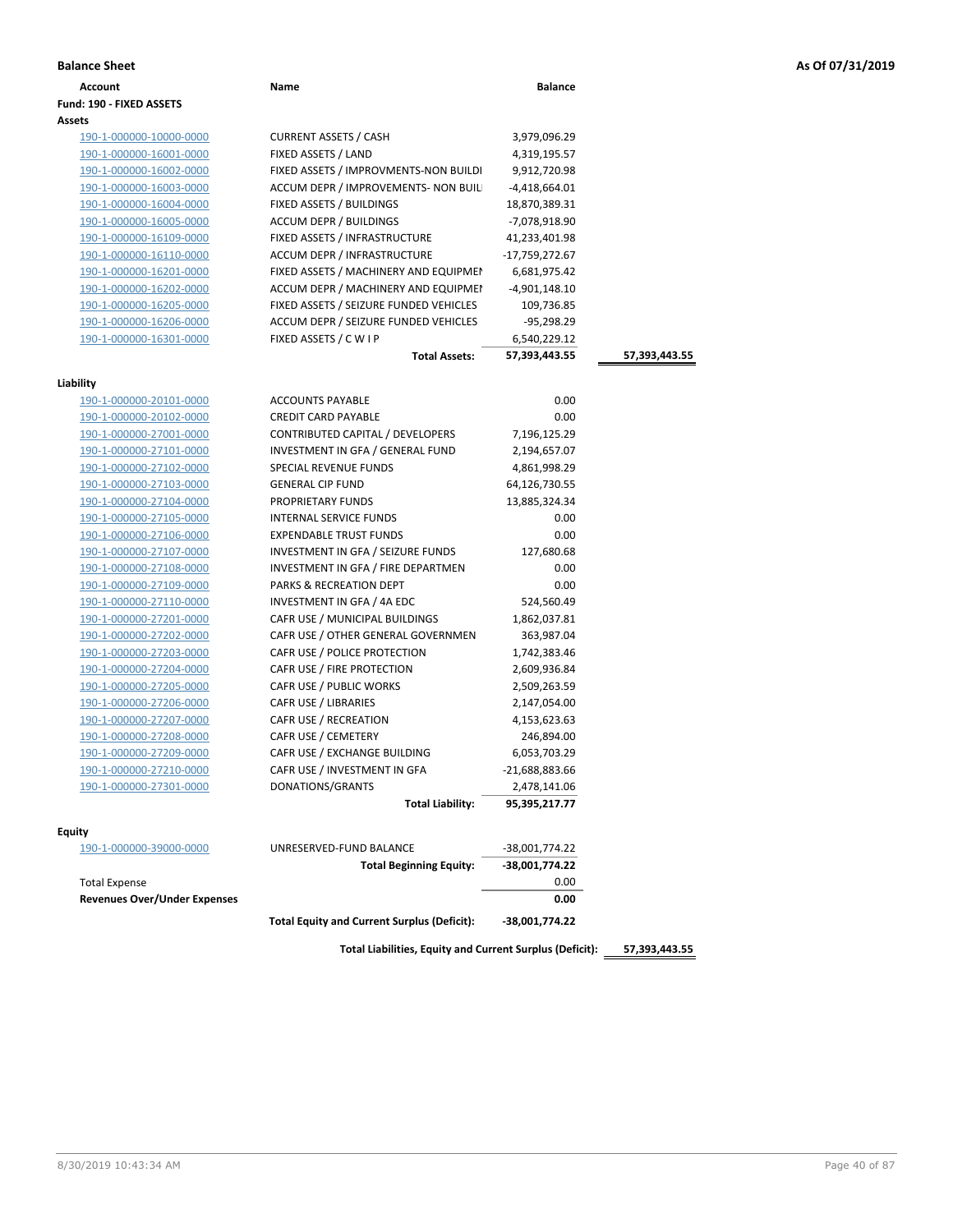|  |  |  |  | As Of 07/31/2019 |
|--|--|--|--|------------------|
|--|--|--|--|------------------|

| <b>Balance Sheet</b>                |                                                    |                  |               | As Of 07/31/2019 |
|-------------------------------------|----------------------------------------------------|------------------|---------------|------------------|
| <b>Account</b>                      | Name                                               | <b>Balance</b>   |               |                  |
| Fund: 190 - FIXED ASSETS            |                                                    |                  |               |                  |
| Assets                              |                                                    |                  |               |                  |
| 190-1-000000-10000-0000             | <b>CURRENT ASSETS / CASH</b>                       | 3,979,096.29     |               |                  |
| 190-1-000000-16001-0000             | FIXED ASSETS / LAND                                | 4,319,195.57     |               |                  |
| 190-1-000000-16002-0000             | FIXED ASSETS / IMPROVMENTS-NON BUILDI              | 9,912,720.98     |               |                  |
| 190-1-000000-16003-0000             | ACCUM DEPR / IMPROVEMENTS- NON BUIL                | -4,418,664.01    |               |                  |
| 190-1-000000-16004-0000             | FIXED ASSETS / BUILDINGS                           | 18,870,389.31    |               |                  |
| 190-1-000000-16005-0000             | ACCUM DEPR / BUILDINGS                             | -7,078,918.90    |               |                  |
| 190-1-000000-16109-0000             | FIXED ASSETS / INFRASTRUCTURE                      | 41,233,401.98    |               |                  |
| 190-1-000000-16110-0000             | ACCUM DEPR / INFRASTRUCTURE                        | -17,759,272.67   |               |                  |
| 190-1-000000-16201-0000             | FIXED ASSETS / MACHINERY AND EQUIPMEN              | 6,681,975.42     |               |                  |
| 190-1-000000-16202-0000             | ACCUM DEPR / MACHINERY AND EQUIPMEI                | -4,901,148.10    |               |                  |
| 190-1-000000-16205-0000             | FIXED ASSETS / SEIZURE FUNDED VEHICLES             | 109,736.85       |               |                  |
| 190-1-000000-16206-0000             | ACCUM DEPR / SEIZURE FUNDED VEHICLES               | $-95,298.29$     |               |                  |
| 190-1-000000-16301-0000             | FIXED ASSETS / C W I P                             | 6,540,229.12     |               |                  |
|                                     | <b>Total Assets:</b>                               | 57,393,443.55    | 57,393,443.55 |                  |
|                                     |                                                    |                  |               |                  |
| Liability                           |                                                    |                  |               |                  |
| 190-1-000000-20101-0000             | <b>ACCOUNTS PAYABLE</b>                            | 0.00             |               |                  |
| 190-1-000000-20102-0000             | <b>CREDIT CARD PAYABLE</b>                         | 0.00             |               |                  |
| 190-1-000000-27001-0000             | CONTRIBUTED CAPITAL / DEVELOPERS                   | 7,196,125.29     |               |                  |
| 190-1-000000-27101-0000             | INVESTMENT IN GFA / GENERAL FUND                   | 2,194,657.07     |               |                  |
| 190-1-000000-27102-0000             | SPECIAL REVENUE FUNDS                              | 4,861,998.29     |               |                  |
| 190-1-000000-27103-0000             | <b>GENERAL CIP FUND</b>                            | 64,126,730.55    |               |                  |
| 190-1-000000-27104-0000             | PROPRIETARY FUNDS                                  | 13,885,324.34    |               |                  |
| 190-1-000000-27105-0000             | INTERNAL SERVICE FUNDS                             | 0.00             |               |                  |
| 190-1-000000-27106-0000             | <b>EXPENDABLE TRUST FUNDS</b>                      | 0.00             |               |                  |
| 190-1-000000-27107-0000             | INVESTMENT IN GFA / SEIZURE FUNDS                  | 127,680.68       |               |                  |
| 190-1-000000-27108-0000             | INVESTMENT IN GFA / FIRE DEPARTMEN                 | 0.00             |               |                  |
| 190-1-000000-27109-0000             | PARKS & RECREATION DEPT                            | 0.00             |               |                  |
| 190-1-000000-27110-0000             | INVESTMENT IN GFA / 4A EDC                         | 524,560.49       |               |                  |
| 190-1-000000-27201-0000             | CAFR USE / MUNICIPAL BUILDINGS                     | 1,862,037.81     |               |                  |
| 190-1-000000-27202-0000             | CAFR USE / OTHER GENERAL GOVERNMEN                 | 363,987.04       |               |                  |
| 190-1-000000-27203-0000             | CAFR USE / POLICE PROTECTION                       | 1,742,383.46     |               |                  |
| 190-1-000000-27204-0000             | CAFR USE / FIRE PROTECTION                         | 2,609,936.84     |               |                  |
| 190-1-000000-27205-0000             | CAFR USE / PUBLIC WORKS                            | 2,509,263.59     |               |                  |
| 190-1-000000-27206-0000             | <b>CAFR USE / LIBRARIES</b>                        | 2,147,054.00     |               |                  |
| 190-1-000000-27207-0000             | CAFR USE / RECREATION                              | 4,153,623.63     |               |                  |
| 190-1-000000-27208-0000             | CAFR USE / CEMETERY                                | 246,894.00       |               |                  |
| 190-1-000000-27209-0000             | CAFR USE / EXCHANGE BUILDING                       | 6,053,703.29     |               |                  |
| 190-1-000000-27210-0000             | CAFR USE / INVESTMENT IN GFA                       | $-21,688,883.66$ |               |                  |
| 190-1-000000-27301-0000             | DONATIONS/GRANTS                                   | 2,478,141.06     |               |                  |
|                                     | <b>Total Liability:</b>                            | 95,395,217.77    |               |                  |
| Equity                              |                                                    |                  |               |                  |
| 190-1-000000-39000-0000             | UNRESERVED-FUND BALANCE                            | -38,001,774.22   |               |                  |
|                                     | <b>Total Beginning Equity:</b>                     | -38,001,774.22   |               |                  |
| <b>Total Expense</b>                |                                                    | 0.00             |               |                  |
| <b>Revenues Over/Under Expenses</b> |                                                    | 0.00             |               |                  |
|                                     | <b>Total Equity and Current Surplus (Deficit):</b> | -38,001,774.22   |               |                  |
|                                     |                                                    |                  |               |                  |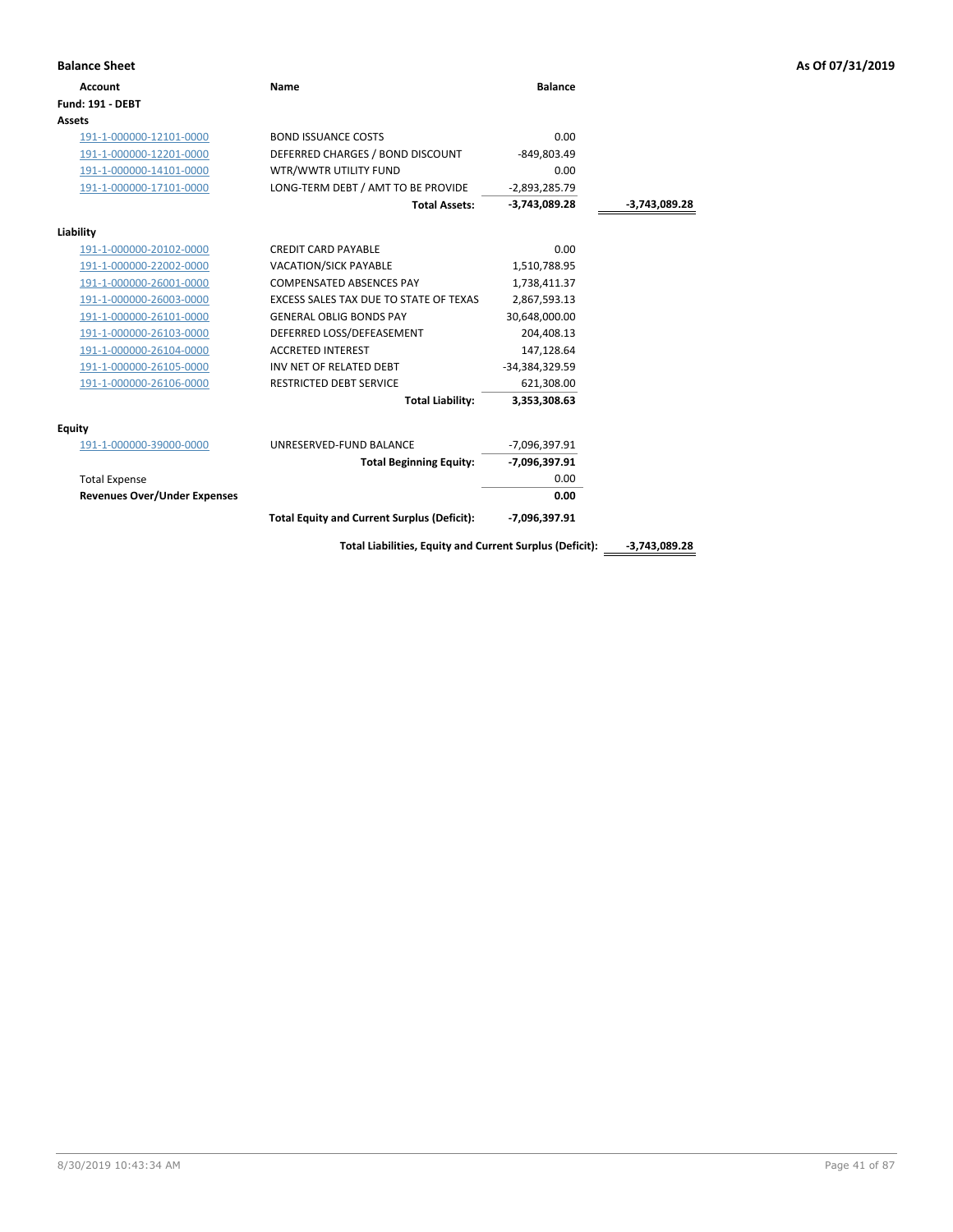| As Of 07/31/2019 |  |  |  |  |  |
|------------------|--|--|--|--|--|
|------------------|--|--|--|--|--|

| <b>Balance Sheet</b>                |                                                          |                 |                 | As Of 07/31/2019 |
|-------------------------------------|----------------------------------------------------------|-----------------|-----------------|------------------|
| <b>Account</b>                      | <b>Name</b>                                              | <b>Balance</b>  |                 |                  |
| <b>Fund: 191 - DEBT</b>             |                                                          |                 |                 |                  |
| <b>Assets</b>                       |                                                          |                 |                 |                  |
| 191-1-000000-12101-0000             | <b>BOND ISSUANCE COSTS</b>                               | 0.00            |                 |                  |
| 191-1-000000-12201-0000             | DEFERRED CHARGES / BOND DISCOUNT                         | $-849,803.49$   |                 |                  |
| 191-1-000000-14101-0000             | WTR/WWTR UTILITY FUND                                    | 0.00            |                 |                  |
| 191-1-000000-17101-0000             | LONG-TERM DEBT / AMT TO BE PROVIDE                       | $-2,893,285.79$ |                 |                  |
|                                     | <b>Total Assets:</b>                                     | $-3,743,089.28$ | $-3,743,089.28$ |                  |
| Liability                           |                                                          |                 |                 |                  |
| 191-1-000000-20102-0000             | <b>CREDIT CARD PAYABLE</b>                               | 0.00            |                 |                  |
| 191-1-000000-22002-0000             | VACATION/SICK PAYABLE                                    | 1,510,788.95    |                 |                  |
| 191-1-000000-26001-0000             | COMPENSATED ABSENCES PAY                                 | 1,738,411.37    |                 |                  |
| 191-1-000000-26003-0000             | EXCESS SALES TAX DUE TO STATE OF TEXAS                   | 2,867,593.13    |                 |                  |
| 191-1-000000-26101-0000             | <b>GENERAL OBLIG BONDS PAY</b>                           | 30,648,000.00   |                 |                  |
| 191-1-000000-26103-0000             | DEFERRED LOSS/DEFEASEMENT                                | 204,408.13      |                 |                  |
| 191-1-000000-26104-0000             | <b>ACCRETED INTEREST</b>                                 | 147,128.64      |                 |                  |
| 191-1-000000-26105-0000             | INV NET OF RELATED DEBT                                  | -34,384,329.59  |                 |                  |
| 191-1-000000-26106-0000             | RESTRICTED DEBT SERVICE                                  | 621,308.00      |                 |                  |
|                                     | <b>Total Liability:</b>                                  | 3,353,308.63    |                 |                  |
| <b>Equity</b>                       |                                                          |                 |                 |                  |
| 191-1-000000-39000-0000             | UNRESERVED-FUND BALANCE                                  | -7,096,397.91   |                 |                  |
|                                     | <b>Total Beginning Equity:</b>                           | -7,096,397.91   |                 |                  |
| <b>Total Expense</b>                |                                                          | 0.00            |                 |                  |
| <b>Revenues Over/Under Expenses</b> |                                                          | 0.00            |                 |                  |
|                                     | <b>Total Equity and Current Surplus (Deficit):</b>       | -7,096,397.91   |                 |                  |
|                                     | Total Liabilities, Equity and Current Surplus (Deficit): |                 | -3,743,089.28   |                  |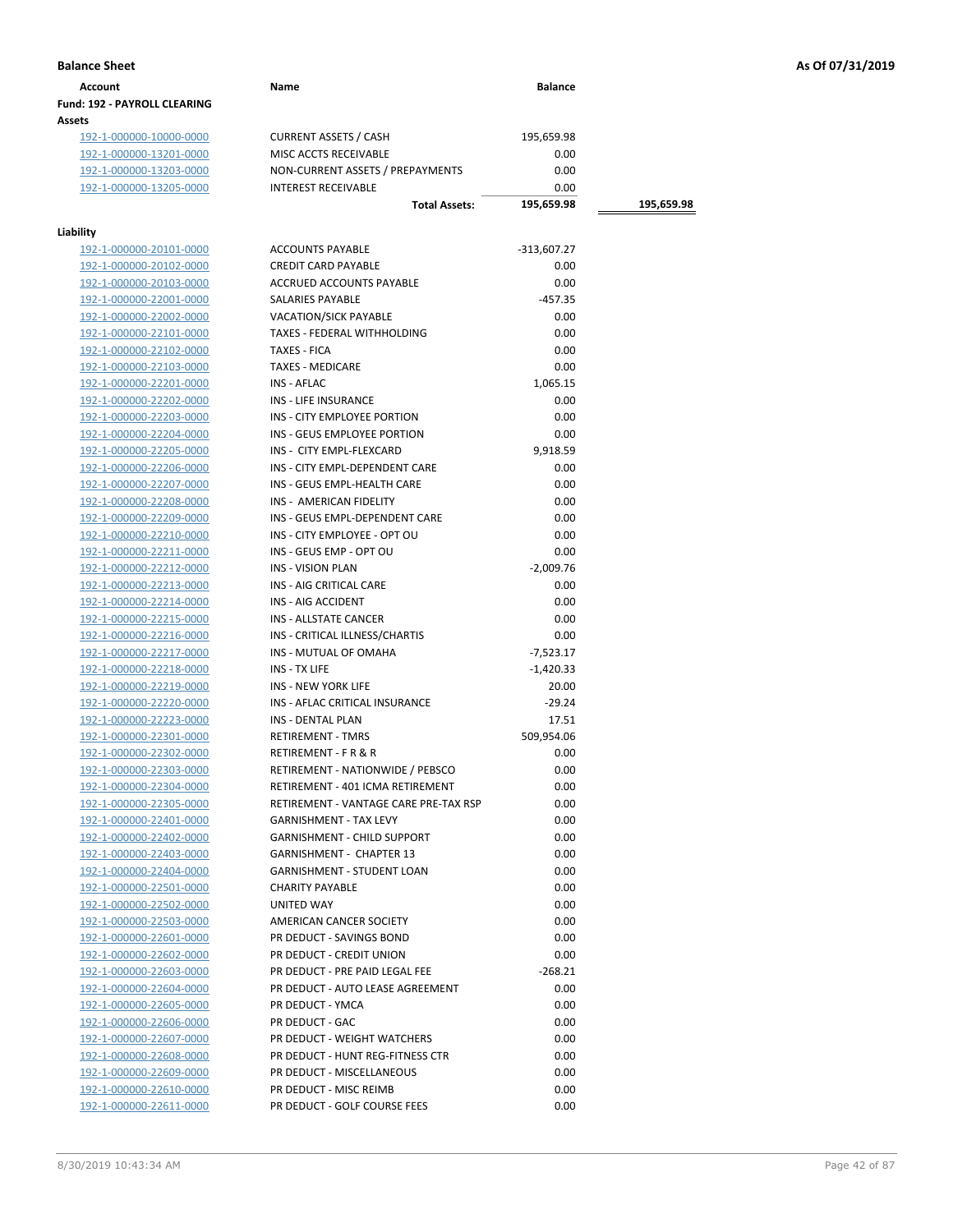| Account                             | Name | <b>Balance</b> |
|-------------------------------------|------|----------------|
| <b>Fund: 192 - PAYROLL CLEARING</b> |      |                |
| <b>Assets</b>                       |      |                |

192-1-000000-10000-0000 CURRENT ASSETS / CASH 195,659.98<br>192-1-000000-13201-0000 MISC ACCTS RECEIVABLE 0.00 192-1-000000-13201-0000 192-1-000000-13203-0000 NON-CURRENT ASSETS / PREPAYMENTS 0.00 192-1-000000-13205-0000 INTEREST RECEIVABLE 0.00

## **Liability**

| lity                    |                                       |               |
|-------------------------|---------------------------------------|---------------|
| 192-1-000000-20101-0000 | <b>ACCOUNTS PAYABLE</b>               | $-313,607.27$ |
| 192-1-000000-20102-0000 | <b>CREDIT CARD PAYABLE</b>            |               |
| 192-1-000000-20103-0000 | <b>ACCRUED ACCOUNTS PAYABLE</b>       |               |
| 192-1-000000-22001-0000 | <b>SALARIES PAYABLE</b>               | $-457.35$     |
| 192-1-000000-22002-0000 | <b>VACATION/SICK PAYABLE</b>          |               |
| 192-1-000000-22101-0000 | TAXES - FEDERAL WITHHOLDING           |               |
| 192-1-000000-22102-0000 | TAXES - FICA                          |               |
| 192-1-000000-22103-0000 | <b>TAXES - MEDICARE</b>               |               |
| 192-1-000000-22201-0000 | <b>INS - AFLAC</b>                    | 1,065.15      |
| 192-1-000000-22202-0000 | <b>INS - LIFE INSURANCE</b>           |               |
| 192-1-000000-22203-0000 |                                       |               |
|                         | INS - CITY EMPLOYEE PORTION           | 0.00          |
| 192-1-000000-22204-0000 | INS - GEUS EMPLOYEE PORTION           |               |
| 192-1-000000-22205-0000 | INS - CITY EMPL-FLEXCARD              | 9,918.59      |
| 192-1-000000-22206-0000 | INS - CITY EMPL-DEPENDENT CARE        |               |
| 192-1-000000-22207-0000 | INS - GEUS EMPL-HEALTH CARE           | 0.00          |
| 192-1-000000-22208-0000 | INS - AMERICAN FIDELITY               | 0.00          |
| 192-1-000000-22209-0000 | INS - GEUS EMPL-DEPENDENT CARE        | 0.00          |
| 192-1-000000-22210-0000 | INS - CITY EMPLOYEE - OPT OU          | 0.00          |
| 192-1-000000-22211-0000 | INS - GEUS EMP - OPT OU               | 0.00          |
| 192-1-000000-22212-0000 | <b>INS - VISION PLAN</b>              | $-2,009.76$   |
| 192-1-000000-22213-0000 | INS - AIG CRITICAL CARE               | 0.00          |
| 192-1-000000-22214-0000 | INS - AIG ACCIDENT                    | 0.00          |
| 192-1-000000-22215-0000 | <b>INS - ALLSTATE CANCER</b>          | 0.00          |
| 192-1-000000-22216-0000 | INS - CRITICAL ILLNESS/CHARTIS        | 0.00          |
| 192-1-000000-22217-0000 | INS - MUTUAL OF OMAHA                 | $-7,523.17$   |
| 192-1-000000-22218-0000 | <b>INS - TX LIFE</b>                  | $-1,420.33$   |
| 192-1-000000-22219-0000 | <b>INS - NEW YORK LIFE</b>            | 20.00         |
| 192-1-000000-22220-0000 | INS - AFLAC CRITICAL INSURANCE        | $-29.24$      |
|                         | <b>INS - DENTAL PLAN</b>              |               |
| 192-1-000000-22223-0000 |                                       | 17.51         |
| 192-1-000000-22301-0000 | <b>RETIREMENT - TMRS</b>              | 509,954.06    |
| 192-1-000000-22302-0000 | RETIREMENT - F R & R                  | 0.00          |
| 192-1-000000-22303-0000 | RETIREMENT - NATIONWIDE / PEBSCO      | 0.00          |
| 192-1-000000-22304-0000 | RETIREMENT - 401 ICMA RETIREMENT      | 0.00          |
| 192-1-000000-22305-0000 | RETIREMENT - VANTAGE CARE PRE-TAX RSP | 0.00          |
| 192-1-000000-22401-0000 | <b>GARNISHMENT - TAX LEVY</b>         | 0.00          |
| 192-1-000000-22402-0000 | <b>GARNISHMENT - CHILD SUPPORT</b>    | 0.00          |
| 192-1-000000-22403-0000 | <b>GARNISHMENT - CHAPTER 13</b>       | 0.00          |
| 192-1-000000-22404-0000 | <b>GARNISHMENT - STUDENT LOAN</b>     | 0.00          |
| 192-1-000000-22501-0000 | <b>CHARITY PAYABLE</b>                | 0.00          |
| 192-1-000000-22502-0000 | <b>UNITED WAY</b>                     | 0.00          |
| 192-1-000000-22503-0000 | AMERICAN CANCER SOCIETY               | 0.00          |
| 192-1-000000-22601-0000 | PR DEDUCT - SAVINGS BOND              |               |
| 192-1-000000-22602-0000 | PR DEDUCT - CREDIT UNION              |               |
| 192-1-000000-22603-0000 | PR DEDUCT - PRE PAID LEGAL FEE        | $-268.21$     |
| 192-1-000000-22604-0000 | PR DEDUCT - AUTO LEASE AGREEMENT      |               |
| 192-1-000000-22605-0000 | PR DEDUCT - YMCA                      |               |
| 192-1-000000-22606-0000 | PR DEDUCT - GAC                       |               |
| 192-1-000000-22607-0000 | PR DEDUCT - WEIGHT WATCHERS           | 0.00<br>0.00  |
| 192-1-000000-22608-0000 | PR DEDUCT - HUNT REG-FITNESS CTR      | 0.00          |
| 192-1-000000-22609-0000 | PR DEDUCT - MISCELLANEOUS             | 0.00          |
|                         |                                       |               |
| 192-1-000000-22610-0000 | PR DEDUCT - MISC REIMB                |               |
| 192-1-000000-22611-0000 | PR DEDUCT - GOLF COURSE FEES          | 0.00          |

**Total Assets: 195,659.98 195,659.98**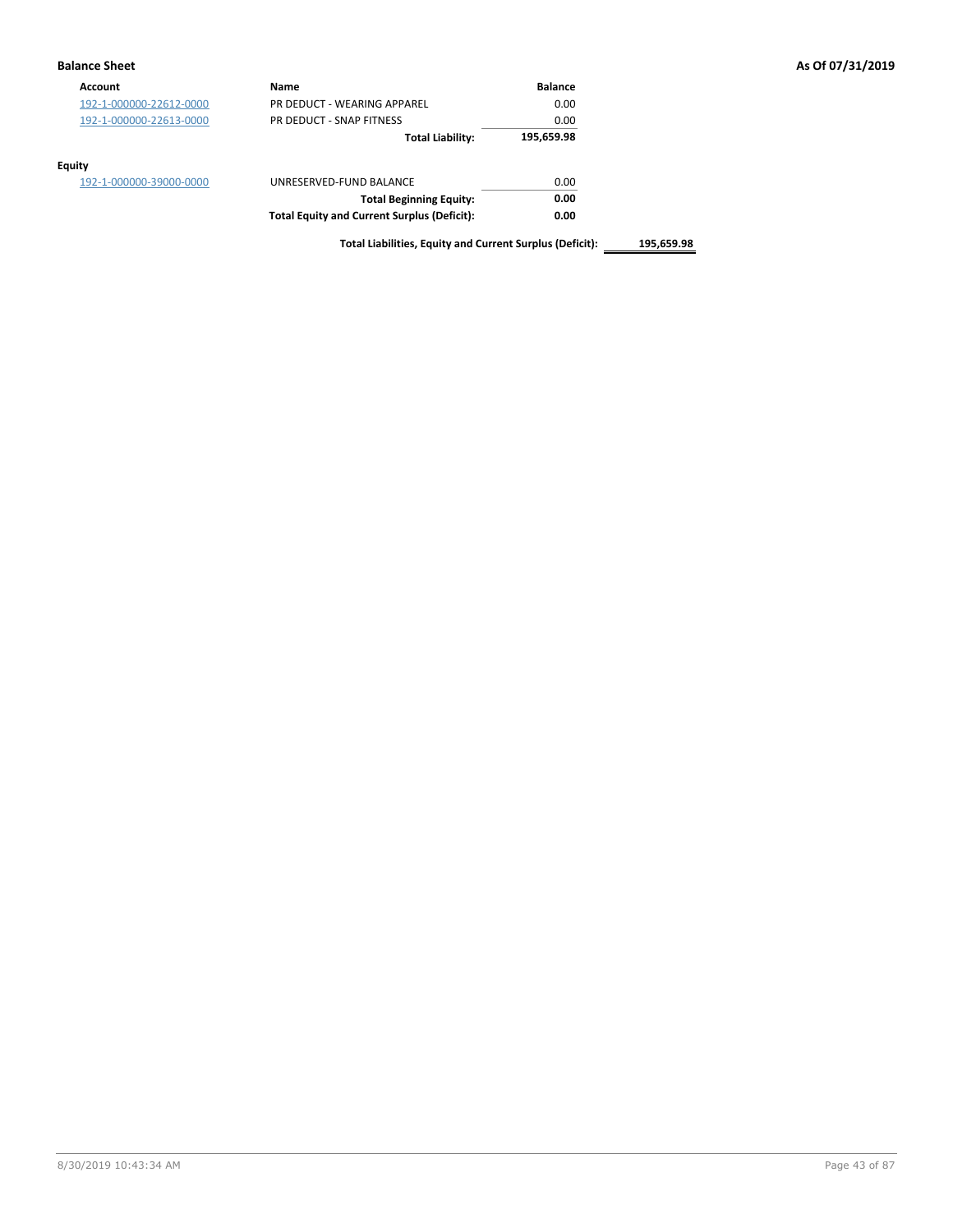### **Balance Sheet As Of 07/31/2019**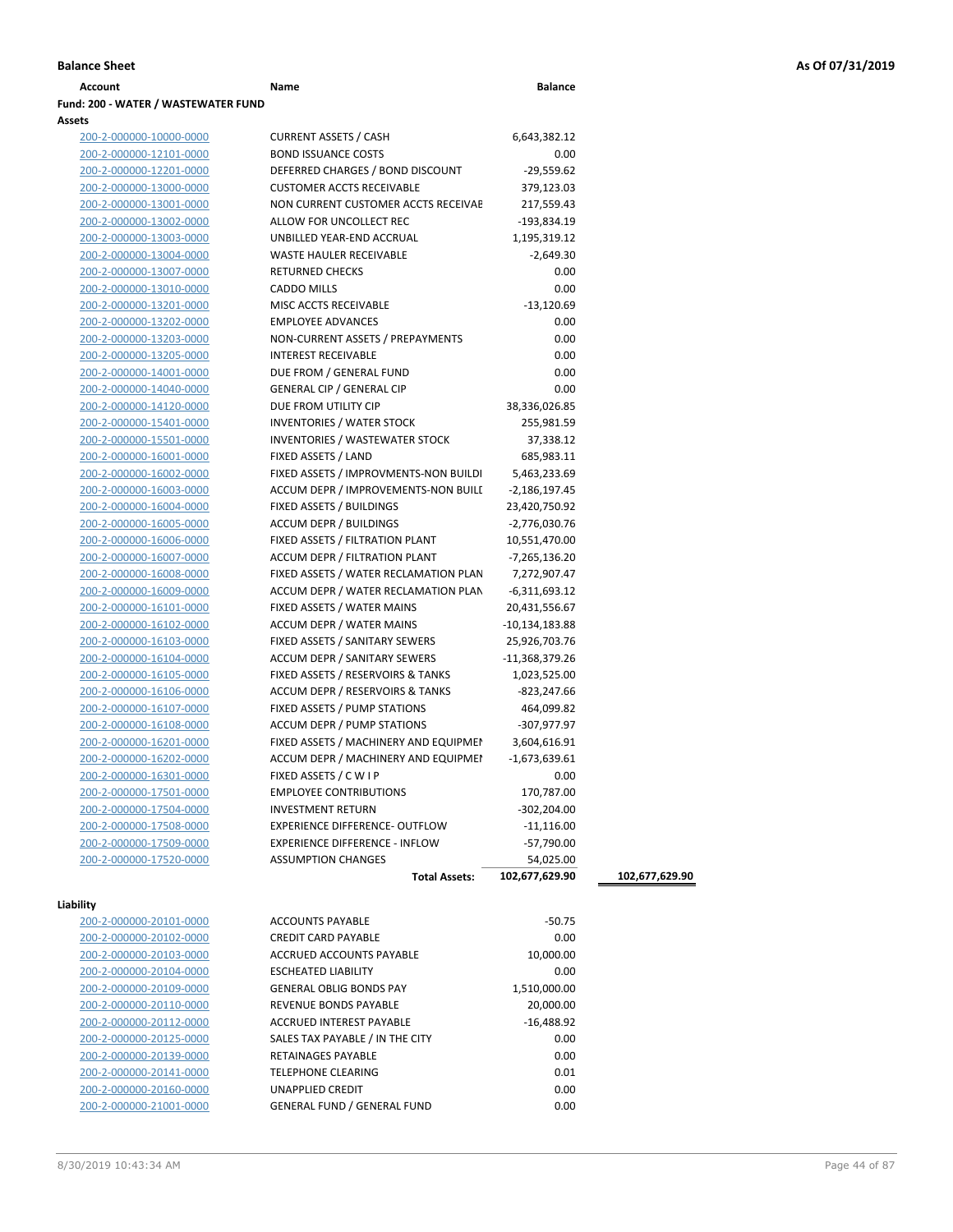| Account                             | Name | <b>Balance</b> |
|-------------------------------------|------|----------------|
| Fund: 200 - WATER / WASTEWATER FUND |      |                |
| <b>Assets</b>                       |      |                |

200-2-000000-10000-0000 CURRENT ASSETS / CASH 6,643,382.12

### 200-2-000000-12101-0000 BOND ISSUANCE COSTS 0.00 200-2-000000-12201-0000 DEFERRED CHARGES / BOND DISCOUNT -29,559.62 200-2-000000-13000-0000 CUSTOMER ACCTS RECEIVABLE 379,123.03 200-2-000000-13001-0000 NON CURRENT CUSTOMER ACCTS RECEIVAE 217,559.43 200-2-000000-13002-0000 ALLOW FOR UNCOLLECT REC -193,834.19 200-2-000000-13003-0000 UNBILLED YEAR-END ACCRUAL 1,195,319.12 200-2-000000-13004-0000 WASTE HAULER RECEIVABLE -2,649.30 200-2-000000-13007-0000 RETURNED CHECKS 0.00 200-2-000000-13010-0000 CADDO MILLS 0.00 200-2-000000-13201-0000 MISC ACCTS RECEIVABLE -13,120.69 200-2-000000-13202-0000 EMPLOYEE ADVANCES 0.00 200-2-000000-13203-0000 NON-CURRENT ASSETS / PREPAYMENTS 0.00 200-2-000000-13205-0000 INTEREST RECEIVABLE 0.00 200-2-000000-14001-0000 DUE FROM / GENERAL FUND 0.00 200-2-000000-14040-0000 GENERAL CIP / GENERAL CIP 0.00 200-2-000000-14120-0000 DUE FROM UTILITY CIP 38,336,026.85 200-2-000000-15401-0000 INVENTORIES / WATER STOCK 255,981.59 200-2-000000-15501-0000 INVENTORIES / WASTEWATER STOCK 37,338.12 200-2-000000-16001-0000 FIXED ASSETS / LAND 685,983.11 200-2-000000-16002-0000 FIXED ASSETS / IMPROVMENTS-NON BUILDI 5,463,233.69 200-2-000000-16003-0000 ACCUM DEPR / IMPROVEMENTS-NON BUILI -2,186,197.45 200-2-000000-16004-0000 FIXED ASSETS / BUILDINGS 23,420,750.92 200-2-000000-16005-0000 ACCUM DEPR / BUILDINGS -2,776,030.76 200-2-000000-16006-0000 FIXED ASSETS / FILTRATION PLANT 10,551,470.00 200-2-000000-16007-0000 ACCUM DEPR / FILTRATION PLANT -7,265,136.20 200-2-000000-16008-0000 FIXED ASSETS / WATER RECLAMATION PLAN 7,272,907.47 200-2-000000-16009-0000 ACCUM DEPR / WATER RECLAMATION PLAN -6,311,693.12 200-2-000000-16101-0000 FIXED ASSETS / WATER MAINS 20,431,556.67 200-2-000000-16102-0000 ACCUM DEPR / WATER MAINS -10,134,183.88 200-2-000000-16103-0000 FIXED ASSETS / SANITARY SEWERS 25,926,703.76 200-2-000000-16104-0000 **ACCUM DEPR / SANITARY SEWERS** -11,368,379.26 200-2-000000-16105-0000 FIXED ASSETS / RESERVOIRS & TANKS 1,023,525.00 200-2-000000-16106-0000 ACCUM DEPR / RESERVOIRS & TANKS -823,247.66 200-2-000000-16107-0000 FIXED ASSETS / PUMP STATIONS 464,099.82 200-2-000000-16108-0000 ACCUM DEPR / PUMP STATIONS -307,977.97 200-2-000000-16201-0000 FIXED ASSETS / MACHINERY AND EQUIPMEN 3,604,616.91 200-2-000000-16202-0000 ACCUM DEPR / MACHINERY AND EQUIPMEI -1,673,639.61 200-2-000000-16301-0000 FIXED ASSETS / C W I P 0.00 200-2-000000-17501-0000 EMPLOYEE CONTRIBUTIONS 170,787.00 200-2-000000-17504-0000 INVESTMENT RETURN -302,204.00 200-2-000000-17508-0000 EXPERIENCE DIFFERENCE- OUTFLOW -11,116.00 200-2-000000-17509-0000 EXPERIENCE DIFFERENCE - INFLOW -57,790.00 200-2-000000-17520-0000 ASSUMPTION CHANGES 54,025.00

|  | аош |  |
|--|-----|--|
|--|-----|--|

| 200-2-000000-20101-0000         |
|---------------------------------|
| 200-2-000000-20102-0000         |
| 200-2-000000-20103-0000         |
| 200-2-000000-20104-0000         |
| 200-2-000000-20109-0000         |
| 200-2-000000-20110-0000         |
| 200-2-000000-20112-0000         |
| 200-2-000000-20125-0000         |
| 200-2-000000-20139-0000         |
| 200-2-000000-20141-0000         |
| 200-2-000000-20160-0000         |
| <u> 200-2-000000-21001-0000</u> |

| 200-2-000000-20104-0000 | <b>ESCHEATED LIABILITY</b>         | 0.00         |
|-------------------------|------------------------------------|--------------|
| 200-2-000000-20109-0000 | <b>GENERAL OBLIG BONDS PAY</b>     | 1,510,000.00 |
| 200-2-000000-20110-0000 | <b>REVENUE BONDS PAYABLE</b>       | 20,000.00    |
| 200-2-000000-20112-0000 | <b>ACCRUED INTEREST PAYABLE</b>    | $-16,488.92$ |
| 200-2-000000-20125-0000 | SALES TAX PAYABLE / IN THE CITY    | 0.00         |
| 200-2-000000-20139-0000 | <b>RETAINAGES PAYABLE</b>          | 0.00         |
| 200-2-000000-20141-0000 | <b>TELEPHONE CLEARING</b>          | 0.01         |
| 200-2-000000-20160-0000 | <b>UNAPPLIED CREDIT</b>            | 0.00         |
| 200-2-000000-21001-0000 | <b>GENERAL FUND / GENERAL FUND</b> | 0.00         |
|                         |                                    |              |
|                         |                                    |              |

ACCOUNTS PAYABLE -50.75 200-2-000000-20102-0000 CREDIT CARD PAYABLE 0.00 ACCRUED ACCOUNTS PAYABLE 10.000.00

**Total Assets: 102,677,629.90 102,677,629.90**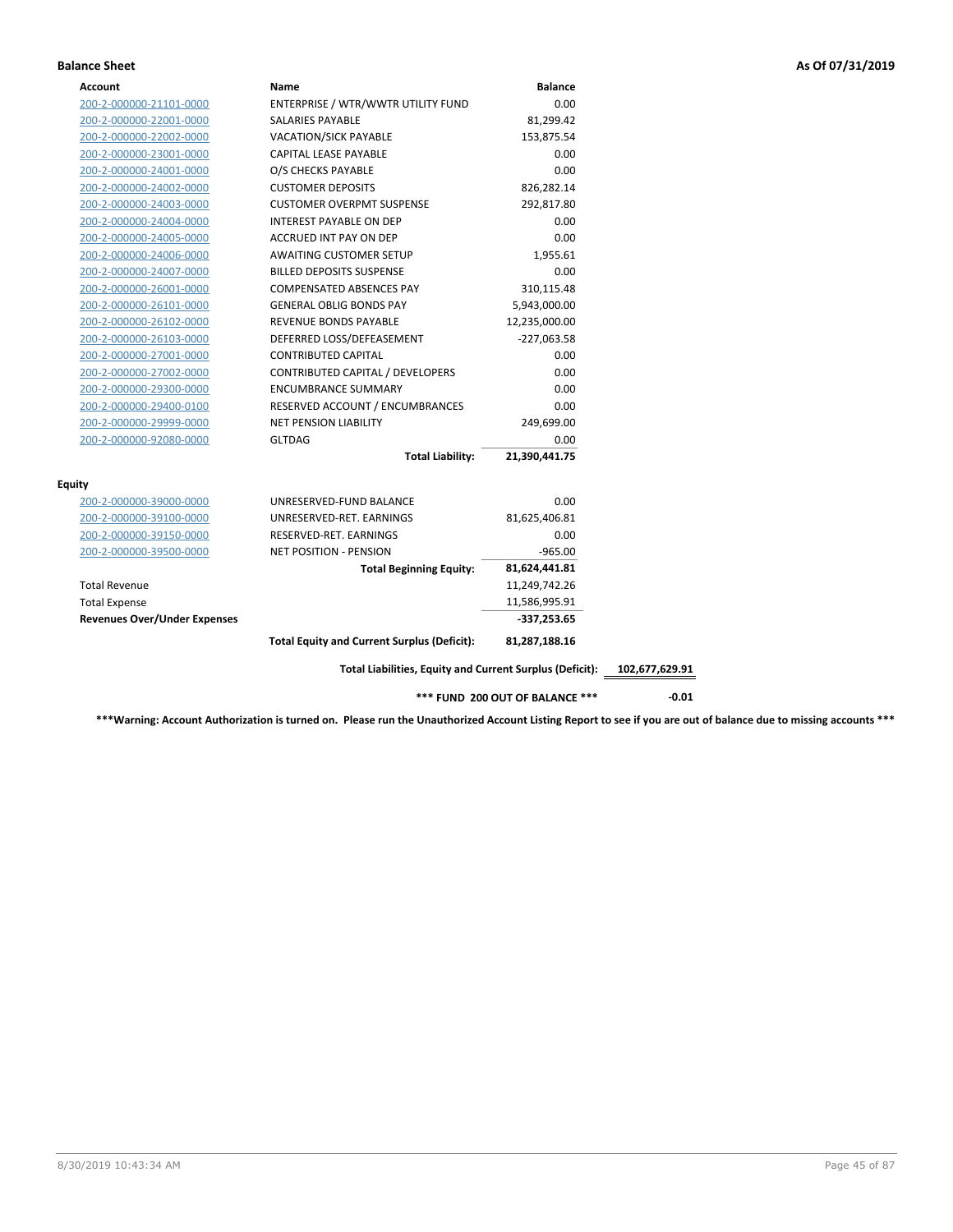### **Balance Sheet As Of 07/31/2019**

| Account                             | Name                                                     | <b>Balance</b>                  |                |
|-------------------------------------|----------------------------------------------------------|---------------------------------|----------------|
| 200-2-000000-21101-0000             | ENTERPRISE / WTR/WWTR UTILITY FUND                       | 0.00                            |                |
| 200-2-000000-22001-0000             | SALARIES PAYABLE                                         | 81,299.42                       |                |
| 200-2-000000-22002-0000             | <b>VACATION/SICK PAYABLE</b>                             | 153,875.54                      |                |
| 200-2-000000-23001-0000             | CAPITAL LEASE PAYABLE                                    | 0.00                            |                |
| 200-2-000000-24001-0000             | O/S CHECKS PAYABLE                                       | 0.00                            |                |
| 200-2-000000-24002-0000             | <b>CUSTOMER DEPOSITS</b>                                 | 826,282.14                      |                |
| 200-2-000000-24003-0000             | <b>CUSTOMER OVERPMT SUSPENSE</b>                         | 292,817.80                      |                |
| 200-2-000000-24004-0000             | INTEREST PAYABLE ON DEP                                  | 0.00                            |                |
| 200-2-000000-24005-0000             | <b>ACCRUED INT PAY ON DEP</b>                            | 0.00                            |                |
| 200-2-000000-24006-0000             | <b>AWAITING CUSTOMER SETUP</b>                           | 1,955.61                        |                |
| 200-2-000000-24007-0000             | <b>BILLED DEPOSITS SUSPENSE</b>                          | 0.00                            |                |
| 200-2-000000-26001-0000             | <b>COMPENSATED ABSENCES PAY</b>                          | 310,115.48                      |                |
| 200-2-000000-26101-0000             | <b>GENERAL OBLIG BONDS PAY</b>                           | 5,943,000.00                    |                |
| 200-2-000000-26102-0000             | REVENUE BONDS PAYABLE                                    | 12,235,000.00                   |                |
| 200-2-000000-26103-0000             | DEFERRED LOSS/DEFEASEMENT                                | $-227,063.58$                   |                |
| 200-2-000000-27001-0000             | <b>CONTRIBUTED CAPITAL</b>                               | 0.00                            |                |
| 200-2-000000-27002-0000             | CONTRIBUTED CAPITAL / DEVELOPERS                         | 0.00                            |                |
| 200-2-000000-29300-0000             | <b>ENCUMBRANCE SUMMARY</b>                               | 0.00                            |                |
| 200-2-000000-29400-0100             | RESERVED ACCOUNT / ENCUMBRANCES                          | 0.00                            |                |
| 200-2-000000-29999-0000             | <b>NET PENSION LIABILITY</b>                             | 249,699.00                      |                |
| 200-2-000000-92080-0000             | <b>GLTDAG</b>                                            | 0.00                            |                |
|                                     | <b>Total Liability:</b>                                  | 21,390,441.75                   |                |
| Equity                              |                                                          |                                 |                |
| 200-2-000000-39000-0000             | UNRESERVED-FUND BALANCE                                  | 0.00                            |                |
| 200-2-000000-39100-0000             | UNRESERVED-RET. EARNINGS                                 | 81,625,406.81                   |                |
| 200-2-000000-39150-0000             | RESERVED-RET. EARNINGS                                   | 0.00                            |                |
| 200-2-000000-39500-0000             | <b>NET POSITION - PENSION</b>                            | $-965.00$                       |                |
|                                     | <b>Total Beginning Equity:</b>                           | 81,624,441.81                   |                |
| <b>Total Revenue</b>                |                                                          | 11,249,742.26                   |                |
| <b>Total Expense</b>                |                                                          | 11,586,995.91                   |                |
| <b>Revenues Over/Under Expenses</b> |                                                          | $-337,253.65$                   |                |
|                                     | <b>Total Equity and Current Surplus (Deficit):</b>       | 81,287,188.16                   |                |
|                                     | Total Liabilities, Equity and Current Surplus (Deficit): |                                 | 102,677,629.91 |
|                                     |                                                          | *** FUND 200 OUT OF BALANCE *** | $-0.01$        |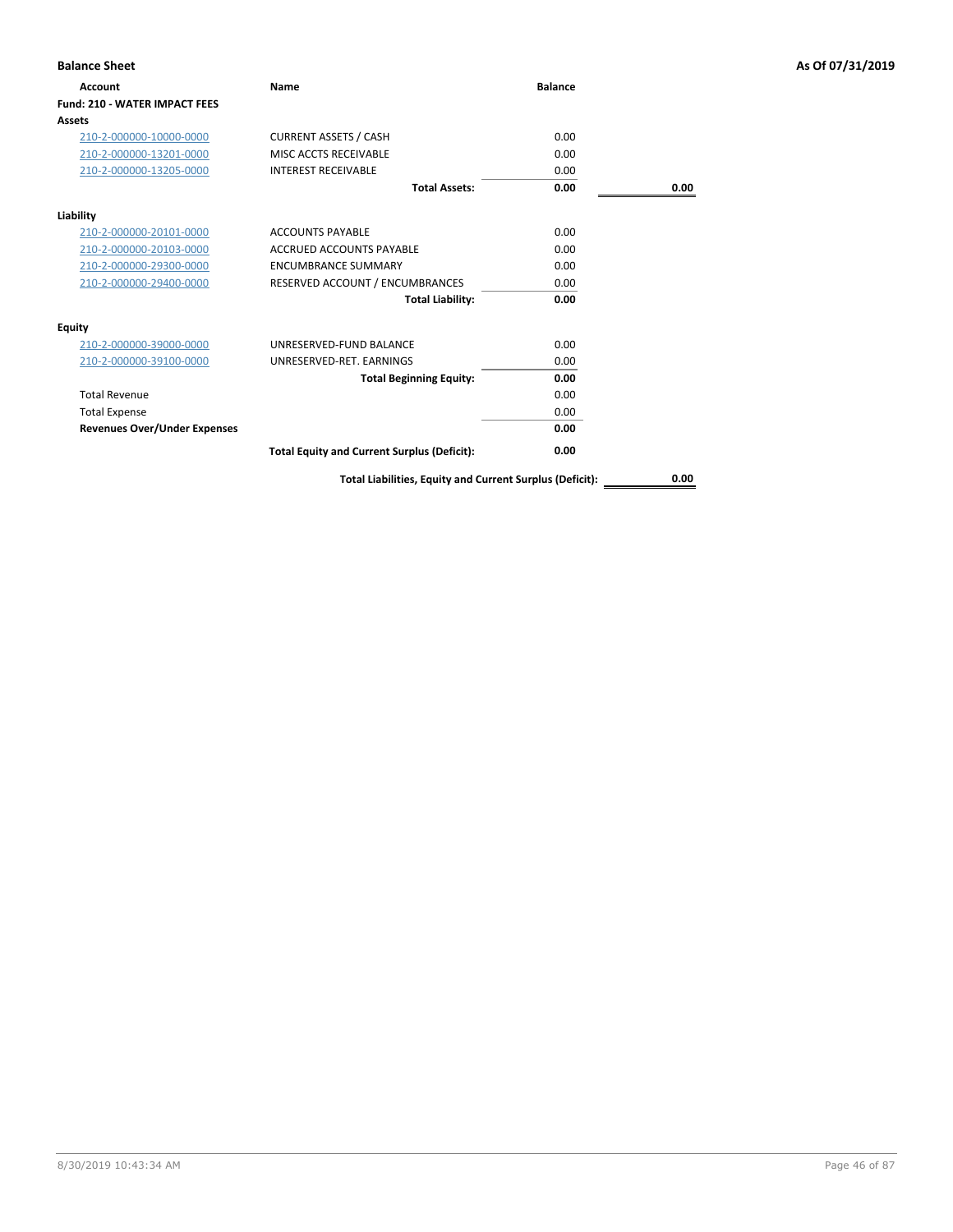| <b>Balance Sheet</b>                 |                                                    |                |      | As Of 07/31/2019 |
|--------------------------------------|----------------------------------------------------|----------------|------|------------------|
| <b>Account</b>                       | Name                                               | <b>Balance</b> |      |                  |
| <b>Fund: 210 - WATER IMPACT FEES</b> |                                                    |                |      |                  |
| Assets                               |                                                    |                |      |                  |
| 210-2-000000-10000-0000              | <b>CURRENT ASSETS / CASH</b>                       | 0.00           |      |                  |
| 210-2-000000-13201-0000              | MISC ACCTS RECEIVABLE                              | 0.00           |      |                  |
| 210-2-000000-13205-0000              | <b>INTEREST RECEIVABLE</b>                         | 0.00           |      |                  |
|                                      | <b>Total Assets:</b>                               | 0.00           | 0.00 |                  |
| Liability                            |                                                    |                |      |                  |
| 210-2-000000-20101-0000              | <b>ACCOUNTS PAYABLE</b>                            | 0.00           |      |                  |
| 210-2-000000-20103-0000              | <b>ACCRUED ACCOUNTS PAYABLE</b>                    | 0.00           |      |                  |
| 210-2-000000-29300-0000              | <b>ENCUMBRANCE SUMMARY</b>                         | 0.00           |      |                  |
| 210-2-000000-29400-0000              | RESERVED ACCOUNT / ENCUMBRANCES                    | 0.00           |      |                  |
|                                      | <b>Total Liability:</b>                            | 0.00           |      |                  |
| <b>Equity</b>                        |                                                    |                |      |                  |
| 210-2-000000-39000-0000              | UNRESERVED-FUND BALANCE                            | 0.00           |      |                  |
| 210-2-000000-39100-0000              | UNRESERVED-RET. EARNINGS                           | 0.00           |      |                  |
|                                      | <b>Total Beginning Equity:</b>                     | 0.00           |      |                  |
| <b>Total Revenue</b>                 |                                                    | 0.00           |      |                  |
| <b>Total Expense</b>                 |                                                    | 0.00           |      |                  |
| <b>Revenues Over/Under Expenses</b>  |                                                    | 0.00           |      |                  |
|                                      | <b>Total Equity and Current Surplus (Deficit):</b> | 0.00           |      |                  |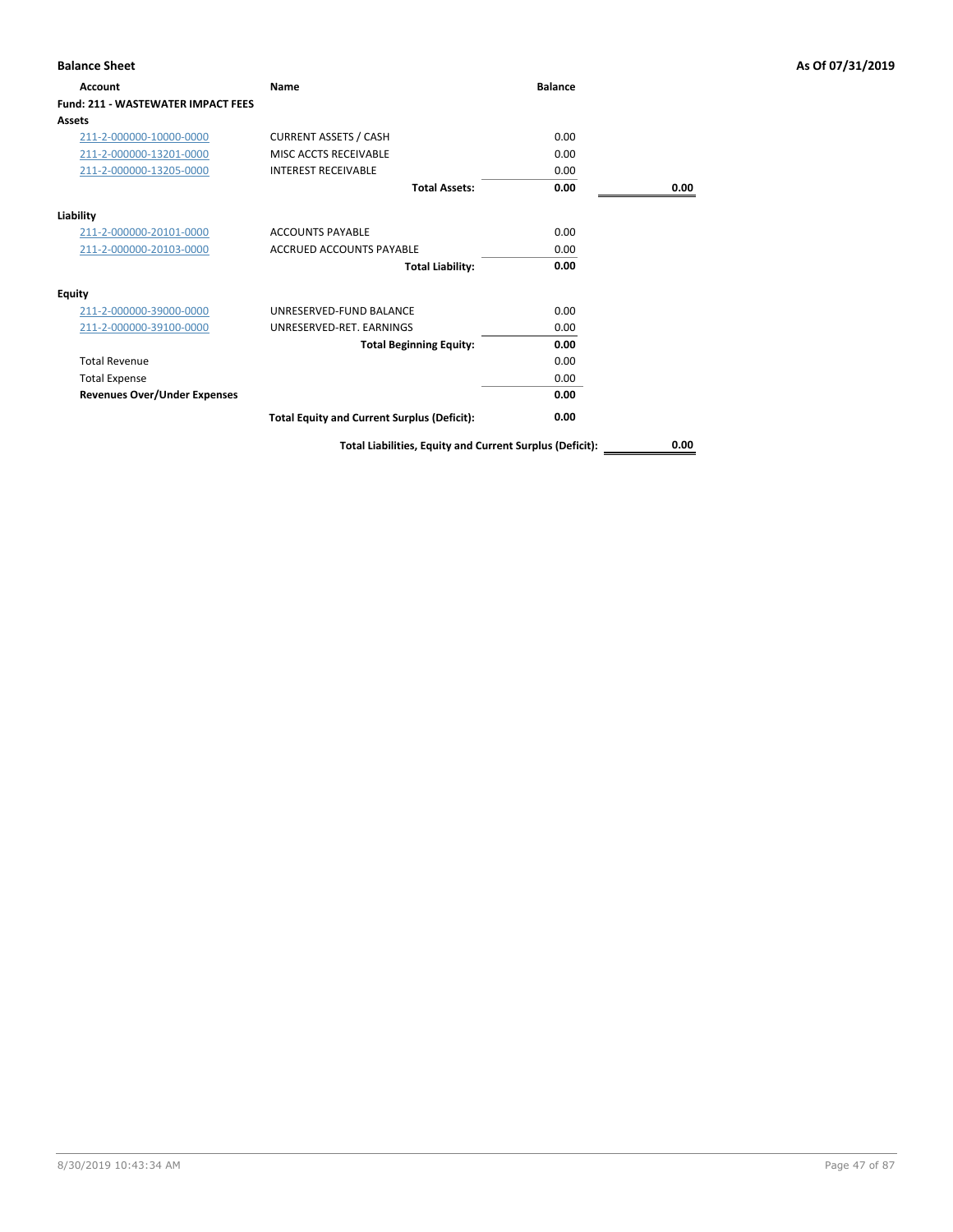| <b>Account</b>                            | Name                                                     | <b>Balance</b> |      |
|-------------------------------------------|----------------------------------------------------------|----------------|------|
| <b>Fund: 211 - WASTEWATER IMPACT FEES</b> |                                                          |                |      |
| Assets                                    |                                                          |                |      |
| 211-2-000000-10000-0000                   | <b>CURRENT ASSETS / CASH</b>                             | 0.00           |      |
| 211-2-000000-13201-0000                   | MISC ACCTS RECEIVABLE                                    | 0.00           |      |
| 211-2-000000-13205-0000                   | <b>INTEREST RECEIVABLE</b>                               | 0.00           |      |
|                                           | <b>Total Assets:</b>                                     | 0.00           | 0.00 |
| Liability                                 |                                                          |                |      |
| 211-2-000000-20101-0000                   | <b>ACCOUNTS PAYABLE</b>                                  | 0.00           |      |
| 211-2-000000-20103-0000                   | <b>ACCRUED ACCOUNTS PAYABLE</b>                          | 0.00           |      |
|                                           | <b>Total Liability:</b>                                  | 0.00           |      |
| <b>Equity</b>                             |                                                          |                |      |
| 211-2-000000-39000-0000                   | UNRESERVED-FUND BALANCE                                  | 0.00           |      |
| 211-2-000000-39100-0000                   | UNRESERVED-RET. EARNINGS                                 | 0.00           |      |
|                                           | <b>Total Beginning Equity:</b>                           | 0.00           |      |
| <b>Total Revenue</b>                      |                                                          | 0.00           |      |
| <b>Total Expense</b>                      |                                                          | 0.00           |      |
| <b>Revenues Over/Under Expenses</b>       |                                                          | 0.00           |      |
|                                           | <b>Total Equity and Current Surplus (Deficit):</b>       | 0.00           |      |
|                                           | Total Liabilities, Equity and Current Surplus (Deficit): |                | 0.00 |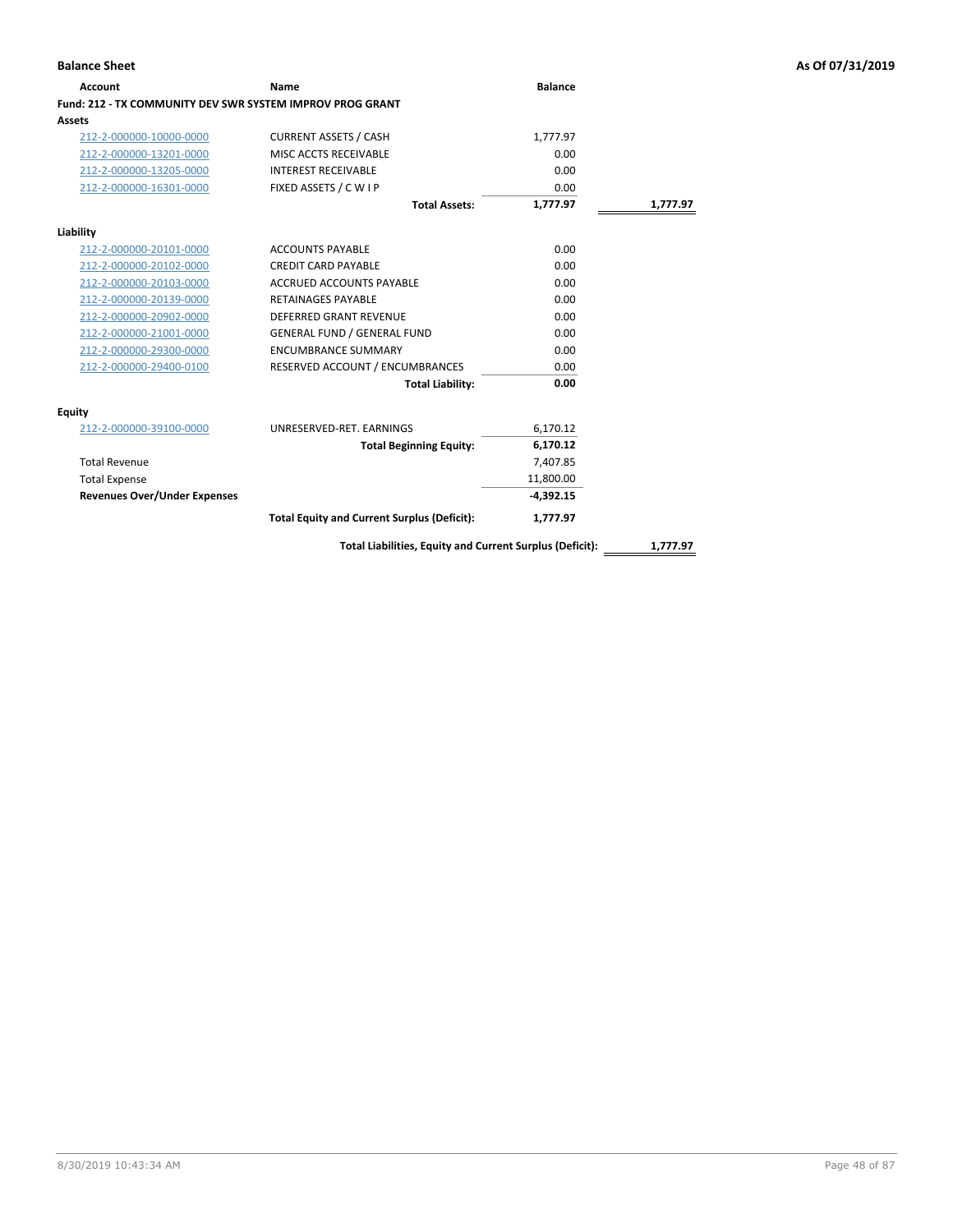| <b>Account</b>                                            | Name                                                     | <b>Balance</b> |          |
|-----------------------------------------------------------|----------------------------------------------------------|----------------|----------|
| Fund: 212 - TX COMMUNITY DEV SWR SYSTEM IMPROV PROG GRANT |                                                          |                |          |
| Assets                                                    |                                                          |                |          |
| 212-2-000000-10000-0000                                   | <b>CURRENT ASSETS / CASH</b>                             | 1,777.97       |          |
| 212-2-000000-13201-0000                                   | MISC ACCTS RECEIVABLE                                    | 0.00           |          |
| 212-2-000000-13205-0000                                   | <b>INTEREST RECEIVABLE</b>                               | 0.00           |          |
| 212-2-000000-16301-0000                                   | FIXED ASSETS / C W I P                                   | 0.00           |          |
|                                                           | <b>Total Assets:</b>                                     | 1,777.97       | 1,777.97 |
| Liability                                                 |                                                          |                |          |
| 212-2-000000-20101-0000                                   | <b>ACCOUNTS PAYABLE</b>                                  | 0.00           |          |
| 212-2-000000-20102-0000                                   | <b>CREDIT CARD PAYABLE</b>                               | 0.00           |          |
| 212-2-000000-20103-0000                                   | <b>ACCRUED ACCOUNTS PAYABLE</b>                          | 0.00           |          |
| 212-2-000000-20139-0000                                   | <b>RETAINAGES PAYABLE</b>                                | 0.00           |          |
| 212-2-000000-20902-0000                                   | <b>DEFERRED GRANT REVENUE</b>                            | 0.00           |          |
| 212-2-000000-21001-0000                                   | <b>GENERAL FUND / GENERAL FUND</b>                       | 0.00           |          |
| 212-2-000000-29300-0000                                   | <b>ENCUMBRANCE SUMMARY</b>                               | 0.00           |          |
| 212-2-000000-29400-0100                                   | RESERVED ACCOUNT / ENCUMBRANCES                          | 0.00           |          |
|                                                           | <b>Total Liability:</b>                                  | 0.00           |          |
| Equity                                                    |                                                          |                |          |
| 212-2-000000-39100-0000                                   | UNRESERVED-RET. EARNINGS                                 | 6,170.12       |          |
|                                                           | <b>Total Beginning Equity:</b>                           | 6,170.12       |          |
| <b>Total Revenue</b>                                      |                                                          | 7,407.85       |          |
| <b>Total Expense</b>                                      |                                                          | 11,800.00      |          |
| <b>Revenues Over/Under Expenses</b>                       |                                                          | $-4,392.15$    |          |
|                                                           | <b>Total Equity and Current Surplus (Deficit):</b>       | 1,777.97       |          |
|                                                           | Total Liabilities, Equity and Current Surplus (Deficit): |                | 1,777.97 |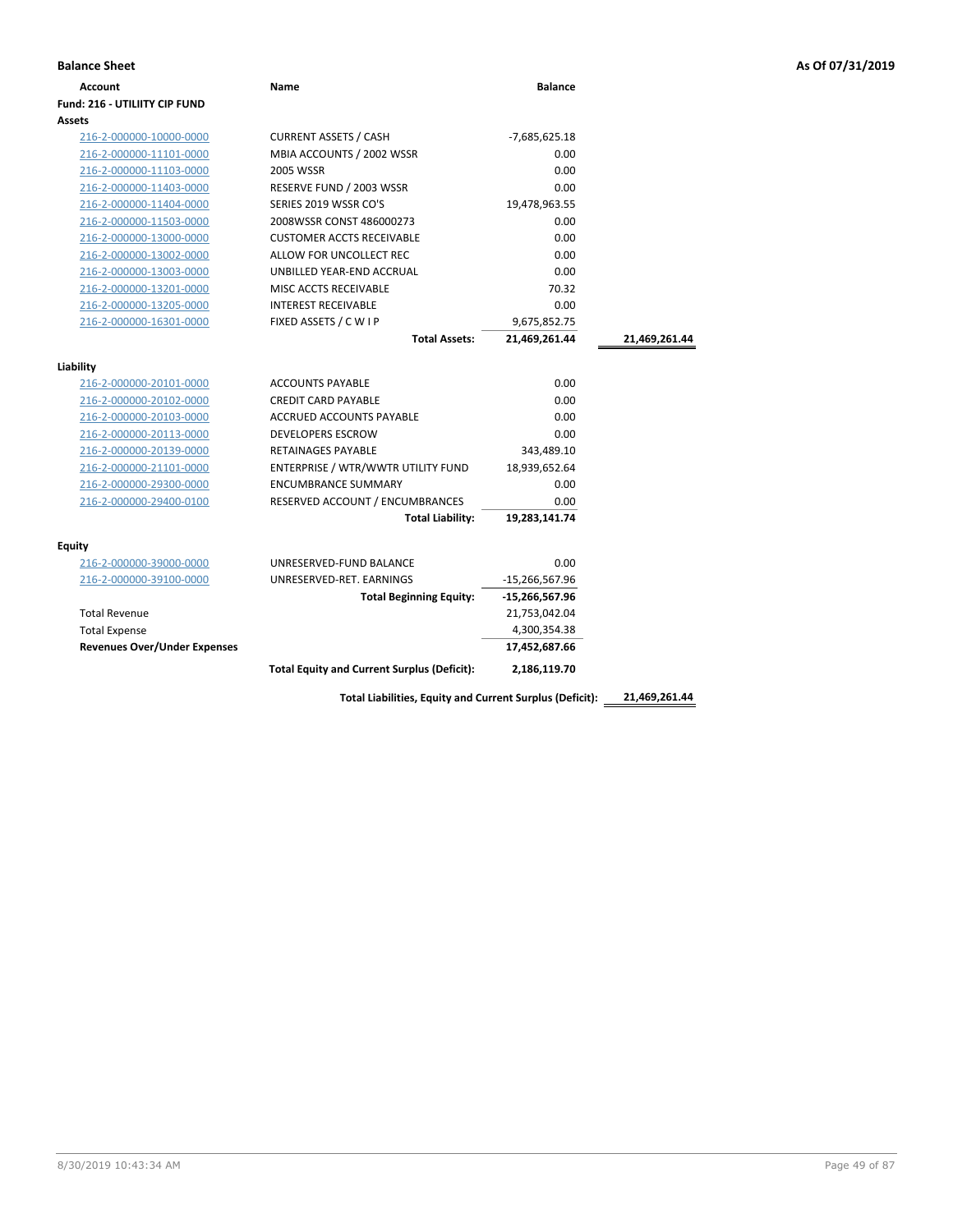| <b>Balance Sheet</b>                 |                                                    |                  |               | As Of 07/31/2019 |
|--------------------------------------|----------------------------------------------------|------------------|---------------|------------------|
| <b>Account</b>                       | Name                                               | <b>Balance</b>   |               |                  |
| <b>Fund: 216 - UTILIITY CIP FUND</b> |                                                    |                  |               |                  |
| Assets                               |                                                    |                  |               |                  |
| 216-2-000000-10000-0000              | <b>CURRENT ASSETS / CASH</b>                       | $-7,685,625.18$  |               |                  |
| 216-2-000000-11101-0000              | MBIA ACCOUNTS / 2002 WSSR                          | 0.00             |               |                  |
| 216-2-000000-11103-0000              | 2005 WSSR                                          | 0.00             |               |                  |
| 216-2-000000-11403-0000              | RESERVE FUND / 2003 WSSR                           | 0.00             |               |                  |
| 216-2-000000-11404-0000              | SERIES 2019 WSSR CO'S                              | 19,478,963.55    |               |                  |
| 216-2-000000-11503-0000              | 2008WSSR CONST 486000273                           | 0.00             |               |                  |
| 216-2-000000-13000-0000              | <b>CUSTOMER ACCTS RECEIVABLE</b>                   | 0.00             |               |                  |
| 216-2-000000-13002-0000              | ALLOW FOR UNCOLLECT REC                            | 0.00             |               |                  |
| 216-2-000000-13003-0000              | UNBILLED YEAR-END ACCRUAL                          | 0.00             |               |                  |
| 216-2-000000-13201-0000              | MISC ACCTS RECEIVABLE                              | 70.32            |               |                  |
| 216-2-000000-13205-0000              | <b>INTEREST RECEIVABLE</b>                         | 0.00             |               |                  |
| 216-2-000000-16301-0000              | FIXED ASSETS / C W I P                             | 9,675,852.75     |               |                  |
|                                      | <b>Total Assets:</b>                               | 21,469,261.44    | 21,469,261.44 |                  |
| Liability                            |                                                    |                  |               |                  |
| 216-2-000000-20101-0000              | <b>ACCOUNTS PAYABLE</b>                            | 0.00             |               |                  |
| 216-2-000000-20102-0000              | <b>CREDIT CARD PAYABLE</b>                         | 0.00             |               |                  |
| 216-2-000000-20103-0000              | ACCRUED ACCOUNTS PAYABLE                           | 0.00             |               |                  |
| 216-2-000000-20113-0000              | <b>DEVELOPERS ESCROW</b>                           | 0.00             |               |                  |
| 216-2-000000-20139-0000              | <b>RETAINAGES PAYABLE</b>                          | 343,489.10       |               |                  |
| 216-2-000000-21101-0000              | ENTERPRISE / WTR/WWTR UTILITY FUND                 | 18,939,652.64    |               |                  |
| 216-2-000000-29300-0000              | <b>ENCUMBRANCE SUMMARY</b>                         | 0.00             |               |                  |
| 216-2-000000-29400-0100              | RESERVED ACCOUNT / ENCUMBRANCES                    | 0.00             |               |                  |
|                                      | <b>Total Liability:</b>                            | 19,283,141.74    |               |                  |
| <b>Equity</b>                        |                                                    |                  |               |                  |
| 216-2-000000-39000-0000              | UNRESERVED-FUND BALANCE                            | 0.00             |               |                  |
| 216-2-000000-39100-0000              | UNRESERVED-RET. EARNINGS                           | $-15,266,567.96$ |               |                  |
|                                      | <b>Total Beginning Equity:</b>                     | -15,266,567.96   |               |                  |
| <b>Total Revenue</b>                 |                                                    | 21,753,042.04    |               |                  |
| <b>Total Expense</b>                 |                                                    | 4,300,354.38     |               |                  |
| <b>Revenues Over/Under Expenses</b>  |                                                    | 17,452,687.66    |               |                  |
|                                      | <b>Total Equity and Current Surplus (Deficit):</b> | 2,186,119.70     |               |                  |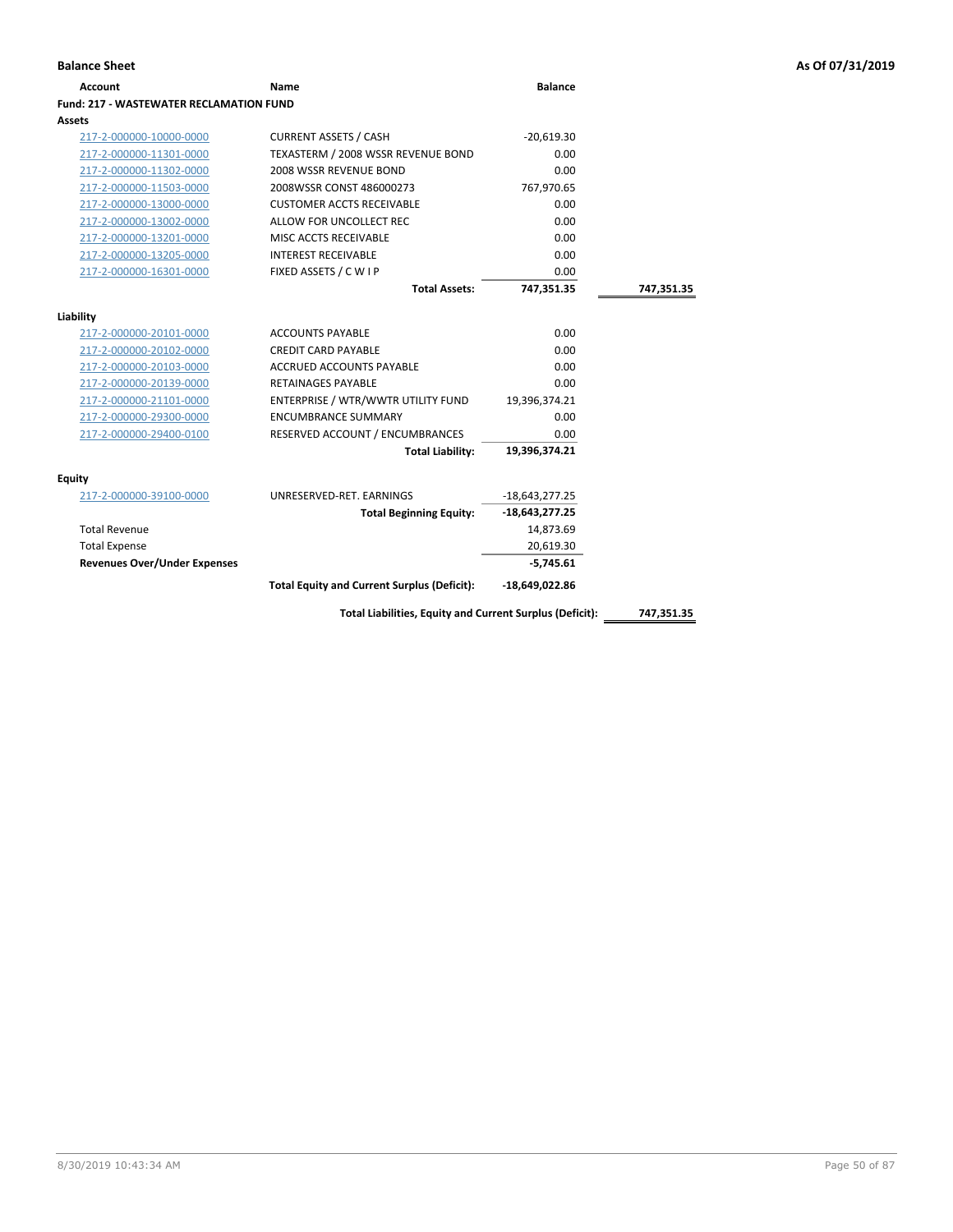## **Account Name Balance Fund: 217 - WASTEWATER RECLAMATION FUND Assets** 217-2-000000-10000-0000 CURRENT ASSETS / CASH -20,619.30 217-2-000000-11301-0000 TEXASTERM / 2008 WSSR REVENUE BOND 0.00 217-2-000000-11302-0000 2008 VSSR REVENUE BOND<br>217-2-000000-11503-0000 2008WSSR CONST 486000273 767,970.65 217-2-000000-11503-0000 2008WSSR CONST 486000273 217-2-000000-13000-0000 CUSTOMER ACCTS RECEIVABLE 0.00 217-2-000000-13002-0000 ALLOW FOR UNCOLLECT REC 0.00 217-2-000000-13201-0000 MISC ACCTS RECEIVABLE 0.00 217-2-000000-13205-0000 INTEREST RECEIVABLE 0.00 217-2-000000-16301-0000 FIXED ASSETS / C W I P 0.00 **Total Assets: 747,351.35 747,351.35 Liability** 217-2-000000-20101-0000 ACCOUNTS PAYABLE 0.00 217-2-000000-20102-0000 CREDIT CARD PAYABLE 0.00 217-2-000000-20103-0000 ACCRUED ACCOUNTS PAYABLE 0.00 217-2-000000-20139-0000 RETAINAGES PAYABLE 0.00 217-2-000000-21101-0000 ENTERPRISE / WTR/WWTR UTILITY FUND 19,396,374.21 217-2-000000-29300-0000 ENCUMBRANCE SUMMARY 0.00 217-2-000000-29400-0100 RESERVED ACCOUNT / ENCUMBRANCES 0.00 **Total Liability: 19,396,374.21 Equity** 217-2-000000-39100-0000 UNRESERVED-RET. EARNINGS -18,643,277.25 **Total Beginning Equity: -18,643,277.25** Total Revenue 14,873.69 Total Expense 20,619.30 **Revenues Over/Under Expenses -5,745.61 Total Equity and Current Surplus (Deficit): -18,649,022.86**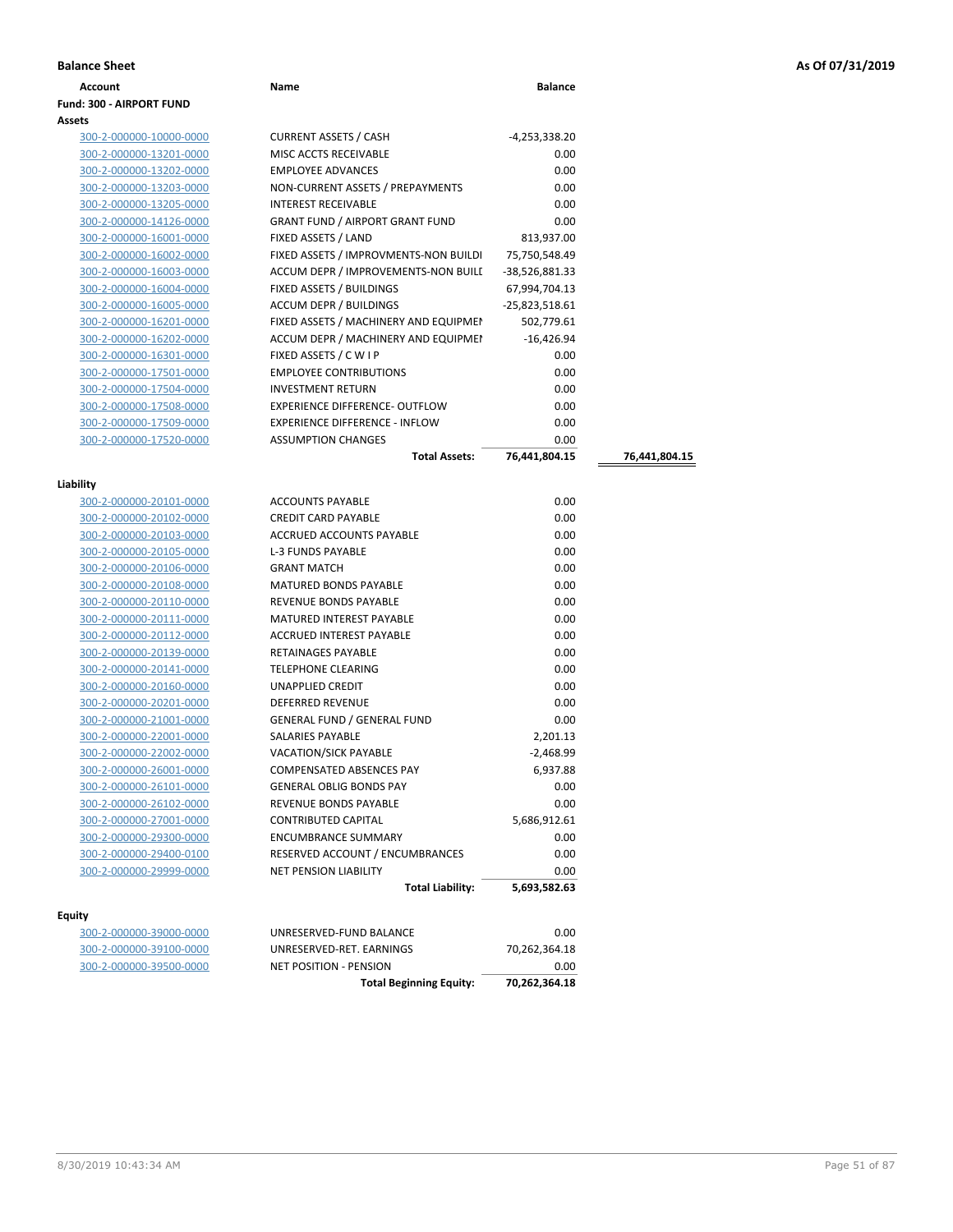|  |  |  |  | As Of 07/31/2019 |
|--|--|--|--|------------------|
|--|--|--|--|------------------|

| <b>Account</b>                  | Name                                   | <b>Balance</b>  |               |
|---------------------------------|----------------------------------------|-----------------|---------------|
| <b>Fund: 300 - AIRPORT FUND</b> |                                        |                 |               |
|                                 |                                        |                 |               |
| 300-2-000000-10000-0000         | <b>CURRENT ASSETS / CASH</b>           | $-4,253,338.20$ |               |
| 300-2-000000-13201-0000         | MISC ACCTS RECEIVABLE                  | 0.00            |               |
| 300-2-000000-13202-0000         | <b>EMPLOYEE ADVANCES</b>               | 0.00            |               |
| 300-2-000000-13203-0000         | NON-CURRENT ASSETS / PREPAYMENTS       | 0.00            |               |
| 300-2-000000-13205-0000         | <b>INTEREST RECEIVABLE</b>             | 0.00            |               |
| 300-2-000000-14126-0000         | <b>GRANT FUND / AIRPORT GRANT FUND</b> | 0.00            |               |
| 300-2-000000-16001-0000         | FIXED ASSETS / LAND                    | 813,937.00      |               |
| 300-2-000000-16002-0000         | FIXED ASSETS / IMPROVMENTS-NON BUILDI  | 75,750,548.49   |               |
| 300-2-000000-16003-0000         | ACCUM DEPR / IMPROVEMENTS-NON BUILL    | -38,526,881.33  |               |
| 300-2-000000-16004-0000         | FIXED ASSETS / BUILDINGS               | 67,994,704.13   |               |
| 300-2-000000-16005-0000         | ACCUM DEPR / BUILDINGS                 | -25,823,518.61  |               |
| 300-2-000000-16201-0000         | FIXED ASSETS / MACHINERY AND EQUIPMEN  | 502,779.61      |               |
| 300-2-000000-16202-0000         | ACCUM DEPR / MACHINERY AND EQUIPMEI    | $-16,426.94$    |               |
| 300-2-000000-16301-0000         | FIXED ASSETS / C W I P                 | 0.00            |               |
| 300-2-000000-17501-0000         | <b>EMPLOYEE CONTRIBUTIONS</b>          | 0.00            |               |
| 300-2-000000-17504-0000         | <b>INVESTMENT RETURN</b>               | 0.00            |               |
| 300-2-000000-17508-0000         | EXPERIENCE DIFFERENCE- OUTFLOW         | 0.00            |               |
| 300-2-000000-17509-0000         | <b>EXPERIENCE DIFFERENCE - INFLOW</b>  | 0.00            |               |
| 300-2-000000-17520-0000         | <b>ASSUMPTION CHANGES</b>              | 0.00            |               |
|                                 | <b>Total Assets:</b>                   | 76,441,804.15   | 76,441,804.15 |
|                                 |                                        |                 |               |
| Liability                       |                                        |                 |               |
| 300-2-000000-20101-0000         | <b>ACCOUNTS PAYABLE</b>                | 0.00            |               |
| 300-2-000000-20102-0000         | <b>CREDIT CARD PAYABLE</b>             | 0.00            |               |
| 300-2-000000-20103-0000         | ACCRUED ACCOUNTS PAYABLE               | 0.00            |               |
| 300-2-000000-20105-0000         | L-3 FUNDS PAYABLE                      | 0.00            |               |
| 300-2-000000-20106-0000         | <b>GRANT MATCH</b>                     | 0.00            |               |
| 300-2-000000-20108-0000         | MATURED BONDS PAYABLE                  | 0.00            |               |
| 300-2-000000-20110-0000         | REVENUE BONDS PAYABLE                  | 0.00            |               |
| 300-2-000000-20111-0000         | MATURED INTEREST PAYABLE               | 0.00            |               |
| 300-2-000000-20112-0000         | ACCRUED INTEREST PAYABLE               | 0.00            |               |
| 300-2-000000-20139-0000         | RETAINAGES PAYABLE                     | 0.00            |               |
| 300-2-000000-20141-0000         | <b>TELEPHONE CLEARING</b>              | 0.00            |               |
| 300-2-000000-20160-0000         | <b>UNAPPLIED CREDIT</b>                | 0.00            |               |
| 300-2-000000-20201-0000         | <b>DEFERRED REVENUE</b>                | 0.00            |               |
| 300-2-000000-21001-0000         | <b>GENERAL FUND / GENERAL FUND</b>     | 0.00            |               |
| 300-2-000000-22001-0000         | SALARIES PAYABLE                       | 2,201.13        |               |
| 300-2-000000-22002-0000         | VACATION/SICK PAYABLE                  | -2,468.99       |               |
| 300-2-000000-26001-0000         | COMPENSATED ABSENCES PAY               | 6,937.88        |               |
| 300-2-000000-26101-0000         | <b>GENERAL OBLIG BONDS PAY</b>         | 0.00            |               |
| 300-2-000000-26102-0000         | REVENUE BONDS PAYABLE                  | 0.00            |               |
|                                 | <b>CONTRIBUTED CAPITAL</b>             | 5,686,912.61    |               |
| 300-2-000000-27001-0000         |                                        | 0.00            |               |
| 300-2-000000-29300-0000         | <b>ENCUMBRANCE SUMMARY</b>             |                 |               |
| 300-2-000000-29400-0100         | RESERVED ACCOUNT / ENCUMBRANCES        | 0.00            |               |

| 300-2-000000-39000-0000 |  |
|-------------------------|--|
| 300-2-000000-39100-0000 |  |
| 300-2-000000-39500-0000 |  |

|                         | <b>Total Beginning Equity:</b> | 70,262,364.18 |
|-------------------------|--------------------------------|---------------|
| 300-2-000000-39500-0000 | NET POSITION - PENSION         | 0.00          |
| 300-2-000000-39100-0000 | UNRESERVED-RET. EARNINGS       | 70,262,364.18 |
| 300-2-000000-39000-0000 | UNRESERVED-FUND BALANCE        | 0.00          |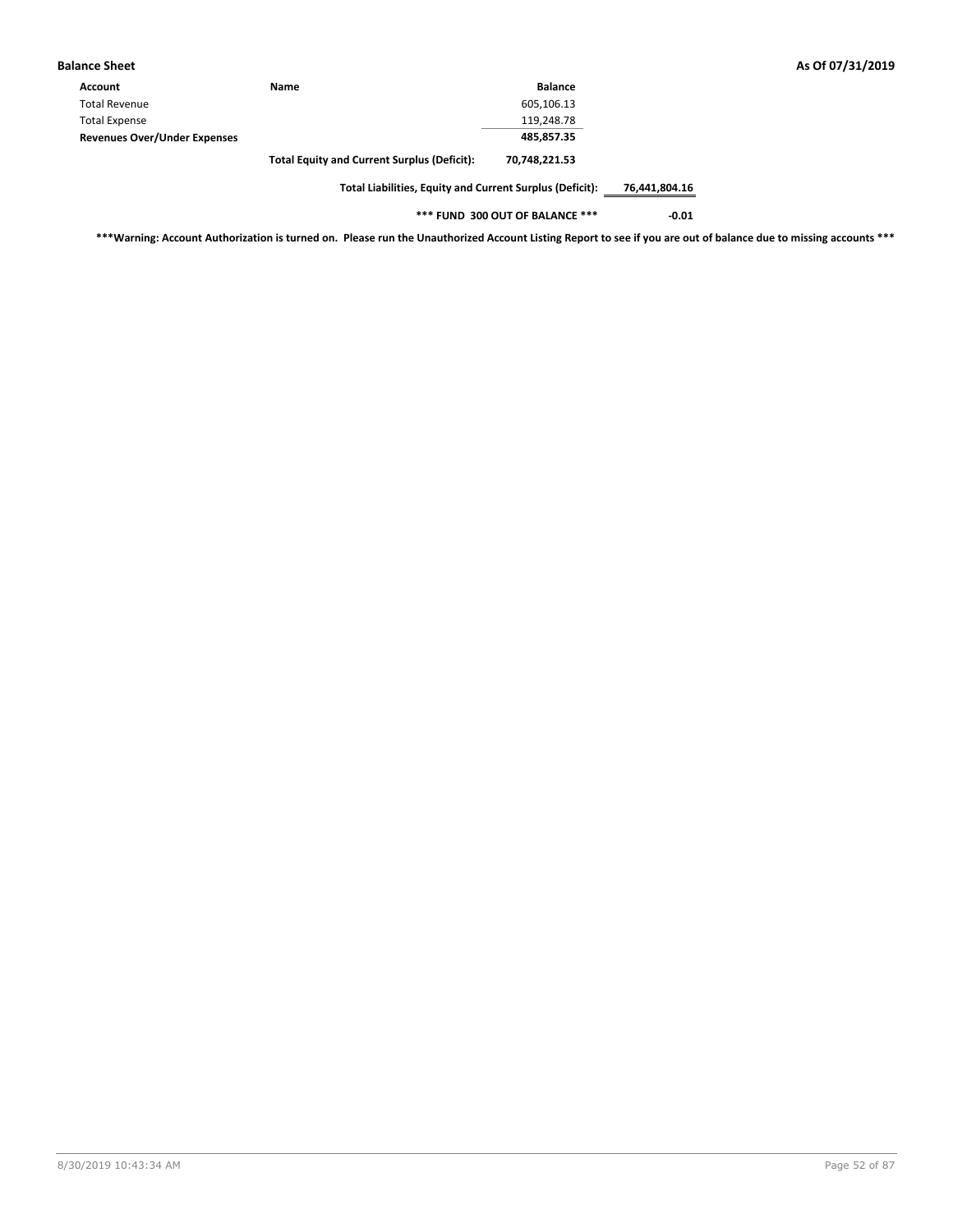| <b>Balance Sheet</b>                |                                                    |                |
|-------------------------------------|----------------------------------------------------|----------------|
| Account                             | <b>Name</b>                                        | <b>Balance</b> |
| <b>Total Revenue</b>                |                                                    | 605,106.13     |
| <b>Total Expense</b>                |                                                    | 119,248.78     |
| <b>Revenues Over/Under Expenses</b> |                                                    | 485.857.35     |
|                                     | <b>Total Equity and Current Surplus (Deficit):</b> | 70,748,221.53  |

**\*\*\* FUND 300 OUT OF BALANCE \*\*\* -0.01**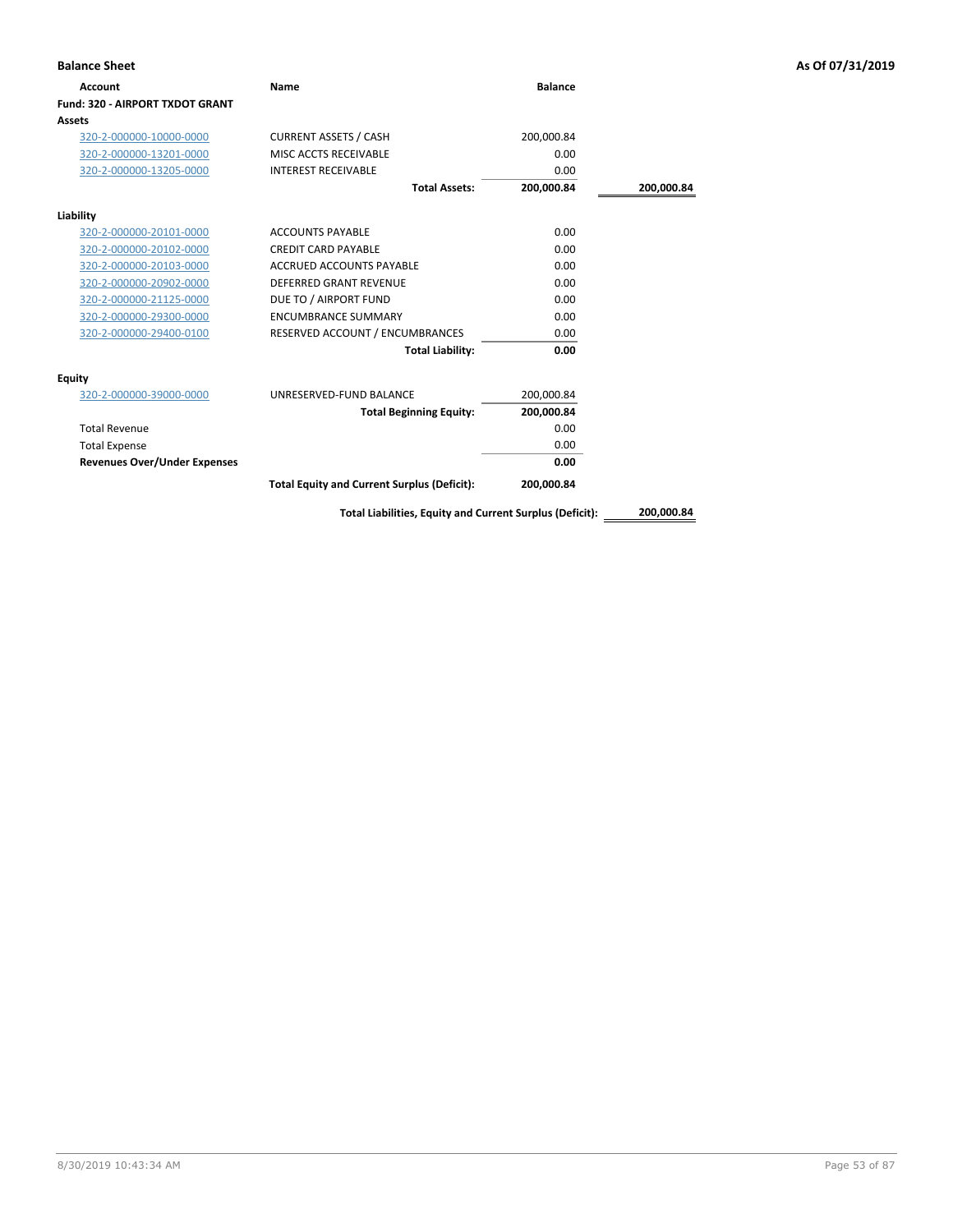| <b>Balance Sheet</b>                |                                                          |                |            | As Of 07/31/2019 |
|-------------------------------------|----------------------------------------------------------|----------------|------------|------------------|
| Account                             | Name                                                     | <b>Balance</b> |            |                  |
| Fund: 320 - AIRPORT TXDOT GRANT     |                                                          |                |            |                  |
| <b>Assets</b>                       |                                                          |                |            |                  |
| 320-2-000000-10000-0000             | <b>CURRENT ASSETS / CASH</b>                             | 200,000.84     |            |                  |
| 320-2-000000-13201-0000             | MISC ACCTS RECEIVABLE                                    | 0.00           |            |                  |
| 320-2-000000-13205-0000             | <b>INTEREST RECEIVABLE</b>                               | 0.00           |            |                  |
|                                     | <b>Total Assets:</b>                                     | 200,000.84     | 200,000.84 |                  |
| Liability                           |                                                          |                |            |                  |
| 320-2-000000-20101-0000             | <b>ACCOUNTS PAYABLE</b>                                  | 0.00           |            |                  |
| 320-2-000000-20102-0000             | <b>CREDIT CARD PAYABLE</b>                               | 0.00           |            |                  |
| 320-2-000000-20103-0000             | ACCRUED ACCOUNTS PAYABLE                                 | 0.00           |            |                  |
| 320-2-000000-20902-0000             | <b>DEFERRED GRANT REVENUE</b>                            | 0.00           |            |                  |
| 320-2-000000-21125-0000             | DUE TO / AIRPORT FUND                                    | 0.00           |            |                  |
| 320-2-000000-29300-0000             | <b>ENCUMBRANCE SUMMARY</b>                               | 0.00           |            |                  |
| 320-2-000000-29400-0100             | RESERVED ACCOUNT / ENCUMBRANCES                          | 0.00           |            |                  |
|                                     | <b>Total Liability:</b>                                  | 0.00           |            |                  |
| <b>Equity</b>                       |                                                          |                |            |                  |
| 320-2-000000-39000-0000             | UNRESERVED-FUND BALANCE                                  | 200,000.84     |            |                  |
|                                     | <b>Total Beginning Equity:</b>                           | 200,000.84     |            |                  |
| <b>Total Revenue</b>                |                                                          | 0.00           |            |                  |
| <b>Total Expense</b>                |                                                          | 0.00           |            |                  |
| <b>Revenues Over/Under Expenses</b> |                                                          | 0.00           |            |                  |
|                                     | <b>Total Equity and Current Surplus (Deficit):</b>       | 200,000.84     |            |                  |
|                                     | Total Liabilities, Equity and Current Surplus (Deficit): |                | 200,000.84 |                  |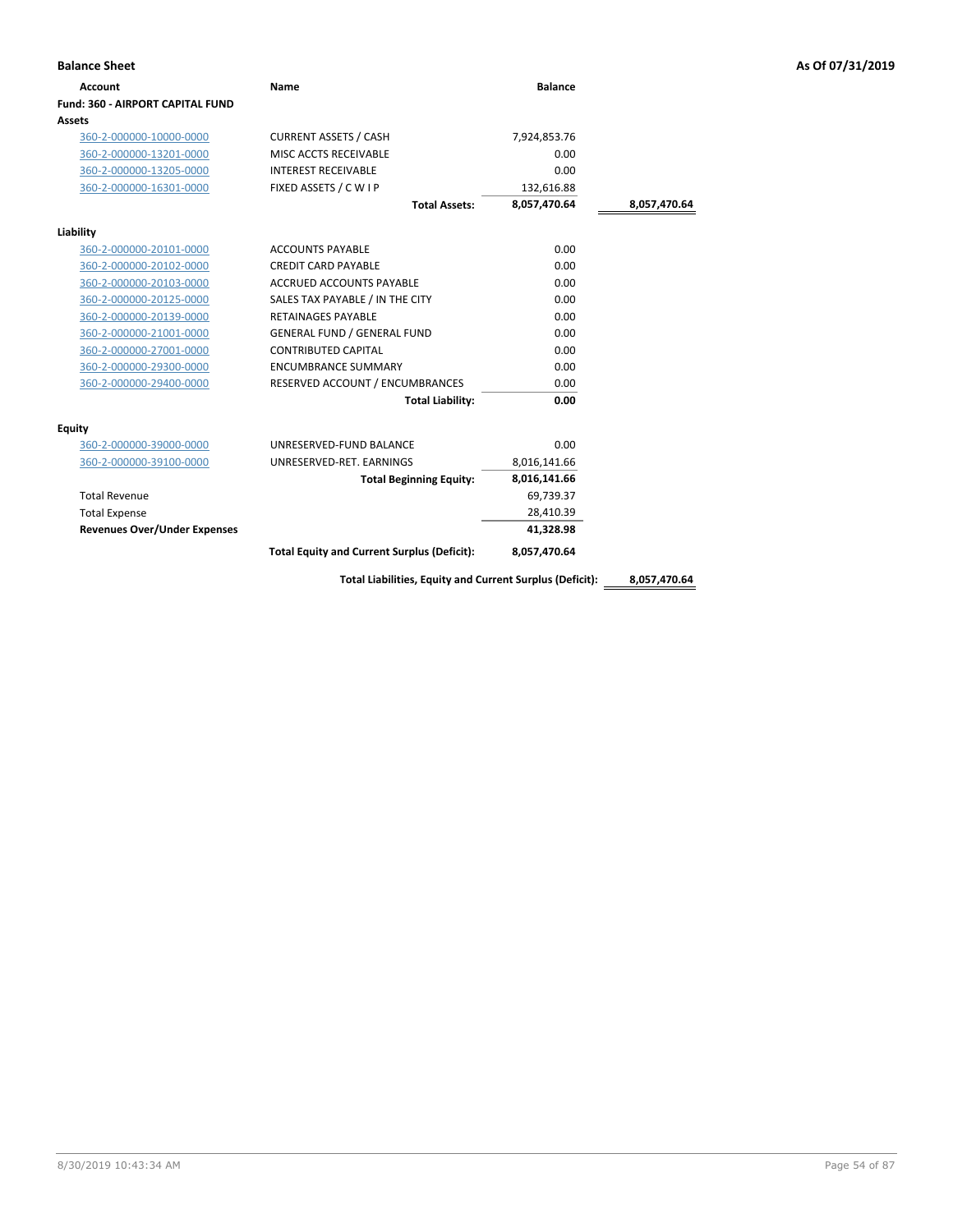| <b>Account</b>                          | Name                                                     | <b>Balance</b> |              |
|-----------------------------------------|----------------------------------------------------------|----------------|--------------|
| <b>Fund: 360 - AIRPORT CAPITAL FUND</b> |                                                          |                |              |
| Assets                                  |                                                          |                |              |
| 360-2-000000-10000-0000                 | <b>CURRENT ASSETS / CASH</b>                             | 7,924,853.76   |              |
| 360-2-000000-13201-0000                 | MISC ACCTS RECEIVABLE                                    | 0.00           |              |
| 360-2-000000-13205-0000                 | <b>INTEREST RECEIVABLE</b>                               | 0.00           |              |
| 360-2-000000-16301-0000                 | FIXED ASSETS / C W I P                                   | 132,616.88     |              |
|                                         | <b>Total Assets:</b>                                     | 8,057,470.64   | 8,057,470.64 |
| Liability                               |                                                          |                |              |
| 360-2-000000-20101-0000                 | <b>ACCOUNTS PAYABLE</b>                                  | 0.00           |              |
| 360-2-000000-20102-0000                 | <b>CREDIT CARD PAYABLE</b>                               | 0.00           |              |
| 360-2-000000-20103-0000                 | <b>ACCRUED ACCOUNTS PAYABLE</b>                          | 0.00           |              |
| 360-2-000000-20125-0000                 | SALES TAX PAYABLE / IN THE CITY                          | 0.00           |              |
| 360-2-000000-20139-0000                 | <b>RETAINAGES PAYABLE</b>                                | 0.00           |              |
| 360-2-000000-21001-0000                 | <b>GENERAL FUND / GENERAL FUND</b>                       | 0.00           |              |
| 360-2-000000-27001-0000                 | <b>CONTRIBUTED CAPITAL</b>                               | 0.00           |              |
| 360-2-000000-29300-0000                 | <b>ENCUMBRANCE SUMMARY</b>                               | 0.00           |              |
| 360-2-000000-29400-0000                 | RESERVED ACCOUNT / ENCUMBRANCES                          | 0.00           |              |
|                                         | <b>Total Liability:</b>                                  | 0.00           |              |
| Equity                                  |                                                          |                |              |
| 360-2-000000-39000-0000                 | UNRESERVED-FUND BALANCE                                  | 0.00           |              |
| 360-2-000000-39100-0000                 | UNRESERVED-RET. EARNINGS                                 | 8,016,141.66   |              |
|                                         | <b>Total Beginning Equity:</b>                           | 8,016,141.66   |              |
| <b>Total Revenue</b>                    |                                                          | 69,739.37      |              |
| <b>Total Expense</b>                    |                                                          | 28,410.39      |              |
| <b>Revenues Over/Under Expenses</b>     |                                                          | 41,328.98      |              |
|                                         | <b>Total Equity and Current Surplus (Deficit):</b>       | 8,057,470.64   |              |
|                                         | Total Liabilities, Equity and Current Surplus (Deficit): |                | 8,057,470.64 |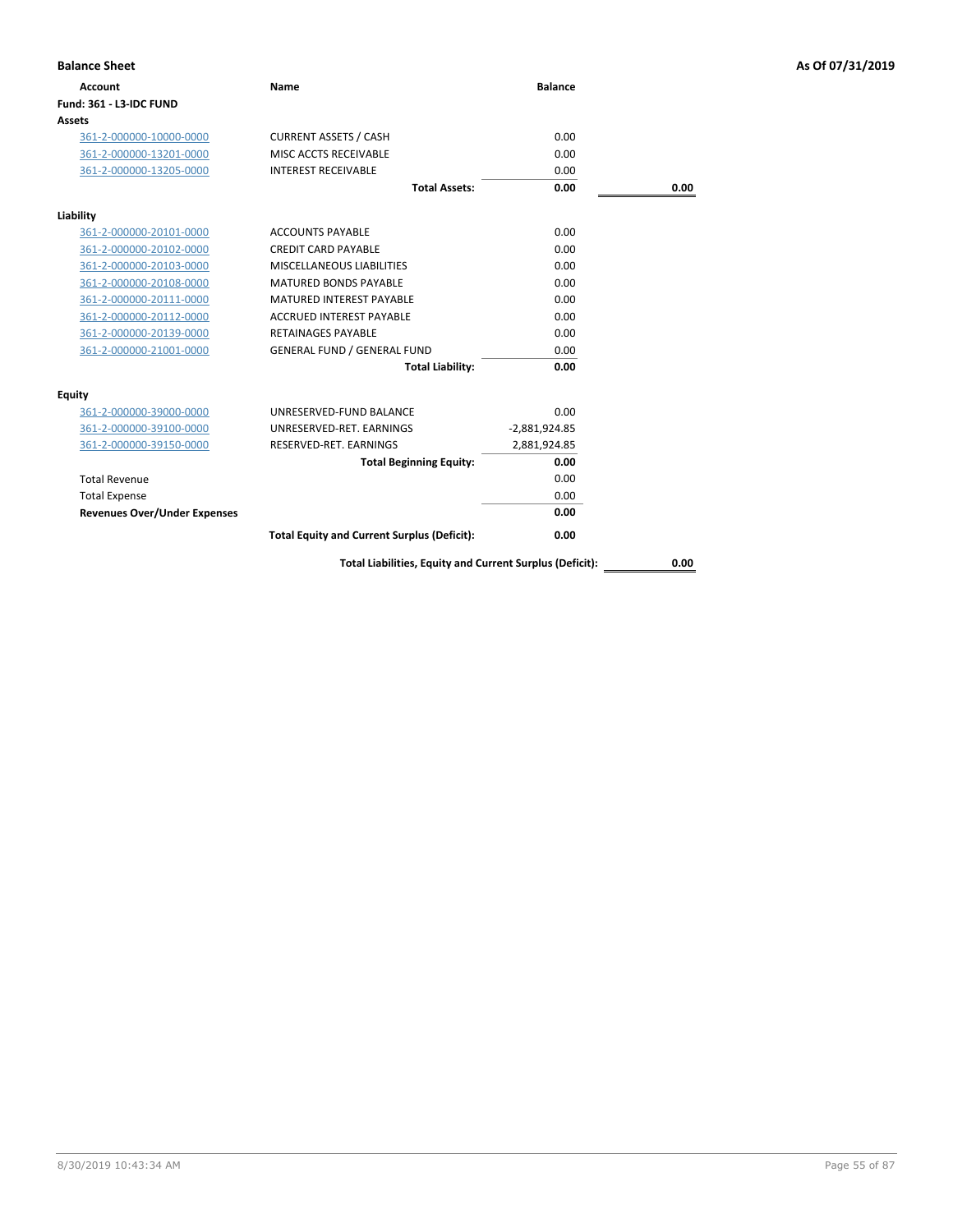| <b>Balance Sheet</b>                |                                                          |                 |      | As Of 07/31/2019 |
|-------------------------------------|----------------------------------------------------------|-----------------|------|------------------|
| <b>Account</b>                      | Name                                                     | <b>Balance</b>  |      |                  |
| Fund: 361 - L3-IDC FUND             |                                                          |                 |      |                  |
| Assets                              |                                                          |                 |      |                  |
| 361-2-000000-10000-0000             | <b>CURRENT ASSETS / CASH</b>                             | 0.00            |      |                  |
| 361-2-000000-13201-0000             | MISC ACCTS RECEIVABLE                                    | 0.00            |      |                  |
| 361-2-000000-13205-0000             | <b>INTEREST RECEIVABLE</b>                               | 0.00            |      |                  |
|                                     | <b>Total Assets:</b>                                     | 0.00            | 0.00 |                  |
| Liability                           |                                                          |                 |      |                  |
| 361-2-000000-20101-0000             | <b>ACCOUNTS PAYABLE</b>                                  | 0.00            |      |                  |
| 361-2-000000-20102-0000             | <b>CREDIT CARD PAYABLE</b>                               | 0.00            |      |                  |
| 361-2-000000-20103-0000             | MISCELLANEOUS LIABILITIES                                | 0.00            |      |                  |
| 361-2-000000-20108-0000             | MATURED BONDS PAYABLE                                    | 0.00            |      |                  |
| 361-2-000000-20111-0000             | MATURED INTEREST PAYABLE                                 | 0.00            |      |                  |
| 361-2-000000-20112-0000             | <b>ACCRUED INTEREST PAYABLE</b>                          | 0.00            |      |                  |
| 361-2-000000-20139-0000             | <b>RETAINAGES PAYABLE</b>                                | 0.00            |      |                  |
| 361-2-000000-21001-0000             | <b>GENERAL FUND / GENERAL FUND</b>                       | 0.00            |      |                  |
|                                     | <b>Total Liability:</b>                                  | 0.00            |      |                  |
| <b>Equity</b>                       |                                                          |                 |      |                  |
| 361-2-000000-39000-0000             | UNRESERVED-FUND BALANCE                                  | 0.00            |      |                  |
| 361-2-000000-39100-0000             | UNRESERVED-RET. EARNINGS                                 | $-2,881,924.85$ |      |                  |
| 361-2-000000-39150-0000             | RESERVED-RET. EARNINGS                                   | 2,881,924.85    |      |                  |
|                                     | <b>Total Beginning Equity:</b>                           | 0.00            |      |                  |
| <b>Total Revenue</b>                |                                                          | 0.00            |      |                  |
| <b>Total Expense</b>                |                                                          | 0.00            |      |                  |
| <b>Revenues Over/Under Expenses</b> |                                                          | 0.00            |      |                  |
|                                     | <b>Total Equity and Current Surplus (Deficit):</b>       | 0.00            |      |                  |
|                                     | Total Liabilities, Equity and Current Surplus (Deficit): |                 | 0.00 |                  |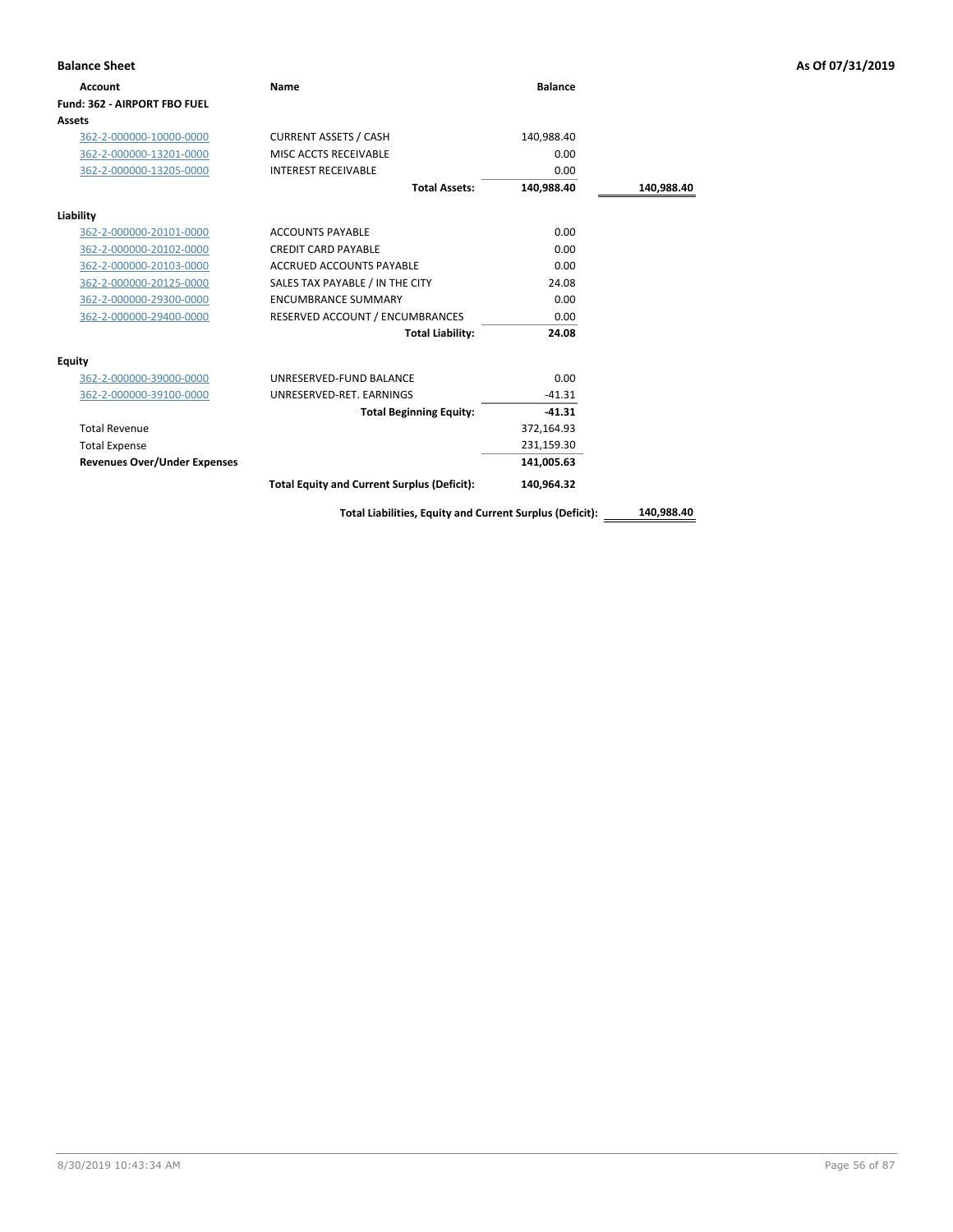| <b>Balance Sheet</b>                |                                                          |                |            | As Of 07/31/2019 |
|-------------------------------------|----------------------------------------------------------|----------------|------------|------------------|
| <b>Account</b>                      | <b>Name</b>                                              | <b>Balance</b> |            |                  |
| Fund: 362 - AIRPORT FBO FUEL        |                                                          |                |            |                  |
| Assets                              |                                                          |                |            |                  |
| 362-2-000000-10000-0000             | <b>CURRENT ASSETS / CASH</b>                             | 140,988.40     |            |                  |
| 362-2-000000-13201-0000             | MISC ACCTS RECEIVABLE                                    | 0.00           |            |                  |
| 362-2-000000-13205-0000             | <b>INTEREST RECEIVABLE</b>                               | 0.00           |            |                  |
|                                     | <b>Total Assets:</b>                                     | 140,988.40     | 140,988.40 |                  |
| Liability                           |                                                          |                |            |                  |
| 362-2-000000-20101-0000             | <b>ACCOUNTS PAYABLE</b>                                  | 0.00           |            |                  |
| 362-2-000000-20102-0000             | <b>CREDIT CARD PAYABLE</b>                               | 0.00           |            |                  |
| 362-2-000000-20103-0000             | ACCRUED ACCOUNTS PAYABLE                                 | 0.00           |            |                  |
| 362-2-000000-20125-0000             | SALES TAX PAYABLE / IN THE CITY                          | 24.08          |            |                  |
| 362-2-000000-29300-0000             | <b>ENCUMBRANCE SUMMARY</b>                               | 0.00           |            |                  |
| 362-2-000000-29400-0000             | RESERVED ACCOUNT / ENCUMBRANCES                          | 0.00           |            |                  |
|                                     | <b>Total Liability:</b>                                  | 24.08          |            |                  |
| Equity                              |                                                          |                |            |                  |
| 362-2-000000-39000-0000             | UNRESERVED-FUND BALANCE                                  | 0.00           |            |                  |
| 362-2-000000-39100-0000             | UNRESERVED-RET. EARNINGS                                 | $-41.31$       |            |                  |
|                                     | <b>Total Beginning Equity:</b>                           | $-41.31$       |            |                  |
| <b>Total Revenue</b>                |                                                          | 372,164.93     |            |                  |
| <b>Total Expense</b>                |                                                          | 231,159.30     |            |                  |
| <b>Revenues Over/Under Expenses</b> |                                                          | 141,005.63     |            |                  |
|                                     | <b>Total Equity and Current Surplus (Deficit):</b>       | 140,964.32     |            |                  |
|                                     | Total Liabilities, Equity and Current Surplus (Deficit): |                | 140,988.40 |                  |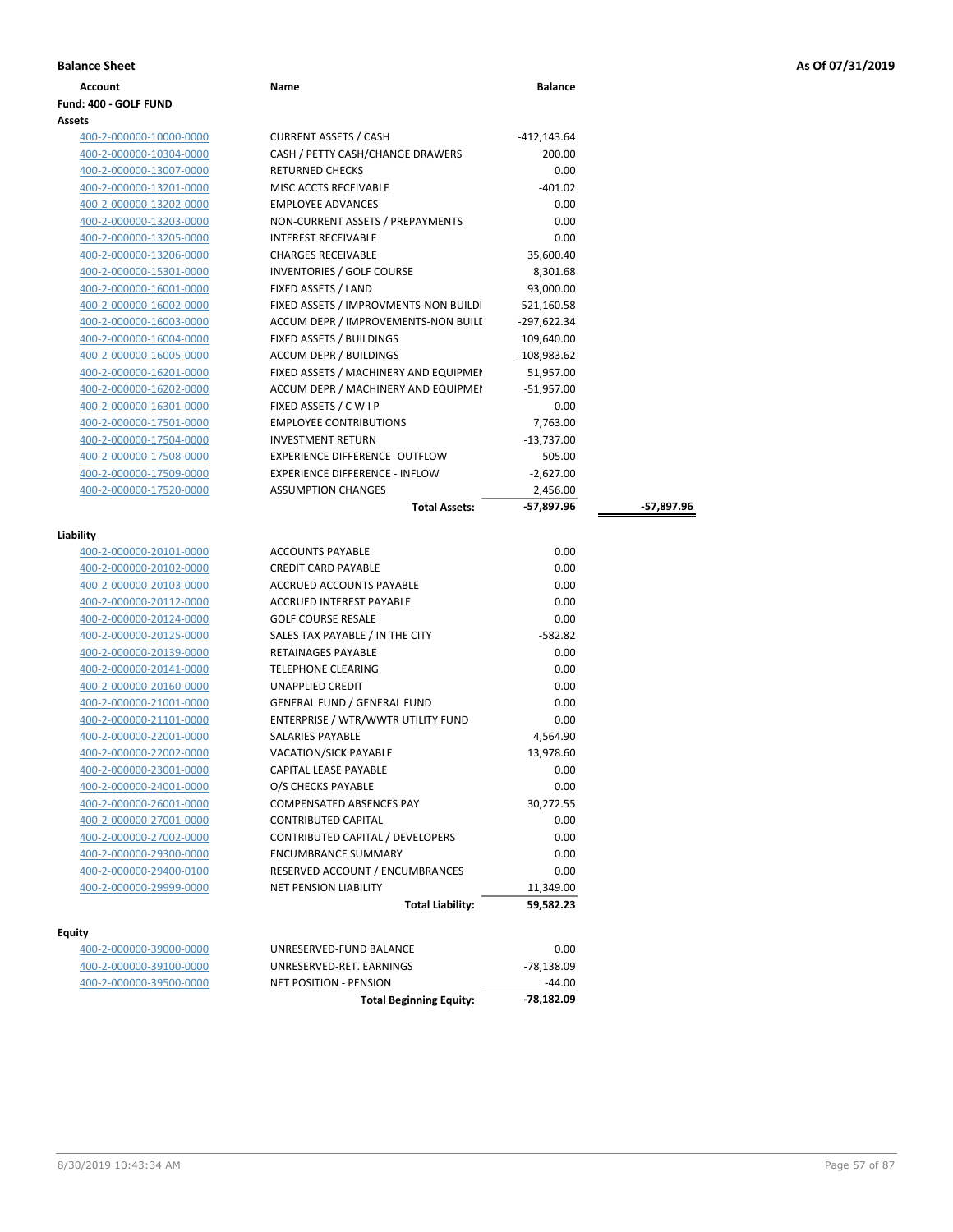# **Balance Sheet As Of 07/31/2019**

| <b>Balance Sheet</b> |      |                |
|----------------------|------|----------------|
| Account              | Name | <b>Balance</b> |

### **Fund: 400 - GOLF FUND Assets**

| 400-2-000000-10000-0000 |  |
|-------------------------|--|
| 400-2-000000-10304-0000 |  |
| 400-2-000000-13007-0000 |  |
| 400-2-000000-13201-0000 |  |
| 400-2-000000-13202-0000 |  |
| 400-2-000000-13203-0000 |  |
| 400-2-000000-13205-0000 |  |
| 400-2-000000-13206-0000 |  |
| 400-2-000000-15301-0000 |  |
| 400-2-000000-16001-0000 |  |
| 400-2-000000-16002-0000 |  |
| 400-2-000000-16003-0000 |  |
| 400-2-000000-16004-0000 |  |
| 400-2-000000-16005-0000 |  |
| 400-2-000000-16201-0000 |  |
| 400-2-000000-16202-0000 |  |
| 400-2-000000-16301-0000 |  |
| 400-2-000000-17501-0000 |  |
| 400-2-000000-17504-0000 |  |
| 400-2-000000-17508-0000 |  |
| 400-2-000000-17509-0000 |  |
| 400-2-000000-17520-0000 |  |

| <b>HOO L OOOOOO 10001 OO</b> |  |
|------------------------------|--|
| 400-2-000000-17501-00        |  |
| 400-2-000000-17504-00        |  |
| 400-2-000000-17508-00        |  |
| 400-2-000000-17509-00        |  |
| 400-2-000000-17520-00        |  |
|                              |  |
|                              |  |

## **Liability**

|                         | <b>Total Liability:</b>            | 59,582.23 |
|-------------------------|------------------------------------|-----------|
| 400-2-000000-29999-0000 | <b>NET PENSION LIABILITY</b>       | 11,349.00 |
| 400-2-000000-29400-0100 | RESERVED ACCOUNT / ENCUMBRANCES    | 0.00      |
| 400-2-000000-29300-0000 | <b>ENCUMBRANCE SUMMARY</b>         | 0.00      |
| 400-2-000000-27002-0000 | CONTRIBUTED CAPITAL / DEVELOPERS   | 0.00      |
| 400-2-000000-27001-0000 | <b>CONTRIBUTED CAPITAL</b>         | 0.00      |
| 400-2-000000-26001-0000 | <b>COMPENSATED ABSENCES PAY</b>    | 30,272.55 |
| 400-2-000000-24001-0000 | O/S CHECKS PAYABLE                 | 0.00      |
| 400-2-000000-23001-0000 | <b>CAPITAL LEASE PAYABLE</b>       | 0.00      |
| 400-2-000000-22002-0000 | VACATION/SICK PAYABLE              | 13,978.60 |
| 400-2-000000-22001-0000 | <b>SALARIES PAYABLE</b>            | 4,564.90  |
| 400-2-000000-21101-0000 | ENTERPRISE / WTR/WWTR UTILITY FUND | 0.00      |
| 400-2-000000-21001-0000 | <b>GENERAL FUND / GENERAL FUND</b> | 0.00      |
| 400-2-000000-20160-0000 | <b>UNAPPLIED CREDIT</b>            | 0.00      |
| 400-2-000000-20141-0000 | <b>TELEPHONE CLEARING</b>          | 0.00      |
| 400-2-000000-20139-0000 | <b>RETAINAGES PAYABLE</b>          | 0.00      |
| 400-2-000000-20125-0000 | SALES TAX PAYABLE / IN THE CITY    | $-582.82$ |
| 400-2-000000-20124-0000 | <b>GOLF COURSE RESALE</b>          | 0.00      |
| 400-2-000000-20112-0000 | <b>ACCRUED INTEREST PAYABLE</b>    | 0.00      |
| 400-2-000000-20103-0000 | ACCRUED ACCOUNTS PAYABLE           | 0.00      |
| 400-2-000000-20102-0000 | <b>CREDIT CARD PAYABLE</b>         | 0.00      |
| 400-2-000000-20101-0000 | <b>ACCOUNTS PAYABLE</b>            | 0.00      |
|                         |                                    |           |

## **Equity**

| 400-2-000000-39000-0000 | UNRESERVED-FUND BALANCE  | 0.00       |
|-------------------------|--------------------------|------------|
| 400-2-000000-39100-0000 | UNRESERVED-RET. EARNINGS | -78,138.09 |
| 400-2-000000-39500-0000 | NET POSITION - PENSION   | $-44.00$   |
|                         |                          |            |

| 400-2-000000-10000-0000 | <b>CURRENT ASSETS / CASH</b>          | $-412,143.64$ |            |
|-------------------------|---------------------------------------|---------------|------------|
| 400-2-000000-10304-0000 | CASH / PETTY CASH/CHANGE DRAWERS      | 200.00        |            |
| 400-2-000000-13007-0000 | <b>RETURNED CHECKS</b>                | 0.00          |            |
| 400-2-000000-13201-0000 | MISC ACCTS RECEIVABLE                 | $-401.02$     |            |
| 400-2-000000-13202-0000 | <b>EMPLOYEE ADVANCES</b>              | 0.00          |            |
| 400-2-000000-13203-0000 | NON-CURRENT ASSETS / PREPAYMENTS      | 0.00          |            |
| 400-2-000000-13205-0000 | <b>INTEREST RECEIVABLE</b>            | 0.00          |            |
| 400-2-000000-13206-0000 | <b>CHARGES RECEIVABLE</b>             | 35,600.40     |            |
| 400-2-000000-15301-0000 | INVENTORIES / GOLF COURSE             | 8,301.68      |            |
| 400-2-000000-16001-0000 | FIXED ASSETS / LAND                   | 93,000.00     |            |
| 400-2-000000-16002-0000 | FIXED ASSETS / IMPROVMENTS-NON BUILDI | 521,160.58    |            |
| 400-2-000000-16003-0000 | ACCUM DEPR / IMPROVEMENTS-NON BUILI   | $-297,622.34$ |            |
| 400-2-000000-16004-0000 | FIXED ASSETS / BUILDINGS              | 109,640.00    |            |
| 400-2-000000-16005-0000 | <b>ACCUM DEPR / BUILDINGS</b>         | $-108.983.62$ |            |
| 400-2-000000-16201-0000 | FIXED ASSETS / MACHINERY AND EQUIPMEN | 51,957.00     |            |
| 400-2-000000-16202-0000 | ACCUM DEPR / MACHINERY AND EQUIPMEI   | $-51,957.00$  |            |
| 400-2-000000-16301-0000 | FIXED ASSETS / CWIP                   | 0.00          |            |
| 400-2-000000-17501-0000 | <b>EMPLOYEE CONTRIBUTIONS</b>         | 7,763.00      |            |
| 400-2-000000-17504-0000 | <b>INVESTMENT RETURN</b>              | $-13,737.00$  |            |
| 400-2-000000-17508-0000 | <b>EXPERIENCE DIFFERENCE- OUTFLOW</b> | $-505.00$     |            |
| 400-2-000000-17509-0000 | <b>EXPERIENCE DIFFERENCE - INFLOW</b> | $-2,627.00$   |            |
| 400-2-000000-17520-0000 | <b>ASSUMPTION CHANGES</b>             | 2,456.00      |            |
|                         | <b>Total Assets:</b>                  | $-57,897.96$  | -57,897.96 |

| UNRESERVED-RET. EARNINGS           | -78,138.09 |
|------------------------------------|------------|
| UNRESERVED-FUND BALANCE            | 0.00       |
| <b>Total Liability:</b>            | 59,582.23  |
| <b>NET PENSION LIABILITY</b>       | 11,349.00  |
| RESERVED ACCOUNT / ENCUMBRANCES    | 0.00       |
| <b>ENCUMBRANCE SUMMARY</b>         | 0.00       |
| CONTRIBUTED CAPITAL / DEVELOPERS   | 0.00       |
| <b>CONTRIBUTED CAPITAL</b>         | 0.00       |
| <b>COMPENSATED ABSENCES PAY</b>    | 30,272.55  |
| O/S CHECKS PAYABLE                 | 0.00       |
| <b>CAPITAL LEASE PAYABLE</b>       | 0.00       |
| <b>VACATION/SICK PAYABLE</b>       | 13,978.60  |
| <b>SALARIES PAYABLE</b>            | 4,564.90   |
| ENTERPRISE / WTR/WWTR UTILITY FUND | 0.00       |
| <b>GENERAL FUND / GENERAL FUND</b> | 0.00       |
| <b>UNAPPLIED CREDIT</b>            | 0.00       |
| <b>TELEPHONE CLEARING</b>          | 0.00       |
| <b>RETAINAGES PAYABLE</b>          | 0.00       |
| SALES TAX PAYABLE / IN THE CITY    | $-582.82$  |
| <b>GOLF COURSE RESALE</b>          | 0.00       |
| <b>ACCRUED INTEREST PAYABLE</b>    | 0.00       |
| <b>ACCRUED ACCOUNTS PAYABLE</b>    | 0.00       |
| CREDIT CARD PAYARLE                | 0.00       |
|                                    | v.vv       |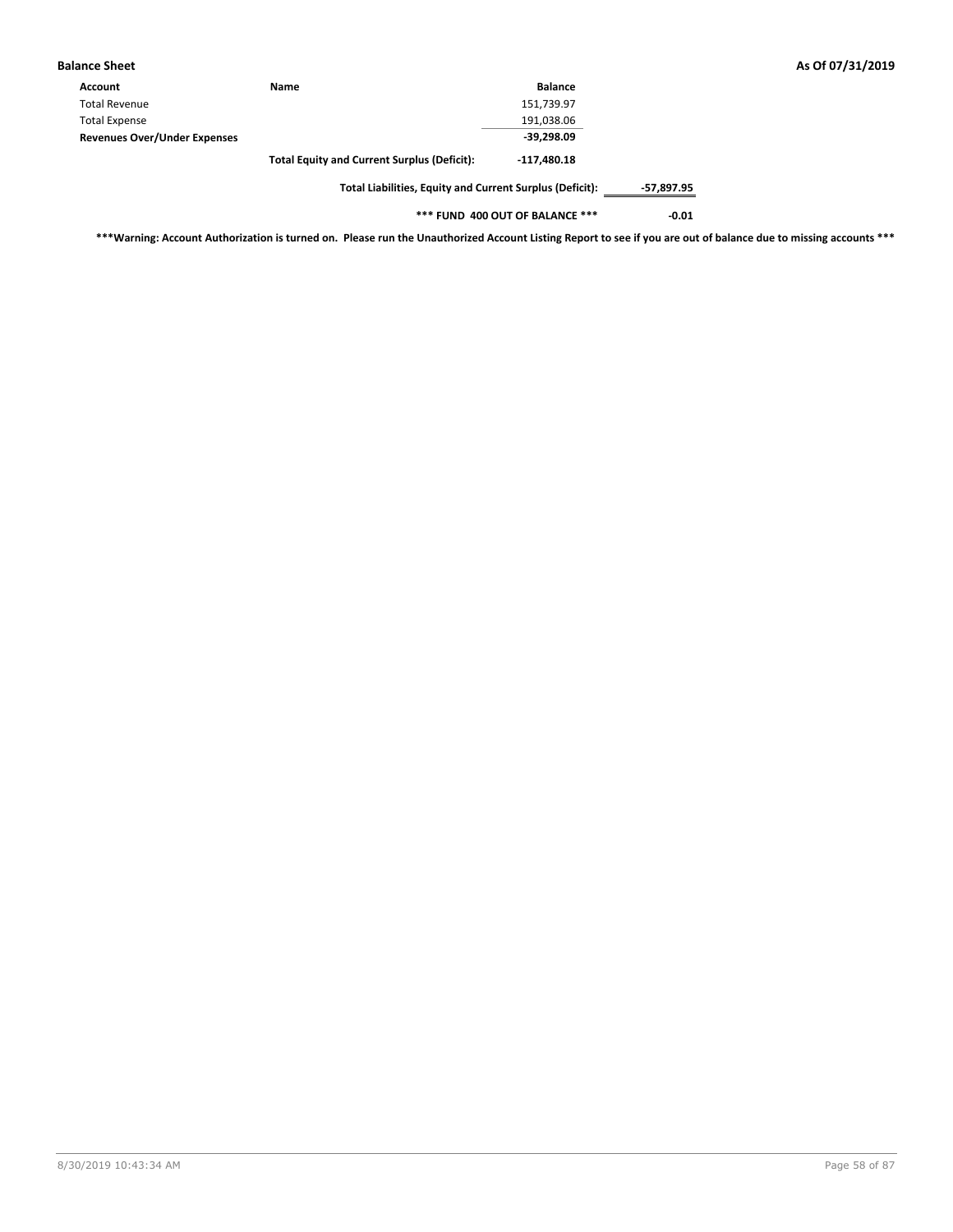| <b>Balance Sheet</b>                |                                                          |                |            | As Of 07/31/2019 |
|-------------------------------------|----------------------------------------------------------|----------------|------------|------------------|
| Account                             | <b>Name</b>                                              | <b>Balance</b> |            |                  |
| <b>Total Revenue</b>                |                                                          | 151,739.97     |            |                  |
| <b>Total Expense</b>                |                                                          | 191,038.06     |            |                  |
| <b>Revenues Over/Under Expenses</b> |                                                          | $-39,298.09$   |            |                  |
|                                     | <b>Total Equity and Current Surplus (Deficit):</b>       | $-117,480.18$  |            |                  |
|                                     | Total Liabilities, Equity and Current Surplus (Deficit): |                | -57,897.95 |                  |

**\*\*\* FUND 400 OUT OF BALANCE \*\*\* -0.01**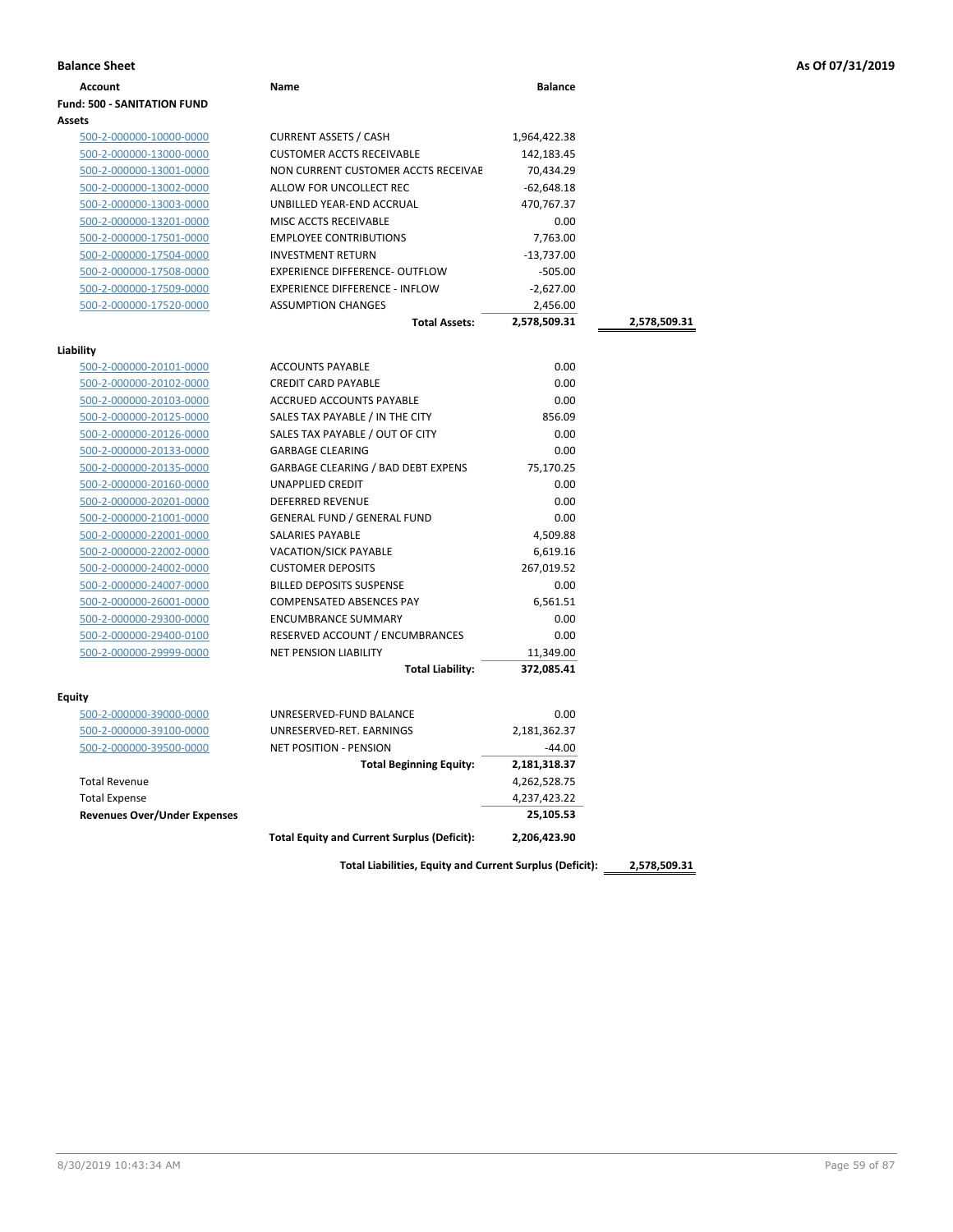|  |  |  |  | As Of 07/31/2019 |
|--|--|--|--|------------------|
|--|--|--|--|------------------|

| <b>Balance Sheet</b>                 |                                             |                |              | As Of 07/31/2019 |
|--------------------------------------|---------------------------------------------|----------------|--------------|------------------|
| <b>Account</b>                       | Name                                        | <b>Balance</b> |              |                  |
| Fund: 500 - SANITATION FUND          |                                             |                |              |                  |
| <b>Assets</b>                        |                                             |                |              |                  |
| 500-2-000000-10000-0000              | <b>CURRENT ASSETS / CASH</b>                | 1,964,422.38   |              |                  |
| 500-2-000000-13000-0000              | <b>CUSTOMER ACCTS RECEIVABLE</b>            | 142,183.45     |              |                  |
| 500-2-000000-13001-0000              | NON CURRENT CUSTOMER ACCTS RECEIVAE         | 70,434.29      |              |                  |
| 500-2-000000-13002-0000              | ALLOW FOR UNCOLLECT REC                     | $-62,648.18$   |              |                  |
| 500-2-000000-13003-0000              | UNBILLED YEAR-END ACCRUAL                   | 470,767.37     |              |                  |
| 500-2-000000-13201-0000              | MISC ACCTS RECEIVABLE                       | 0.00           |              |                  |
| 500-2-000000-17501-0000              | <b>EMPLOYEE CONTRIBUTIONS</b>               | 7,763.00       |              |                  |
| 500-2-000000-17504-0000              | <b>INVESTMENT RETURN</b>                    | $-13,737.00$   |              |                  |
| 500-2-000000-17508-0000              | <b>EXPERIENCE DIFFERENCE- OUTFLOW</b>       | $-505.00$      |              |                  |
| 500-2-000000-17509-0000              | <b>EXPERIENCE DIFFERENCE - INFLOW</b>       | $-2,627.00$    |              |                  |
| 500-2-000000-17520-0000              | <b>ASSUMPTION CHANGES</b>                   | 2,456.00       |              |                  |
|                                      | <b>Total Assets:</b>                        | 2,578,509.31   | 2,578,509.31 |                  |
|                                      |                                             |                |              |                  |
| Liability<br>500-2-000000-20101-0000 | <b>ACCOUNTS PAYABLE</b>                     | 0.00           |              |                  |
| 500-2-000000-20102-0000              | <b>CREDIT CARD PAYABLE</b>                  | 0.00           |              |                  |
| 500-2-000000-20103-0000              | ACCRUED ACCOUNTS PAYABLE                    | 0.00           |              |                  |
| 500-2-000000-20125-0000              | SALES TAX PAYABLE / IN THE CITY             | 856.09         |              |                  |
| 500-2-000000-20126-0000              | SALES TAX PAYABLE / OUT OF CITY             | 0.00           |              |                  |
| 500-2-000000-20133-0000              | <b>GARBAGE CLEARING</b>                     | 0.00           |              |                  |
| 500-2-000000-20135-0000              | <b>GARBAGE CLEARING / BAD DEBT EXPENS</b>   | 75,170.25      |              |                  |
| 500-2-000000-20160-0000              | <b>UNAPPLIED CREDIT</b>                     | 0.00           |              |                  |
| 500-2-000000-20201-0000              | <b>DEFERRED REVENUE</b>                     | 0.00           |              |                  |
| 500-2-000000-21001-0000              | <b>GENERAL FUND / GENERAL FUND</b>          | 0.00           |              |                  |
| 500-2-000000-22001-0000              | <b>SALARIES PAYABLE</b>                     | 4,509.88       |              |                  |
| 500-2-000000-22002-0000              | <b>VACATION/SICK PAYABLE</b>                | 6,619.16       |              |                  |
| 500-2-000000-24002-0000              | <b>CUSTOMER DEPOSITS</b>                    | 267,019.52     |              |                  |
| 500-2-000000-24007-0000              | <b>BILLED DEPOSITS SUSPENSE</b>             | 0.00           |              |                  |
| 500-2-000000-26001-0000              | COMPENSATED ABSENCES PAY                    | 6,561.51       |              |                  |
| 500-2-000000-29300-0000              | <b>ENCUMBRANCE SUMMARY</b>                  | 0.00           |              |                  |
| 500-2-000000-29400-0100              | RESERVED ACCOUNT / ENCUMBRANCES             | 0.00           |              |                  |
| 500-2-000000-29999-0000              | <b>NET PENSION LIABILITY</b>                | 11,349.00      |              |                  |
|                                      | <b>Total Liability:</b>                     | 372,085.41     |              |                  |
|                                      |                                             |                |              |                  |
| <b>Equity</b>                        |                                             |                |              |                  |
| 500-2-000000-39000-0000              | UNRESERVED-FUND BALANCE                     | 0.00           |              |                  |
| 500-2-000000-39100-0000              | UNRESERVED-RET. EARNINGS                    | 2,181,362.37   |              |                  |
| 500-2-000000-39500-0000              | NET POSITION - PENSION                      | $-44.00$       |              |                  |
|                                      | <b>Total Beginning Equity:</b>              | 2,181,318.37   |              |                  |
| <b>Total Revenue</b>                 |                                             | 4,262,528.75   |              |                  |
| <b>Total Expense</b>                 |                                             | 4,237,423.22   |              |                  |
| <b>Revenues Over/Under Expenses</b>  |                                             | 25,105.53      |              |                  |
|                                      | Total Equity and Current Surplus (Deficit): | 2,206,423.90   |              |                  |
|                                      |                                             |                |              |                  |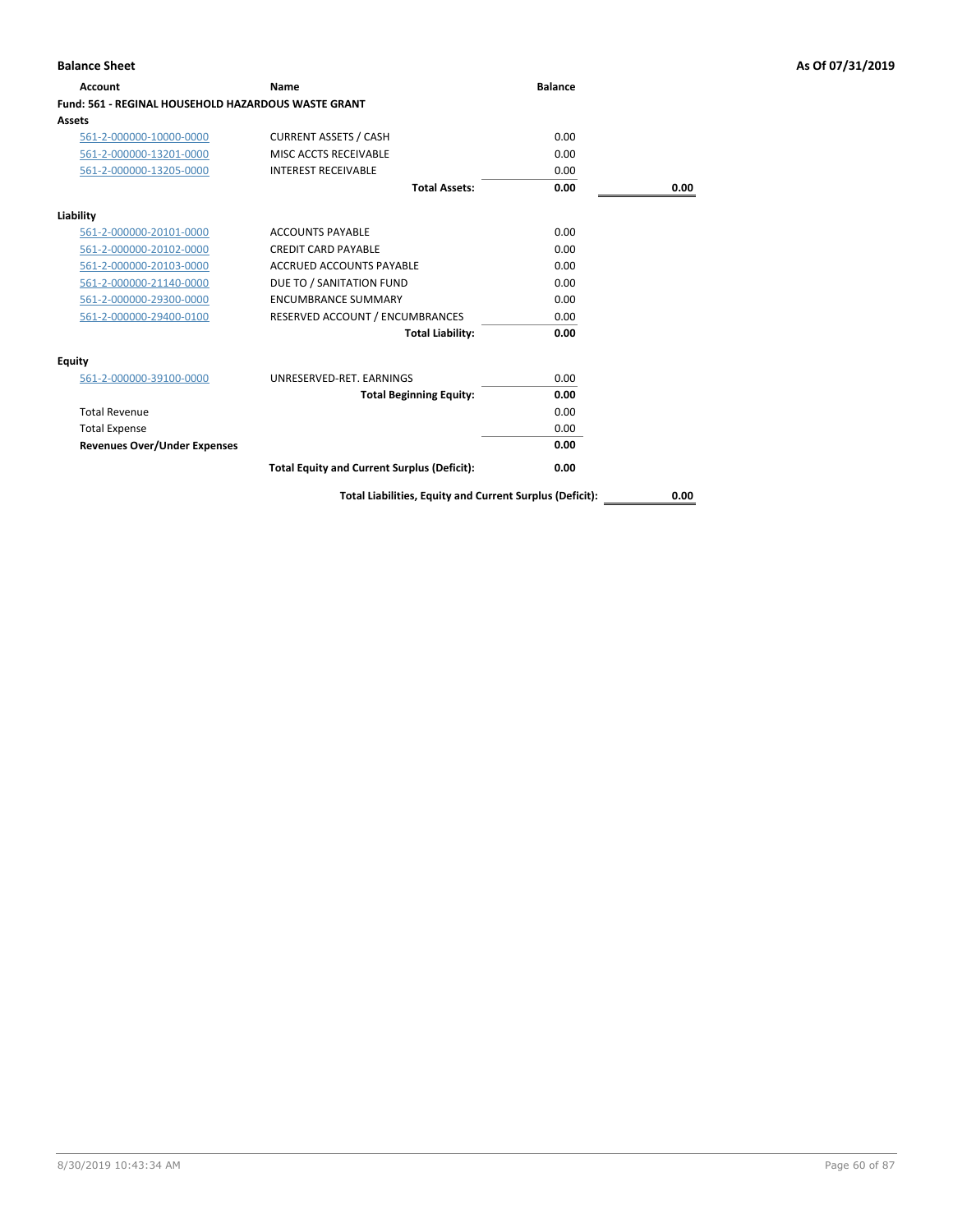| <b>Account</b>                                             | Name                                               | <b>Balance</b> |      |
|------------------------------------------------------------|----------------------------------------------------|----------------|------|
| <b>Fund: 561 - REGINAL HOUSEHOLD HAZARDOUS WASTE GRANT</b> |                                                    |                |      |
| <b>Assets</b>                                              |                                                    |                |      |
| 561-2-000000-10000-0000                                    | <b>CURRENT ASSETS / CASH</b>                       | 0.00           |      |
| 561-2-000000-13201-0000                                    | MISC ACCTS RECEIVABLE                              | 0.00           |      |
| 561-2-000000-13205-0000                                    | <b>INTEREST RECEIVABLE</b>                         | 0.00           |      |
|                                                            | <b>Total Assets:</b>                               | 0.00           | 0.00 |
| Liability                                                  |                                                    |                |      |
| 561-2-000000-20101-0000                                    | <b>ACCOUNTS PAYABLE</b>                            | 0.00           |      |
| 561-2-000000-20102-0000                                    | <b>CREDIT CARD PAYABLE</b>                         | 0.00           |      |
| 561-2-000000-20103-0000                                    | <b>ACCRUED ACCOUNTS PAYABLE</b>                    | 0.00           |      |
| 561-2-000000-21140-0000                                    | DUE TO / SANITATION FUND                           | 0.00           |      |
| 561-2-000000-29300-0000                                    | <b>ENCUMBRANCE SUMMARY</b>                         | 0.00           |      |
| 561-2-000000-29400-0100                                    | RESERVED ACCOUNT / ENCUMBRANCES                    | 0.00           |      |
|                                                            | <b>Total Liability:</b>                            | 0.00           |      |
| Equity                                                     |                                                    |                |      |
| 561-2-000000-39100-0000                                    | UNRESERVED-RET, EARNINGS                           | 0.00           |      |
|                                                            | <b>Total Beginning Equity:</b>                     | 0.00           |      |
| <b>Total Revenue</b>                                       |                                                    | 0.00           |      |
| <b>Total Expense</b>                                       |                                                    | 0.00           |      |
| <b>Revenues Over/Under Expenses</b>                        |                                                    | 0.00           |      |
|                                                            | <b>Total Equity and Current Surplus (Deficit):</b> | 0.00           |      |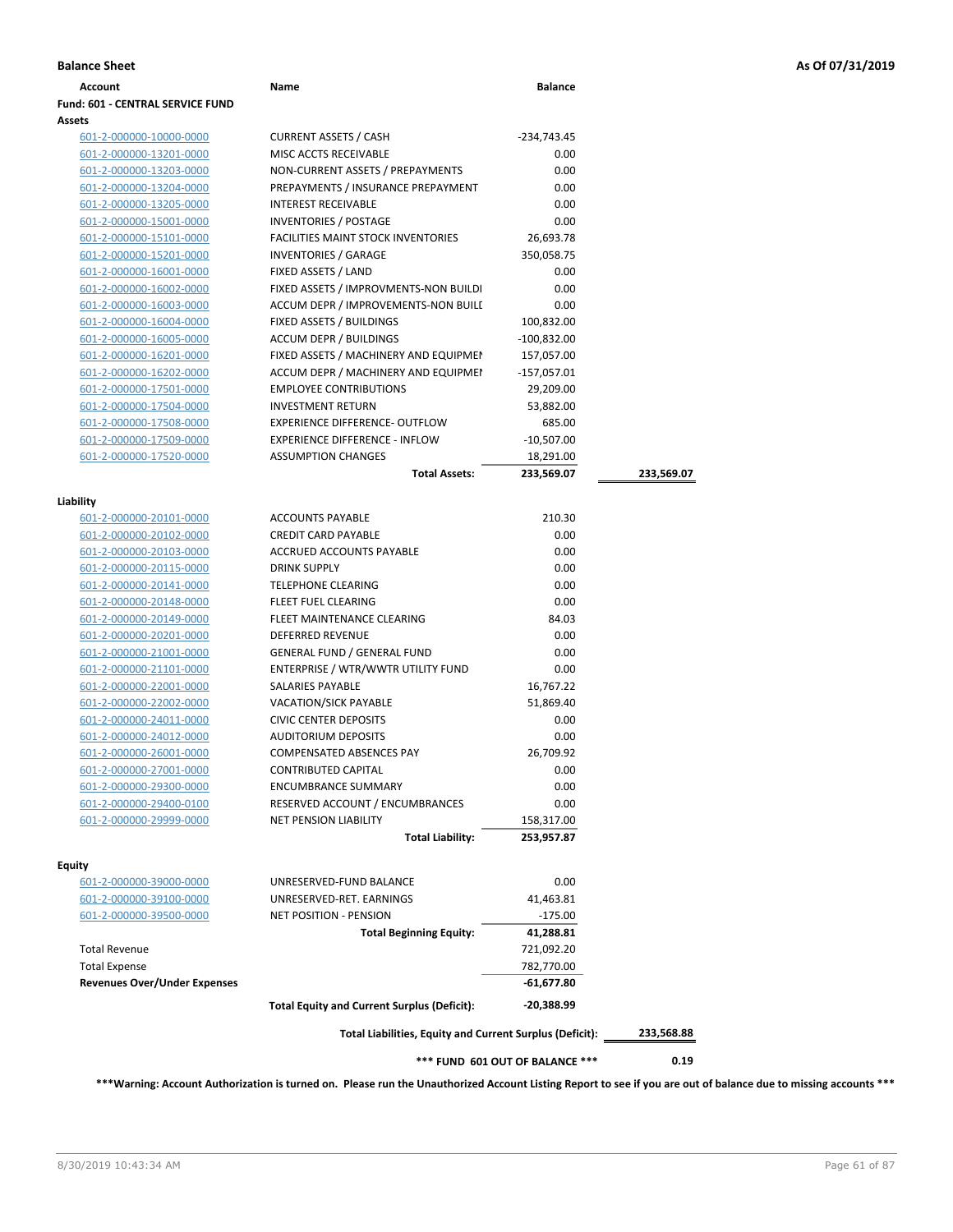| Account                             | Name                                                     | <b>Balance</b>                  |            |
|-------------------------------------|----------------------------------------------------------|---------------------------------|------------|
| Fund: 601 - CENTRAL SERVICE FUND    |                                                          |                                 |            |
| Assets                              |                                                          |                                 |            |
| 601-2-000000-10000-0000             | <b>CURRENT ASSETS / CASH</b>                             | -234,743.45                     |            |
| 601-2-000000-13201-0000             | MISC ACCTS RECEIVABLE                                    | 0.00                            |            |
| 601-2-000000-13203-0000             | NON-CURRENT ASSETS / PREPAYMENTS                         | 0.00                            |            |
| 601-2-000000-13204-0000             | PREPAYMENTS / INSURANCE PREPAYMENT                       | 0.00                            |            |
| 601-2-000000-13205-0000             | <b>INTEREST RECEIVABLE</b>                               | 0.00                            |            |
| 601-2-000000-15001-0000             | <b>INVENTORIES / POSTAGE</b>                             | 0.00                            |            |
| 601-2-000000-15101-0000             | <b>FACILITIES MAINT STOCK INVENTORIES</b>                | 26,693.78                       |            |
| 601-2-000000-15201-0000             | <b>INVENTORIES / GARAGE</b>                              | 350,058.75                      |            |
| 601-2-000000-16001-0000             | FIXED ASSETS / LAND                                      | 0.00                            |            |
| 601-2-000000-16002-0000             | FIXED ASSETS / IMPROVMENTS-NON BUILDI                    | 0.00                            |            |
| 601-2-000000-16003-0000             | ACCUM DEPR / IMPROVEMENTS-NON BUILI                      | 0.00                            |            |
| 601-2-000000-16004-0000             | FIXED ASSETS / BUILDINGS                                 | 100,832.00                      |            |
| 601-2-000000-16005-0000             | <b>ACCUM DEPR / BUILDINGS</b>                            | $-100,832.00$                   |            |
| 601-2-000000-16201-0000             | FIXED ASSETS / MACHINERY AND EQUIPMEN                    | 157,057.00                      |            |
| 601-2-000000-16202-0000             | ACCUM DEPR / MACHINERY AND EQUIPMEI                      | -157,057.01                     |            |
| 601-2-000000-17501-0000             | <b>EMPLOYEE CONTRIBUTIONS</b>                            | 29,209.00                       |            |
| 601-2-000000-17504-0000             | <b>INVESTMENT RETURN</b>                                 | 53,882.00                       |            |
| 601-2-000000-17508-0000             | EXPERIENCE DIFFERENCE- OUTFLOW                           | 685.00                          |            |
| 601-2-000000-17509-0000             | <b>EXPERIENCE DIFFERENCE - INFLOW</b>                    | $-10,507.00$                    |            |
| 601-2-000000-17520-0000             | <b>ASSUMPTION CHANGES</b>                                | 18,291.00                       |            |
|                                     | <b>Total Assets:</b>                                     | 233,569.07                      | 233,569.07 |
|                                     |                                                          |                                 |            |
| Liability                           |                                                          |                                 |            |
| 601-2-000000-20101-0000             | <b>ACCOUNTS PAYABLE</b>                                  | 210.30                          |            |
| 601-2-000000-20102-0000             | <b>CREDIT CARD PAYABLE</b>                               | 0.00                            |            |
| 601-2-000000-20103-0000             | ACCRUED ACCOUNTS PAYABLE                                 | 0.00                            |            |
| 601-2-000000-20115-0000             | <b>DRINK SUPPLY</b>                                      | 0.00                            |            |
| 601-2-000000-20141-0000             | <b>TELEPHONE CLEARING</b>                                | 0.00                            |            |
| 601-2-000000-20148-0000             | FLEET FUEL CLEARING                                      | 0.00                            |            |
| 601-2-000000-20149-0000             | FLEET MAINTENANCE CLEARING                               | 84.03                           |            |
| 601-2-000000-20201-0000             | <b>DEFERRED REVENUE</b>                                  | 0.00                            |            |
| 601-2-000000-21001-0000             | <b>GENERAL FUND / GENERAL FUND</b>                       | 0.00                            |            |
| 601-2-000000-21101-0000             | ENTERPRISE / WTR/WWTR UTILITY FUND                       | 0.00                            |            |
| 601-2-000000-22001-0000             | SALARIES PAYABLE                                         | 16,767.22                       |            |
| 601-2-000000-22002-0000             | <b>VACATION/SICK PAYABLE</b>                             | 51,869.40                       |            |
| 601-2-000000-24011-0000             | <b>CIVIC CENTER DEPOSITS</b>                             | 0.00                            |            |
| 601-2-000000-24012-0000             | <b>AUDITORIUM DEPOSITS</b>                               | 0.00                            |            |
| 601-2-000000-26001-0000             | <b>COMPENSATED ABSENCES PAY</b>                          | 26,709.92                       |            |
| 601-2-000000-27001-0000             | <b>CONTRIBUTED CAPITAL</b>                               | 0.00                            |            |
| 601-2-000000-29300-0000             | <b>ENCUMBRANCE SUMMARY</b>                               | 0.00                            |            |
| 601-2-000000-29400-0100             | RESERVED ACCOUNT / ENCUMBRANCES                          | 0.00                            |            |
| 601-2-000000-29999-0000             | <b>NET PENSION LIABILITY</b>                             | 158,317.00                      |            |
|                                     | <b>Total Liability:</b>                                  | 253,957.87                      |            |
| <b>Equity</b>                       |                                                          |                                 |            |
| 601-2-000000-39000-0000             | UNRESERVED-FUND BALANCE                                  | 0.00                            |            |
| <u>601-2-000000-39100-0000</u>      | UNRESERVED-RET. EARNINGS                                 | 41,463.81                       |            |
| 601-2-000000-39500-0000             | <b>NET POSITION - PENSION</b>                            | $-175.00$                       |            |
|                                     | <b>Total Beginning Equity:</b>                           | 41,288.81                       |            |
| <b>Total Revenue</b>                |                                                          | 721,092.20                      |            |
| <b>Total Expense</b>                |                                                          | 782,770.00                      |            |
| <b>Revenues Over/Under Expenses</b> |                                                          | $-61,677.80$                    |            |
|                                     | <b>Total Equity and Current Surplus (Deficit):</b>       | -20,388.99                      |            |
|                                     | Total Liabilities, Equity and Current Surplus (Deficit): |                                 | 233,568.88 |
|                                     |                                                          | *** FUND 601 OUT OF BALANCE *** | 0.19       |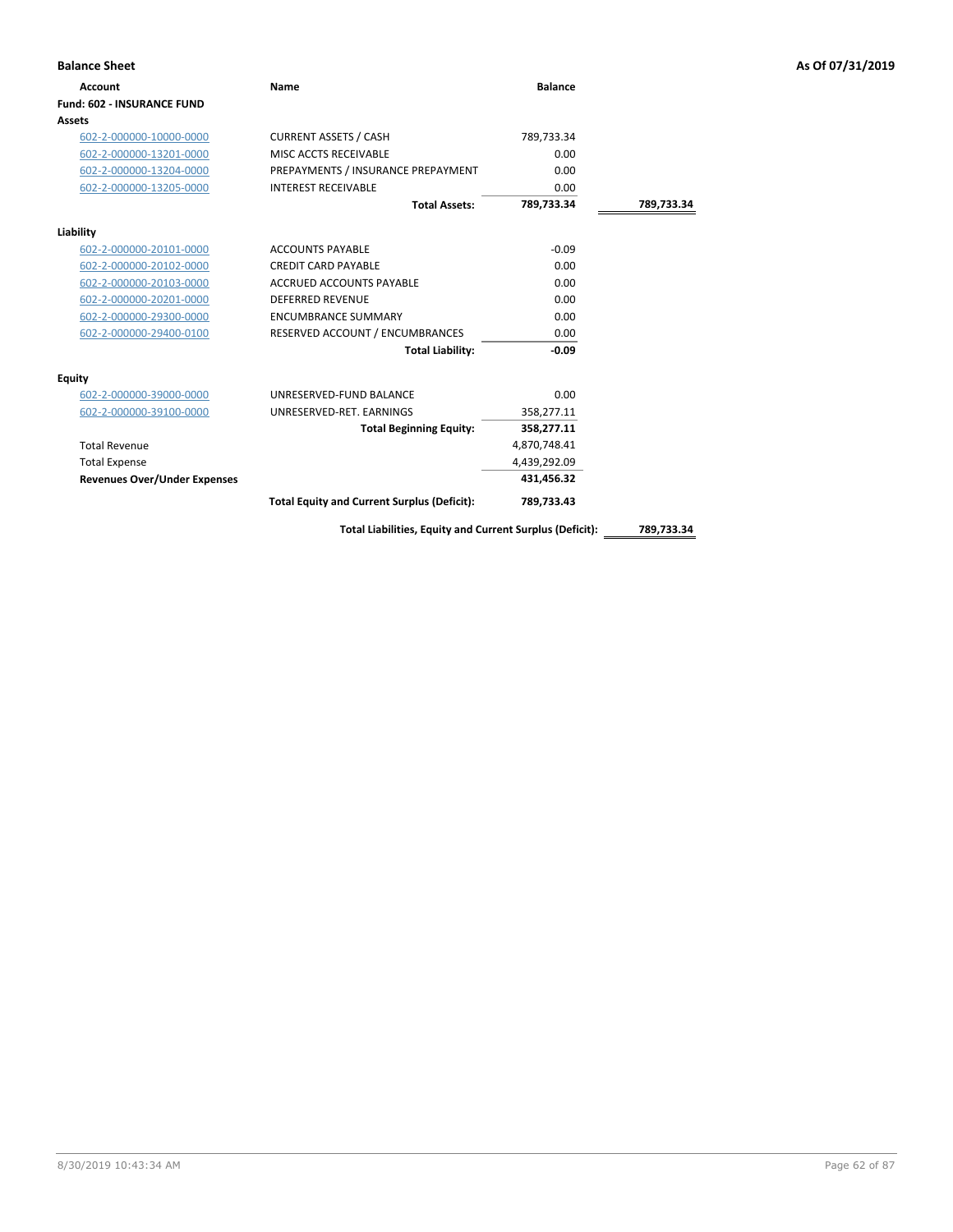| <b>Balance Sheet</b>                |                                                    |                |            | As Of 07/31/2019 |
|-------------------------------------|----------------------------------------------------|----------------|------------|------------------|
| <b>Account</b>                      | <b>Name</b>                                        | <b>Balance</b> |            |                  |
| <b>Fund: 602 - INSURANCE FUND</b>   |                                                    |                |            |                  |
| Assets                              |                                                    |                |            |                  |
| 602-2-000000-10000-0000             | <b>CURRENT ASSETS / CASH</b>                       | 789,733.34     |            |                  |
| 602-2-000000-13201-0000             | MISC ACCTS RECEIVABLE                              | 0.00           |            |                  |
| 602-2-000000-13204-0000             | PREPAYMENTS / INSURANCE PREPAYMENT                 | 0.00           |            |                  |
| 602-2-000000-13205-0000             | <b>INTEREST RECEIVABLE</b>                         | 0.00           |            |                  |
|                                     | <b>Total Assets:</b>                               | 789,733.34     | 789,733.34 |                  |
| Liability                           |                                                    |                |            |                  |
| 602-2-000000-20101-0000             | <b>ACCOUNTS PAYABLE</b>                            | $-0.09$        |            |                  |
| 602-2-000000-20102-0000             | <b>CREDIT CARD PAYABLE</b>                         | 0.00           |            |                  |
| 602-2-000000-20103-0000             | ACCRUED ACCOUNTS PAYABLE                           | 0.00           |            |                  |
| 602-2-000000-20201-0000             | <b>DEFERRED REVENUE</b>                            | 0.00           |            |                  |
| 602-2-000000-29300-0000             | <b>ENCUMBRANCE SUMMARY</b>                         | 0.00           |            |                  |
| 602-2-000000-29400-0100             | RESERVED ACCOUNT / ENCUMBRANCES                    | 0.00           |            |                  |
|                                     | <b>Total Liability:</b>                            | $-0.09$        |            |                  |
| Equity                              |                                                    |                |            |                  |
| 602-2-000000-39000-0000             | UNRESERVED-FUND BALANCE                            | 0.00           |            |                  |
| 602-2-000000-39100-0000             | UNRESERVED-RET. EARNINGS                           | 358,277.11     |            |                  |
|                                     | <b>Total Beginning Equity:</b>                     | 358,277.11     |            |                  |
| <b>Total Revenue</b>                |                                                    | 4,870,748.41   |            |                  |
| <b>Total Expense</b>                |                                                    | 4,439,292.09   |            |                  |
| <b>Revenues Over/Under Expenses</b> |                                                    | 431,456.32     |            |                  |
|                                     | <b>Total Equity and Current Surplus (Deficit):</b> | 789,733.43     |            |                  |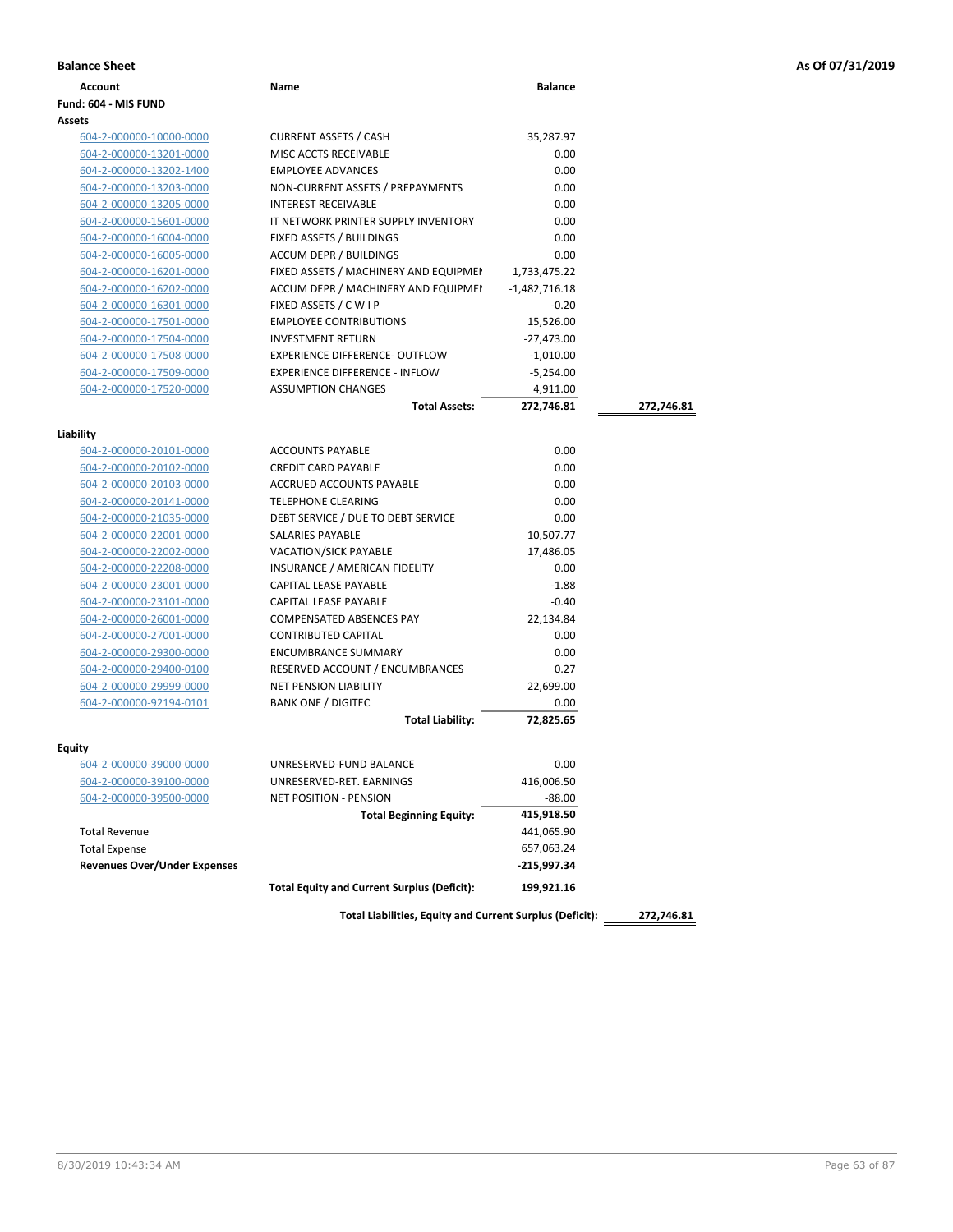|  |  |  |  | As Of 07/31/2019 |
|--|--|--|--|------------------|
|--|--|--|--|------------------|

| <b>Balance Sheet</b>                 |                                                          |                 |            | As Of 07/31/2019 |
|--------------------------------------|----------------------------------------------------------|-----------------|------------|------------------|
| <b>Account</b>                       | Name                                                     | <b>Balance</b>  |            |                  |
| Fund: 604 - MIS FUND                 |                                                          |                 |            |                  |
| Assets                               |                                                          |                 |            |                  |
| 604-2-000000-10000-0000              | <b>CURRENT ASSETS / CASH</b>                             | 35,287.97       |            |                  |
| 604-2-000000-13201-0000              | MISC ACCTS RECEIVABLE                                    | 0.00            |            |                  |
| 604-2-000000-13202-1400              | <b>EMPLOYEE ADVANCES</b>                                 | 0.00            |            |                  |
| 604-2-000000-13203-0000              | NON-CURRENT ASSETS / PREPAYMENTS                         | 0.00            |            |                  |
| 604-2-000000-13205-0000              | <b>INTEREST RECEIVABLE</b>                               | 0.00            |            |                  |
| 604-2-000000-15601-0000              | IT NETWORK PRINTER SUPPLY INVENTORY                      | 0.00            |            |                  |
| 604-2-000000-16004-0000              | FIXED ASSETS / BUILDINGS                                 | 0.00            |            |                  |
| 604-2-000000-16005-0000              | <b>ACCUM DEPR / BUILDINGS</b>                            | 0.00            |            |                  |
| 604-2-000000-16201-0000              | FIXED ASSETS / MACHINERY AND EQUIPMEN                    | 1,733,475.22    |            |                  |
| 604-2-000000-16202-0000              | ACCUM DEPR / MACHINERY AND EQUIPMEI                      | $-1,482,716.18$ |            |                  |
| 604-2-000000-16301-0000              | FIXED ASSETS / C W I P                                   | $-0.20$         |            |                  |
| 604-2-000000-17501-0000              | <b>EMPLOYEE CONTRIBUTIONS</b>                            | 15,526.00       |            |                  |
| 604-2-000000-17504-0000              | <b>INVESTMENT RETURN</b>                                 | -27,473.00      |            |                  |
| 604-2-000000-17508-0000              | EXPERIENCE DIFFERENCE- OUTFLOW                           | $-1,010.00$     |            |                  |
| 604-2-000000-17509-0000              | <b>EXPERIENCE DIFFERENCE - INFLOW</b>                    | $-5,254.00$     |            |                  |
| 604-2-000000-17520-0000              | <b>ASSUMPTION CHANGES</b>                                | 4,911.00        |            |                  |
|                                      | <b>Total Assets:</b>                                     | 272,746.81      | 272,746.81 |                  |
|                                      |                                                          |                 |            |                  |
| Liability<br>604-2-000000-20101-0000 | <b>ACCOUNTS PAYABLE</b>                                  | 0.00            |            |                  |
| 604-2-000000-20102-0000              | <b>CREDIT CARD PAYABLE</b>                               | 0.00            |            |                  |
| 604-2-000000-20103-0000              | <b>ACCRUED ACCOUNTS PAYABLE</b>                          | 0.00            |            |                  |
| 604-2-000000-20141-0000              | <b>TELEPHONE CLEARING</b>                                | 0.00            |            |                  |
| 604-2-000000-21035-0000              | DEBT SERVICE / DUE TO DEBT SERVICE                       | 0.00            |            |                  |
| 604-2-000000-22001-0000              | SALARIES PAYABLE                                         | 10,507.77       |            |                  |
| 604-2-000000-22002-0000              | VACATION/SICK PAYABLE                                    | 17,486.05       |            |                  |
| 604-2-000000-22208-0000              | INSURANCE / AMERICAN FIDELITY                            | 0.00            |            |                  |
| 604-2-000000-23001-0000              | CAPITAL LEASE PAYABLE                                    | $-1.88$         |            |                  |
| 604-2-000000-23101-0000              | CAPITAL LEASE PAYABLE                                    | $-0.40$         |            |                  |
| 604-2-000000-26001-0000              | <b>COMPENSATED ABSENCES PAY</b>                          | 22,134.84       |            |                  |
| 604-2-000000-27001-0000              | <b>CONTRIBUTED CAPITAL</b>                               | 0.00            |            |                  |
| 604-2-000000-29300-0000              | <b>ENCUMBRANCE SUMMARY</b>                               | 0.00            |            |                  |
| 604-2-000000-29400-0100              | RESERVED ACCOUNT / ENCUMBRANCES                          | 0.27            |            |                  |
| 604-2-000000-29999-0000              | <b>NET PENSION LIABILITY</b>                             | 22,699.00       |            |                  |
| 604-2-000000-92194-0101              | <b>BANK ONE / DIGITEC</b>                                | 0.00            |            |                  |
|                                      | <b>Total Liability:</b>                                  | 72,825.65       |            |                  |
|                                      |                                                          |                 |            |                  |
| Equity                               |                                                          |                 |            |                  |
| 604-2-000000-39000-0000              | UNRESERVED-FUND BALANCE                                  | 0.00            |            |                  |
| 604-2-000000-39100-0000              | UNRESERVED-RET. EARNINGS                                 | 416,006.50      |            |                  |
| 604-2-000000-39500-0000              | <b>NET POSITION - PENSION</b>                            | $-88.00$        |            |                  |
|                                      | <b>Total Beginning Equity:</b>                           | 415,918.50      |            |                  |
| <b>Total Revenue</b>                 |                                                          | 441,065.90      |            |                  |
| <b>Total Expense</b>                 |                                                          | 657,063.24      |            |                  |
| <b>Revenues Over/Under Expenses</b>  |                                                          | -215,997.34     |            |                  |
|                                      | <b>Total Equity and Current Surplus (Deficit):</b>       | 199,921.16      |            |                  |
|                                      | Total Liabilities, Equity and Current Surplus (Deficit): |                 | 272,746.81 |                  |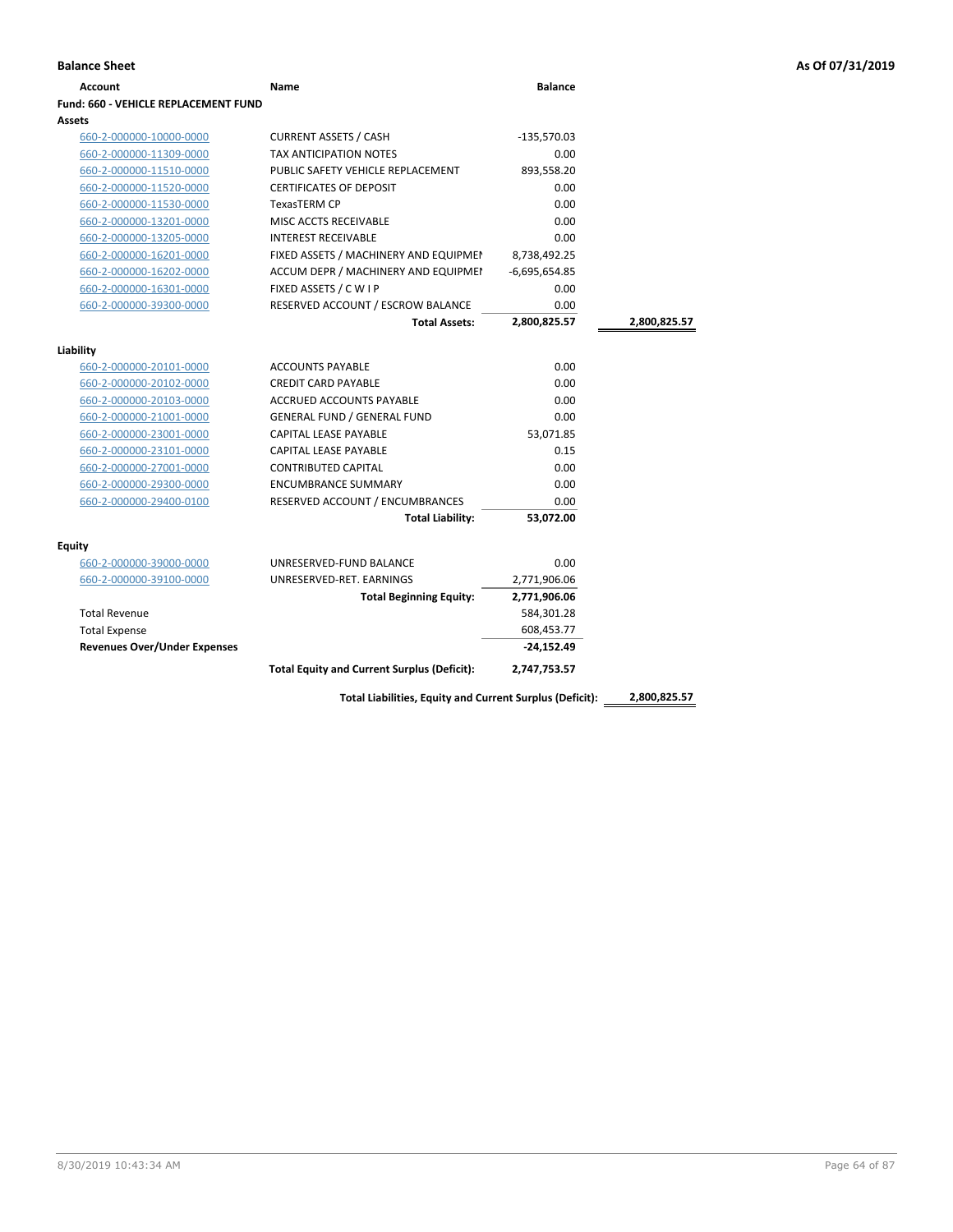| Account                              | Name                                               | <b>Balance</b>  |              |
|--------------------------------------|----------------------------------------------------|-----------------|--------------|
| Fund: 660 - VEHICLE REPLACEMENT FUND |                                                    |                 |              |
| Assets                               |                                                    |                 |              |
| 660-2-000000-10000-0000              | <b>CURRENT ASSETS / CASH</b>                       | $-135,570.03$   |              |
| 660-2-000000-11309-0000              | <b>TAX ANTICIPATION NOTES</b>                      | 0.00            |              |
| 660-2-000000-11510-0000              | PUBLIC SAFETY VEHICLE REPLACEMENT                  | 893,558.20      |              |
| 660-2-000000-11520-0000              | <b>CERTIFICATES OF DEPOSIT</b>                     | 0.00            |              |
| 660-2-000000-11530-0000              | <b>TexasTERM CP</b>                                | 0.00            |              |
| 660-2-000000-13201-0000              | MISC ACCTS RECEIVABLE                              | 0.00            |              |
| 660-2-000000-13205-0000              | <b>INTEREST RECEIVABLE</b>                         | 0.00            |              |
| 660-2-000000-16201-0000              | FIXED ASSETS / MACHINERY AND EQUIPMEN              | 8,738,492.25    |              |
| 660-2-000000-16202-0000              | ACCUM DEPR / MACHINERY AND EQUIPMEI                | $-6,695,654.85$ |              |
| 660-2-000000-16301-0000              | FIXED ASSETS / C W I P                             | 0.00            |              |
| 660-2-000000-39300-0000              | RESERVED ACCOUNT / ESCROW BALANCE                  | 0.00            |              |
|                                      | <b>Total Assets:</b>                               | 2,800,825.57    | 2,800,825.57 |
|                                      |                                                    |                 |              |
| Liability                            |                                                    |                 |              |
| 660-2-000000-20101-0000              | <b>ACCOUNTS PAYABLE</b>                            | 0.00            |              |
| 660-2-000000-20102-0000              | <b>CREDIT CARD PAYABLE</b>                         | 0.00            |              |
| 660-2-000000-20103-0000              | ACCRUED ACCOUNTS PAYABLE                           | 0.00            |              |
| 660-2-000000-21001-0000              | GENERAL FUND / GENERAL FUND                        | 0.00            |              |
| 660-2-000000-23001-0000              | CAPITAL LEASE PAYABLE                              | 53,071.85       |              |
| 660-2-000000-23101-0000              | <b>CAPITAL LEASE PAYABLE</b>                       | 0.15            |              |
| 660-2-000000-27001-0000              | <b>CONTRIBUTED CAPITAL</b>                         | 0.00            |              |
| 660-2-000000-29300-0000              | <b>ENCUMBRANCE SUMMARY</b>                         | 0.00            |              |
| 660-2-000000-29400-0100              | RESERVED ACCOUNT / ENCUMBRANCES                    | 0.00            |              |
|                                      | <b>Total Liability:</b>                            | 53,072.00       |              |
| Equity                               |                                                    |                 |              |
| 660-2-000000-39000-0000              | UNRESERVED-FUND BALANCE                            | 0.00            |              |
| 660-2-000000-39100-0000              | UNRESERVED-RET. EARNINGS                           | 2,771,906.06    |              |
|                                      | <b>Total Beginning Equity:</b>                     | 2,771,906.06    |              |
| <b>Total Revenue</b>                 |                                                    | 584,301.28      |              |
| <b>Total Expense</b>                 |                                                    | 608,453.77      |              |
| <b>Revenues Over/Under Expenses</b>  |                                                    | $-24,152.49$    |              |
|                                      | <b>Total Equity and Current Surplus (Deficit):</b> | 2,747,753.57    |              |
|                                      |                                                    |                 |              |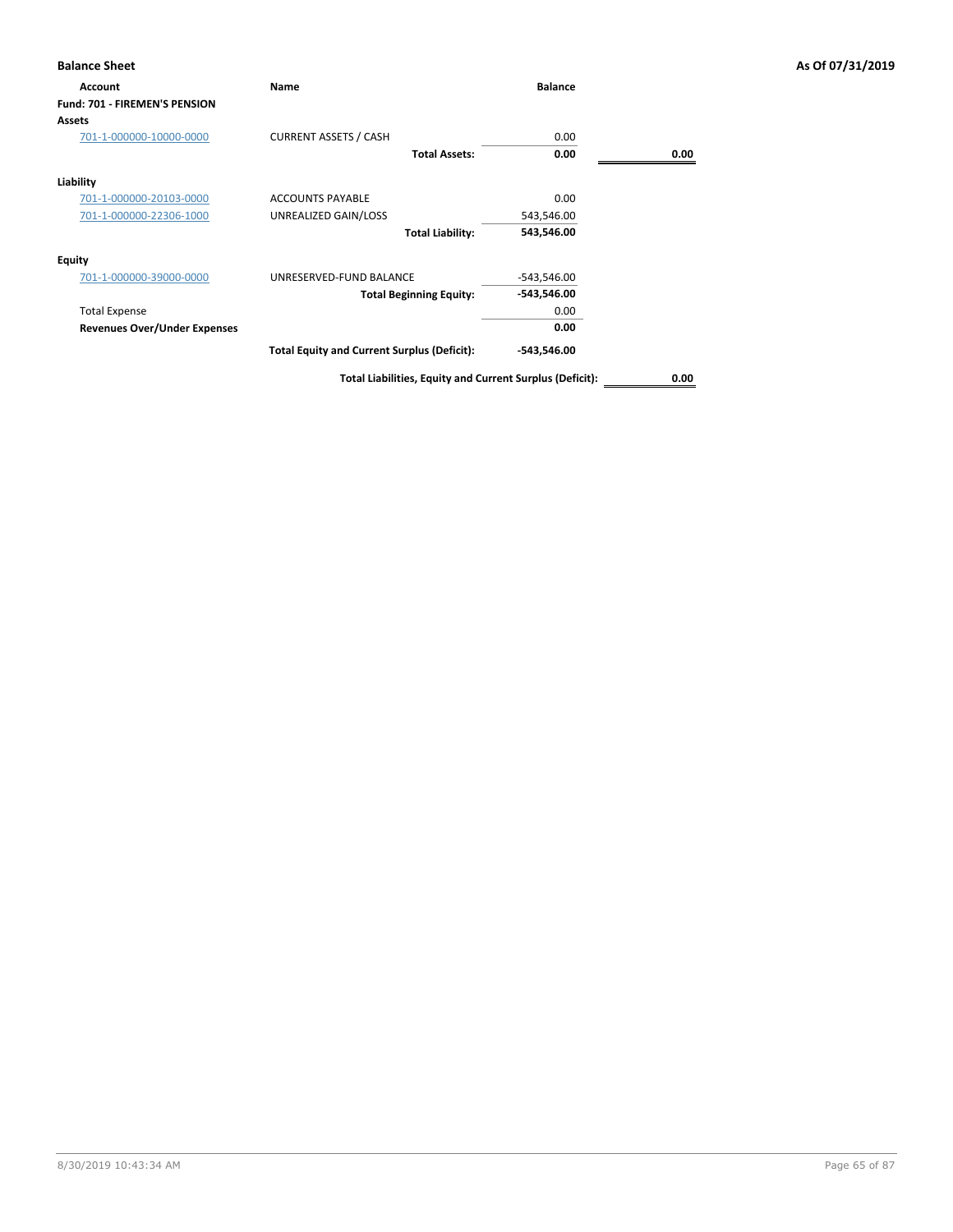| <b>Balance Sheet</b>                 |                                                    |                |      | As Of 07/31/2019 |
|--------------------------------------|----------------------------------------------------|----------------|------|------------------|
| Account                              | Name                                               | <b>Balance</b> |      |                  |
| <b>Fund: 701 - FIREMEN'S PENSION</b> |                                                    |                |      |                  |
| Assets                               |                                                    |                |      |                  |
| 701-1-000000-10000-0000              | <b>CURRENT ASSETS / CASH</b>                       | 0.00           |      |                  |
|                                      | <b>Total Assets:</b>                               | 0.00           | 0.00 |                  |
| Liability                            |                                                    |                |      |                  |
| 701-1-000000-20103-0000              | <b>ACCOUNTS PAYABLE</b>                            | 0.00           |      |                  |
| 701-1-000000-22306-1000              | UNREALIZED GAIN/LOSS                               | 543,546.00     |      |                  |
|                                      | <b>Total Liability:</b>                            | 543,546.00     |      |                  |
| <b>Equity</b>                        |                                                    |                |      |                  |
| 701-1-000000-39000-0000              | UNRESERVED-FUND BALANCE                            | $-543,546.00$  |      |                  |
|                                      | <b>Total Beginning Equity:</b>                     | -543,546.00    |      |                  |
| <b>Total Expense</b>                 |                                                    | 0.00           |      |                  |
| <b>Revenues Over/Under Expenses</b>  |                                                    | 0.00           |      |                  |
|                                      | <b>Total Equity and Current Surplus (Deficit):</b> | -543,546.00    |      |                  |
|                                      |                                                    |                |      |                  |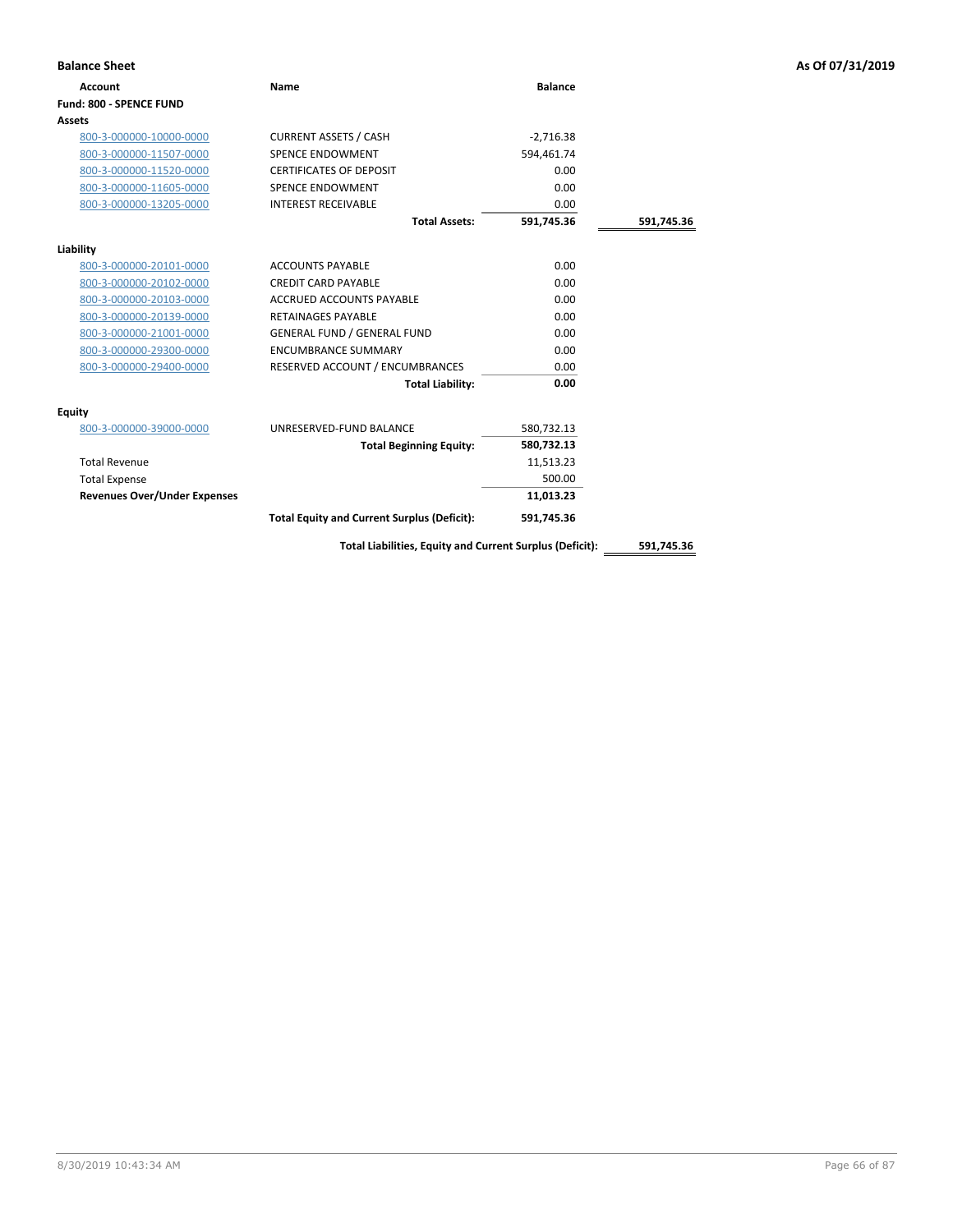| <b>Balance Sheet</b>                |                                                          |                |            | As Of 07/31/2019 |
|-------------------------------------|----------------------------------------------------------|----------------|------------|------------------|
| <b>Account</b>                      | <b>Name</b>                                              | <b>Balance</b> |            |                  |
| Fund: 800 - SPENCE FUND             |                                                          |                |            |                  |
| Assets                              |                                                          |                |            |                  |
| 800-3-000000-10000-0000             | <b>CURRENT ASSETS / CASH</b>                             | $-2,716.38$    |            |                  |
| 800-3-000000-11507-0000             | SPENCE ENDOWMENT                                         | 594,461.74     |            |                  |
| 800-3-000000-11520-0000             | <b>CERTIFICATES OF DEPOSIT</b>                           | 0.00           |            |                  |
| 800-3-000000-11605-0000             | SPENCE ENDOWMENT                                         | 0.00           |            |                  |
| 800-3-000000-13205-0000             | <b>INTEREST RECEIVABLE</b>                               | 0.00           |            |                  |
|                                     | <b>Total Assets:</b>                                     | 591,745.36     | 591,745.36 |                  |
| Liability                           |                                                          |                |            |                  |
| 800-3-000000-20101-0000             | <b>ACCOUNTS PAYABLE</b>                                  | 0.00           |            |                  |
| 800-3-000000-20102-0000             | <b>CREDIT CARD PAYABLE</b>                               | 0.00           |            |                  |
| 800-3-000000-20103-0000             | <b>ACCRUED ACCOUNTS PAYABLE</b>                          | 0.00           |            |                  |
| 800-3-000000-20139-0000             | <b>RETAINAGES PAYABLE</b>                                | 0.00           |            |                  |
| 800-3-000000-21001-0000             | <b>GENERAL FUND / GENERAL FUND</b>                       | 0.00           |            |                  |
| 800-3-000000-29300-0000             | <b>ENCUMBRANCE SUMMARY</b>                               | 0.00           |            |                  |
| 800-3-000000-29400-0000             | RESERVED ACCOUNT / ENCUMBRANCES                          | 0.00           |            |                  |
|                                     | <b>Total Liability:</b>                                  | 0.00           |            |                  |
| <b>Equity</b>                       |                                                          |                |            |                  |
| 800-3-000000-39000-0000             | UNRESERVED-FUND BALANCE                                  | 580,732.13     |            |                  |
|                                     | <b>Total Beginning Equity:</b>                           | 580,732.13     |            |                  |
| <b>Total Revenue</b>                |                                                          | 11,513.23      |            |                  |
| <b>Total Expense</b>                |                                                          | 500.00         |            |                  |
| <b>Revenues Over/Under Expenses</b> |                                                          | 11,013.23      |            |                  |
|                                     | <b>Total Equity and Current Surplus (Deficit):</b>       | 591,745.36     |            |                  |
|                                     | Total Liabilities, Equity and Current Surplus (Deficit): |                | 591,745.36 |                  |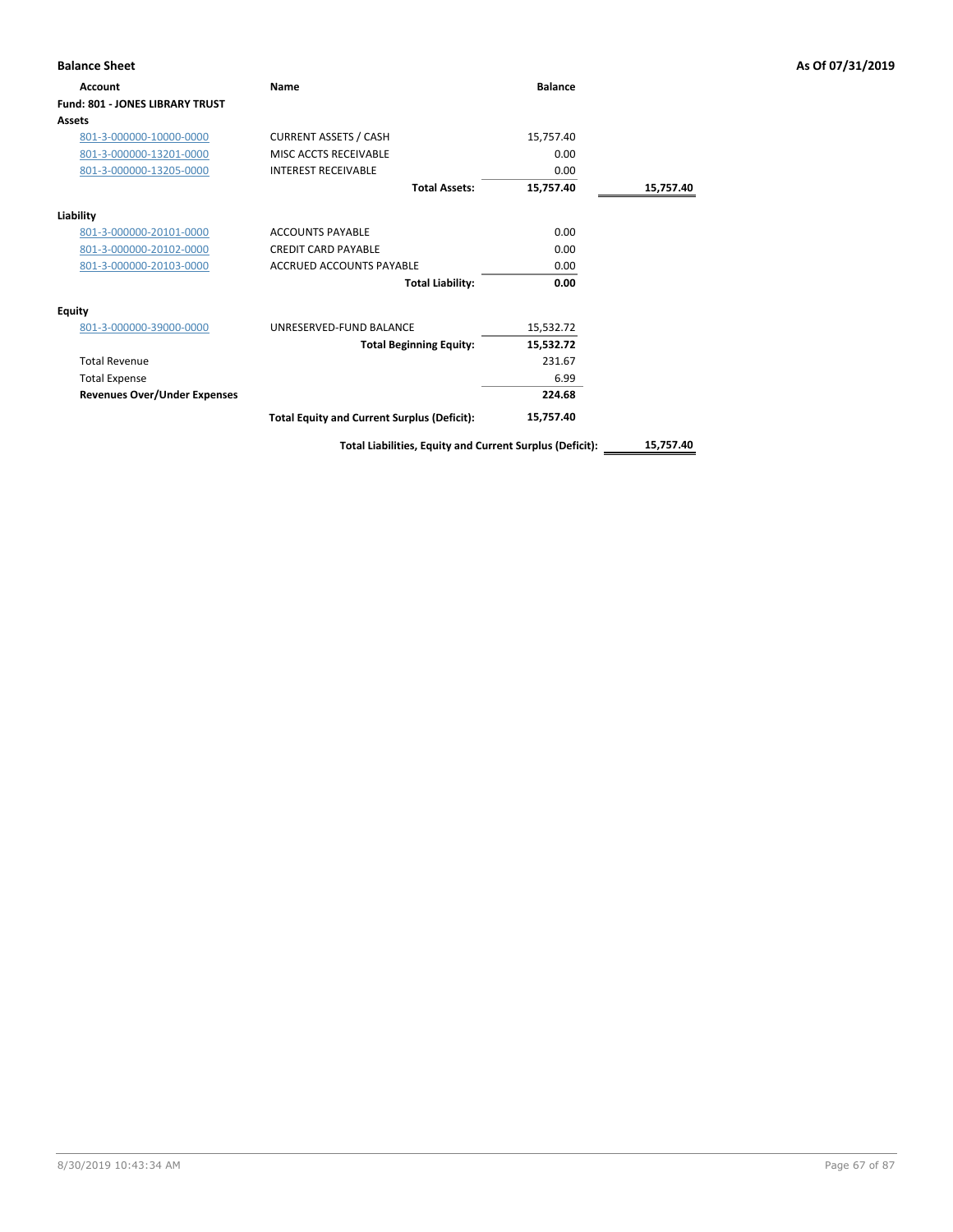| <b>Balance Sheet</b>                |                                                          |                |           | As Of 07/31/2019 |
|-------------------------------------|----------------------------------------------------------|----------------|-----------|------------------|
| Account                             | Name                                                     | <b>Balance</b> |           |                  |
| Fund: 801 - JONES LIBRARY TRUST     |                                                          |                |           |                  |
| <b>Assets</b>                       |                                                          |                |           |                  |
| 801-3-000000-10000-0000             | <b>CURRENT ASSETS / CASH</b>                             | 15,757.40      |           |                  |
| 801-3-000000-13201-0000             | MISC ACCTS RECEIVABLE                                    | 0.00           |           |                  |
| 801-3-000000-13205-0000             | <b>INTEREST RECEIVABLE</b>                               | 0.00           |           |                  |
|                                     | <b>Total Assets:</b>                                     | 15,757.40      | 15,757.40 |                  |
| Liability                           |                                                          |                |           |                  |
| 801-3-000000-20101-0000             | <b>ACCOUNTS PAYABLE</b>                                  | 0.00           |           |                  |
| 801-3-000000-20102-0000             | <b>CREDIT CARD PAYABLE</b>                               | 0.00           |           |                  |
| 801-3-000000-20103-0000             | <b>ACCRUED ACCOUNTS PAYABLE</b>                          | 0.00           |           |                  |
|                                     | <b>Total Liability:</b>                                  | 0.00           |           |                  |
| <b>Equity</b>                       |                                                          |                |           |                  |
| 801-3-000000-39000-0000             | UNRESERVED-FUND BALANCE                                  | 15,532.72      |           |                  |
|                                     | <b>Total Beginning Equity:</b>                           | 15,532.72      |           |                  |
| <b>Total Revenue</b>                |                                                          | 231.67         |           |                  |
| <b>Total Expense</b>                |                                                          | 6.99           |           |                  |
| <b>Revenues Over/Under Expenses</b> |                                                          | 224.68         |           |                  |
|                                     | <b>Total Equity and Current Surplus (Deficit):</b>       | 15,757.40      |           |                  |
|                                     | Total Liabilities, Equity and Current Surplus (Deficit): |                | 15,757.40 |                  |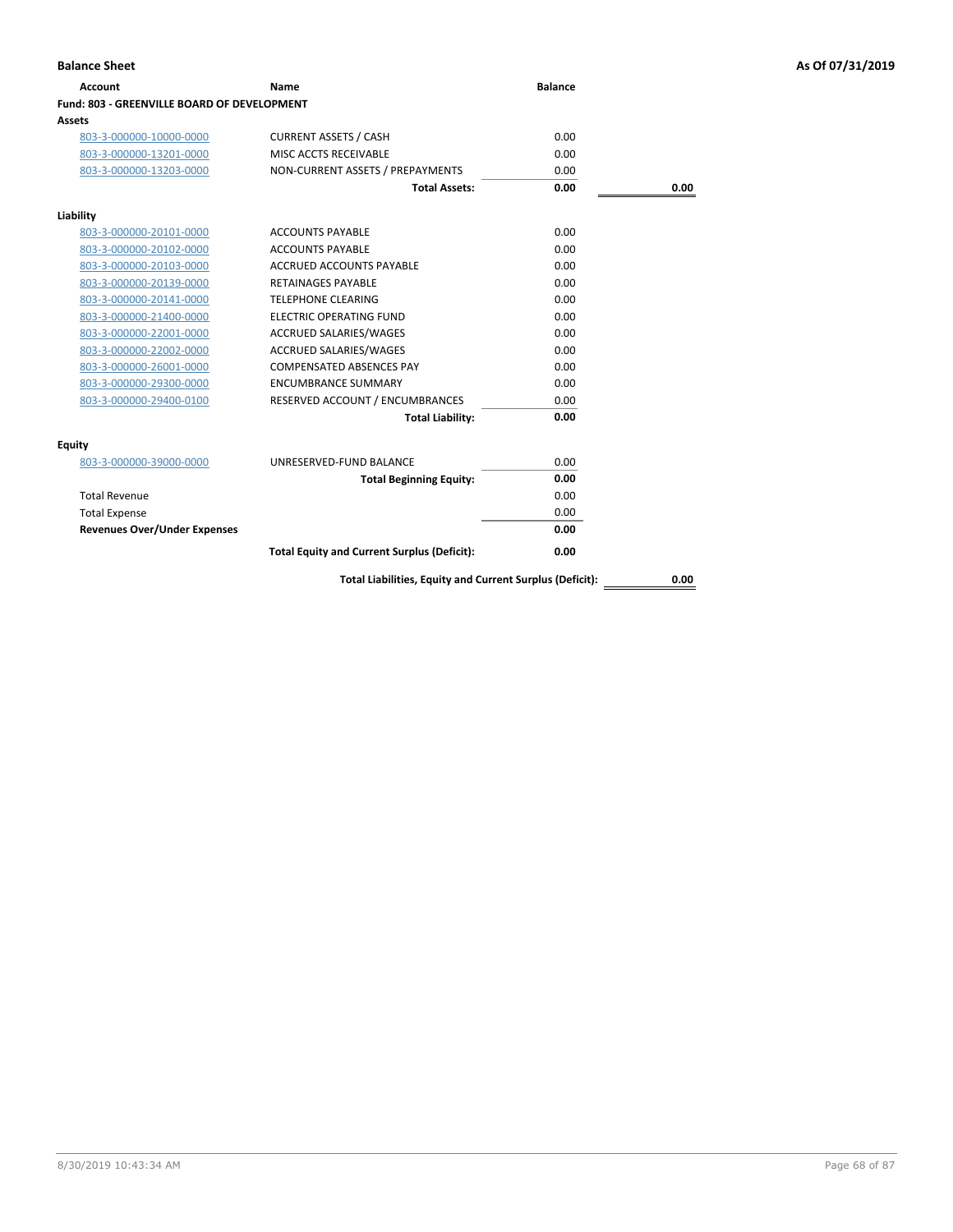| Account                                     | Name                                                     | <b>Balance</b> |      |
|---------------------------------------------|----------------------------------------------------------|----------------|------|
| Fund: 803 - GREENVILLE BOARD OF DEVELOPMENT |                                                          |                |      |
| <b>Assets</b>                               |                                                          |                |      |
| 803-3-000000-10000-0000                     | <b>CURRENT ASSETS / CASH</b>                             | 0.00           |      |
| 803-3-000000-13201-0000                     | MISC ACCTS RECEIVABLE                                    | 0.00           |      |
| 803-3-000000-13203-0000                     | NON-CURRENT ASSETS / PREPAYMENTS                         | 0.00           |      |
|                                             | <b>Total Assets:</b>                                     | 0.00           | 0.00 |
|                                             |                                                          |                |      |
| Liability                                   |                                                          |                |      |
| 803-3-000000-20101-0000                     | <b>ACCOUNTS PAYABLE</b>                                  | 0.00           |      |
| 803-3-000000-20102-0000                     | <b>ACCOUNTS PAYABLE</b>                                  | 0.00           |      |
| 803-3-000000-20103-0000                     | <b>ACCRUED ACCOUNTS PAYABLE</b>                          | 0.00           |      |
| 803-3-000000-20139-0000                     | <b>RETAINAGES PAYABLE</b>                                | 0.00           |      |
| 803-3-000000-20141-0000                     | <b>TELEPHONE CLEARING</b>                                | 0.00           |      |
| 803-3-000000-21400-0000                     | <b>ELECTRIC OPERATING FUND</b>                           | 0.00           |      |
| 803-3-000000-22001-0000                     | ACCRUED SALARIES/WAGES                                   | 0.00           |      |
| 803-3-000000-22002-0000                     | <b>ACCRUED SALARIES/WAGES</b>                            | 0.00           |      |
| 803-3-000000-26001-0000                     | <b>COMPENSATED ABSENCES PAY</b>                          | 0.00           |      |
| 803-3-000000-29300-0000                     | <b>ENCUMBRANCE SUMMARY</b>                               | 0.00           |      |
| 803-3-000000-29400-0100                     | RESERVED ACCOUNT / ENCUMBRANCES                          | 0.00           |      |
|                                             | <b>Total Liability:</b>                                  | 0.00           |      |
| <b>Equity</b>                               |                                                          |                |      |
| 803-3-000000-39000-0000                     | UNRESERVED-FUND BALANCE                                  | 0.00           |      |
|                                             | <b>Total Beginning Equity:</b>                           | 0.00           |      |
| <b>Total Revenue</b>                        |                                                          | 0.00           |      |
| <b>Total Expense</b>                        |                                                          | 0.00           |      |
| <b>Revenues Over/Under Expenses</b>         |                                                          | 0.00           |      |
|                                             | <b>Total Equity and Current Surplus (Deficit):</b>       | 0.00           |      |
|                                             | Total Liabilities, Equity and Current Surplus (Deficit): |                | 0.00 |

8/30/2019 10:43:34 AM Page 68 of 87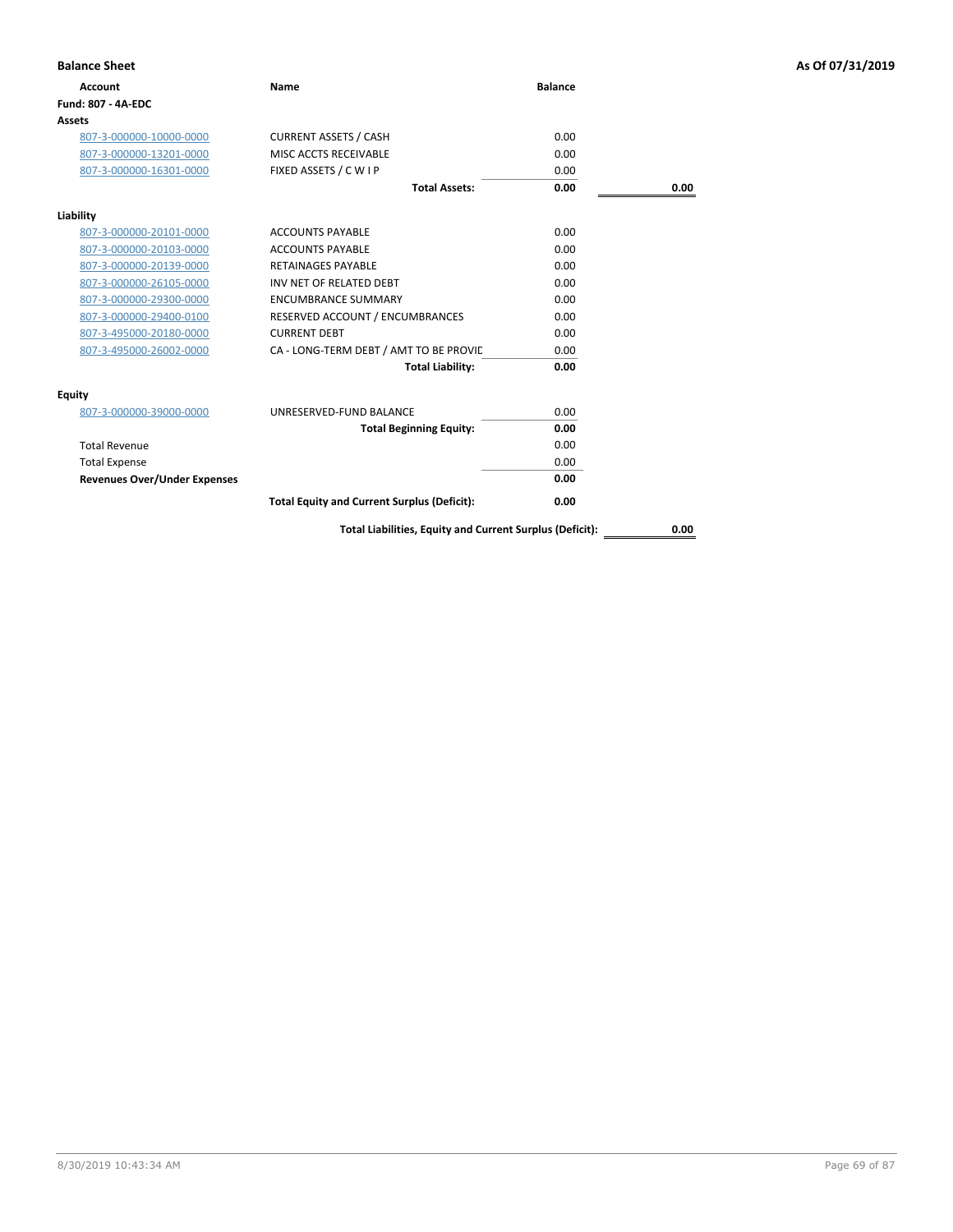| <b>Balance Sheet</b>                |                                                          |                |      | As Of 07/31/2019 |
|-------------------------------------|----------------------------------------------------------|----------------|------|------------------|
| <b>Account</b>                      | Name                                                     | <b>Balance</b> |      |                  |
| <b>Fund: 807 - 4A-EDC</b>           |                                                          |                |      |                  |
| <b>Assets</b>                       |                                                          |                |      |                  |
| 807-3-000000-10000-0000             | <b>CURRENT ASSETS / CASH</b>                             | 0.00           |      |                  |
| 807-3-000000-13201-0000             | MISC ACCTS RECEIVABLE                                    | 0.00           |      |                  |
| 807-3-000000-16301-0000             | FIXED ASSETS / C W I P                                   | 0.00           |      |                  |
|                                     | <b>Total Assets:</b>                                     | 0.00           | 0.00 |                  |
| Liability                           |                                                          |                |      |                  |
| 807-3-000000-20101-0000             | <b>ACCOUNTS PAYABLE</b>                                  | 0.00           |      |                  |
| 807-3-000000-20103-0000             | <b>ACCOUNTS PAYABLE</b>                                  | 0.00           |      |                  |
| 807-3-000000-20139-0000             | <b>RETAINAGES PAYABLE</b>                                | 0.00           |      |                  |
| 807-3-000000-26105-0000             | INV NET OF RELATED DEBT                                  | 0.00           |      |                  |
| 807-3-000000-29300-0000             | <b>ENCUMBRANCE SUMMARY</b>                               | 0.00           |      |                  |
| 807-3-000000-29400-0100             | RESERVED ACCOUNT / ENCUMBRANCES                          | 0.00           |      |                  |
| 807-3-495000-20180-0000             | <b>CURRENT DEBT</b>                                      | 0.00           |      |                  |
| 807-3-495000-26002-0000             | CA - LONG-TERM DEBT / AMT TO BE PROVIL                   | 0.00           |      |                  |
|                                     | <b>Total Liability:</b>                                  | 0.00           |      |                  |
| Equity                              |                                                          |                |      |                  |
| 807-3-000000-39000-0000             | UNRESERVED-FUND BALANCE                                  | 0.00           |      |                  |
|                                     | <b>Total Beginning Equity:</b>                           | 0.00           |      |                  |
| <b>Total Revenue</b>                |                                                          | 0.00           |      |                  |
| <b>Total Expense</b>                |                                                          | 0.00           |      |                  |
| <b>Revenues Over/Under Expenses</b> |                                                          | 0.00           |      |                  |
|                                     | <b>Total Equity and Current Surplus (Deficit):</b>       | 0.00           |      |                  |
|                                     | Total Liabilities, Equity and Current Surplus (Deficit): |                | 0.00 |                  |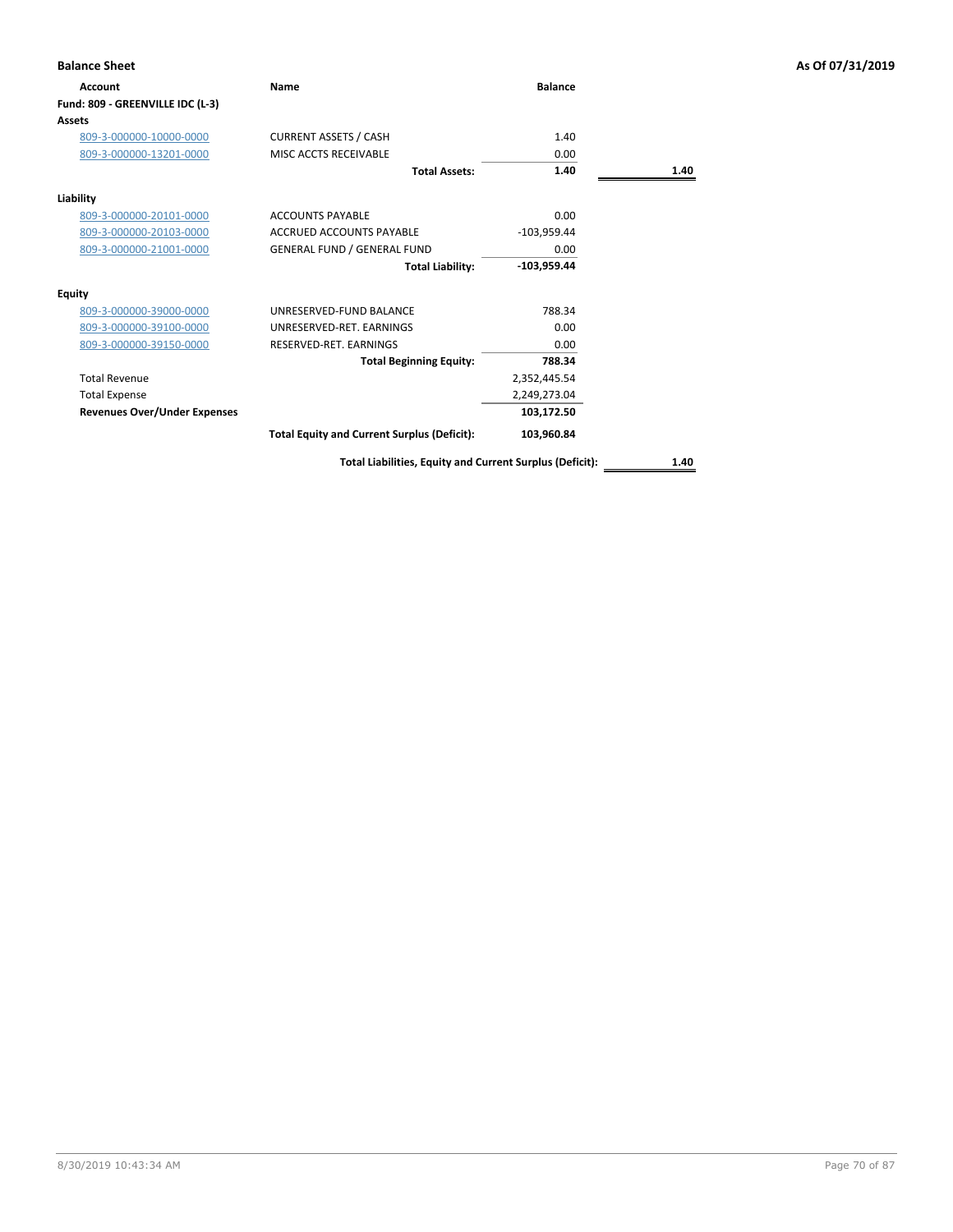| <b>Balance Sheet</b>                |                                                          |                |      | As Of 07/31/2019 |
|-------------------------------------|----------------------------------------------------------|----------------|------|------------------|
| Account                             | Name                                                     | <b>Balance</b> |      |                  |
| Fund: 809 - GREENVILLE IDC (L-3)    |                                                          |                |      |                  |
| <b>Assets</b>                       |                                                          |                |      |                  |
| 809-3-000000-10000-0000             | <b>CURRENT ASSETS / CASH</b>                             | 1.40           |      |                  |
| 809-3-000000-13201-0000             | MISC ACCTS RECEIVABLE                                    | 0.00           |      |                  |
|                                     | <b>Total Assets:</b>                                     | 1.40           | 1.40 |                  |
| Liability                           |                                                          |                |      |                  |
| 809-3-000000-20101-0000             | <b>ACCOUNTS PAYABLE</b>                                  | 0.00           |      |                  |
| 809-3-000000-20103-0000             | <b>ACCRUED ACCOUNTS PAYABLE</b>                          | $-103,959.44$  |      |                  |
| 809-3-000000-21001-0000             | <b>GENERAL FUND / GENERAL FUND</b>                       | 0.00           |      |                  |
|                                     | <b>Total Liability:</b>                                  | $-103,959.44$  |      |                  |
| <b>Equity</b>                       |                                                          |                |      |                  |
| 809-3-000000-39000-0000             | UNRESERVED-FUND BALANCE                                  | 788.34         |      |                  |
| 809-3-000000-39100-0000             | UNRESERVED-RET. EARNINGS                                 | 0.00           |      |                  |
| 809-3-000000-39150-0000             | RESERVED-RET. EARNINGS                                   | 0.00           |      |                  |
|                                     | <b>Total Beginning Equity:</b>                           | 788.34         |      |                  |
| <b>Total Revenue</b>                |                                                          | 2,352,445.54   |      |                  |
| <b>Total Expense</b>                |                                                          | 2,249,273.04   |      |                  |
| <b>Revenues Over/Under Expenses</b> |                                                          | 103,172.50     |      |                  |
|                                     | <b>Total Equity and Current Surplus (Deficit):</b>       | 103,960.84     |      |                  |
|                                     | Total Liabilities, Equity and Current Surplus (Deficit): |                | 1.40 |                  |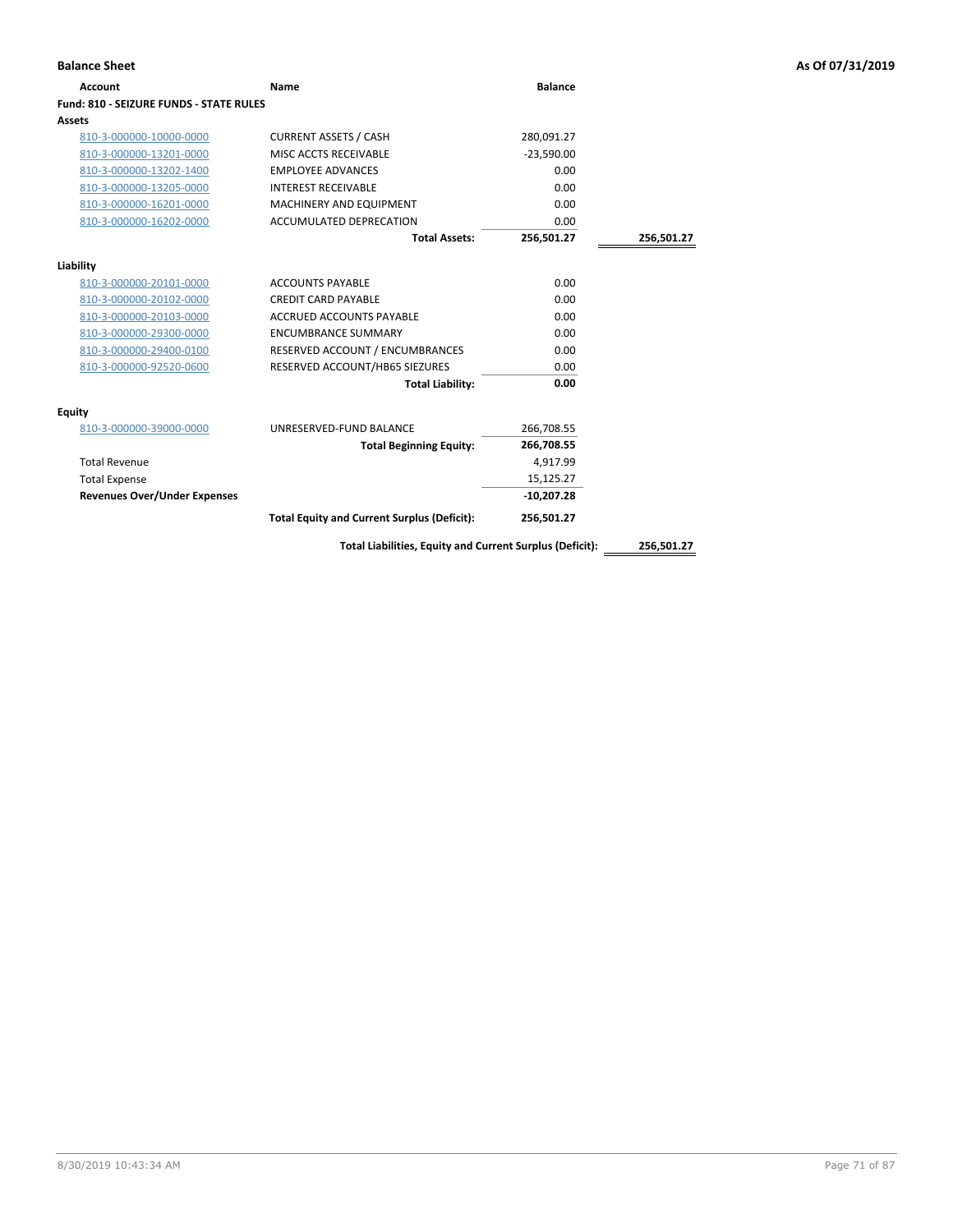| <b>Balance Sheet</b>                    |                                                          |                |            | As Of 07/31/2019 |
|-----------------------------------------|----------------------------------------------------------|----------------|------------|------------------|
| <b>Account</b>                          | <b>Name</b>                                              | <b>Balance</b> |            |                  |
| Fund: 810 - SEIZURE FUNDS - STATE RULES |                                                          |                |            |                  |
| Assets                                  |                                                          |                |            |                  |
| 810-3-000000-10000-0000                 | <b>CURRENT ASSETS / CASH</b>                             | 280,091.27     |            |                  |
| 810-3-000000-13201-0000                 | MISC ACCTS RECEIVABLE                                    | $-23,590.00$   |            |                  |
| 810-3-000000-13202-1400                 | <b>EMPLOYEE ADVANCES</b>                                 | 0.00           |            |                  |
| 810-3-000000-13205-0000                 | <b>INTEREST RECEIVABLE</b>                               | 0.00           |            |                  |
| 810-3-000000-16201-0000                 | MACHINERY AND EQUIPMENT                                  | 0.00           |            |                  |
| 810-3-000000-16202-0000                 | ACCUMULATED DEPRECATION                                  | 0.00           |            |                  |
|                                         | <b>Total Assets:</b>                                     | 256,501.27     | 256,501.27 |                  |
| Liability                               |                                                          |                |            |                  |
| 810-3-000000-20101-0000                 | <b>ACCOUNTS PAYABLE</b>                                  | 0.00           |            |                  |
| 810-3-000000-20102-0000                 | <b>CREDIT CARD PAYABLE</b>                               | 0.00           |            |                  |
| 810-3-000000-20103-0000                 | <b>ACCRUED ACCOUNTS PAYABLE</b>                          | 0.00           |            |                  |
| 810-3-000000-29300-0000                 | <b>ENCUMBRANCE SUMMARY</b>                               | 0.00           |            |                  |
| 810-3-000000-29400-0100                 | RESERVED ACCOUNT / ENCUMBRANCES                          | 0.00           |            |                  |
| 810-3-000000-92520-0600                 | RESERVED ACCOUNT/HB65 SIEZURES                           | 0.00           |            |                  |
|                                         | <b>Total Liability:</b>                                  | 0.00           |            |                  |
| <b>Equity</b>                           |                                                          |                |            |                  |
| 810-3-000000-39000-0000                 | UNRESERVED-FUND BALANCE                                  | 266,708.55     |            |                  |
|                                         | <b>Total Beginning Equity:</b>                           | 266,708.55     |            |                  |
| <b>Total Revenue</b>                    |                                                          | 4,917.99       |            |                  |
| <b>Total Expense</b>                    |                                                          | 15,125.27      |            |                  |
| <b>Revenues Over/Under Expenses</b>     |                                                          | $-10,207.28$   |            |                  |
|                                         | <b>Total Equity and Current Surplus (Deficit):</b>       | 256,501.27     |            |                  |
|                                         | Total Liabilities, Equity and Current Surplus (Deficit): |                | 256,501.27 |                  |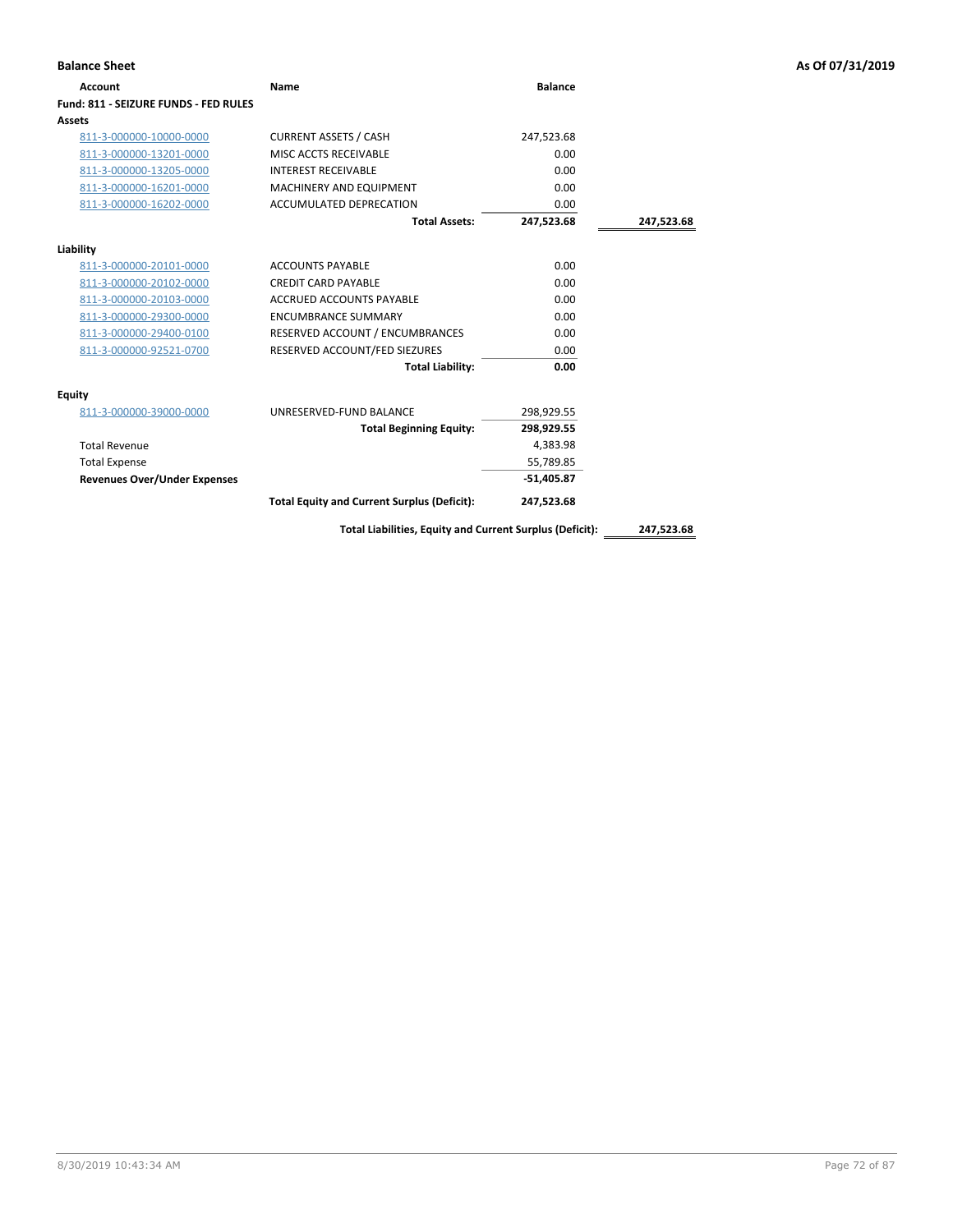| <b>Account</b>                        | Name                                                     | <b>Balance</b> |            |
|---------------------------------------|----------------------------------------------------------|----------------|------------|
| Fund: 811 - SEIZURE FUNDS - FED RULES |                                                          |                |            |
| Assets                                |                                                          |                |            |
| 811-3-000000-10000-0000               | <b>CURRENT ASSETS / CASH</b>                             | 247,523.68     |            |
| 811-3-000000-13201-0000               | MISC ACCTS RECEIVABLE                                    | 0.00           |            |
| 811-3-000000-13205-0000               | <b>INTEREST RECEIVABLE</b>                               | 0.00           |            |
| 811-3-000000-16201-0000               | <b>MACHINERY AND EQUIPMENT</b>                           | 0.00           |            |
| 811-3-000000-16202-0000               | ACCUMULATED DEPRECATION                                  | 0.00           |            |
|                                       | <b>Total Assets:</b>                                     | 247,523.68     | 247,523.68 |
| Liability                             |                                                          |                |            |
| 811-3-000000-20101-0000               | <b>ACCOUNTS PAYABLE</b>                                  | 0.00           |            |
| 811-3-000000-20102-0000               | <b>CREDIT CARD PAYABLE</b>                               | 0.00           |            |
| 811-3-000000-20103-0000               | <b>ACCRUED ACCOUNTS PAYABLE</b>                          | 0.00           |            |
| 811-3-000000-29300-0000               | <b>ENCUMBRANCE SUMMARY</b>                               | 0.00           |            |
| 811-3-000000-29400-0100               | RESERVED ACCOUNT / ENCUMBRANCES                          | 0.00           |            |
| 811-3-000000-92521-0700               | RESERVED ACCOUNT/FED SIEZURES                            | 0.00           |            |
|                                       | <b>Total Liability:</b>                                  | 0.00           |            |
| Equity                                |                                                          |                |            |
| 811-3-000000-39000-0000               | UNRESERVED-FUND BALANCE                                  | 298,929.55     |            |
|                                       | <b>Total Beginning Equity:</b>                           | 298,929.55     |            |
| <b>Total Revenue</b>                  |                                                          | 4,383.98       |            |
| <b>Total Expense</b>                  |                                                          | 55,789.85      |            |
| <b>Revenues Over/Under Expenses</b>   |                                                          | $-51,405.87$   |            |
|                                       | <b>Total Equity and Current Surplus (Deficit):</b>       | 247,523.68     |            |
|                                       | Total Liabilities, Equity and Current Surplus (Deficit): |                | 247,523.68 |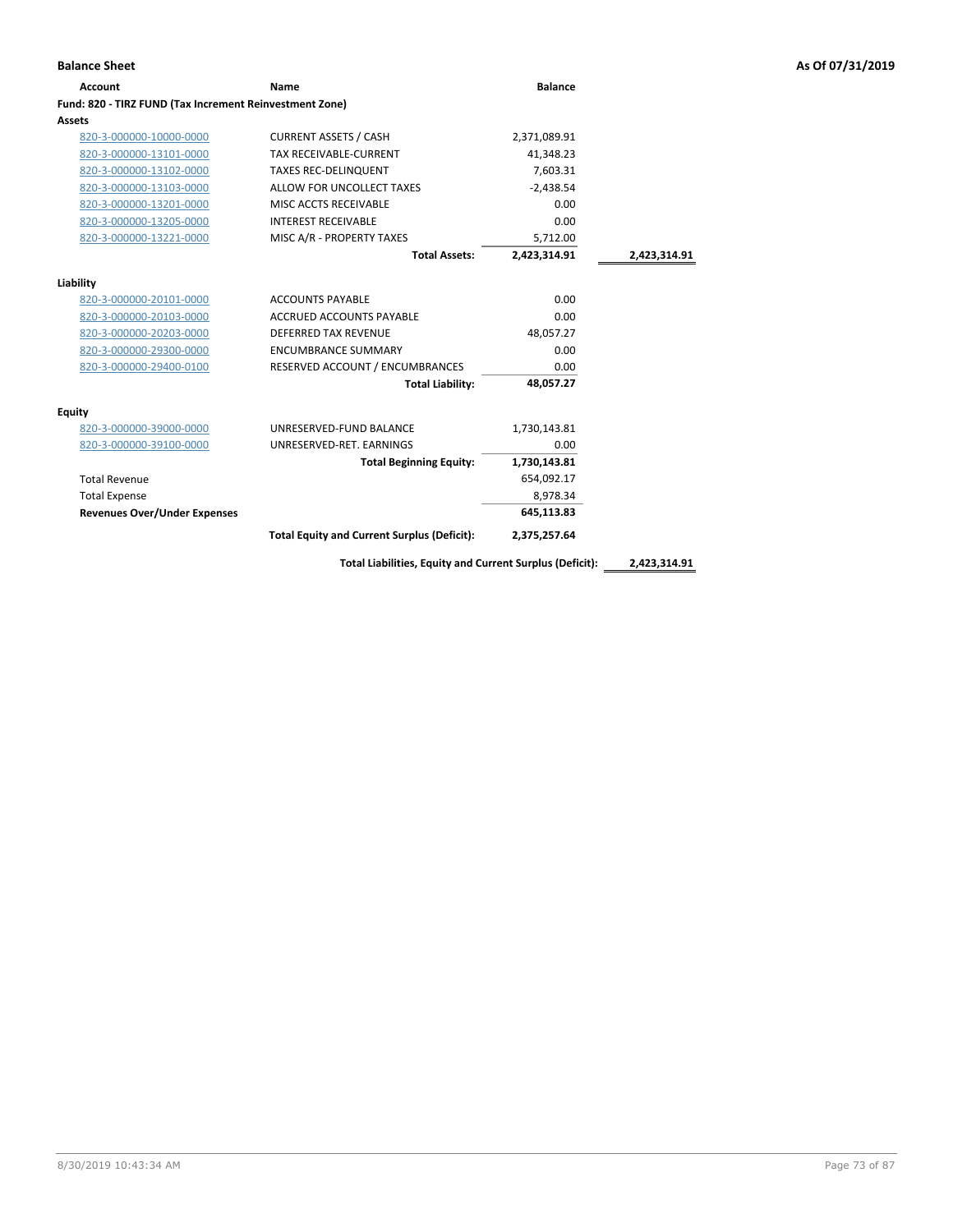| <b>Account</b>                                          | Name                                               | <b>Balance</b> |              |
|---------------------------------------------------------|----------------------------------------------------|----------------|--------------|
| Fund: 820 - TIRZ FUND (Tax Increment Reinvestment Zone) |                                                    |                |              |
| <b>Assets</b>                                           |                                                    |                |              |
| 820-3-000000-10000-0000                                 | <b>CURRENT ASSETS / CASH</b>                       | 2,371,089.91   |              |
| 820-3-000000-13101-0000                                 | TAX RECEIVABLE-CURRENT                             | 41,348.23      |              |
| 820-3-000000-13102-0000                                 | <b>TAXES REC-DELINQUENT</b>                        | 7,603.31       |              |
| 820-3-000000-13103-0000                                 | ALLOW FOR UNCOLLECT TAXES                          | $-2.438.54$    |              |
| 820-3-000000-13201-0000                                 | MISC ACCTS RECEIVABLE                              | 0.00           |              |
| 820-3-000000-13205-0000                                 | <b>INTEREST RECEIVABLE</b>                         | 0.00           |              |
| 820-3-000000-13221-0000                                 | MISC A/R - PROPERTY TAXES                          | 5,712.00       |              |
|                                                         | <b>Total Assets:</b>                               | 2,423,314.91   | 2,423,314.91 |
|                                                         |                                                    |                |              |
| Liability                                               | <b>ACCOUNTS PAYABLE</b>                            | 0.00           |              |
| 820-3-000000-20101-0000<br>820-3-000000-20103-0000      | <b>ACCRUED ACCOUNTS PAYABLE</b>                    | 0.00           |              |
| 820-3-000000-20203-0000                                 | <b>DEFERRED TAX REVENUE</b>                        | 48,057.27      |              |
| 820-3-000000-29300-0000                                 | <b>ENCUMBRANCE SUMMARY</b>                         | 0.00           |              |
|                                                         | RESERVED ACCOUNT / ENCUMBRANCES                    | 0.00           |              |
| 820-3-000000-29400-0100                                 |                                                    |                |              |
|                                                         | <b>Total Liability:</b>                            | 48,057.27      |              |
| Equity                                                  |                                                    |                |              |
| 820-3-000000-39000-0000                                 | UNRESERVED-FUND BALANCE                            | 1,730,143.81   |              |
| 820-3-000000-39100-0000                                 | UNRESERVED-RET. EARNINGS                           | 0.00           |              |
|                                                         | <b>Total Beginning Equity:</b>                     | 1,730,143.81   |              |
| <b>Total Revenue</b>                                    |                                                    | 654,092.17     |              |
| <b>Total Expense</b>                                    |                                                    | 8,978.34       |              |
| <b>Revenues Over/Under Expenses</b>                     |                                                    | 645,113.83     |              |
|                                                         | <b>Total Equity and Current Surplus (Deficit):</b> | 2,375,257.64   |              |
|                                                         |                                                    |                |              |

**Total Liabilities, Equity and Current Surplus (Deficit): 2,423,314.91**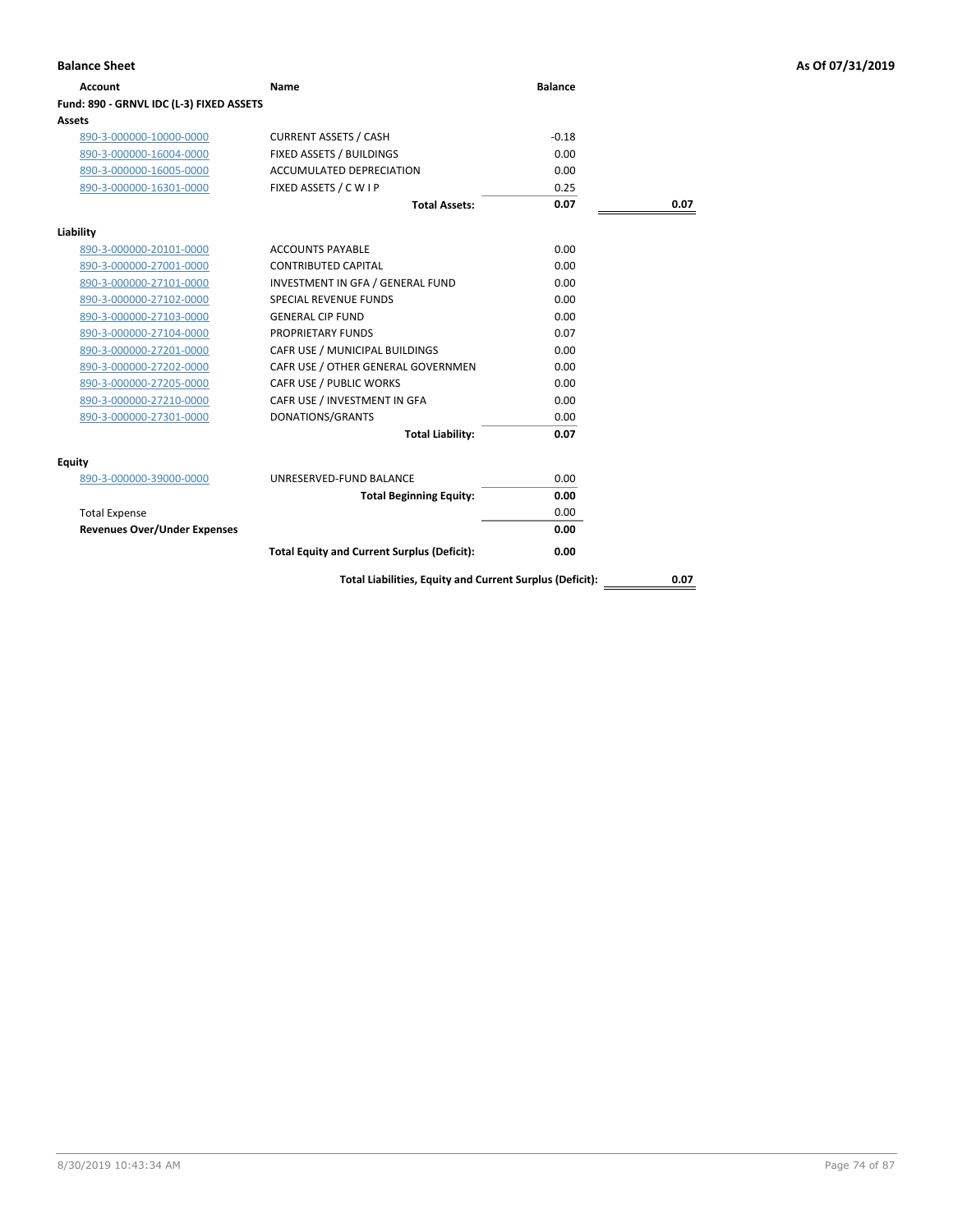| Account                                  | Name                                                     | <b>Balance</b> |      |
|------------------------------------------|----------------------------------------------------------|----------------|------|
| Fund: 890 - GRNVL IDC (L-3) FIXED ASSETS |                                                          |                |      |
| Assets                                   |                                                          |                |      |
| 890-3-000000-10000-0000                  | <b>CURRENT ASSETS / CASH</b>                             | $-0.18$        |      |
| 890-3-000000-16004-0000                  | FIXED ASSETS / BUILDINGS                                 | 0.00           |      |
| 890-3-000000-16005-0000                  | <b>ACCUMULATED DEPRECIATION</b>                          | 0.00           |      |
| 890-3-000000-16301-0000                  | FIXED ASSETS / C W I P                                   | 0.25           |      |
|                                          | <b>Total Assets:</b>                                     | 0.07           | 0.07 |
| Liability                                |                                                          |                |      |
| 890-3-000000-20101-0000                  | <b>ACCOUNTS PAYABLE</b>                                  | 0.00           |      |
| 890-3-000000-27001-0000                  | <b>CONTRIBUTED CAPITAL</b>                               | 0.00           |      |
| 890-3-000000-27101-0000                  | INVESTMENT IN GFA / GENERAL FUND                         | 0.00           |      |
| 890-3-000000-27102-0000                  | <b>SPECIAL REVENUE FUNDS</b>                             | 0.00           |      |
| 890-3-000000-27103-0000                  | <b>GENERAL CIP FUND</b>                                  | 0.00           |      |
| 890-3-000000-27104-0000                  | PROPRIETARY FUNDS                                        | 0.07           |      |
| 890-3-000000-27201-0000                  | CAFR USE / MUNICIPAL BUILDINGS                           | 0.00           |      |
| 890-3-000000-27202-0000                  | CAFR USE / OTHER GENERAL GOVERNMEN                       | 0.00           |      |
| 890-3-000000-27205-0000                  | CAFR USE / PUBLIC WORKS                                  | 0.00           |      |
| 890-3-000000-27210-0000                  | CAFR USE / INVESTMENT IN GFA                             | 0.00           |      |
| 890-3-000000-27301-0000                  | DONATIONS/GRANTS                                         | 0.00           |      |
|                                          | <b>Total Liability:</b>                                  | 0.07           |      |
| Equity                                   |                                                          |                |      |
| 890-3-000000-39000-0000                  | UNRESERVED-FUND BALANCE                                  | 0.00           |      |
|                                          | <b>Total Beginning Equity:</b>                           | 0.00           |      |
| <b>Total Expense</b>                     |                                                          | 0.00           |      |
| <b>Revenues Over/Under Expenses</b>      |                                                          | 0.00           |      |
|                                          | <b>Total Equity and Current Surplus (Deficit):</b>       | 0.00           |      |
|                                          | Total Liabilities, Equity and Current Surplus (Deficit): |                | 0.07 |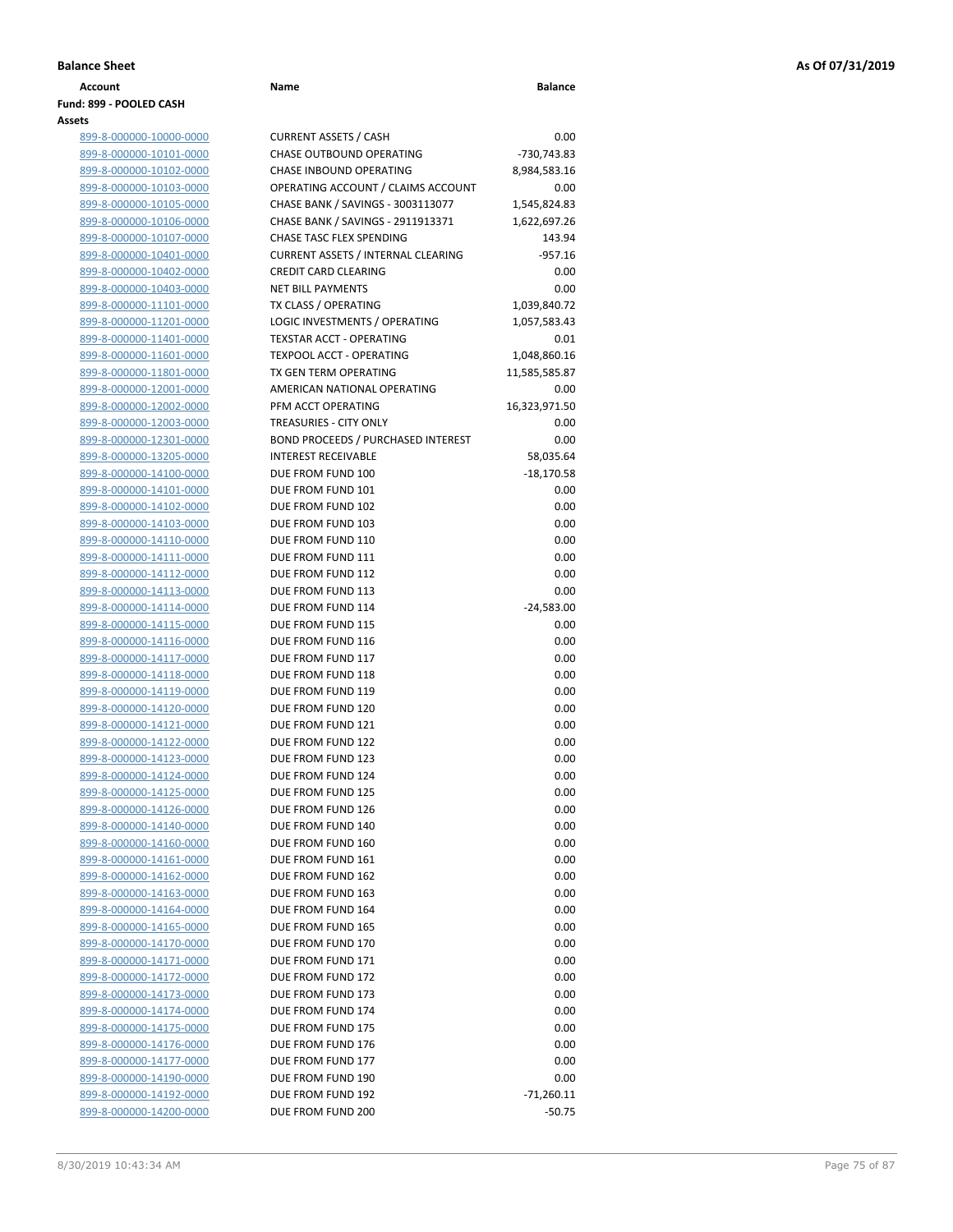| Account                 | Name | <b>Balance</b> |
|-------------------------|------|----------------|
| Fund: 899 - POOLED CASH |      |                |
| Assets                  |      |                |

| 899-8-000000-10000-0000        |
|--------------------------------|
|                                |
| 899-8-000000-10101-0000        |
| 899-8-000000-10102-0000        |
| 899-8-000000-10103-0000        |
| <u>899-8-000000-10105-0000</u> |
| 899-8-000000-10106-0000        |
| 899-8-000000-10107-0000        |
| 899-8-000000-10401-0000        |
| 899-8-000000-10402-0000        |
| 899-8-000000-10403-0000        |
| 899-8-000000-11101-0000        |
| 899-8-000000-11201-0000        |
| 899-8-000000-11401-0000        |
| 899-8-000000-11601-0000        |
| 899-8-000000-11801-0000        |
| 899-8-000000-12001-0000        |
|                                |
| 899-8-000000-12002-0000        |
| 899-8-000000-12003-0000        |
| 899-8-000000-12301-0000        |
| <u>899-8-000000-13205-0000</u> |
| 899-8-000000-14100-0000        |
| 899-8-000000-14101-0000        |
| 899-8-000000-14102-0000        |
| 899-8-000000-14103-0000        |
| <u>899-8-000000-14110-0000</u> |
| 899-8-000000-14111-0000        |
| 899-8-000000-14112-0000        |
| 899-8-000000-14113-0000        |
| 899-8-000000-14114-0000        |
| <u>899-8-000000-14115-0000</u> |
| 899-8-000000-14116-0000        |
| 899-8-000000-14117-0000        |
| 899-8-000000-14118-0000        |
| 899-8-000000-14119-0000        |
| <u>899-8-000000-14120-0000</u> |
| 899-8-000000-14121-0000        |
|                                |
| 899-8-000000-14122-0000        |
| 899-8-000000-14123-0000        |
| 899-8-000000-14124-0000        |
| 899-8-000000-14125-0000        |
| 899-8-000000-14126-0000        |
| 899-8-000000-14140-0000        |
| 899-8-000000-14160-0000        |
| 899-8-000000-14161-0000        |
| 899-8-000000-14162-0000        |
| 899-8-000000-14163-0000        |
| 899-8-000000-14164-0000        |
| 899-8-000000-14165-0000        |
| 899-8-000000-14170-0000        |
| 899-8-000000-14171-0000        |
| 899-8-000000-14172-0000        |
| 899-8-000000-14173-0000        |
| 899-8-000000-14174-0000        |
| 899-8-000000-14175-0000        |
|                                |
| 899-8-000000-14176-0000        |
| <u>899-8-000000-14177-0000</u> |
| 899-8-000000-14190-0000        |
| 899-8-000000-14192-0000        |
| 899-8-000000-14200-0000        |

| 899-8-000000-10000-0000 | <b>CURRENT ASSETS / CASH</b>              |
|-------------------------|-------------------------------------------|
| 899-8-000000-10101-0000 | <b>CHASE OUTBOUND OPERATING</b>           |
| 899-8-000000-10102-0000 | CHASE INBOUND OPERATING                   |
| 899-8-000000-10103-0000 | OPERATING ACCOUNT / CLAIMS ACCOUNT        |
| 899-8-000000-10105-0000 | CHASE BANK / SAVINGS - 3003113077         |
| 899-8-000000-10106-0000 | CHASE BANK / SAVINGS - 2911913371         |
| 899-8-000000-10107-0000 | <b>CHASE TASC FLEX SPENDING</b>           |
| 899-8-000000-10401-0000 | <b>CURRENT ASSETS / INTERNAL CLEARING</b> |
| 899-8-000000-10402-0000 | <b>CREDIT CARD CLEARING</b>               |
| 899-8-000000-10403-0000 | <b>NET BILL PAYMENTS</b>                  |
| 899-8-000000-11101-0000 | TX CLASS / OPERATING                      |
| 899-8-000000-11201-0000 | LOGIC INVESTMENTS / OPERATING             |
| 899-8-000000-11401-0000 | <b>TEXSTAR ACCT - OPERATING</b>           |
| 899-8-000000-11601-0000 | <b>TEXPOOL ACCT - OPERATING</b>           |
| 899-8-000000-11801-0000 | TX GEN TERM OPERATING                     |
| 899-8-000000-12001-0000 | AMERICAN NATIONAL OPERATING               |
| 899-8-000000-12002-0000 | PFM ACCT OPERATING                        |
| 899-8-000000-12003-0000 | TREASURIES - CITY ONLY                    |
| 899-8-000000-12301-0000 | <b>BOND PROCEEDS / PURCHASED INTEREST</b> |
| 899-8-000000-13205-0000 | <b>INTEREST RECEIVABLE</b>                |
| 899-8-000000-14100-0000 | DUE FROM FUND 100                         |
| 899-8-000000-14101-0000 | DUE FROM FUND 101                         |
| 899-8-000000-14102-0000 | DUE FROM FUND 102                         |
| 899-8-000000-14103-0000 | DUE FROM FUND 103                         |
| 899-8-000000-14110-0000 | DUE FROM FUND 110                         |
| 899-8-000000-14111-0000 | DUE FROM FUND 111                         |
| 899-8-000000-14112-0000 | DUE FROM FUND 112                         |
| 899-8-000000-14113-0000 | DUE FROM FUND 113                         |
| 899-8-000000-14114-0000 | DUE FROM FUND 114                         |
| 899-8-000000-14115-0000 | DUE FROM FUND 115                         |
| 899-8-000000-14116-0000 | DUE FROM FUND 116                         |
| 899-8-000000-14117-0000 | DUE FROM FUND 117                         |
| 899-8-000000-14118-0000 | DUE FROM FUND 118                         |
| 899-8-000000-14119-0000 | DUE FROM FUND 119                         |
| 899-8-000000-14120-0000 | DUE FROM FUND 120                         |
| 899-8-000000-14121-0000 | DUE FROM FUND 121                         |
| 899-8-000000-14122-0000 | DUE FROM FUND 122                         |
| 899-8-000000-14123-0000 | DUE FROM FUND 123                         |
| 899-8-000000-14124-0000 | DUE FROM FUND 124                         |
| 899-8-000000-14125-0000 | DUE FROM FUND 125                         |
| 899-8-000000-14126-0000 | DUE FROM FUND 126                         |
| 899-8-000000-14140-0000 | DUE FROM FUND 140                         |
| 899-8-000000-14160-0000 | DUE FROM FUND 160                         |
| 899-8-000000-14161-0000 | DUE FROM FUND 161                         |
| 899-8-000000-14162-0000 | DUE FROM FUND 162                         |
| 899-8-000000-14163-0000 | DUE FROM FUND 163                         |
| 899-8-000000-14164-0000 | DUE FROM FUND 164                         |
| 899-8-000000-14165-0000 | DUE FROM FUND 165                         |
| 899-8-000000-14170-0000 | DUE FROM FUND 170                         |
| 899-8-000000-14171-0000 | DUE FROM FUND 171                         |
| 899-8-000000-14172-0000 | DUE FROM FUND 172                         |
| 899-8-000000-14173-0000 | DUE FROM FUND 173                         |
| 899-8-000000-14174-0000 | DUE FROM FUND 174                         |
| 899-8-000000-14175-0000 | DUE FROM FUND 175                         |
| 899-8-000000-14176-0000 | DUE FROM FUND 176                         |
| 899-8-000000-14177-0000 | DUE FROM FUND 177                         |
| 899-8-000000-14190-0000 | DUE FROM FUND 190                         |
| 899-8-000000-14192-0000 | DUE FROM FUND 192                         |
| 899-8-000000-14200-0000 | DUE FROM FUND 200                         |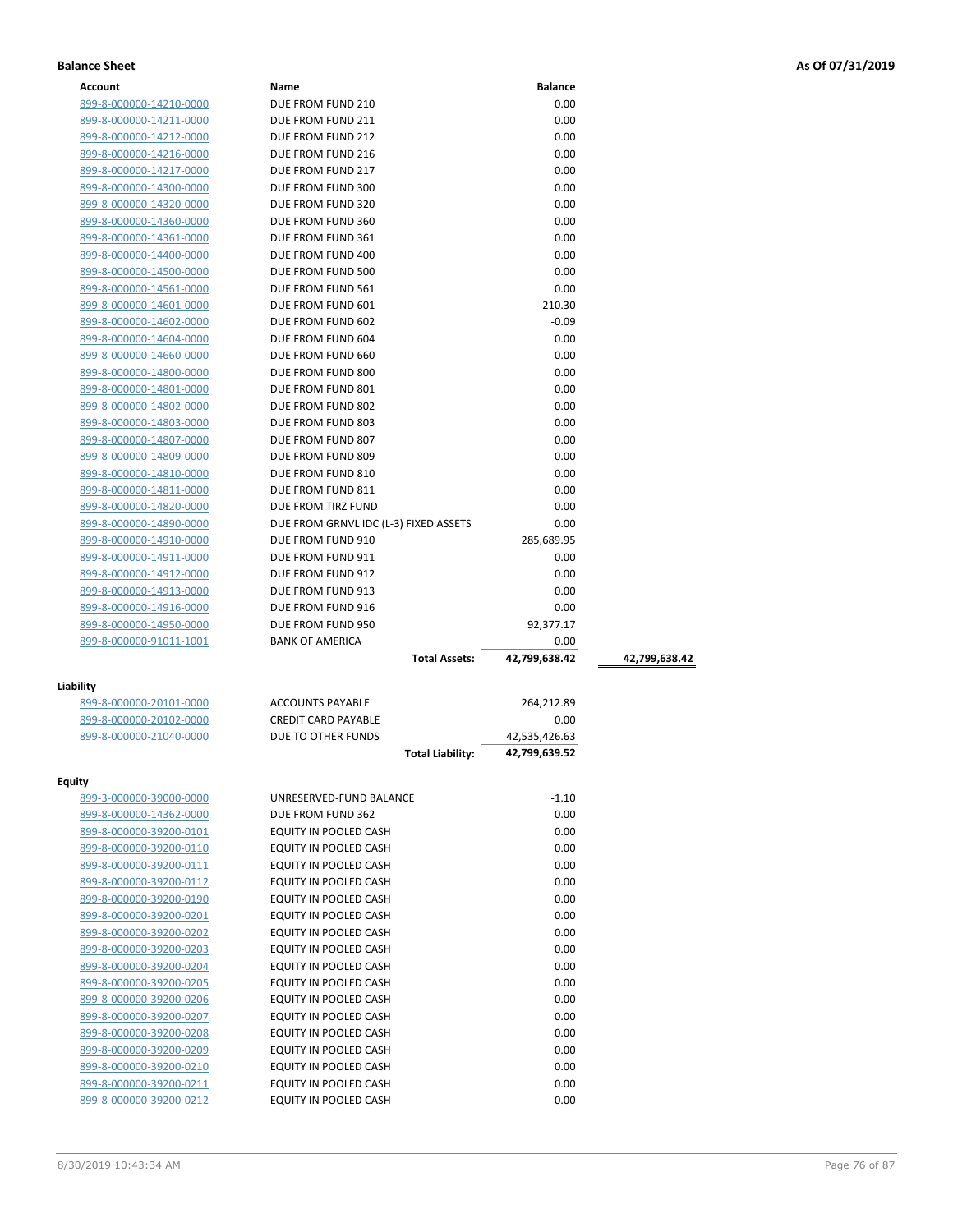| Account                 | Name                                  | <b>Balance</b> |               |
|-------------------------|---------------------------------------|----------------|---------------|
| 899-8-000000-14210-0000 | DUE FROM FUND 210                     | 0.00           |               |
| 899-8-000000-14211-0000 | DUE FROM FUND 211                     | 0.00           |               |
| 899-8-000000-14212-0000 | DUE FROM FUND 212                     | 0.00           |               |
| 899-8-000000-14216-0000 | DUE FROM FUND 216                     | 0.00           |               |
| 899-8-000000-14217-0000 | DUE FROM FUND 217                     | 0.00           |               |
| 899-8-000000-14300-0000 | DUE FROM FUND 300                     | 0.00           |               |
| 899-8-000000-14320-0000 | DUE FROM FUND 320                     | 0.00           |               |
| 899-8-000000-14360-0000 | DUE FROM FUND 360                     | 0.00           |               |
| 899-8-000000-14361-0000 | DUE FROM FUND 361                     | 0.00           |               |
|                         |                                       | 0.00           |               |
| 899-8-000000-14400-0000 | DUE FROM FUND 400                     |                |               |
| 899-8-000000-14500-0000 | DUE FROM FUND 500                     | 0.00           |               |
| 899-8-000000-14561-0000 | DUE FROM FUND 561                     | 0.00           |               |
| 899-8-000000-14601-0000 | DUE FROM FUND 601                     | 210.30         |               |
| 899-8-000000-14602-0000 | DUE FROM FUND 602                     | $-0.09$        |               |
| 899-8-000000-14604-0000 | DUE FROM FUND 604                     | 0.00           |               |
| 899-8-000000-14660-0000 | DUE FROM FUND 660                     | 0.00           |               |
| 899-8-000000-14800-0000 | DUE FROM FUND 800                     | 0.00           |               |
| 899-8-000000-14801-0000 | DUE FROM FUND 801                     | 0.00           |               |
| 899-8-000000-14802-0000 | DUE FROM FUND 802                     | 0.00           |               |
| 899-8-000000-14803-0000 | DUE FROM FUND 803                     | 0.00           |               |
| 899-8-000000-14807-0000 | DUE FROM FUND 807                     | 0.00           |               |
| 899-8-000000-14809-0000 | DUE FROM FUND 809                     | 0.00           |               |
| 899-8-000000-14810-0000 | DUE FROM FUND 810                     | 0.00           |               |
| 899-8-000000-14811-0000 | DUE FROM FUND 811                     | 0.00           |               |
| 899-8-000000-14820-0000 | DUE FROM TIRZ FUND                    | 0.00           |               |
| 899-8-000000-14890-0000 | DUE FROM GRNVL IDC (L-3) FIXED ASSETS | 0.00           |               |
| 899-8-000000-14910-0000 | DUE FROM FUND 910                     | 285,689.95     |               |
| 899-8-000000-14911-0000 | DUE FROM FUND 911                     | 0.00           |               |
| 899-8-000000-14912-0000 | DUE FROM FUND 912                     | 0.00           |               |
| 899-8-000000-14913-0000 | DUE FROM FUND 913                     | 0.00           |               |
| 899-8-000000-14916-0000 | DUE FROM FUND 916                     | 0.00           |               |
| 899-8-000000-14950-0000 | DUE FROM FUND 950                     | 92,377.17      |               |
| 899-8-000000-91011-1001 | <b>BANK OF AMERICA</b>                | 0.00           |               |
|                         | <b>Total Assets:</b>                  | 42,799,638.42  | 42,799,638.42 |
|                         |                                       |                |               |
| Liability               |                                       |                |               |
| 899-8-000000-20101-0000 | <b>ACCOUNTS PAYABLE</b>               | 264,212.89     |               |
| 899-8-000000-20102-0000 | <b>CREDIT CARD PAYABLE</b>            | 0.00           |               |
| 899-8-000000-21040-0000 | DUE TO OTHER FUNDS                    | 42,535,426.63  |               |
|                         | <b>Total Liability:</b>               | 42,799,639.52  |               |
|                         |                                       |                |               |
| Equity                  |                                       |                |               |
| 899-3-000000-39000-0000 | UNRESERVED-FUND BALANCE               | $-1.10$        |               |
| 899-8-000000-14362-0000 | DUE FROM FUND 362                     | 0.00           |               |
| 899-8-000000-39200-0101 | EQUITY IN POOLED CASH                 | 0.00           |               |
| 899-8-000000-39200-0110 | EQUITY IN POOLED CASH                 | 0.00           |               |
| 899-8-000000-39200-0111 | EQUITY IN POOLED CASH                 | 0.00           |               |
| 899-8-000000-39200-0112 | EQUITY IN POOLED CASH                 | 0.00           |               |
| 899-8-000000-39200-0190 | EQUITY IN POOLED CASH                 | 0.00           |               |
| 899-8-000000-39200-0201 | EQUITY IN POOLED CASH                 | 0.00           |               |
| 899-8-000000-39200-0202 | EQUITY IN POOLED CASH                 | 0.00           |               |
| 899-8-000000-39200-0203 | EQUITY IN POOLED CASH                 | 0.00           |               |
| 899-8-000000-39200-0204 | EQUITY IN POOLED CASH                 | 0.00           |               |
| 899-8-000000-39200-0205 | EQUITY IN POOLED CASH                 | 0.00           |               |
| 899-8-000000-39200-0206 | EQUITY IN POOLED CASH                 | 0.00           |               |
| 899-8-000000-39200-0207 | EQUITY IN POOLED CASH                 | 0.00           |               |
| 899-8-000000-39200-0208 | EQUITY IN POOLED CASH                 | 0.00           |               |
| 899-8-000000-39200-0209 | EQUITY IN POOLED CASH                 | 0.00           |               |
| 899-8-000000-39200-0210 |                                       |                |               |
|                         | EQUITY IN POOLED CASH                 | 0.00           |               |
| 899-8-000000-39200-0211 | EQUITY IN POOLED CASH                 | 0.00           |               |
| 899-8-000000-39200-0212 | EQUITY IN POOLED CASH                 | 0.00           |               |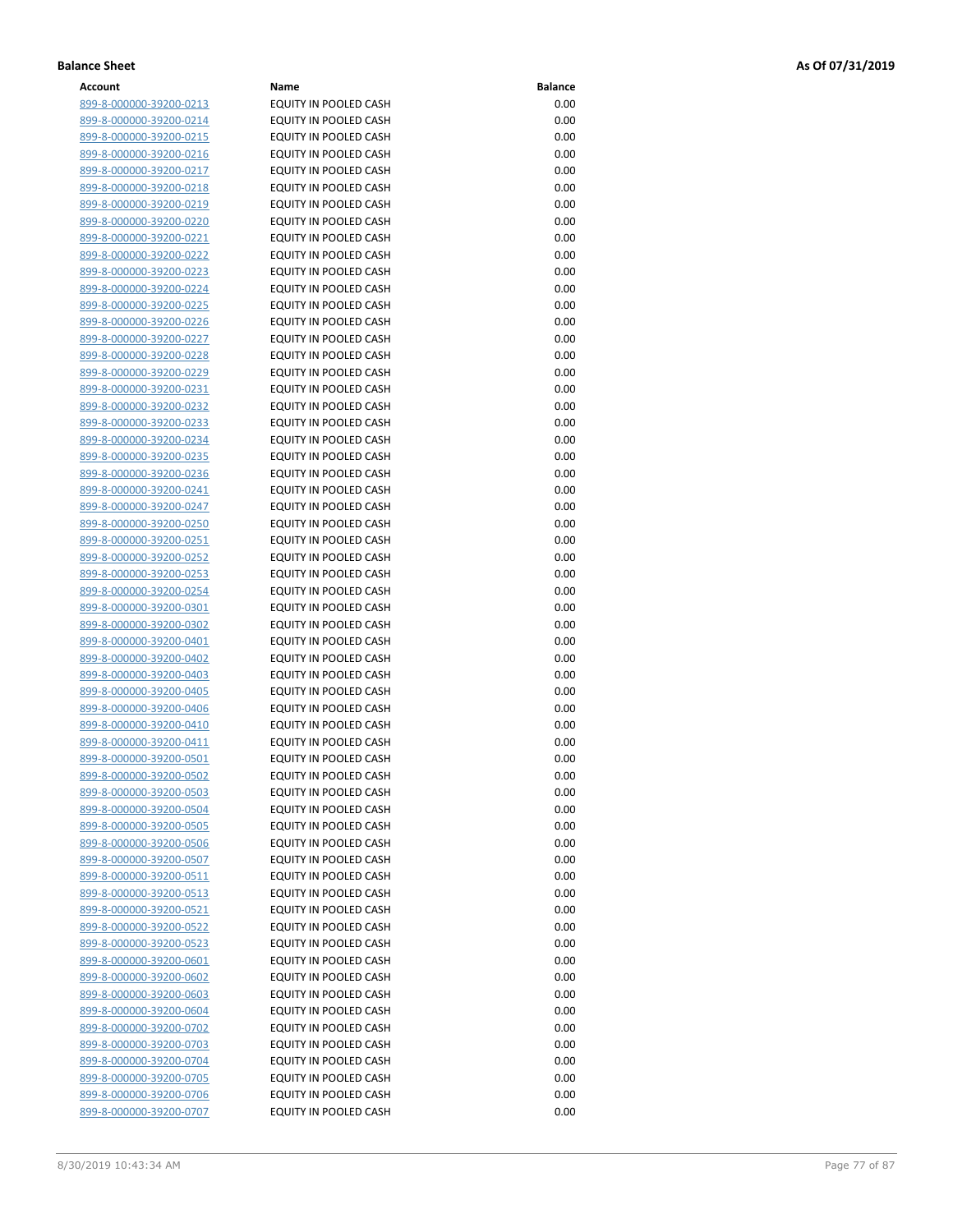| Account                        | Name                         | <b>Balance</b> |
|--------------------------------|------------------------------|----------------|
| 899-8-000000-39200-0213        | EQUITY IN POOLED CASH        | 0.00           |
| 899-8-000000-39200-0214        | EQUITY IN POOLED CASH        | 0.00           |
| 899-8-000000-39200-0215        | EQUITY IN POOLED CASH        | 0.00           |
| 899-8-000000-39200-0216        | EQUITY IN POOLED CASH        | 0.00           |
| 899-8-000000-39200-0217        | EQUITY IN POOLED CASH        | 0.00           |
|                                | <b>EQUITY IN POOLED CASH</b> | 0.00           |
| 899-8-000000-39200-0218        |                              |                |
| 899-8-000000-39200-0219        | EQUITY IN POOLED CASH        | 0.00           |
| 899-8-000000-39200-0220        | EQUITY IN POOLED CASH        | 0.00           |
| 899-8-000000-39200-0221        | EQUITY IN POOLED CASH        | 0.00           |
| 899-8-000000-39200-0222        | EQUITY IN POOLED CASH        | 0.00           |
| 899-8-000000-39200-0223        | EQUITY IN POOLED CASH        | 0.00           |
| 899-8-000000-39200-0224        | EQUITY IN POOLED CASH        | 0.00           |
| 899-8-000000-39200-0225        | EQUITY IN POOLED CASH        | 0.00           |
| 899-8-000000-39200-0226        | EQUITY IN POOLED CASH        | 0.00           |
| 899-8-000000-39200-0227        | EQUITY IN POOLED CASH        | 0.00           |
| 899-8-000000-39200-0228        | EQUITY IN POOLED CASH        | 0.00           |
| 899-8-000000-39200-0229        | EQUITY IN POOLED CASH        | 0.00           |
| 899-8-000000-39200-0231        | EQUITY IN POOLED CASH        | 0.00           |
| 899-8-000000-39200-0232        | EQUITY IN POOLED CASH        | 0.00           |
| 899-8-000000-39200-0233        | EQUITY IN POOLED CASH        | 0.00           |
| 899-8-000000-39200-0234        | <b>EQUITY IN POOLED CASH</b> | 0.00           |
| 899-8-000000-39200-0235        | <b>EQUITY IN POOLED CASH</b> | 0.00           |
| 899-8-000000-39200-0236        | EQUITY IN POOLED CASH        | 0.00           |
| 899-8-000000-39200-0241        | EQUITY IN POOLED CASH        | 0.00           |
| 899-8-000000-39200-0247        | EQUITY IN POOLED CASH        | 0.00           |
| 899-8-000000-39200-0250        | <b>EQUITY IN POOLED CASH</b> | 0.00           |
| 899-8-000000-39200-0251        | EQUITY IN POOLED CASH        | 0.00           |
|                                | EQUITY IN POOLED CASH        | 0.00           |
| 899-8-000000-39200-0252        |                              | 0.00           |
| 899-8-000000-39200-0253        | EQUITY IN POOLED CASH        |                |
| 899-8-000000-39200-0254        | EQUITY IN POOLED CASH        | 0.00           |
| 899-8-000000-39200-0301        | EQUITY IN POOLED CASH        | 0.00           |
| 899-8-000000-39200-0302        | EQUITY IN POOLED CASH        | 0.00           |
| 899-8-000000-39200-0401        | EQUITY IN POOLED CASH        | 0.00           |
| 899-8-000000-39200-0402        | EQUITY IN POOLED CASH        | 0.00           |
| 899-8-000000-39200-0403        | EQUITY IN POOLED CASH        | 0.00           |
| 899-8-000000-39200-0405        | <b>EQUITY IN POOLED CASH</b> | 0.00           |
| 899-8-000000-39200-0406        | EQUITY IN POOLED CASH        | 0.00           |
| 899-8-000000-39200-0410        | EQUITY IN POOLED CASH        | 0.00           |
| 899-8-000000-39200-0411        | EQUITY IN POOLED CASH        | 0.00           |
| 899-8-000000-39200-0501        | EQUITY IN POOLED CASH        | 0.00           |
| <u>899-8-000000-39200-0502</u> | EQUITY IN POOLED CASH        | 0.00           |
| 899-8-000000-39200-0503        | EQUITY IN POOLED CASH        | 0.00           |
| 899-8-000000-39200-0504        | EQUITY IN POOLED CASH        | 0.00           |
| 899-8-000000-39200-0505        | EQUITY IN POOLED CASH        | 0.00           |
| 899-8-000000-39200-0506        | EQUITY IN POOLED CASH        | 0.00           |
| 899-8-000000-39200-0507        | EQUITY IN POOLED CASH        | 0.00           |
| 899-8-000000-39200-0511        | EQUITY IN POOLED CASH        | 0.00           |
| <u>899-8-000000-39200-0513</u> | EQUITY IN POOLED CASH        | 0.00           |
| 899-8-000000-39200-0521        | EQUITY IN POOLED CASH        | 0.00           |
| 899-8-000000-39200-0522        | EQUITY IN POOLED CASH        | 0.00           |
| <u>899-8-000000-39200-0523</u> | EQUITY IN POOLED CASH        | 0.00           |
| 899-8-000000-39200-0601        | EQUITY IN POOLED CASH        | 0.00           |
| <u>899-8-000000-39200-0602</u> | EQUITY IN POOLED CASH        | 0.00           |
| 899-8-000000-39200-0603        | EQUITY IN POOLED CASH        | 0.00           |
| 899-8-000000-39200-0604        | EQUITY IN POOLED CASH        | 0.00           |
| 899-8-000000-39200-0702        | EQUITY IN POOLED CASH        | 0.00           |
| 899-8-000000-39200-0703        | EQUITY IN POOLED CASH        | 0.00           |
|                                | EQUITY IN POOLED CASH        | 0.00           |
| <u>899-8-000000-39200-0704</u> |                              |                |
| 899-8-000000-39200-0705        | EQUITY IN POOLED CASH        | 0.00           |
| 899-8-000000-39200-0706        | EQUITY IN POOLED CASH        | 0.00           |
| 899-8-000000-39200-0707        | EQUITY IN POOLED CASH        | 0.00           |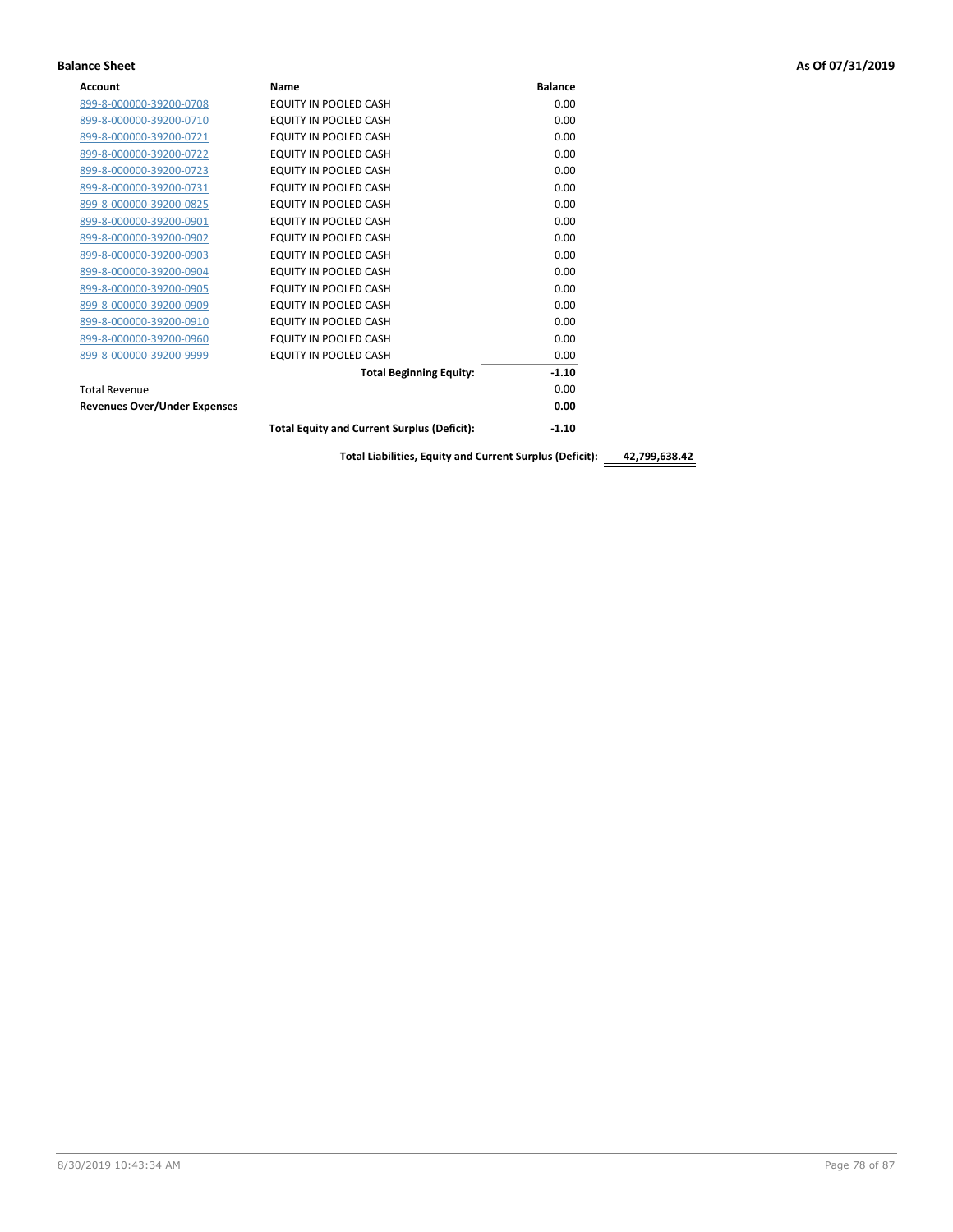| <b>Account</b>                      | Name                                               | <b>Balance</b> |
|-------------------------------------|----------------------------------------------------|----------------|
| 899-8-000000-39200-0708             | EQUITY IN POOLED CASH                              | 0.00           |
| 899-8-000000-39200-0710             | EQUITY IN POOLED CASH                              | 0.00           |
| 899-8-000000-39200-0721             | <b>EQUITY IN POOLED CASH</b>                       | 0.00           |
| 899-8-000000-39200-0722             | EQUITY IN POOLED CASH                              | 0.00           |
| 899-8-000000-39200-0723             | EQUITY IN POOLED CASH                              | 0.00           |
| 899-8-000000-39200-0731             | EQUITY IN POOLED CASH                              | 0.00           |
| 899-8-000000-39200-0825             | EQUITY IN POOLED CASH                              | 0.00           |
| 899-8-000000-39200-0901             | EQUITY IN POOLED CASH                              | 0.00           |
| 899-8-000000-39200-0902             | EQUITY IN POOLED CASH                              | 0.00           |
| 899-8-000000-39200-0903             | EQUITY IN POOLED CASH                              | 0.00           |
| 899-8-000000-39200-0904             | <b>EQUITY IN POOLED CASH</b>                       | 0.00           |
| 899-8-000000-39200-0905             | EQUITY IN POOLED CASH                              | 0.00           |
| 899-8-000000-39200-0909             | EQUITY IN POOLED CASH                              | 0.00           |
| 899-8-000000-39200-0910             | EQUITY IN POOLED CASH                              | 0.00           |
| 899-8-000000-39200-0960             | EQUITY IN POOLED CASH                              | 0.00           |
| 899-8-000000-39200-9999             | EQUITY IN POOLED CASH                              | 0.00           |
|                                     | <b>Total Beginning Equity:</b>                     | $-1.10$        |
| <b>Total Revenue</b>                |                                                    | 0.00           |
| <b>Revenues Over/Under Expenses</b> |                                                    | 0.00           |
|                                     | <b>Total Equity and Current Surplus (Deficit):</b> | $-1.10$        |
|                                     |                                                    |                |

**Total Liabilities, Equity and Current Surplus (Deficit): 42,799,638.42**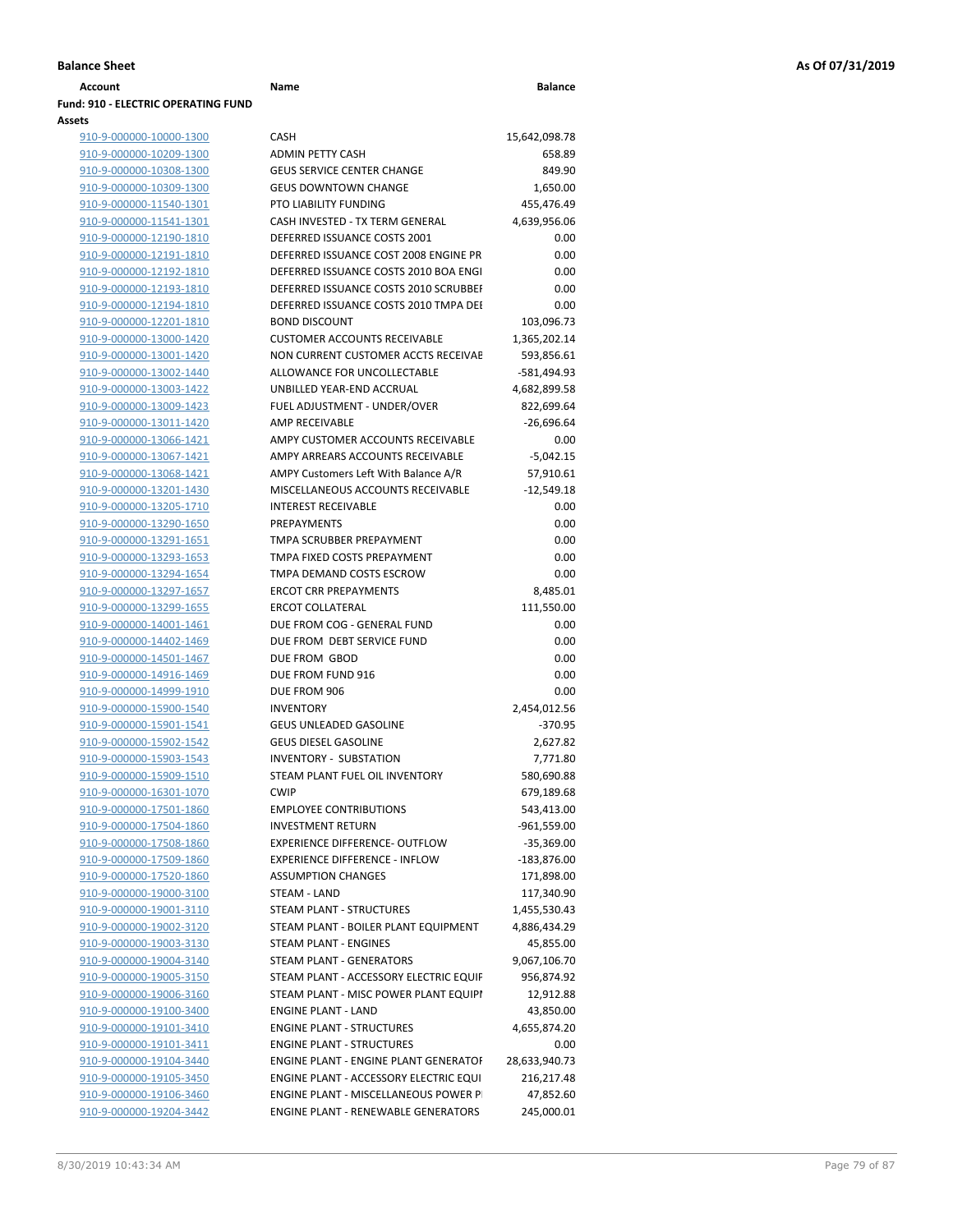| Account                                                     | Name                                         | <b>Balance</b> |
|-------------------------------------------------------------|----------------------------------------------|----------------|
| <b>Fund: 910 - ELECTRIC OPERATING FUND</b><br><b>Assets</b> |                                              |                |
| 910-9-000000-10000-1300                                     | CASH                                         | 15,642,098.78  |
| 910-9-000000-10209-1300                                     | <b>ADMIN PETTY CASH</b>                      | 658.89         |
| 910-9-000000-10308-1300                                     | <b>GEUS SERVICE CENTER CHANGE</b>            | 849.90         |
| 910-9-000000-10309-1300                                     | <b>GEUS DOWNTOWN CHANGE</b>                  | 1,650.00       |
| 910-9-000000-11540-1301                                     | PTO LIABILITY FUNDING                        | 455,476.49     |
| 910-9-000000-11541-1301                                     | CASH INVESTED - TX TERM GENERAL              | 4,639,956.06   |
| 910-9-000000-12190-1810                                     | DEFERRED ISSUANCE COSTS 2001                 | 0.00           |
| 910-9-000000-12191-1810                                     | DEFERRED ISSUANCE COST 2008 ENGINE PR        | 0.00           |
| 910-9-000000-12192-1810                                     | DEFERRED ISSUANCE COSTS 2010 BOA ENGI        | 0.00           |
| 910-9-000000-12193-1810                                     | DEFERRED ISSUANCE COSTS 2010 SCRUBBEI        | 0.00           |
| 910-9-000000-12194-1810                                     | DEFERRED ISSUANCE COSTS 2010 TMPA DEI        | 0.00           |
| 910-9-000000-12201-1810                                     | <b>BOND DISCOUNT</b>                         | 103,096.73     |
| 910-9-000000-13000-1420                                     | <b>CUSTOMER ACCOUNTS RECEIVABLE</b>          | 1,365,202.14   |
| 910-9-000000-13001-1420                                     | NON CURRENT CUSTOMER ACCTS RECEIVAE          | 593,856.61     |
| 910-9-000000-13002-1440                                     | ALLOWANCE FOR UNCOLLECTABLE                  | -581,494.93    |
| 910-9-000000-13003-1422                                     | UNBILLED YEAR-END ACCRUAL                    | 4,682,899.58   |
| 910-9-000000-13009-1423                                     | FUEL ADJUSTMENT - UNDER/OVER                 | 822,699.64     |
| 910-9-000000-13011-1420                                     | AMP RECEIVABLE                               | $-26,696.64$   |
| 910-9-000000-13066-1421                                     | AMPY CUSTOMER ACCOUNTS RECEIVABLE            | 0.00           |
| 910-9-000000-13067-1421                                     | AMPY ARREARS ACCOUNTS RECEIVABLE             | $-5,042.15$    |
| 910-9-000000-13068-1421                                     | AMPY Customers Left With Balance A/R         | 57,910.61      |
| 910-9-000000-13201-1430                                     | MISCELLANEOUS ACCOUNTS RECEIVABLE            | $-12,549.18$   |
| 910-9-000000-13205-1710                                     | <b>INTEREST RECEIVABLE</b>                   | 0.00           |
| 910-9-000000-13290-1650                                     | <b>PREPAYMENTS</b>                           | 0.00           |
| 910-9-000000-13291-1651                                     | TMPA SCRUBBER PREPAYMENT                     | 0.00           |
| 910-9-000000-13293-1653                                     | TMPA FIXED COSTS PREPAYMENT                  | 0.00           |
| 910-9-000000-13294-1654                                     | TMPA DEMAND COSTS ESCROW                     | 0.00           |
| 910-9-000000-13297-1657                                     | <b>ERCOT CRR PREPAYMENTS</b>                 | 8,485.01       |
| 910-9-000000-13299-1655                                     | <b>ERCOT COLLATERAL</b>                      | 111,550.00     |
| 910-9-000000-14001-1461                                     | DUE FROM COG - GENERAL FUND                  | 0.00           |
| 910-9-000000-14402-1469                                     | DUE FROM DEBT SERVICE FUND                   | 0.00           |
| 910-9-000000-14501-1467                                     | DUE FROM GBOD                                | 0.00           |
| 910-9-000000-14916-1469                                     | DUE FROM FUND 916                            | 0.00           |
| 910-9-000000-14999-1910                                     | DUE FROM 906                                 | 0.00           |
| 910-9-000000-15900-1540                                     | <b>INVENTORY</b>                             | 2,454,012.56   |
| 910-9-000000-15901-1541                                     | <b>GEUS UNLEADED GASOLINE</b>                | $-370.95$      |
| 910-9-000000-15902-1542                                     | <b>GEUS DIESEL GASOLINE</b>                  | 2,627.82       |
| 910-9-000000-15903-1543                                     | <b>INVENTORY - SUBSTATION</b>                | 7,771.80       |
| 910-9-000000-15909-1510                                     | STEAM PLANT FUEL OIL INVENTORY               | 580,690.88     |
| 910-9-000000-16301-1070                                     | <b>CWIP</b>                                  | 679,189.68     |
| 910-9-000000-17501-1860                                     | <b>EMPLOYEE CONTRIBUTIONS</b>                | 543,413.00     |
| 910-9-000000-17504-1860                                     | <b>INVESTMENT RETURN</b>                     | $-961,559.00$  |
| 910-9-000000-17508-1860                                     | EXPERIENCE DIFFERENCE- OUTFLOW               | $-35,369.00$   |
| 910-9-000000-17509-1860                                     | <b>EXPERIENCE DIFFERENCE - INFLOW</b>        | $-183,876.00$  |
| 910-9-000000-17520-1860                                     | <b>ASSUMPTION CHANGES</b>                    | 171,898.00     |
| 910-9-000000-19000-3100                                     | STEAM - LAND                                 | 117,340.90     |
| 910-9-000000-19001-3110                                     | <b>STEAM PLANT - STRUCTURES</b>              | 1,455,530.43   |
| 910-9-000000-19002-3120                                     | STEAM PLANT - BOILER PLANT EQUIPMENT         | 4,886,434.29   |
| 910-9-000000-19003-3130                                     | <b>STEAM PLANT - ENGINES</b>                 | 45,855.00      |
| 910-9-000000-19004-3140                                     | STEAM PLANT - GENERATORS                     | 9,067,106.70   |
| 910-9-000000-19005-3150                                     | STEAM PLANT - ACCESSORY ELECTRIC EQUIF       | 956,874.92     |
| 910-9-000000-19006-3160                                     | STEAM PLANT - MISC POWER PLANT EQUIPI        | 12,912.88      |
| 910-9-000000-19100-3400                                     | <b>ENGINE PLANT - LAND</b>                   | 43,850.00      |
| 910-9-000000-19101-3410                                     | <b>ENGINE PLANT - STRUCTURES</b>             | 4,655,874.20   |
| 910-9-000000-19101-3411                                     | <b>ENGINE PLANT - STRUCTURES</b>             | 0.00           |
| 910-9-000000-19104-3440                                     | <b>ENGINE PLANT - ENGINE PLANT GENERATOF</b> | 28,633,940.73  |
| 910-9-000000-19105-3450                                     | ENGINE PLANT - ACCESSORY ELECTRIC EQUI       | 216,217.48     |

910-9-000000-19106-3460 ENGINE PLANT - MISCELLANEOUS POWER PLANT 47,852.60 910-9-000000-19204-3442 ENGINE PLANT - RENEWABLE GENERATORS 245,000.01

|             | 1,365,202.14  |
|-------------|---------------|
| VAE         | 593,856.61    |
|             | -581,494.93   |
|             | 4,682,899.58  |
|             | 822,699.64    |
|             | $-26,696.64$  |
| LE          | 0.00          |
|             | $-5,042.15$   |
|             | 57,910.61     |
| E           | $-12,549.18$  |
|             | 0.00          |
|             | 0.00          |
|             | 0.00          |
|             | 0.00          |
|             | 0.00          |
|             | 8,485.01      |
|             | 111,550.00    |
|             | 0.00          |
|             | 0.00          |
|             | 0.00          |
|             | 0.00          |
|             | 0.00          |
|             | 2,454,012.56  |
|             | $-370.95$     |
|             | 2,627.82      |
|             | 7,771.80      |
|             | 580,690.88    |
|             | 679,189.68    |
|             | 543,413.00    |
|             | $-961,559.00$ |
|             | $-35,369.00$  |
|             | $-183,876.00$ |
|             | 171,898.00    |
|             | 117,340.90    |
|             | 1,455,530.43  |
| NT          | 4,886,434.29  |
|             | 45,855.00     |
|             | 9,067,106.70  |
| <b>LUIF</b> | 956,874.92    |
| JIPI        | 12,912.88     |
|             | 43,850.00     |
|             | 4,655,874.20  |
|             | 0.00          |
| TOF         | 28,633,940.73 |
| QUI         | 216,217.48    |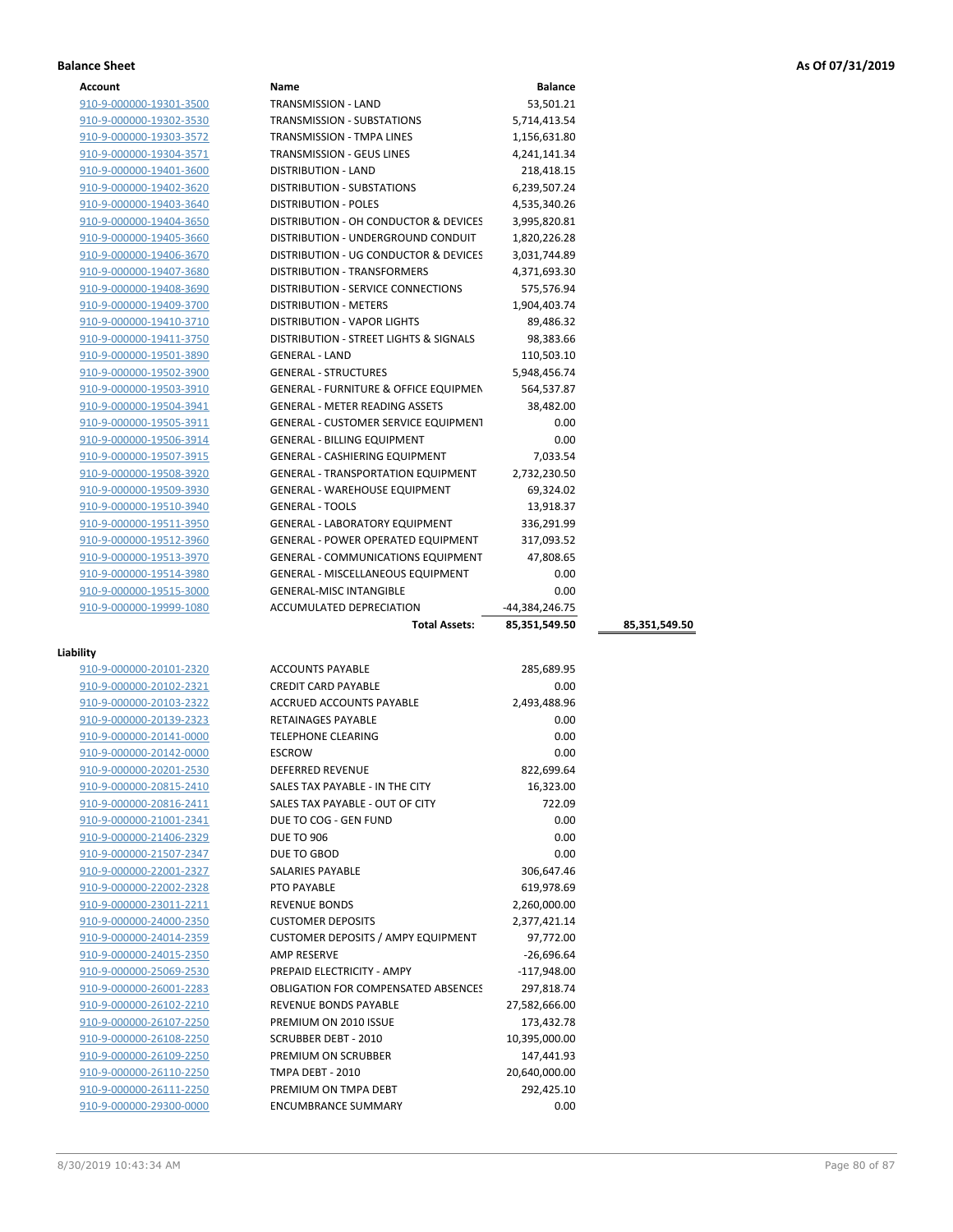| Account                 | Name                                              | <b>Balance</b>   |               |
|-------------------------|---------------------------------------------------|------------------|---------------|
| 910-9-000000-19301-3500 | TRANSMISSION - LAND                               | 53,501.21        |               |
| 910-9-000000-19302-3530 | TRANSMISSION - SUBSTATIONS                        | 5,714,413.54     |               |
| 910-9-000000-19303-3572 | <b>TRANSMISSION - TMPA LINES</b>                  | 1,156,631.80     |               |
| 910-9-000000-19304-3571 | TRANSMISSION - GEUS LINES                         | 4,241,141.34     |               |
| 910-9-000000-19401-3600 | <b>DISTRIBUTION - LAND</b>                        | 218,418.15       |               |
| 910-9-000000-19402-3620 | <b>DISTRIBUTION - SUBSTATIONS</b>                 | 6,239,507.24     |               |
| 910-9-000000-19403-3640 | <b>DISTRIBUTION - POLES</b>                       | 4,535,340.26     |               |
| 910-9-000000-19404-3650 | DISTRIBUTION - OH CONDUCTOR & DEVICES             | 3,995,820.81     |               |
| 910-9-000000-19405-3660 | DISTRIBUTION - UNDERGROUND CONDUIT                | 1,820,226.28     |               |
| 910-9-000000-19406-3670 | DISTRIBUTION - UG CONDUCTOR & DEVICES             | 3,031,744.89     |               |
| 910-9-000000-19407-3680 | DISTRIBUTION - TRANSFORMERS                       | 4,371,693.30     |               |
| 910-9-000000-19408-3690 | DISTRIBUTION - SERVICE CONNECTIONS                | 575,576.94       |               |
| 910-9-000000-19409-3700 | <b>DISTRIBUTION - METERS</b>                      | 1,904,403.74     |               |
| 910-9-000000-19410-3710 | <b>DISTRIBUTION - VAPOR LIGHTS</b>                | 89,486.32        |               |
| 910-9-000000-19411-3750 | <b>DISTRIBUTION - STREET LIGHTS &amp; SIGNALS</b> | 98,383.66        |               |
| 910-9-000000-19501-3890 | <b>GENERAL - LAND</b>                             | 110,503.10       |               |
| 910-9-000000-19502-3900 | <b>GENERAL - STRUCTURES</b>                       | 5,948,456.74     |               |
| 910-9-000000-19503-3910 | <b>GENERAL - FURNITURE &amp; OFFICE EQUIPMEN</b>  | 564,537.87       |               |
| 910-9-000000-19504-3941 | <b>GENERAL - METER READING ASSETS</b>             | 38,482.00        |               |
| 910-9-000000-19505-3911 | <b>GENERAL - CUSTOMER SERVICE EQUIPMENT</b>       | 0.00             |               |
| 910-9-000000-19506-3914 | <b>GENERAL - BILLING EQUIPMENT</b>                | 0.00             |               |
| 910-9-000000-19507-3915 | GENERAL - CASHIERING EQUIPMENT                    | 7,033.54         |               |
| 910-9-000000-19508-3920 | <b>GENERAL - TRANSPORTATION EQUIPMENT</b>         | 2,732,230.50     |               |
| 910-9-000000-19509-3930 | <b>GENERAL - WAREHOUSE EQUIPMENT</b>              | 69,324.02        |               |
| 910-9-000000-19510-3940 | <b>GENERAL - TOOLS</b>                            | 13,918.37        |               |
| 910-9-000000-19511-3950 | <b>GENERAL - LABORATORY EQUIPMENT</b>             | 336,291.99       |               |
| 910-9-000000-19512-3960 | GENERAL - POWER OPERATED EQUIPMENT                | 317,093.52       |               |
| 910-9-000000-19513-3970 | <b>GENERAL - COMMUNICATIONS EQUIPMENT</b>         | 47,808.65        |               |
| 910-9-000000-19514-3980 | GENERAL - MISCELLANEOUS EQUIPMENT                 | 0.00             |               |
| 910-9-000000-19515-3000 | <b>GENERAL-MISC INTANGIBLE</b>                    | 0.00             |               |
| 910-9-000000-19999-1080 | ACCUMULATED DEPRECIATION                          | $-44,384,246.75$ |               |
|                         | <b>Total Assets:</b>                              | 85,351,549.50    | 85,351,549.50 |
|                         |                                                   |                  |               |

### **Liability**

| шцу                     |                                            |               |  |
|-------------------------|--------------------------------------------|---------------|--|
| 910-9-000000-20101-2320 | <b>ACCOUNTS PAYABLE</b>                    | 285,689.95    |  |
| 910-9-000000-20102-2321 | <b>CREDIT CARD PAYABLE</b>                 | 0.00          |  |
| 910-9-000000-20103-2322 | <b>ACCRUED ACCOUNTS PAYABLE</b>            | 2,493,488.96  |  |
| 910-9-000000-20139-2323 | <b>RETAINAGES PAYABLE</b>                  | 0.00          |  |
| 910-9-000000-20141-0000 | <b>TELEPHONE CLEARING</b>                  | 0.00          |  |
| 910-9-000000-20142-0000 | <b>ESCROW</b>                              | 0.00          |  |
| 910-9-000000-20201-2530 | <b>DEFERRED REVENUE</b>                    | 822,699.64    |  |
| 910-9-000000-20815-2410 | SALES TAX PAYABLE - IN THE CITY            | 16,323.00     |  |
| 910-9-000000-20816-2411 | SALES TAX PAYABLE - OUT OF CITY            | 722.09        |  |
| 910-9-000000-21001-2341 | DUE TO COG - GEN FUND                      | 0.00          |  |
| 910-9-000000-21406-2329 | <b>DUE TO 906</b>                          | 0.00          |  |
| 910-9-000000-21507-2347 | DUE TO GBOD                                | 0.00          |  |
| 910-9-000000-22001-2327 | <b>SALARIES PAYABLE</b>                    | 306,647.46    |  |
| 910-9-000000-22002-2328 | PTO PAYABLE                                | 619,978.69    |  |
| 910-9-000000-23011-2211 | <b>REVENUE BONDS</b>                       | 2,260,000.00  |  |
| 910-9-000000-24000-2350 | <b>CUSTOMER DEPOSITS</b>                   | 2,377,421.14  |  |
| 910-9-000000-24014-2359 | <b>CUSTOMER DEPOSITS / AMPY EQUIPMENT</b>  | 97,772.00     |  |
| 910-9-000000-24015-2350 | <b>AMP RESERVE</b>                         | $-26,696.64$  |  |
| 910-9-000000-25069-2530 | PREPAID ELECTRICITY - AMPY                 | $-117.948.00$ |  |
| 910-9-000000-26001-2283 | <b>OBLIGATION FOR COMPENSATED ABSENCES</b> | 297,818.74    |  |
| 910-9-000000-26102-2210 | <b>REVENUE BONDS PAYABLE</b>               | 27,582,666.00 |  |
| 910-9-000000-26107-2250 | PREMIUM ON 2010 ISSUE                      | 173,432.78    |  |
| 910-9-000000-26108-2250 | <b>SCRUBBER DEBT - 2010</b>                | 10,395,000.00 |  |
| 910-9-000000-26109-2250 | PREMIUM ON SCRUBBER                        | 147,441.93    |  |
| 910-9-000000-26110-2250 | TMPA DEBT - 2010                           | 20,640,000.00 |  |
| 910-9-000000-26111-2250 | PREMIUM ON TMPA DEBT                       | 292,425.10    |  |
| 910-9-000000-29300-0000 | <b>ENCUMBRANCE SUMMARY</b>                 | 0.00          |  |
|                         |                                            |               |  |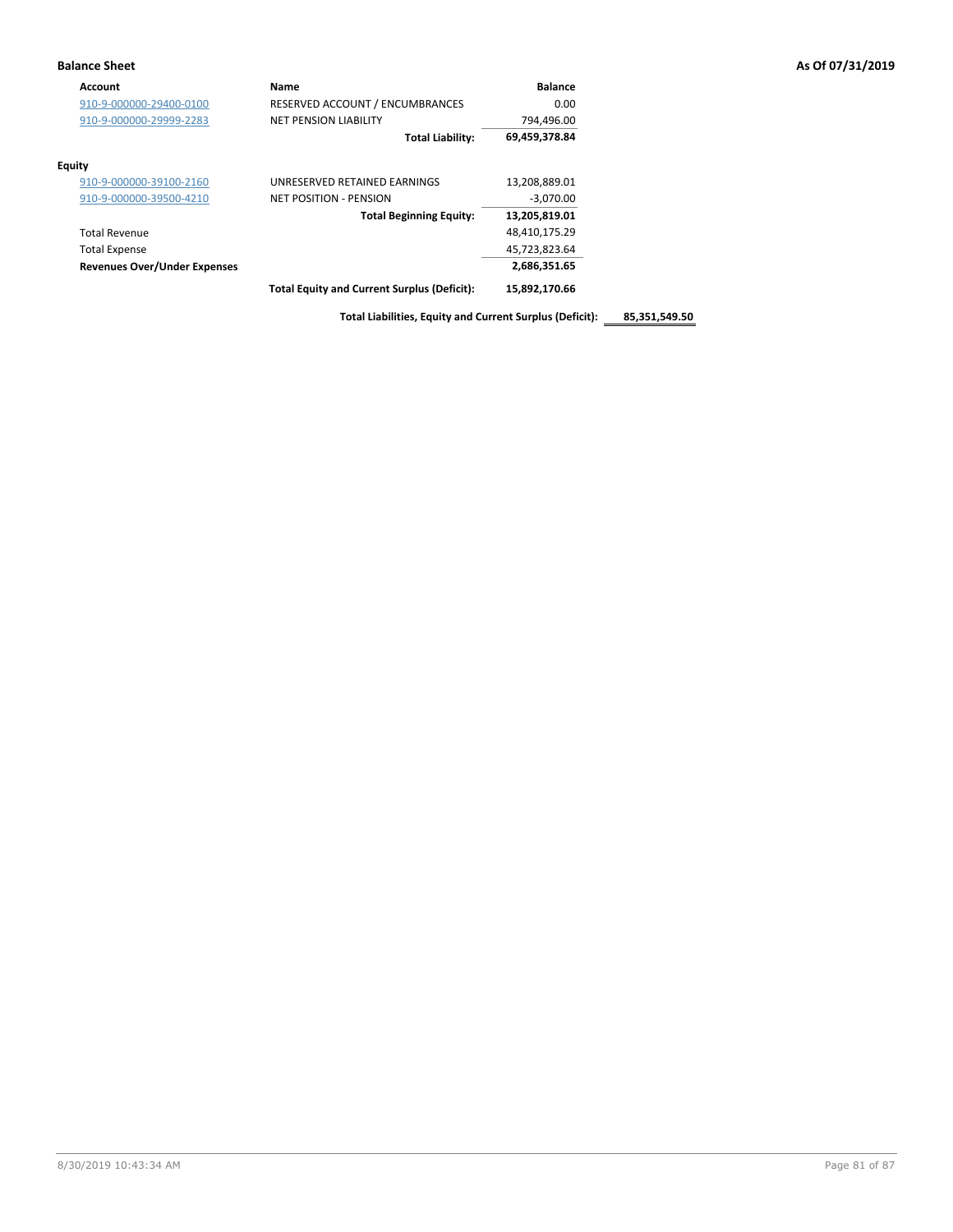| Account                             | Name                                               | <b>Balance</b> |
|-------------------------------------|----------------------------------------------------|----------------|
| 910-9-000000-29400-0100             | RESERVED ACCOUNT / ENCUMBRANCES                    | 0.00           |
| 910-9-000000-29999-2283             | <b>NET PENSION LIABILITY</b>                       | 794,496.00     |
|                                     | <b>Total Liability:</b>                            | 69,459,378.84  |
| <b>Equity</b>                       |                                                    |                |
| 910-9-000000-39100-2160             | UNRESERVED RETAINED EARNINGS                       | 13,208,889.01  |
| 910-9-000000-39500-4210             | NET POSITION - PENSION                             | $-3,070.00$    |
|                                     | <b>Total Beginning Equity:</b>                     | 13,205,819.01  |
| <b>Total Revenue</b>                |                                                    | 48,410,175.29  |
| <b>Total Expense</b>                |                                                    | 45,723,823.64  |
| <b>Revenues Over/Under Expenses</b> |                                                    | 2,686,351.65   |
|                                     | <b>Total Equity and Current Surplus (Deficit):</b> | 15,892,170.66  |

**Total Liabilities, Equity and Current Surplus (Deficit): 85,351,549.50**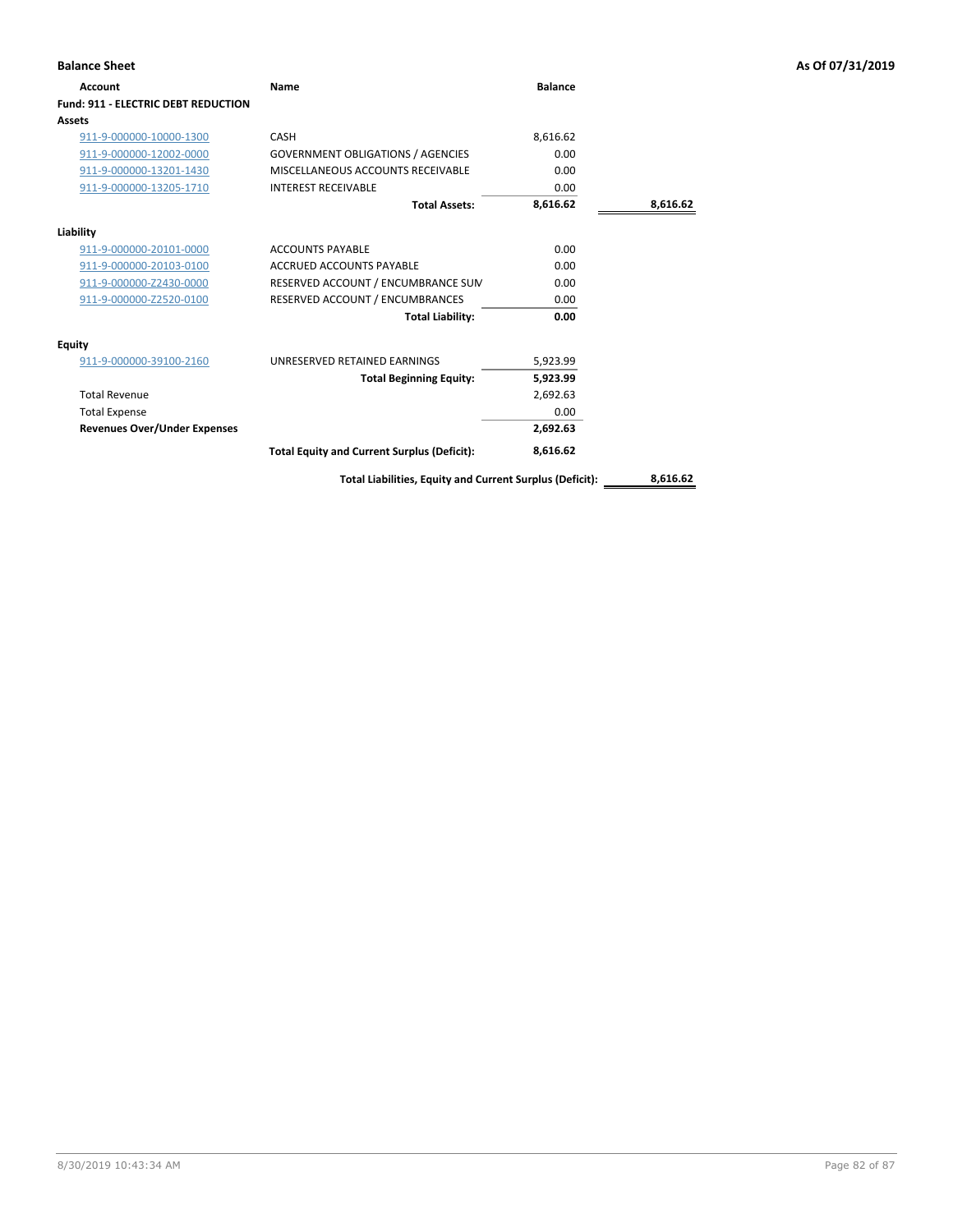| <b>Account</b>                             | Name                                                     | <b>Balance</b> |          |
|--------------------------------------------|----------------------------------------------------------|----------------|----------|
| <b>Fund: 911 - ELECTRIC DEBT REDUCTION</b> |                                                          |                |          |
| Assets                                     |                                                          |                |          |
| 911-9-000000-10000-1300                    | CASH                                                     | 8,616.62       |          |
| 911-9-000000-12002-0000                    | <b>GOVERNMENT OBLIGATIONS / AGENCIES</b>                 | 0.00           |          |
| 911-9-000000-13201-1430                    | MISCELLANEOUS ACCOUNTS RECEIVABLE                        | 0.00           |          |
| 911-9-000000-13205-1710                    | <b>INTEREST RECEIVABLE</b>                               | 0.00           |          |
|                                            | <b>Total Assets:</b>                                     | 8,616.62       | 8,616.62 |
| Liability                                  |                                                          |                |          |
| 911-9-000000-20101-0000                    | <b>ACCOUNTS PAYABLE</b>                                  | 0.00           |          |
| 911-9-000000-20103-0100                    | ACCRUED ACCOUNTS PAYABLE                                 | 0.00           |          |
| 911-9-000000-Z2430-0000                    | RESERVED ACCOUNT / ENCUMBRANCE SUM                       | 0.00           |          |
| 911-9-000000-Z2520-0100                    | RESERVED ACCOUNT / ENCUMBRANCES                          | 0.00           |          |
|                                            | <b>Total Liability:</b>                                  | 0.00           |          |
| <b>Equity</b>                              |                                                          |                |          |
| 911-9-000000-39100-2160                    | UNRESERVED RETAINED EARNINGS                             | 5,923.99       |          |
|                                            | <b>Total Beginning Equity:</b>                           | 5,923.99       |          |
| <b>Total Revenue</b>                       |                                                          | 2,692.63       |          |
| <b>Total Expense</b>                       |                                                          | 0.00           |          |
| <b>Revenues Over/Under Expenses</b>        |                                                          | 2,692.63       |          |
|                                            | <b>Total Equity and Current Surplus (Deficit):</b>       | 8,616.62       |          |
|                                            | Total Liabilities, Equity and Current Surplus (Deficit): |                | 8,616.62 |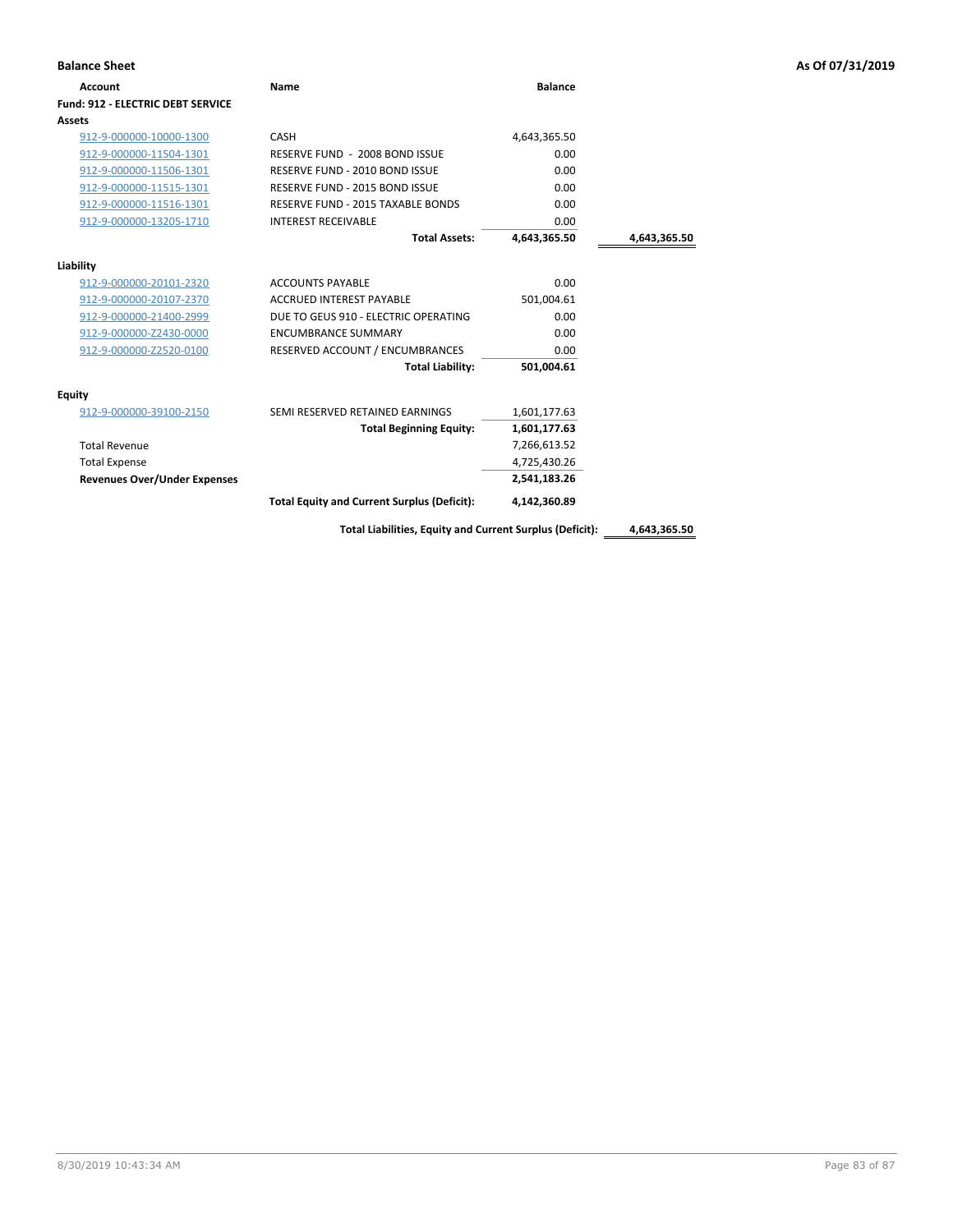| <b>Balance Sheet</b>                     |                                                    |                                                                          |              | As Of 07/31/2019 |
|------------------------------------------|----------------------------------------------------|--------------------------------------------------------------------------|--------------|------------------|
| Account                                  | Name                                               | <b>Balance</b>                                                           |              |                  |
| <b>Fund: 912 - ELECTRIC DEBT SERVICE</b> |                                                    |                                                                          |              |                  |
| Assets                                   |                                                    |                                                                          |              |                  |
| 912-9-000000-10000-1300                  | CASH                                               | 4,643,365.50                                                             |              |                  |
| 912-9-000000-11504-1301                  | RESERVE FUND - 2008 BOND ISSUE                     | 0.00                                                                     |              |                  |
| 912-9-000000-11506-1301                  | RESERVE FUND - 2010 BOND ISSUE                     | 0.00                                                                     |              |                  |
| 912-9-000000-11515-1301                  | RESERVE FUND - 2015 BOND ISSUE                     | 0.00                                                                     |              |                  |
| 912-9-000000-11516-1301                  | RESERVE FUND - 2015 TAXABLE BONDS                  | 0.00                                                                     |              |                  |
| 912-9-000000-13205-1710                  | <b>INTEREST RECEIVABLE</b>                         | 0.00                                                                     |              |                  |
|                                          | <b>Total Assets:</b>                               | 4,643,365.50                                                             | 4,643,365.50 |                  |
| Liability                                |                                                    |                                                                          |              |                  |
| 912-9-000000-20101-2320                  | <b>ACCOUNTS PAYABLE</b>                            | 0.00                                                                     |              |                  |
| 912-9-000000-20107-2370                  | <b>ACCRUED INTEREST PAYABLE</b>                    | 501,004.61                                                               |              |                  |
| 912-9-000000-21400-2999                  | DUE TO GEUS 910 - ELECTRIC OPERATING               | 0.00                                                                     |              |                  |
| 912-9-000000-Z2430-0000                  | <b>ENCUMBRANCE SUMMARY</b>                         | 0.00                                                                     |              |                  |
| 912-9-000000-Z2520-0100                  | RESERVED ACCOUNT / ENCUMBRANCES                    | 0.00                                                                     |              |                  |
|                                          | <b>Total Liability:</b>                            | 501,004.61                                                               |              |                  |
| <b>Equity</b>                            |                                                    |                                                                          |              |                  |
| 912-9-000000-39100-2150                  | SEMI RESERVED RETAINED EARNINGS                    | 1,601,177.63                                                             |              |                  |
|                                          | <b>Total Beginning Equity:</b>                     | 1,601,177.63                                                             |              |                  |
| <b>Total Revenue</b>                     |                                                    | 7,266,613.52                                                             |              |                  |
| <b>Total Expense</b>                     |                                                    | 4,725,430.26                                                             |              |                  |
| <b>Revenues Over/Under Expenses</b>      |                                                    | 2,541,183.26                                                             |              |                  |
|                                          | <b>Total Equity and Current Surplus (Deficit):</b> | 4,142,360.89                                                             |              |                  |
|                                          | .                                                  | $\mathbf{r}$ . The set of $\mathbf{r}$ and $\mathbf{r}$ and $\mathbf{r}$ |              |                  |

**Total Liabilities, Equity and Current Surplus (Deficit): 4,643,365.50**

8/30/2019 10:43:34 AM Page 83 of 87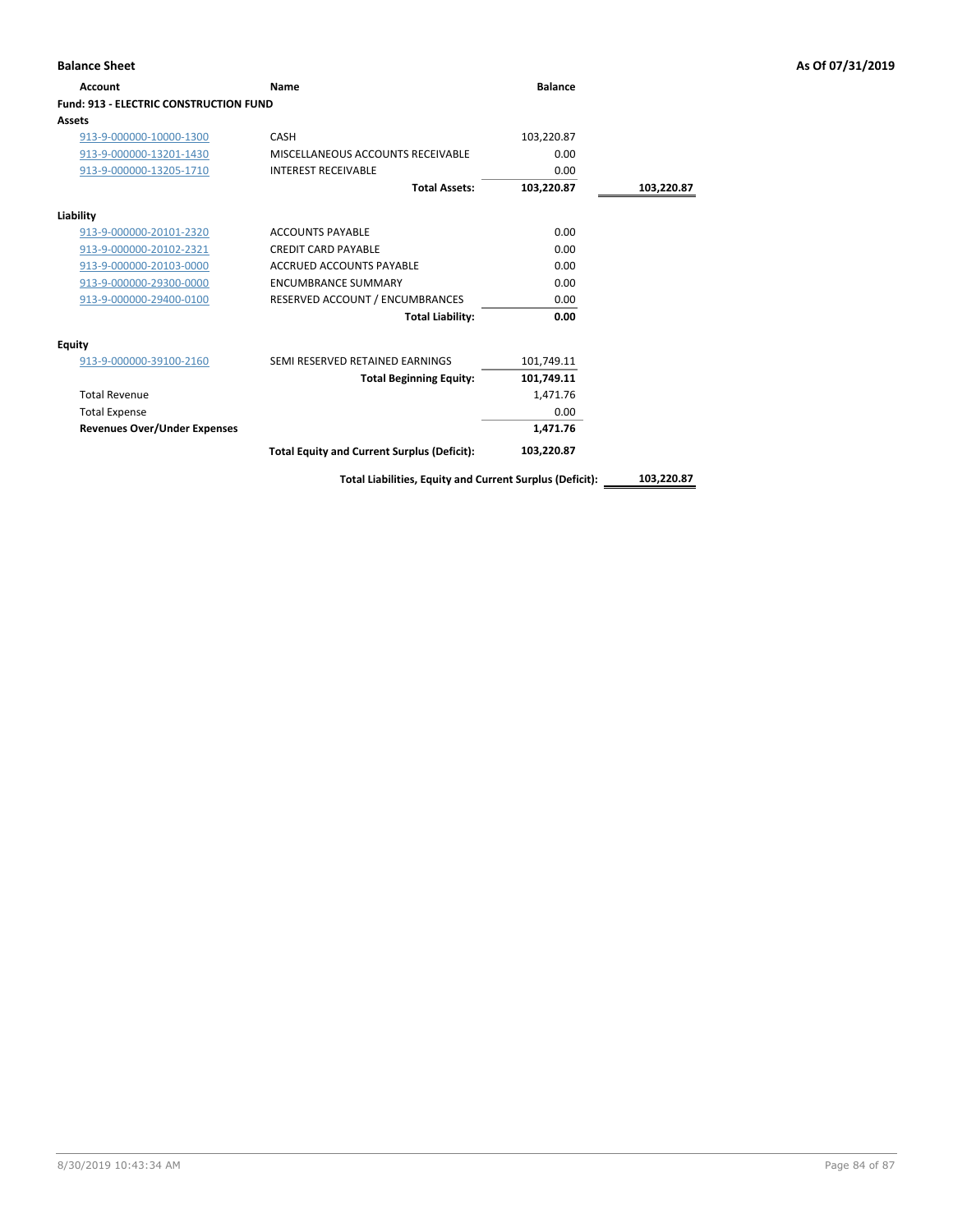| Account                                       | Name                                               | <b>Balance</b> |            |
|-----------------------------------------------|----------------------------------------------------|----------------|------------|
| <b>Fund: 913 - ELECTRIC CONSTRUCTION FUND</b> |                                                    |                |            |
| Assets                                        |                                                    |                |            |
| 913-9-000000-10000-1300                       | <b>CASH</b>                                        | 103,220.87     |            |
| 913-9-000000-13201-1430                       | MISCELLANEOUS ACCOUNTS RECEIVABLE                  | 0.00           |            |
| 913-9-000000-13205-1710                       | <b>INTEREST RECEIVABLE</b>                         | 0.00           |            |
|                                               | <b>Total Assets:</b>                               | 103,220.87     | 103,220.87 |
| Liability                                     |                                                    |                |            |
| 913-9-000000-20101-2320                       | <b>ACCOUNTS PAYABLE</b>                            | 0.00           |            |
| 913-9-000000-20102-2321                       | <b>CREDIT CARD PAYABLE</b>                         | 0.00           |            |
| 913-9-000000-20103-0000                       | <b>ACCRUED ACCOUNTS PAYABLE</b>                    | 0.00           |            |
| 913-9-000000-29300-0000                       | <b>ENCUMBRANCE SUMMARY</b>                         | 0.00           |            |
| 913-9-000000-29400-0100                       | RESERVED ACCOUNT / ENCUMBRANCES                    | 0.00           |            |
|                                               | <b>Total Liability:</b>                            | 0.00           |            |
| Equity                                        |                                                    |                |            |
| 913-9-000000-39100-2160                       | SEMI RESERVED RETAINED EARNINGS                    | 101,749.11     |            |
|                                               | <b>Total Beginning Equity:</b>                     | 101,749.11     |            |
| <b>Total Revenue</b>                          |                                                    | 1,471.76       |            |
| <b>Total Expense</b>                          |                                                    | 0.00           |            |
| <b>Revenues Over/Under Expenses</b>           |                                                    | 1,471.76       |            |
|                                               | <b>Total Equity and Current Surplus (Deficit):</b> | 103,220.87     |            |

**Total Liabilities, Equity and Current Surplus (Deficit): 103,220.87**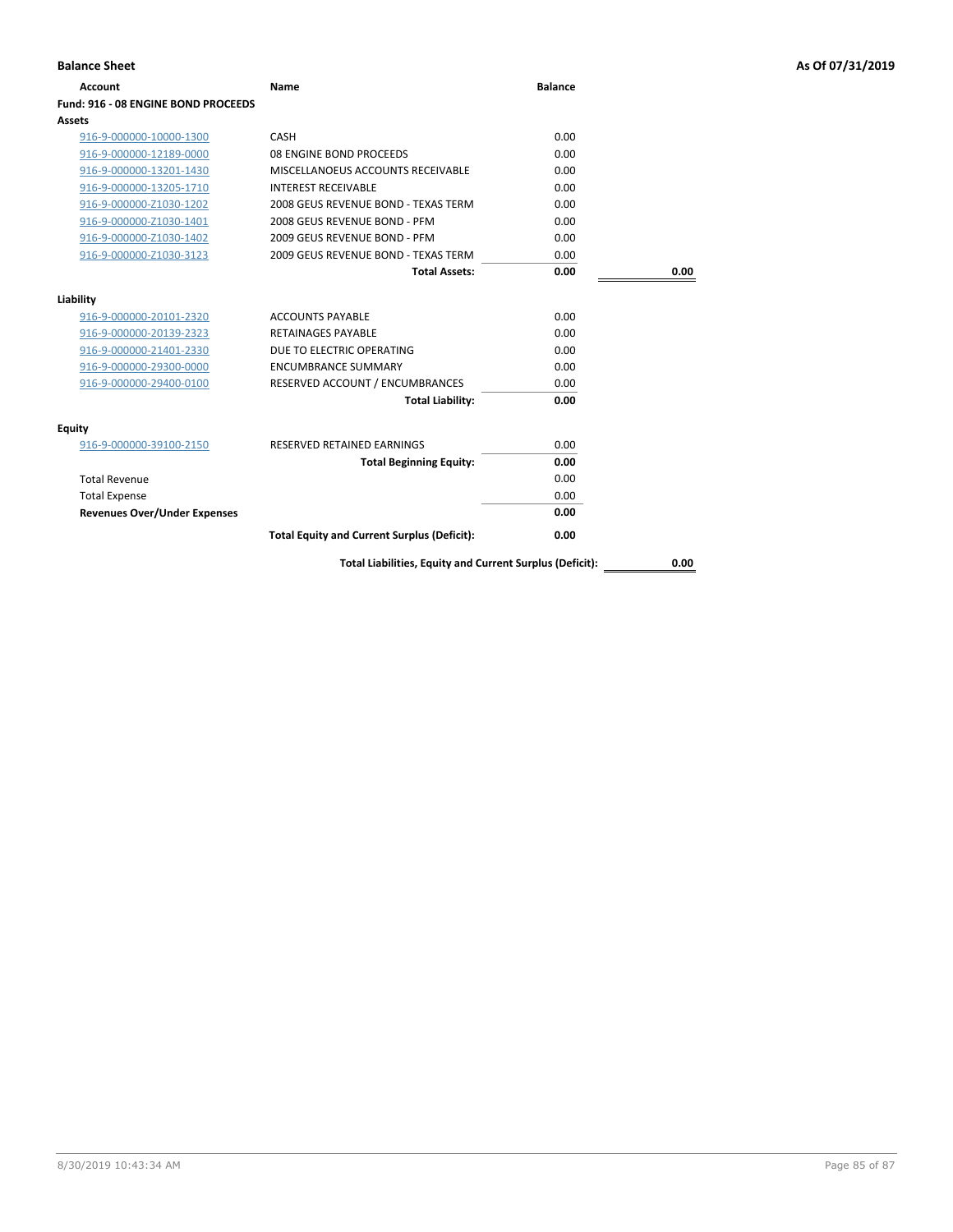| <b>Balance Sheet</b>                |                                                          |                |      | As Of 07/31/2019 |
|-------------------------------------|----------------------------------------------------------|----------------|------|------------------|
| <b>Account</b>                      | Name                                                     | <b>Balance</b> |      |                  |
| Fund: 916 - 08 ENGINE BOND PROCEEDS |                                                          |                |      |                  |
| Assets                              |                                                          |                |      |                  |
| 916-9-000000-10000-1300             | CASH                                                     | 0.00           |      |                  |
| 916-9-000000-12189-0000             | 08 ENGINE BOND PROCEEDS                                  | 0.00           |      |                  |
| 916-9-000000-13201-1430             | MISCELLANOEUS ACCOUNTS RECEIVABLE                        | 0.00           |      |                  |
| 916-9-000000-13205-1710             | <b>INTEREST RECEIVABLE</b>                               | 0.00           |      |                  |
| 916-9-000000-Z1030-1202             | 2008 GEUS REVENUE BOND - TEXAS TERM                      | 0.00           |      |                  |
| 916-9-000000-Z1030-1401             | 2008 GEUS REVENUE BOND - PFM                             | 0.00           |      |                  |
| 916-9-000000-Z1030-1402             | 2009 GEUS REVENUE BOND - PFM                             | 0.00           |      |                  |
| 916-9-000000-Z1030-3123             | 2009 GEUS REVENUE BOND - TEXAS TERM                      | 0.00           |      |                  |
|                                     | <b>Total Assets:</b>                                     | 0.00           | 0.00 |                  |
| Liability                           |                                                          |                |      |                  |
| 916-9-000000-20101-2320             | <b>ACCOUNTS PAYABLE</b>                                  | 0.00           |      |                  |
| 916-9-000000-20139-2323             | <b>RETAINAGES PAYABLE</b>                                | 0.00           |      |                  |
| 916-9-000000-21401-2330             | DUE TO ELECTRIC OPERATING                                | 0.00           |      |                  |
| 916-9-000000-29300-0000             | <b>ENCUMBRANCE SUMMARY</b>                               | 0.00           |      |                  |
| 916-9-000000-29400-0100             | RESERVED ACCOUNT / ENCUMBRANCES                          | 0.00           |      |                  |
|                                     | <b>Total Liability:</b>                                  | 0.00           |      |                  |
| <b>Equity</b>                       |                                                          |                |      |                  |
| 916-9-000000-39100-2150             | RESERVED RETAINED EARNINGS                               | 0.00           |      |                  |
|                                     | <b>Total Beginning Equity:</b>                           | 0.00           |      |                  |
| <b>Total Revenue</b>                |                                                          | 0.00           |      |                  |
| <b>Total Expense</b>                |                                                          | 0.00           |      |                  |
| <b>Revenues Over/Under Expenses</b> |                                                          | 0.00           |      |                  |
|                                     | <b>Total Equity and Current Surplus (Deficit):</b>       | 0.00           |      |                  |
|                                     | Total Liabilities, Equity and Current Surplus (Deficit): |                | 0.00 |                  |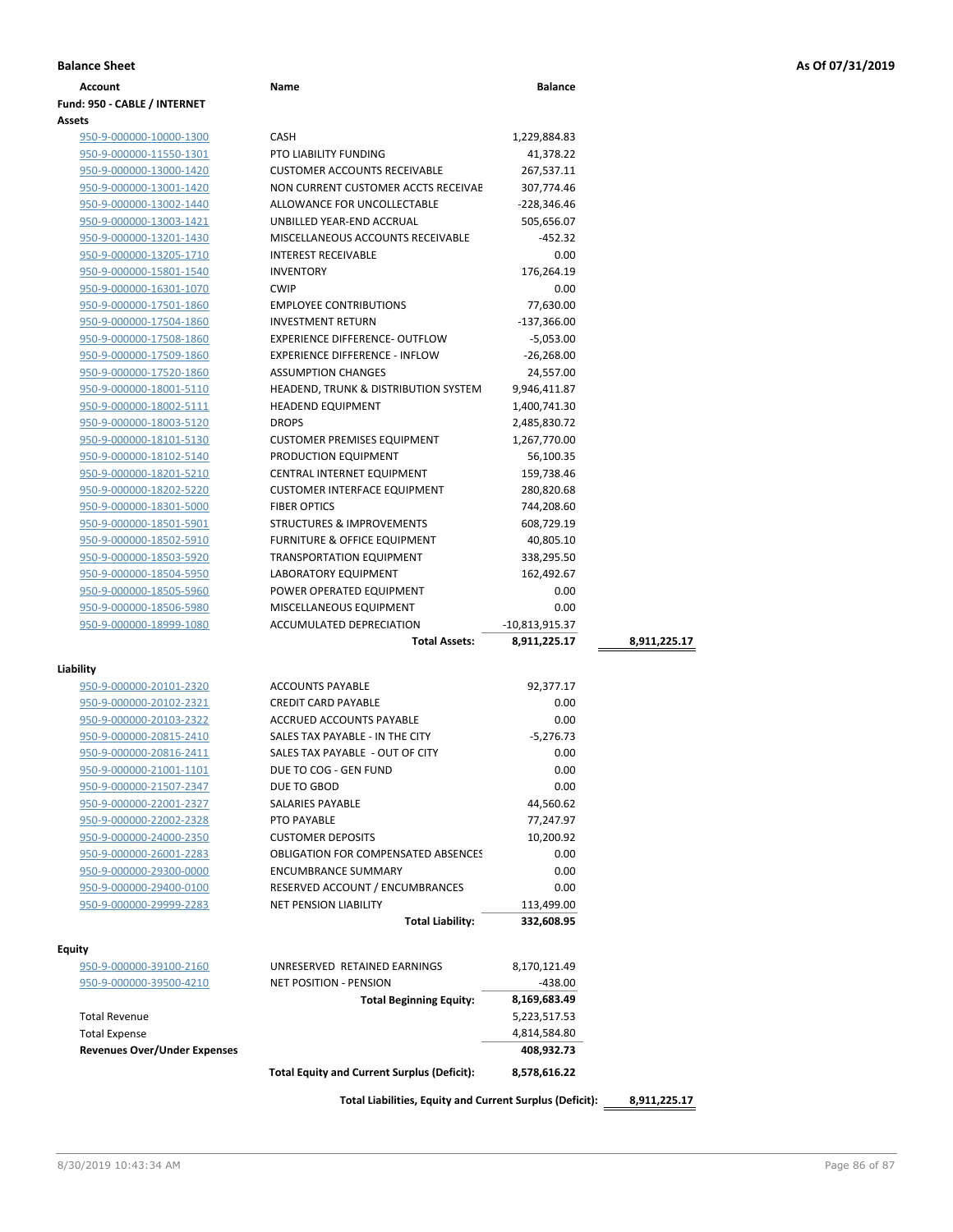| <b>Account</b>                                     | Name                                               | <b>Balance</b> |              |
|----------------------------------------------------|----------------------------------------------------|----------------|--------------|
| Fund: 950 - CABLE / INTERNET                       |                                                    |                |              |
| Assets                                             |                                                    |                |              |
| 950-9-000000-10000-1300                            | <b>CASH</b>                                        | 1,229,884.83   |              |
| 950-9-000000-11550-1301                            | <b>PTO LIABILITY FUNDING</b>                       | 41,378.22      |              |
| 950-9-000000-13000-1420                            | <b>CUSTOMER ACCOUNTS RECEIVABLE</b>                | 267,537.11     |              |
| 950-9-000000-13001-1420                            | NON CURRENT CUSTOMER ACCTS RECEIVAE                | 307,774.46     |              |
| 950-9-000000-13002-1440                            | ALLOWANCE FOR UNCOLLECTABLE                        | $-228,346.46$  |              |
| 950-9-000000-13003-1421                            | UNBILLED YEAR-END ACCRUAL                          | 505,656.07     |              |
| 950-9-000000-13201-1430                            | MISCELLANEOUS ACCOUNTS RECEIVABLE                  | -452.32        |              |
| 950-9-000000-13205-1710                            | <b>INTEREST RECEIVABLE</b>                         | 0.00           |              |
| 950-9-000000-15801-1540                            | <b>INVENTORY</b>                                   | 176,264.19     |              |
| 950-9-000000-16301-1070                            | <b>CWIP</b>                                        | 0.00           |              |
| 950-9-000000-17501-1860                            | <b>EMPLOYEE CONTRIBUTIONS</b>                      | 77,630.00      |              |
| 950-9-000000-17504-1860                            | <b>INVESTMENT RETURN</b>                           | $-137,366.00$  |              |
| 950-9-000000-17508-1860                            | EXPERIENCE DIFFERENCE- OUTFLOW                     | $-5,053.00$    |              |
| 950-9-000000-17509-1860                            | <b>EXPERIENCE DIFFERENCE - INFLOW</b>              | $-26,268.00$   |              |
| 950-9-000000-17520-1860                            | <b>ASSUMPTION CHANGES</b>                          | 24,557.00      |              |
| 950-9-000000-18001-5110                            | <b>HEADEND, TRUNK &amp; DISTRIBUTION SYSTEM</b>    | 9,946,411.87   |              |
| 950-9-000000-18002-5111                            | <b>HEADEND EQUIPMENT</b>                           | 1,400,741.30   |              |
| 950-9-000000-18003-5120                            | <b>DROPS</b>                                       | 2,485,830.72   |              |
| 950-9-000000-18101-5130                            | <b>CUSTOMER PREMISES EQUIPMENT</b>                 | 1,267,770.00   |              |
| 950-9-000000-18102-5140                            | PRODUCTION EQUIPMENT                               | 56,100.35      |              |
| 950-9-000000-18201-5210                            | <b>CENTRAL INTERNET EQUIPMENT</b>                  | 159,738.46     |              |
| 950-9-000000-18202-5220                            | <b>CUSTOMER INTERFACE EQUIPMENT</b>                | 280,820.68     |              |
| 950-9-000000-18301-5000                            | <b>FIBER OPTICS</b>                                | 744,208.60     |              |
|                                                    | <b>STRUCTURES &amp; IMPROVEMENTS</b>               | 608,729.19     |              |
| 950-9-000000-18501-5901<br>950-9-000000-18502-5910 | <b>FURNITURE &amp; OFFICE EQUIPMENT</b>            | 40,805.10      |              |
|                                                    | <b>TRANSPORTATION EQUIPMENT</b>                    | 338,295.50     |              |
| 950-9-000000-18503-5920                            |                                                    |                |              |
| 950-9-000000-18504-5950                            | LABORATORY EQUIPMENT                               | 162,492.67     |              |
| 950-9-000000-18505-5960                            | POWER OPERATED EQUIPMENT                           | 0.00           |              |
| 950-9-000000-18506-5980                            | MISCELLANEOUS EQUIPMENT                            | 0.00           |              |
| 950-9-000000-18999-1080                            | ACCUMULATED DEPRECIATION                           | -10,813,915.37 |              |
|                                                    | <b>Total Assets:</b>                               | 8,911,225.17   | 8,911,225.17 |
| Liability                                          |                                                    |                |              |
| 950-9-000000-20101-2320                            | <b>ACCOUNTS PAYABLE</b>                            | 92,377.17      |              |
| 950-9-000000-20102-2321                            | <b>CREDIT CARD PAYABLE</b>                         | 0.00           |              |
| 950-9-000000-20103-2322                            | <b>ACCRUED ACCOUNTS PAYABLE</b>                    | 0.00           |              |
| 950-9-000000-20815-2410                            | SALES TAX PAYABLE - IN THE CITY                    | $-5,276.73$    |              |
| 950-9-000000-20816-2411                            | SALES TAX PAYABLE - OUT OF CITY                    | 0.00           |              |
| 950-9-000000-21001-1101                            | DUE TO COG - GEN FUND                              | 0.00           |              |
| 950-9-000000-21507-2347                            | DUE TO GBOD                                        | 0.00           |              |
| 950-9-000000-22001-2327                            | SALARIES PAYABLE                                   | 44,560.62      |              |
| 950-9-000000-22002-2328                            | PTO PAYABLE                                        | 77,247.97      |              |
| 950-9-000000-24000-2350                            | <b>CUSTOMER DEPOSITS</b>                           | 10,200.92      |              |
| 950-9-000000-26001-2283                            | <b>OBLIGATION FOR COMPENSATED ABSENCES</b>         | 0.00           |              |
| 950-9-000000-29300-0000                            | <b>ENCUMBRANCE SUMMARY</b>                         | 0.00           |              |
|                                                    | RESERVED ACCOUNT / ENCUMBRANCES                    | 0.00           |              |
| 950-9-000000-29400-0100<br>950-9-000000-29999-2283 | <b>NET PENSION LIABILITY</b>                       | 113,499.00     |              |
|                                                    | <b>Total Liability:</b>                            | 332,608.95     |              |
|                                                    |                                                    |                |              |
| <b>Equity</b>                                      |                                                    |                |              |
| 950-9-000000-39100-2160                            | UNRESERVED RETAINED EARNINGS                       | 8,170,121.49   |              |
| 950-9-000000-39500-4210                            | <b>NET POSITION - PENSION</b>                      | -438.00        |              |
|                                                    | <b>Total Beginning Equity:</b>                     | 8,169,683.49   |              |
| <b>Total Revenue</b>                               |                                                    | 5,223,517.53   |              |
| <b>Total Expense</b>                               |                                                    | 4,814,584.80   |              |
| <b>Revenues Over/Under Expenses</b>                |                                                    | 408,932.73     |              |
|                                                    | <b>Total Equity and Current Surplus (Deficit):</b> | 8,578,616.22   |              |
|                                                    |                                                    |                |              |

**Total Liabilities, Equity and Current Surplus (Deficit): 8,911,225.17**